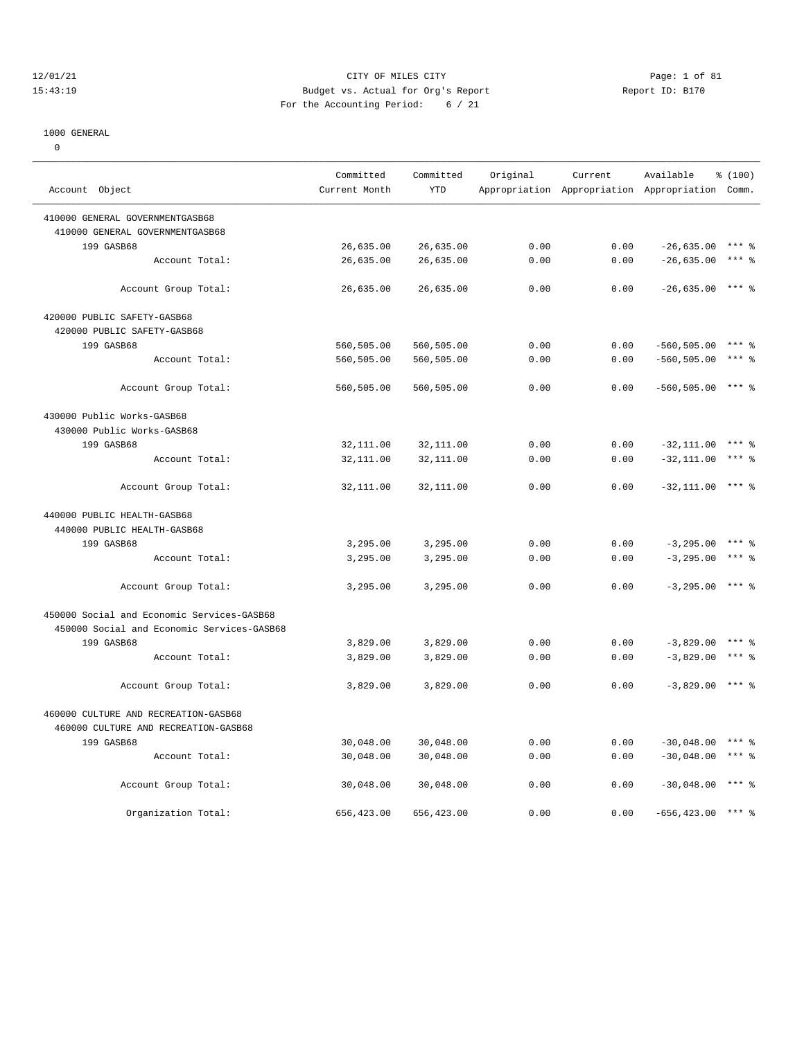#### 12/01/21 Page: 1 of 81 CITY OF MILES CITY OF MILES CITY CONTRIBUTION CONTRIBUTION Page: 1 of 81 CITY OF MILES CITY CONTRIBUTION PAGE: 1 of 81 CITY OF MILES CITY OF MILES CITY AREPORT OF PAGE: 1 OF 8170 15:43:19 Budget vs. Actual for Org's Report For the Accounting Period: 6 / 21

————————————————————————————————————————————————————————————————————————————————————————————————————————————————————————————————————

#### 1000 GENERAL

0

|                                            | Committed     | Committed  | Original | Current | Available                                       | \$(100)   |
|--------------------------------------------|---------------|------------|----------|---------|-------------------------------------------------|-----------|
| Account Object                             | Current Month | <b>YTD</b> |          |         | Appropriation Appropriation Appropriation Comm. |           |
| 410000 GENERAL GOVERNMENTGASB68            |               |            |          |         |                                                 |           |
| 410000 GENERAL GOVERNMENTGASB68            |               |            |          |         |                                                 |           |
| 199 GASB68                                 | 26,635.00     | 26,635.00  | 0.00     | 0.00    | $-26,635.00$                                    | $***$ $%$ |
| Account Total:                             | 26,635.00     | 26,635.00  | 0.00     | 0.00    | $-26,635.00$                                    | $***$ $%$ |
|                                            |               |            |          |         |                                                 |           |
| Account Group Total:                       | 26,635.00     | 26,635.00  | 0.00     | 0.00    | $-26,635.00$ *** \$                             |           |
| 420000 PUBLIC SAFETY-GASB68                |               |            |          |         |                                                 |           |
| 420000 PUBLIC SAFETY-GASB68                |               |            |          |         |                                                 |           |
| 199 GASB68                                 | 560,505.00    | 560,505.00 | 0.00     | 0.00    | $-560, 505.00$                                  | $***$ 2   |
| Account Total:                             | 560,505.00    | 560,505.00 | 0.00     | 0.00    | $-560, 505.00$                                  | $***$ $%$ |
|                                            |               |            |          |         |                                                 |           |
| Account Group Total:                       | 560,505.00    | 560,505.00 | 0.00     | 0.00    | $-560, 505.00$                                  | $***$ 2   |
| 430000 Public Works-GASB68                 |               |            |          |         |                                                 |           |
| 430000 Public Works-GASB68                 |               |            |          |         |                                                 |           |
| 199 GASB68                                 | 32,111.00     | 32,111.00  | 0.00     | 0.00    | $-32, 111.00$                                   | $***$ 2   |
| Account Total:                             | 32,111.00     | 32,111.00  | 0.00     | 0.00    | $-32, 111.00$                                   | $***$ $%$ |
|                                            |               |            |          |         |                                                 |           |
| Account Group Total:                       | 32,111.00     | 32,111.00  | 0.00     | 0.00    | $-32,111.00$                                    | $***$ 8   |
| 440000 PUBLIC HEALTH-GASB68                |               |            |          |         |                                                 |           |
| 440000 PUBLIC HEALTH-GASB68                |               |            |          |         |                                                 |           |
| 199 GASB68                                 | 3,295.00      | 3,295.00   | 0.00     | 0.00    | $-3, 295.00$                                    | $***$ 2   |
| Account Total:                             | 3,295.00      | 3,295.00   | 0.00     | 0.00    | $-3, 295.00$                                    | $***$ %   |
|                                            |               |            |          |         |                                                 |           |
| Account Group Total:                       | 3,295.00      | 3,295.00   | 0.00     | 0.00    | $-3, 295.00$                                    | *** &     |
| 450000 Social and Economic Services-GASB68 |               |            |          |         |                                                 |           |
| 450000 Social and Economic Services-GASB68 |               |            |          |         |                                                 |           |
| 199 GASB68                                 | 3,829.00      | 3,829.00   | 0.00     | 0.00    | $-3,829.00$                                     | $***$ $%$ |
| Account Total:                             | 3,829.00      | 3,829.00   | 0.00     | 0.00    | $-3,829.00$                                     | $***$ 8   |
|                                            |               |            |          |         |                                                 |           |
| Account Group Total:                       | 3,829.00      | 3,829.00   | 0.00     | 0.00    | $-3,829.00$ *** \$                              |           |
| 460000 CULTURE AND RECREATION-GASB68       |               |            |          |         |                                                 |           |
| 460000 CULTURE AND RECREATION-GASB68       |               |            |          |         |                                                 |           |
| 199 GASB68                                 | 30,048.00     | 30,048.00  | 0.00     | 0.00    | $-30,048.00$                                    | *** 2     |
| Account Total:                             | 30,048.00     | 30,048.00  | 0.00     | 0.00    | $-30,048.00$                                    | $***$ $%$ |
|                                            |               |            |          |         |                                                 |           |
| Account Group Total:                       | 30,048.00     | 30,048.00  | 0.00     | 0.00    | $-30,048.00$                                    | $***$ 8   |
|                                            |               |            |          |         |                                                 |           |
| Organization Total:                        | 656,423.00    | 656,423.00 | 0.00     | 0.00    | $-656, 423.00$                                  |           |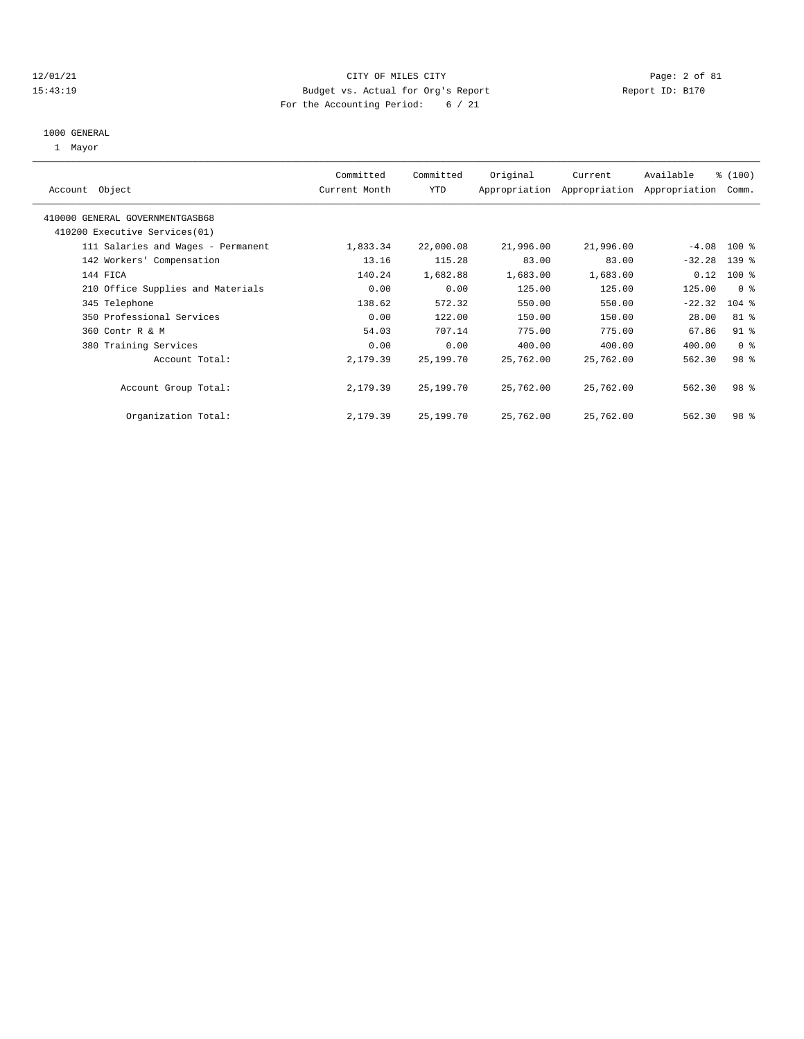#### 12/01/21 CITY OF MILES CITY Page: 2 of 81 15:43:19 Budget vs. Actual for Org's Report Report ID: B170 For the Accounting Period: 6 / 21

# 1000 GENERAL

1 Mayor

| Object<br>Account                  | Committed<br>Current Month | Committed<br><b>YTD</b> | Original  | Current<br>Appropriation Appropriation | Available<br>Appropriation | % (100)<br>Comm. |
|------------------------------------|----------------------------|-------------------------|-----------|----------------------------------------|----------------------------|------------------|
| 410000 GENERAL GOVERNMENTGASB68    |                            |                         |           |                                        |                            |                  |
| 410200 Executive Services(01)      |                            |                         |           |                                        |                            |                  |
| 111 Salaries and Wages - Permanent | 1,833.34                   | 22,000.08               | 21,996.00 | 21,996.00                              | $-4.08$                    | $100$ %          |
| 142 Workers' Compensation          | 13.16                      | 115.28                  | 83.00     | 83.00                                  | $-32.28$                   | $139$ $%$        |
| 144 FICA                           | 140.24                     | 1,682.88                | 1,683.00  | 1,683.00                               | 0.12                       | $100*$           |
| 210 Office Supplies and Materials  | 0.00                       | 0.00                    | 125.00    | 125.00                                 | 125.00                     | 0 <sup>8</sup>   |
| 345 Telephone                      | 138.62                     | 572.32                  | 550.00    | 550.00                                 | $-22.32$                   | $104$ %          |
| 350 Professional Services          | 0.00                       | 122.00                  | 150.00    | 150.00                                 | 28.00                      | $81$ %           |
| 360 Contr R & M                    | 54.03                      | 707.14                  | 775.00    | 775.00                                 | 67.86                      | $91$ %           |
| 380 Training Services              | 0.00                       | 0.00                    | 400.00    | 400.00                                 | 400.00                     | 0 <sup>8</sup>   |
| Account Total:                     | 2,179.39                   | 25,199.70               | 25,762.00 | 25,762.00                              | 562.30                     | 98 <sup>8</sup>  |
| Account Group Total:               | 2,179.39                   | 25,199.70               | 25,762.00 | 25,762.00                              | 562.30                     | 98 <sup>8</sup>  |
| Organization Total:                | 2,179.39                   | 25,199.70               | 25,762.00 | 25,762.00                              | 562.30                     | 98 %             |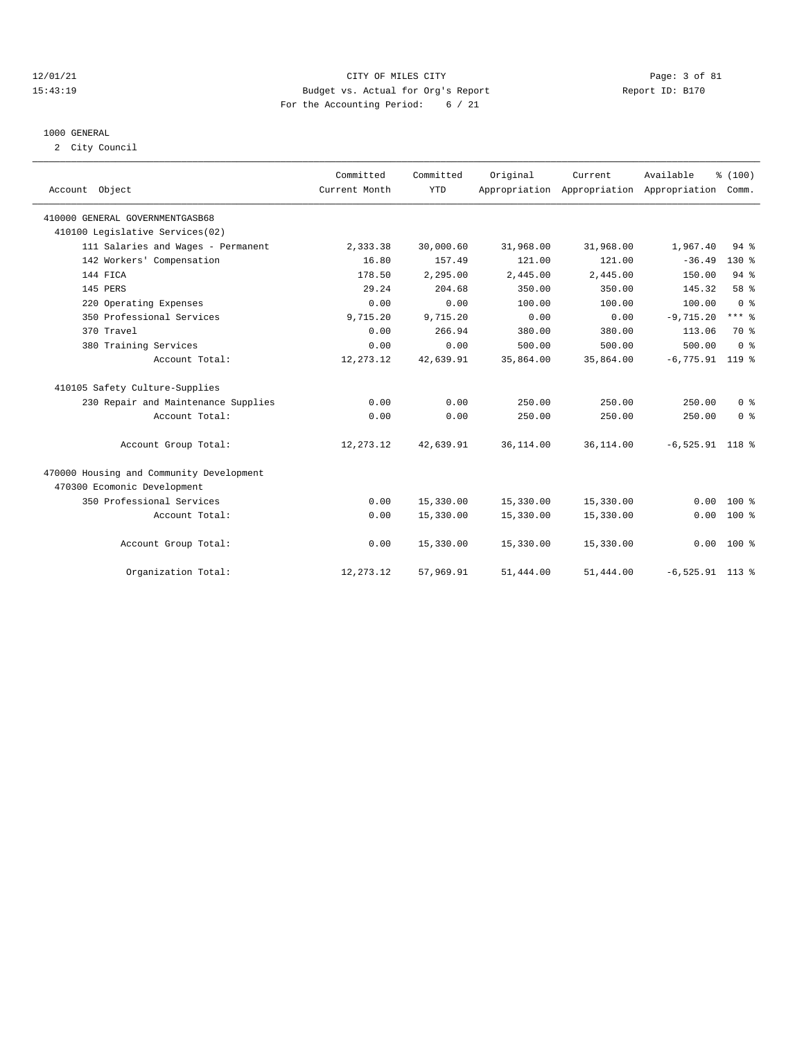#### 12/01/21 CITY OF MILES CITY Page: 3 of 81 15:43:19 Budget vs. Actual for Org's Report Report ID: B170 For the Accounting Period: 6 / 21

# 1000 GENERAL

2 City Council

| Account Object                           | Committed<br>Current Month | Committed<br><b>YTD</b> | Original  | Current<br>Appropriation Appropriation Appropriation Comm. | Available         | % (100)                 |
|------------------------------------------|----------------------------|-------------------------|-----------|------------------------------------------------------------|-------------------|-------------------------|
| 410000 GENERAL GOVERNMENTGASB68          |                            |                         |           |                                                            |                   |                         |
| 410100 Legislative Services(02)          |                            |                         |           |                                                            |                   |                         |
| 111 Salaries and Wages - Permanent       | 2,333.38                   | 30,000.60               | 31,968.00 | 31,968.00                                                  | 1,967.40          | 94%                     |
| 142 Workers' Compensation                | 16.80                      | 157.49                  | 121.00    | 121.00                                                     | $-36.49$          | $130*$                  |
| 144 FICA                                 | 178.50                     | 2,295.00                | 2,445.00  | 2,445.00                                                   | 150.00            | 94%                     |
| 145 PERS                                 | 29.24                      | 204.68                  | 350.00    | 350.00                                                     | 145.32            | 58 %                    |
| 220 Operating Expenses                   | 0.00                       | 0.00                    | 100.00    | 100.00                                                     | 100.00            | 0 <sup>8</sup>          |
| 350 Professional Services                | 9,715.20                   | 9,715.20                | 0.00      | 0.00                                                       | $-9,715.20$       | $***$ 8                 |
| 370 Travel                               | 0.00                       | 266.94                  | 380.00    | 380.00                                                     | 113.06            | 70 %                    |
| 380 Training Services                    | 0.00                       | 0.00                    | 500.00    | 500.00                                                     | 500.00            | $0 \text{ }$ $\text{ }$ |
| Account Total:                           | 12, 273.12                 | 42,639.91               | 35,864.00 | 35,864.00                                                  | $-6,775.91$       | $119*$                  |
| 410105 Safety Culture-Supplies           |                            |                         |           |                                                            |                   |                         |
| 230 Repair and Maintenance Supplies      | 0.00                       | 0.00                    | 250.00    | 250.00                                                     | 250.00            | 0 <sup>8</sup>          |
| Account Total:                           | 0.00                       | 0.00                    | 250.00    | 250.00                                                     | 250.00            | 0 <sup>8</sup>          |
| Account Group Total:                     | 12,273.12                  | 42,639.91               | 36,114.00 | 36,114.00                                                  | $-6,525.91$ 118 % |                         |
| 470000 Housing and Community Development |                            |                         |           |                                                            |                   |                         |
| 470300 Ecomonic Development              |                            |                         |           |                                                            |                   |                         |
| 350 Professional Services                | 0.00                       | 15,330.00               | 15,330.00 | 15,330.00                                                  | 0.00              | $100*$                  |
| Account Total:                           | 0.00                       | 15,330.00               | 15,330.00 | 15,330.00                                                  | 0.00              | $100*$                  |
| Account Group Total:                     | 0.00                       | 15,330.00               | 15,330.00 | 15,330.00                                                  |                   | $0.00$ 100 %            |
| Organization Total:                      | 12, 273. 12                | 57,969.91               | 51,444.00 | 51,444.00                                                  | $-6,525.91$ 113 % |                         |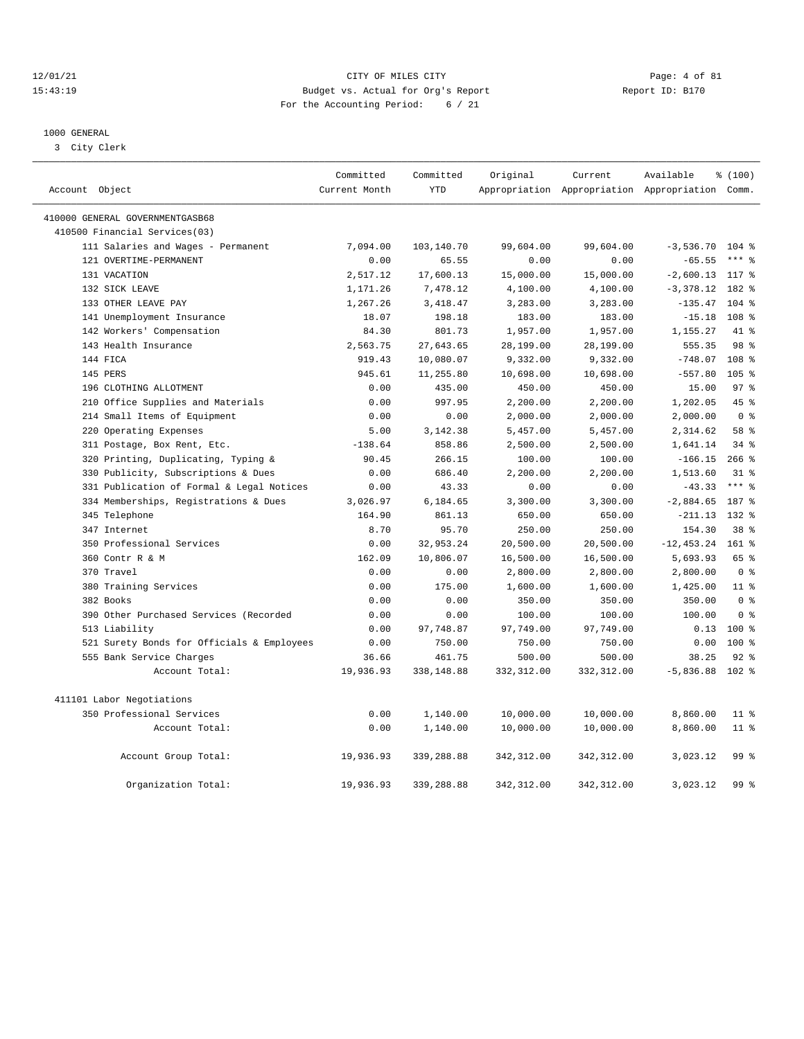#### 12/01/21 CITY OF MILES CITY Page: 4 of 81 15:43:19 Budget vs. Actual for Org's Report Report ID: B170 For the Accounting Period: 6 / 21

————————————————————————————————————————————————————————————————————————————————————————————————————————————————————————————————————

#### 1000 GENERAL

3 City Clerk

| Account Object                             | Committed<br>Current Month | Committed<br><b>YTD</b> | Original    | Current     | Available<br>Appropriation Appropriation Appropriation Comm. | \$(100)         |
|--------------------------------------------|----------------------------|-------------------------|-------------|-------------|--------------------------------------------------------------|-----------------|
|                                            |                            |                         |             |             |                                                              |                 |
| 410000 GENERAL GOVERNMENTGASB68            |                            |                         |             |             |                                                              |                 |
| 410500 Financial Services(03)              |                            |                         |             |             |                                                              |                 |
| 111 Salaries and Wages - Permanent         | 7,094.00                   | 103,140.70              | 99,604.00   | 99,604.00   | $-3,536.70$                                                  | $104$ %         |
| 121 OVERTIME-PERMANENT                     | 0.00                       | 65.55                   | 0.00        | 0.00        | $-65.55$                                                     | $***$ $%$       |
| 131 VACATION                               | 2,517.12                   | 17,600.13               | 15,000.00   | 15,000.00   | $-2,600.13$                                                  | 117 %           |
| 132 SICK LEAVE                             | 1,171.26                   | 7,478.12                | 4,100.00    | 4,100.00    | $-3, 378.12$                                                 | 182 %           |
| 133 OTHER LEAVE PAY                        | 1,267.26                   | 3,418.47                | 3,283.00    | 3,283.00    | $-135.47$                                                    | $104$ %         |
| 141 Unemployment Insurance                 | 18.07                      | 198.18                  | 183.00      | 183.00      | $-15.18$                                                     | 108 %           |
| 142 Workers' Compensation                  | 84.30                      | 801.73                  | 1,957.00    | 1,957.00    | 1,155.27                                                     | 41 %            |
| 143 Health Insurance                       | 2,563.75                   | 27,643.65               | 28,199.00   | 28,199.00   | 555.35                                                       | 98 %            |
| 144 FICA                                   | 919.43                     | 10,080.07               | 9,332.00    | 9,332.00    | $-748.07$                                                    | 108 %           |
| 145 PERS                                   | 945.61                     | 11,255.80               | 10,698.00   | 10,698.00   | $-557.80$                                                    | $105$ %         |
| 196 CLOTHING ALLOTMENT                     | 0.00                       | 435.00                  | 450.00      | 450.00      | 15.00                                                        | 97 <sup>8</sup> |
| 210 Office Supplies and Materials          | 0.00                       | 997.95                  | 2,200.00    | 2,200.00    | 1,202.05                                                     | 45 %            |
| 214 Small Items of Equipment               | 0.00                       | 0.00                    | 2,000.00    | 2,000.00    | 2,000.00                                                     | 0 <sup>8</sup>  |
| 220 Operating Expenses                     | 5.00                       | 3,142.38                | 5,457.00    | 5,457.00    | 2,314.62                                                     | 58 %            |
| 311 Postage, Box Rent, Etc.                | $-138.64$                  | 858.86                  | 2,500.00    | 2,500.00    | 1,641.14                                                     | 34%             |
| 320 Printing, Duplicating, Typing &        | 90.45                      | 266.15                  | 100.00      | 100.00      | $-166.15$                                                    | $266$ %         |
| 330 Publicity, Subscriptions & Dues        | 0.00                       | 686.40                  | 2,200.00    | 2,200.00    | 1,513.60                                                     | $31*$           |
| 331 Publication of Formal & Legal Notices  | 0.00                       | 43.33                   | 0.00        | 0.00        | $-43.33$                                                     | $***$ $8$       |
| 334 Memberships, Registrations & Dues      | 3,026.97                   | 6,184.65                | 3,300.00    | 3,300.00    | $-2,884.65$                                                  | 187 %           |
| 345 Telephone                              | 164.90                     | 861.13                  | 650.00      | 650.00      | $-211.13$                                                    | 132 %           |
| 347 Internet                               | 8.70                       | 95.70                   | 250.00      | 250.00      | 154.30                                                       | $38*$           |
| 350 Professional Services                  | 0.00                       | 32,953.24               | 20,500.00   | 20,500.00   | $-12, 453.24$                                                | $161$ %         |
| 360 Contr R & M                            | 162.09                     | 10,806.07               | 16,500.00   | 16,500.00   | 5,693.93                                                     | 65 %            |
| 370 Travel                                 | 0.00                       | 0.00                    | 2,800.00    | 2,800.00    | 2,800.00                                                     | 0 <sup>8</sup>  |
| 380 Training Services                      | 0.00                       | 175.00                  | 1,600.00    | 1,600.00    | 1,425.00                                                     | 11 <sup>8</sup> |
| 382 Books                                  | 0.00                       | 0.00                    | 350.00      | 350.00      | 350.00                                                       | 0 <sup>8</sup>  |
| 390 Other Purchased Services (Recorded     | 0.00                       | 0.00                    | 100.00      | 100.00      | 100.00                                                       | 0 <sup>8</sup>  |
| 513 Liability                              | 0.00                       | 97,748.87               | 97,749.00   | 97,749.00   | 0.13                                                         | $100$ %         |
| 521 Surety Bonds for Officials & Employees | 0.00                       | 750.00                  | 750.00      | 750.00      | 0.00                                                         | $100*$          |
| 555 Bank Service Charges                   | 36.66                      | 461.75                  | 500.00      | 500.00      | 38.25                                                        | $92$ %          |
| Account Total:                             | 19,936.93                  | 338,148.88              | 332, 312.00 | 332, 312.00 | $-5,836.88$                                                  | $102$ %         |
| 411101 Labor Negotiations                  |                            |                         |             |             |                                                              |                 |
| 350 Professional Services                  | 0.00                       | 1,140.00                | 10,000.00   | 10,000.00   | 8,860.00                                                     | $11$ %          |
| Account Total:                             | 0.00                       | 1,140.00                | 10,000.00   | 10,000.00   | 8,860.00                                                     | 11 <sup>8</sup> |
| Account Group Total:                       | 19,936.93                  | 339,288.88              | 342, 312.00 | 342, 312.00 | 3,023.12                                                     | 99%             |
| Organization Total:                        | 19,936.93                  | 339,288.88              | 342, 312.00 | 342, 312.00 | 3,023.12                                                     | 99%             |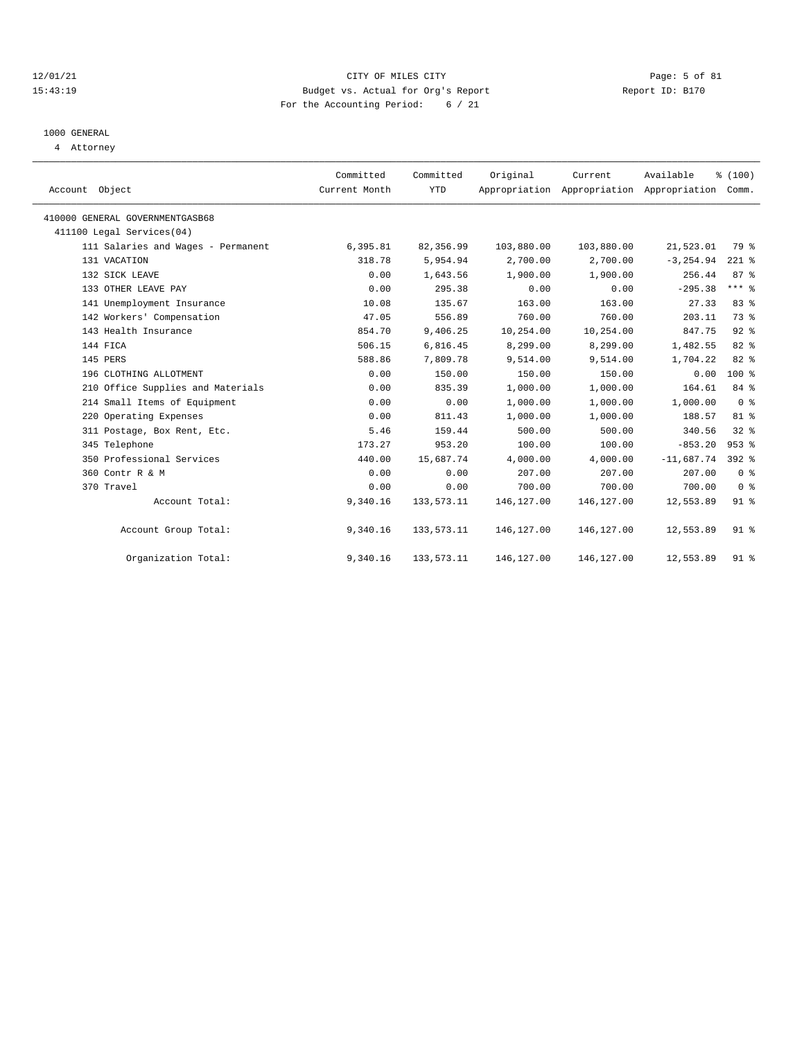#### 12/01/21 CITY OF MILES CITY Page: 5 of 81 15:43:19 Budget vs. Actual for Org's Report Report ID: B170 For the Accounting Period: 6 / 21

# 1000 GENERAL

4 Attorney

| Account Object                     | Committed<br>Current Month | Committed<br><b>YTD</b> | Original   | Current<br>Appropriation Appropriation Appropriation Comm. | Available    | % (100)         |
|------------------------------------|----------------------------|-------------------------|------------|------------------------------------------------------------|--------------|-----------------|
| 410000 GENERAL GOVERNMENTGASB68    |                            |                         |            |                                                            |              |                 |
| 411100 Legal Services(04)          |                            |                         |            |                                                            |              |                 |
| 111 Salaries and Wages - Permanent | 6,395.81                   | 82,356.99               | 103,880.00 | 103,880.00                                                 | 21,523.01    | 79 %            |
| 131 VACATION                       | 318.78                     | 5,954.94                | 2,700.00   | 2,700.00                                                   | $-3, 254.94$ | $221$ %         |
| 132 SICK LEAVE                     | 0.00                       | 1,643.56                | 1,900.00   | 1,900.00                                                   | 256.44       | 87%             |
| 133 OTHER LEAVE PAY                | 0.00                       | 295.38                  | 0.00       | 0.00                                                       | $-295.38$    | $***$ 8         |
| 141 Unemployment Insurance         | 10.08                      | 135.67                  | 163.00     | 163.00                                                     | 27.33        | 83%             |
| 142 Workers' Compensation          | 47.05                      | 556.89                  | 760.00     | 760.00                                                     | 203.11       | 73 %            |
| 143 Health Insurance               | 854.70                     | 9,406.25                | 10,254.00  | 10,254.00                                                  | 847.75       | $92$ $%$        |
| 144 FICA                           | 506.15                     | 6,816.45                | 8,299.00   | 8,299.00                                                   | 1,482.55     | 82 %            |
| 145 PERS                           | 588.86                     | 7,809.78                | 9,514.00   | 9,514.00                                                   | 1,704.22     | 82 %            |
| 196 CLOTHING ALLOTMENT             | 0.00                       | 150.00                  | 150.00     | 150.00                                                     | 0.00         | $100*$          |
| 210 Office Supplies and Materials  | 0.00                       | 835.39                  | 1,000.00   | 1,000.00                                                   | 164.61       | 84 %            |
| 214 Small Items of Equipment       | 0.00                       | 0.00                    | 1,000.00   | 1,000.00                                                   | 1,000.00     | 0 <sup>8</sup>  |
| 220 Operating Expenses             | 0.00                       | 811.43                  | 1,000.00   | 1,000.00                                                   | 188.57       | 81%             |
| 311 Postage, Box Rent, Etc.        | 5.46                       | 159.44                  | 500.00     | 500.00                                                     | 340.56       | 328             |
| 345 Telephone                      | 173.27                     | 953.20                  | 100.00     | 100.00                                                     | $-853.20$    | $953$ $%$       |
| 350 Professional Services          | 440.00                     | 15,687.74               | 4,000.00   | 4,000.00                                                   | $-11,687.74$ | 392 %           |
| 360 Contr R & M                    | 0.00                       | 0.00                    | 207.00     | 207.00                                                     | 207.00       | 0 <sup>8</sup>  |
| 370 Travel                         | 0.00                       | 0.00                    | 700.00     | 700.00                                                     | 700.00       | 0 <sup>8</sup>  |
| Account Total:                     | 9,340.16                   | 133, 573. 11            | 146,127.00 | 146, 127.00                                                | 12,553.89    | $91$ $%$        |
| Account Group Total:               | 9,340.16                   | 133,573.11              | 146,127.00 | 146,127.00                                                 | 12,553.89    | 91 <sup>°</sup> |
| Organization Total:                | 9,340.16                   | 133, 573. 11            | 146,127.00 | 146,127.00                                                 | 12,553.89    | $91$ %          |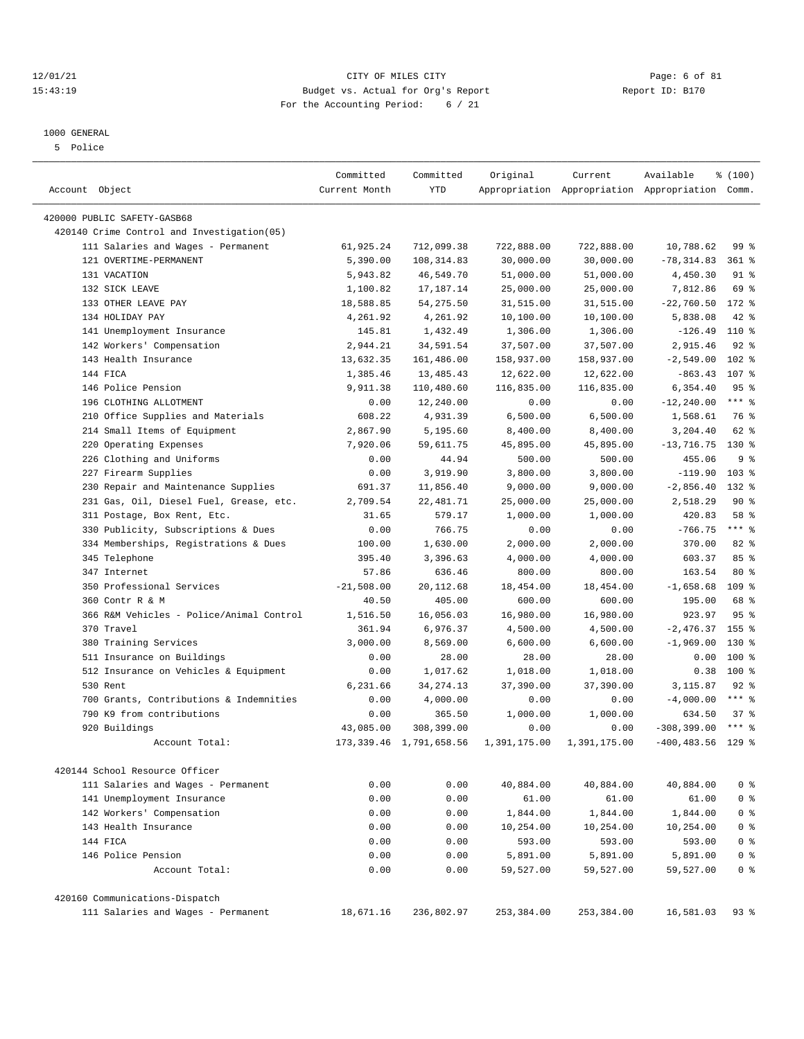#### 12/01/21 Page: 6 of 81<br>15:43:19 Budget vs. Actual for Org's Report Page: 6 of 81<br>15:43:19 Budget vs. Actual for Org's Report Physics Report ID: B170 15:43:19 Budget vs. Actual for Org's Report For the Accounting Period: 6 / 21

————————————————————————————————————————————————————————————————————————————————————————————————————————————————————————————————————

## 1000 GENERAL

5 Police

|                                            | Committed     | Committed                  | Original     | Current      | Available                                       | % (100)         |
|--------------------------------------------|---------------|----------------------------|--------------|--------------|-------------------------------------------------|-----------------|
| Account Object                             | Current Month | <b>YTD</b>                 |              |              | Appropriation Appropriation Appropriation Comm. |                 |
| 420000 PUBLIC SAFETY-GASB68                |               |                            |              |              |                                                 |                 |
| 420140 Crime Control and Investigation(05) |               |                            |              |              |                                                 |                 |
| 111 Salaries and Wages - Permanent         | 61,925.24     | 712,099.38                 | 722,888.00   | 722,888.00   | 10,788.62                                       | 99 <sub>8</sub> |
| 121 OVERTIME-PERMANENT                     | 5,390.00      | 108, 314.83                | 30,000.00    | 30,000.00    | $-78, 314.83$                                   | $361$ %         |
| 131 VACATION                               | 5,943.82      | 46,549.70                  | 51,000.00    | 51,000.00    | 4,450.30                                        | $91$ %          |
| 132 SICK LEAVE                             | 1,100.82      | 17,187.14                  | 25,000.00    | 25,000.00    | 7,812.86                                        | 69 %            |
| 133 OTHER LEAVE PAY                        | 18,588.85     | 54, 275.50                 | 31,515.00    | 31,515.00    | $-22,760.50$                                    | $172$ %         |
| 134 HOLIDAY PAY                            | 4,261.92      | 4,261.92                   | 10,100.00    | 10,100.00    | 5,838.08                                        | $42$ %          |
| 141 Unemployment Insurance                 | 145.81        | 1,432.49                   | 1,306.00     | 1,306.00     | $-126.49$                                       | 110 %           |
| 142 Workers' Compensation                  | 2,944.21      | 34,591.54                  | 37,507.00    | 37,507.00    | 2,915.46                                        | $92$ $%$        |
| 143 Health Insurance                       | 13,632.35     | 161,486.00                 | 158,937.00   | 158,937.00   | $-2,549.00$                                     | 102 %           |
| 144 FICA                                   | 1,385.46      | 13,485.43                  | 12,622.00    | 12,622.00    | $-863.43$                                       | 107 %           |
| 146 Police Pension                         | 9,911.38      | 110,480.60                 | 116,835.00   | 116,835.00   | 6,354.40                                        | 95%             |
| 196 CLOTHING ALLOTMENT                     | 0.00          | 12,240.00                  | 0.00         | 0.00         | $-12, 240.00$                                   | $***$ $8$       |
| 210 Office Supplies and Materials          | 608.22        | 4,931.39                   | 6,500.00     | 6,500.00     | 1,568.61                                        | 76 %            |
| 214 Small Items of Equipment               | 2,867.90      | 5,195.60                   | 8,400.00     | 8,400.00     | 3,204.40                                        | 62 %            |
| 220 Operating Expenses                     | 7,920.06      | 59,611.75                  | 45,895.00    | 45,895.00    | $-13, 716.75$                                   | $130*$          |
| 226 Clothing and Uniforms                  | 0.00          | 44.94                      | 500.00       | 500.00       | 455.06                                          | 9 <sup>8</sup>  |
| 227 Firearm Supplies                       | 0.00          | 3,919.90                   | 3,800.00     | 3,800.00     | $-119.90$                                       | 103%            |
| 230 Repair and Maintenance Supplies        | 691.37        | 11,856.40                  | 9,000.00     | 9,000.00     | $-2,856.40$                                     | $132*$          |
| 231 Gas, Oil, Diesel Fuel, Grease, etc.    | 2,709.54      | 22, 481.71                 | 25,000.00    | 25,000.00    | 2,518.29                                        | 90%             |
| 311 Postage, Box Rent, Etc.                | 31.65         | 579.17                     | 1,000.00     | 1,000.00     | 420.83                                          | 58 %            |
| 330 Publicity, Subscriptions & Dues        | 0.00          | 766.75                     | 0.00         | 0.00         | $-766.75$                                       | $***$ $%$       |
| 334 Memberships, Registrations & Dues      | 100.00        | 1,630.00                   | 2,000.00     | 2,000.00     | 370.00                                          | 82%             |
| 345 Telephone                              | 395.40        | 3,396.63                   | 4,000.00     | 4,000.00     | 603.37                                          | 85%             |
| 347 Internet                               | 57.86         | 636.46                     | 800.00       | 800.00       | 163.54                                          | $80*$           |
| 350 Professional Services                  | $-21,508.00$  | 20, 112.68                 | 18,454.00    | 18,454.00    | $-1,658.68$                                     | $109$ %         |
| 360 Contr R & M                            | 40.50         | 405.00                     | 600.00       | 600.00       | 195.00                                          | 68 %            |
| 366 R&M Vehicles - Police/Animal Control   | 1,516.50      | 16,056.03                  | 16,980.00    | 16,980.00    | 923.97                                          | 95%             |
| 370 Travel                                 | 361.94        | 6,976.37                   | 4,500.00     | 4,500.00     | $-2,476.37$                                     | $155$ %         |
| 380 Training Services                      | 3,000.00      | 8,569.00                   | 6,600.00     | 6,600.00     | $-1,969.00$                                     | 130 %           |
| 511 Insurance on Buildings                 | 0.00          | 28.00                      | 28.00        | 28.00        | 0.00                                            | $100$ %         |
| 512 Insurance on Vehicles & Equipment      | 0.00          | 1,017.62                   | 1,018.00     | 1,018.00     | 0.38                                            | 100 %           |
| 530 Rent                                   | 6,231.66      | 34, 274. 13                | 37,390.00    | 37,390.00    | 3,115.87                                        | $92$ %          |
| 700 Grants, Contributions & Indemnities    | 0.00          | 4,000.00                   | 0.00         | 0.00         | $-4,000.00$                                     | $***$ $%$       |
| 790 K9 from contributions                  | 0.00          | 365.50                     | 1,000.00     | 1,000.00     | 634.50                                          | 37%             |
| 920 Buildings                              | 43,085.00     | 308,399.00                 | 0.00         | 0.00         | $-308, 399.00$                                  | $***$ $%$       |
| Account Total:                             |               | 173, 339.46 1, 791, 658.56 | 1,391,175.00 | 1,391,175.00 | $-400, 483.56$                                  | $129$ %         |
|                                            |               |                            |              |              |                                                 |                 |
| 420144 School Resource Officer             |               |                            |              |              |                                                 |                 |
| 111 Salaries and Wages - Permanent         | 0.00          | 0.00                       | 40,884.00    | 40,884.00    | 40,884.00                                       | 0 <sup>8</sup>  |
| 141 Unemployment Insurance                 | 0.00          | 0.00                       | 61.00        | 61.00        | 61.00                                           | 0 <sup>8</sup>  |
| 142 Workers' Compensation                  | 0.00          | 0.00                       | 1,844.00     | 1,844.00     | 1,844.00                                        | 0 <sup>8</sup>  |
| 143 Health Insurance                       | 0.00          | 0.00                       | 10,254.00    | 10,254.00    | 10,254.00                                       | 0 <sup>8</sup>  |
| 144 FICA                                   | 0.00          | 0.00                       | 593.00       | 593.00       | 593.00                                          | 0 <sup>8</sup>  |
| 146 Police Pension                         | 0.00          | 0.00                       | 5,891.00     | 5,891.00     | 5,891.00                                        | 0 <sup>8</sup>  |
| Account Total:                             | 0.00          | 0.00                       | 59,527.00    | 59,527.00    | 59,527.00                                       | 0 <sup>8</sup>  |
| 420160 Communications-Dispatch             |               |                            |              |              |                                                 |                 |
| 111 Salaries and Wages - Permanent         | 18,671.16     | 236,802.97                 | 253,384.00   | 253,384.00   | 16,581.03                                       | $93$ %          |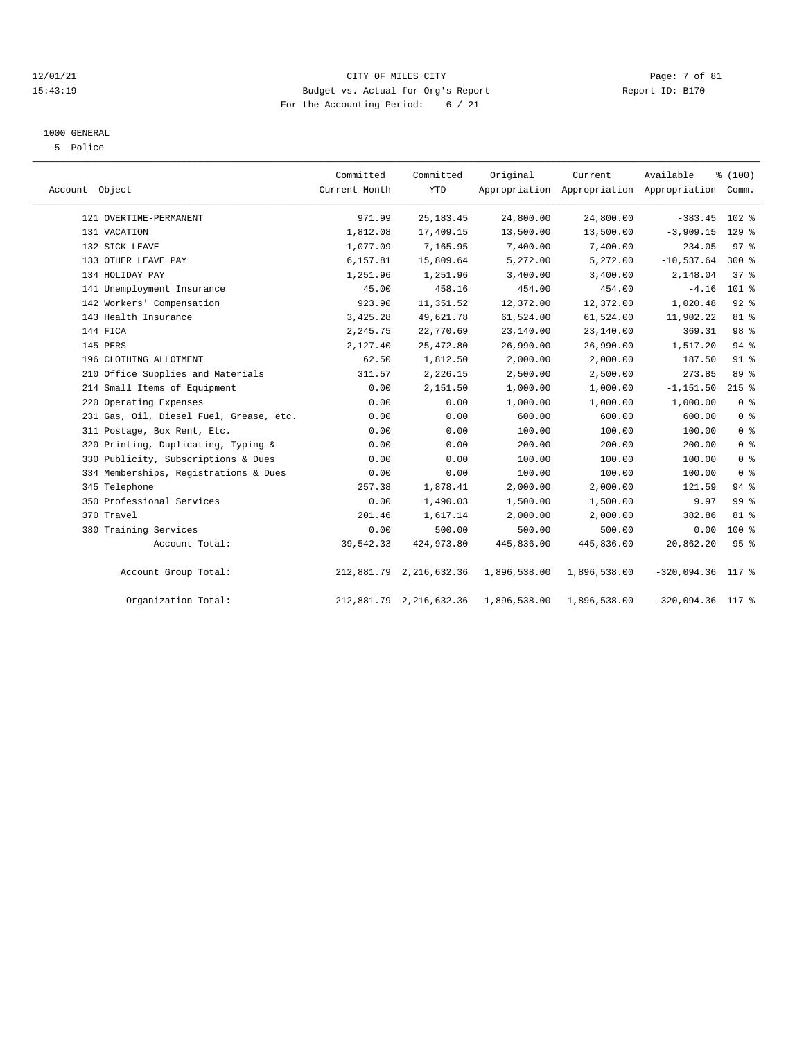#### 12/01/21 Page: 7 of 81<br>15:43:19 Budget vs. Actual for Org's Report Page: 7 of 81<br>15:43:19 Budget vs. Actual for Org's Report Physics Report ID: B170 15:43:19 Budget vs. Actual for Org's Report For the Accounting Period: 6 / 21

#### 1000 GENERAL

5 Police

| Account Object |                                         | Committed<br>Current Month | Committed<br><b>YTD</b> | Original     | Current      | Available<br>Appropriation Appropriation Appropriation Comm. | % (100)         |
|----------------|-----------------------------------------|----------------------------|-------------------------|--------------|--------------|--------------------------------------------------------------|-----------------|
|                | 121 OVERTIME-PERMANENT                  | 971.99                     | 25, 183. 45             | 24,800.00    | 24,800.00    | $-383.45$                                                    | 102 %           |
|                | 131 VACATION                            | 1,812.08                   | 17,409.15               | 13,500.00    | 13,500.00    | $-3,909.15$                                                  | $129$ %         |
|                | 132 SICK LEAVE                          | 1,077.09                   | 7,165.95                | 7,400.00     | 7,400.00     | 234.05                                                       | 97 <sup>8</sup> |
|                | 133 OTHER LEAVE PAY                     | 6,157.81                   | 15,809.64               | 5,272.00     | 5,272.00     | $-10,537.64$                                                 | $300*$          |
|                | 134 HOLIDAY PAY                         | 1,251.96                   | 1,251.96                | 3,400.00     | 3,400.00     | 2,148.04                                                     | 37%             |
|                | 141 Unemployment Insurance              | 45.00                      | 458.16                  | 454.00       | 454.00       | $-4.16$                                                      | $101$ %         |
|                | 142 Workers' Compensation               | 923.90                     | 11,351.52               | 12,372.00    | 12,372.00    | 1,020.48                                                     | 92%             |
|                | 143 Health Insurance                    | 3,425.28                   | 49,621.78               | 61,524.00    | 61,524.00    | 11,902.22                                                    | 81 %            |
|                | 144 FICA                                | 2,245.75                   | 22,770.69               | 23,140.00    | 23,140.00    | 369.31                                                       | 98 <sup>8</sup> |
|                | 145 PERS                                | 2,127.40                   | 25, 472.80              | 26,990.00    | 26,990.00    | 1,517.20                                                     | 94%             |
|                | 196 CLOTHING ALLOTMENT                  | 62.50                      | 1,812.50                | 2,000.00     | 2,000.00     | 187.50                                                       | $91$ %          |
|                | 210 Office Supplies and Materials       | 311.57                     | 2,226.15                | 2,500.00     | 2,500.00     | 273.85                                                       | 89 %            |
|                | 214 Small Items of Equipment            | 0.00                       | 2,151.50                | 1,000.00     | 1,000.00     | $-1, 151.50$                                                 | $215$ %         |
|                | 220 Operating Expenses                  | 0.00                       | 0.00                    | 1,000.00     | 1,000.00     | 1,000.00                                                     | 0 <sup>8</sup>  |
|                | 231 Gas, Oil, Diesel Fuel, Grease, etc. | 0.00                       | 0.00                    | 600.00       | 600.00       | 600.00                                                       | 0 <sup>8</sup>  |
|                | 311 Postage, Box Rent, Etc.             | 0.00                       | 0.00                    | 100.00       | 100.00       | 100.00                                                       | 0 <sup>8</sup>  |
|                | 320 Printing, Duplicating, Typing &     | 0.00                       | 0.00                    | 200.00       | 200.00       | 200.00                                                       | 0 <sup>8</sup>  |
|                | 330 Publicity, Subscriptions & Dues     | 0.00                       | 0.00                    | 100.00       | 100.00       | 100.00                                                       | 0 <sup>8</sup>  |
|                | 334 Memberships, Registrations & Dues   | 0.00                       | 0.00                    | 100.00       | 100.00       | 100.00                                                       | 0 <sup>8</sup>  |
|                | 345 Telephone                           | 257.38                     | 1,878.41                | 2,000.00     | 2,000.00     | 121.59                                                       | 94%             |
|                | 350 Professional Services               | 0.00                       | 1,490.03                | 1,500.00     | 1,500.00     | 9.97                                                         | 99 %            |
|                | 370 Travel                              | 201.46                     | 1,617.14                | 2,000.00     | 2,000.00     | 382.86                                                       | $81$ %          |
|                | 380 Training Services                   | 0.00                       | 500.00                  | 500.00       | 500.00       | 0.00                                                         | $100*$          |
|                | Account Total:                          | 39,542.33                  | 424,973.80              | 445,836.00   | 445,836.00   | 20,862.20                                                    | 95 <sup>8</sup> |
|                | Account Group Total:                    |                            | 212,881.79 2,216,632.36 | 1,896,538.00 | 1,896,538.00 | $-320,094.36$                                                | 117 %           |
|                | Organization Total:                     |                            | 212,881.79 2,216,632.36 | 1,896,538.00 | 1,896,538.00 | $-320,094.36$ 117 %                                          |                 |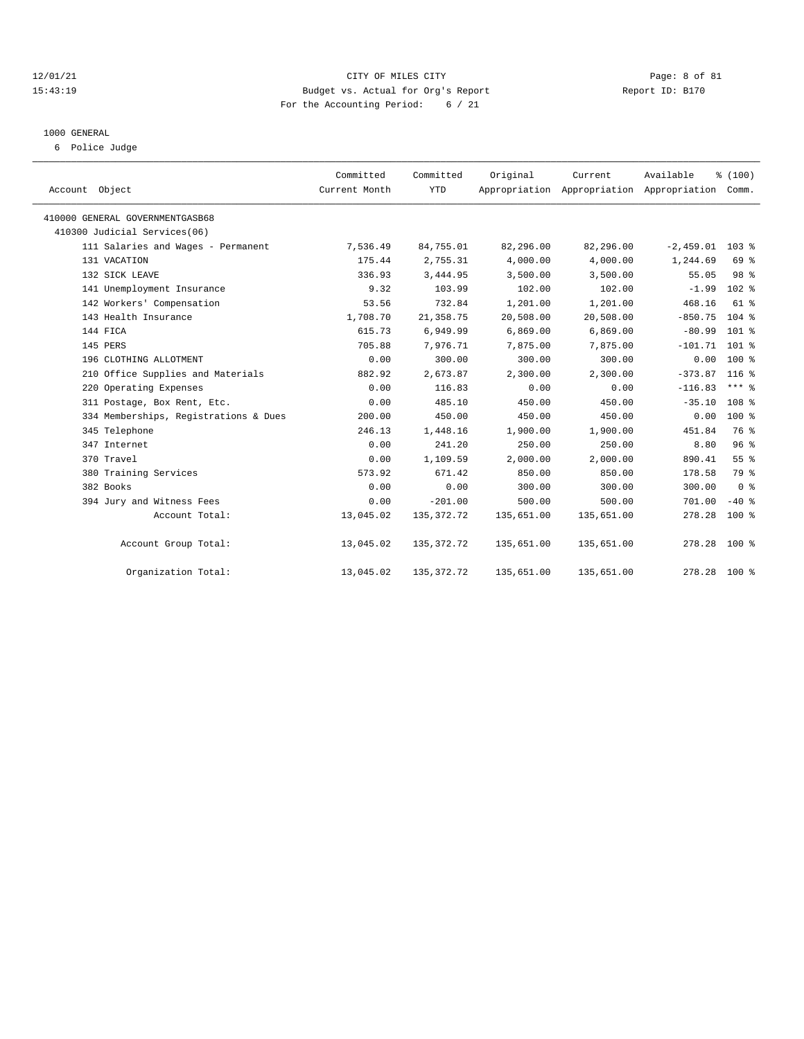#### 12/01/21 CITY OF MILES CITY Page: 8 of 81 15:43:19 Budget vs. Actual for Org's Report Report ID: B170 For the Accounting Period: 6 / 21

# 1000 GENERAL

6 Police Judge

| Account Object                        | Committed<br>Current Month | Committed<br><b>YTD</b> | Original   | Current    | Available<br>Appropriation Appropriation Appropriation Comm. | % (100)          |  |
|---------------------------------------|----------------------------|-------------------------|------------|------------|--------------------------------------------------------------|------------------|--|
| 410000 GENERAL GOVERNMENTGASB68       |                            |                         |            |            |                                                              |                  |  |
| 410300 Judicial Services(06)          |                            |                         |            |            |                                                              |                  |  |
| 111 Salaries and Wages - Permanent    | 7,536.49                   | 84,755.01               | 82,296.00  | 82,296.00  | $-2,459.01$                                                  | 103 <sub>8</sub> |  |
| 131 VACATION                          | 175.44                     | 2,755.31                | 4,000.00   | 4,000.00   | 1,244.69                                                     | 69 %             |  |
| 132 SICK LEAVE                        | 336.93                     | 3,444.95                | 3,500.00   | 3,500.00   | 55.05                                                        | 98 <sup>8</sup>  |  |
| 141 Unemployment Insurance            | 9.32                       | 103.99                  | 102.00     | 102.00     | $-1.99$                                                      | $102*$           |  |
| 142 Workers' Compensation             | 53.56                      | 732.84                  | 1,201.00   | 1,201.00   | 468.16                                                       | $61$ $%$         |  |
| 143 Health Insurance                  | 1,708.70                   | 21, 358.75              | 20,508.00  | 20,508.00  | $-850.75$                                                    | $104$ %          |  |
| 144 FICA                              | 615.73                     | 6,949.99                | 6,869.00   | 6,869.00   | $-80.99$                                                     | $101$ %          |  |
| 145 PERS                              | 705.88                     | 7,976.71                | 7,875.00   | 7,875.00   | $-101.71$ 101 %                                              |                  |  |
| 196 CLOTHING ALLOTMENT                | 0.00                       | 300.00                  | 300.00     | 300.00     | 0.00                                                         | $100*$           |  |
| 210 Office Supplies and Materials     | 882.92                     | 2,673.87                | 2,300.00   | 2,300.00   | $-373.87$                                                    | 116 %            |  |
| 220 Operating Expenses                | 0.00                       | 116.83                  | 0.00       | 0.00       | $-116.83$                                                    | *** 응            |  |
| 311 Postage, Box Rent, Etc.           | 0.00                       | 485.10                  | 450.00     | 450.00     | $-35.10$                                                     | 108 <sup>8</sup> |  |
| 334 Memberships, Registrations & Dues | 200.00                     | 450.00                  | 450.00     | 450.00     | 0.00                                                         | $100*$           |  |
| 345 Telephone                         | 246.13                     | 1,448.16                | 1,900.00   | 1,900.00   | 451.84                                                       | 76 %             |  |
| 347 Internet                          | 0.00                       | 241.20                  | 250.00     | 250.00     | 8.80                                                         | 96%              |  |
| 370 Travel                            | 0.00                       | 1,109.59                | 2,000.00   | 2,000.00   | 890.41                                                       | 55%              |  |
| 380 Training Services                 | 573.92                     | 671.42                  | 850.00     | 850.00     | 178.58                                                       | 79 %             |  |
| 382 Books                             | 0.00                       | 0.00                    | 300.00     | 300.00     | 300.00                                                       | 0 <sup>8</sup>   |  |
| 394 Jury and Witness Fees             | 0.00                       | $-201.00$               | 500.00     | 500.00     | 701.00                                                       | $-40$ %          |  |
| Account Total:                        | 13,045.02                  | 135, 372. 72            | 135,651.00 | 135,651.00 | 278.28                                                       | $100*$           |  |
| Account Group Total:                  | 13,045.02                  | 135, 372. 72            | 135,651.00 | 135,651.00 | 278.28 100 %                                                 |                  |  |
| Organization Total:                   | 13,045.02                  | 135, 372. 72            | 135,651.00 | 135,651.00 | 278.28 100 %                                                 |                  |  |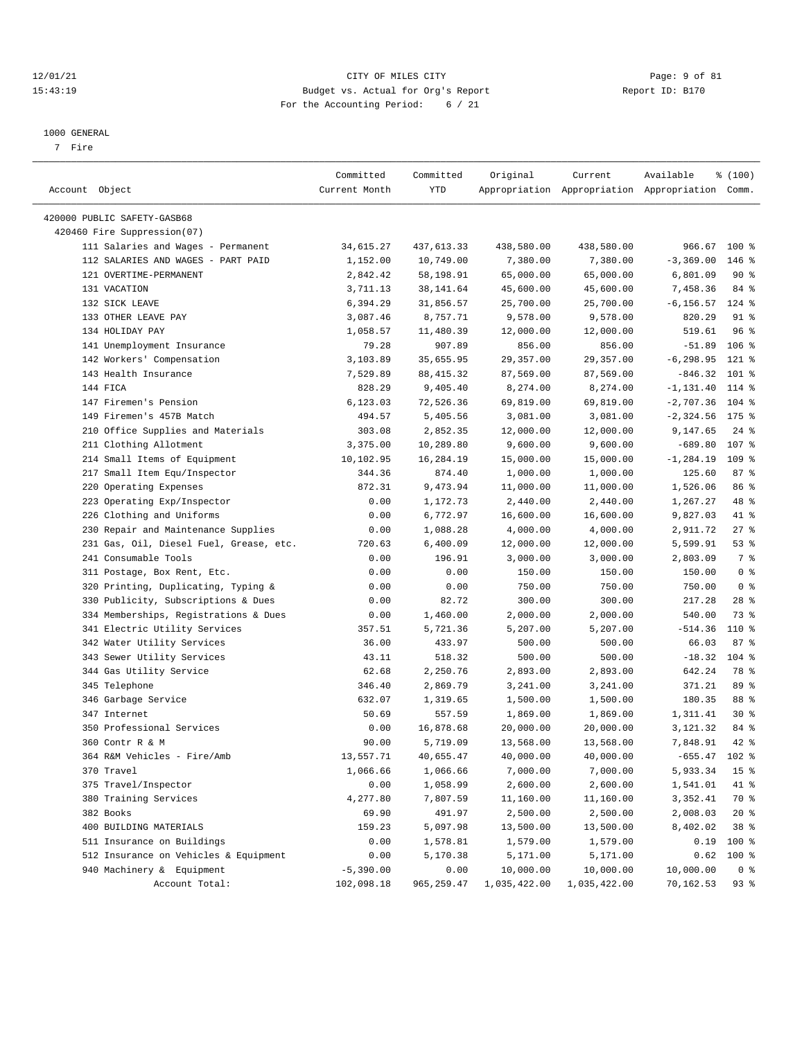#### 12/01/21 Page: 9 of 81 CITY OF MILES CITY OF MILES CITY CONTRIBUTION CONTRIBUTION Page: 9 of 81<br>15:43:19 Budget vs. Actual for Org's Report Contribution Report ID: B170 15:43:19 Budget vs. Actual for Org's Report For the Accounting Period: 6 / 21

————————————————————————————————————————————————————————————————————————————————————————————————————————————————————————————————————

#### 1000 GENERAL

7 Fire

|                                                            | Committed     | Committed  | Original     | Current      | Available                                       | \$(100)           |
|------------------------------------------------------------|---------------|------------|--------------|--------------|-------------------------------------------------|-------------------|
| Account Object                                             | Current Month | YTD        |              |              | Appropriation Appropriation Appropriation Comm. |                   |
|                                                            |               |            |              |              |                                                 |                   |
| 420000 PUBLIC SAFETY-GASB68<br>420460 Fire Suppression(07) |               |            |              |              |                                                 |                   |
| 111 Salaries and Wages - Permanent                         |               |            | 438,580.00   |              | 966.67 100 %                                    |                   |
|                                                            | 34,615.27     | 437,613.33 |              | 438,580.00   |                                                 | $146$ %           |
| 112 SALARIES AND WAGES - PART PAID                         | 1,152.00      | 10,749.00  | 7,380.00     | 7,380.00     | $-3, 369.00$                                    |                   |
| 121 OVERTIME-PERMANENT                                     | 2,842.42      | 58,198.91  | 65,000.00    | 65,000.00    | 6,801.09                                        | 90%               |
| 131 VACATION                                               | 3,711.13      | 38,141.64  | 45,600.00    | 45,600.00    | 7,458.36                                        | 84 %              |
| 132 SICK LEAVE<br>133 OTHER LEAVE PAY                      | 6,394.29      | 31,856.57  | 25,700.00    | 25,700.00    | $-6, 156.57$                                    | $124$ %<br>$91$ % |
|                                                            | 3,087.46      | 8,757.71   | 9,578.00     | 9,578.00     | 820.29                                          |                   |
| 134 HOLIDAY PAY                                            | 1,058.57      | 11,480.39  | 12,000.00    | 12,000.00    | 519.61                                          | 96%               |
| 141 Unemployment Insurance                                 | 79.28         | 907.89     | 856.00       | 856.00       | $-51.89$                                        | $106$ %           |
| 142 Workers' Compensation                                  | 3,103.89      | 35,655.95  | 29,357.00    | 29, 357.00   | $-6, 298.95$                                    | 121 %             |
| 143 Health Insurance                                       | 7,529.89      | 88, 415.32 | 87,569.00    | 87,569.00    | $-846.32$                                       | $101$ %           |
| 144 FICA                                                   | 828.29        | 9,405.40   | 8,274.00     | 8,274.00     | $-1, 131.40$                                    | $114$ %           |
| 147 Firemen's Pension                                      | 6,123.03      | 72,526.36  | 69,819.00    | 69,819.00    | $-2,707.36$                                     | $104$ %           |
| 149 Firemen's 457B Match                                   | 494.57        | 5,405.56   | 3,081.00     | 3,081.00     | $-2,324.56$ 175 %                               |                   |
| 210 Office Supplies and Materials                          | 303.08        | 2,852.35   | 12,000.00    | 12,000.00    | 9,147.65                                        | $24$ %            |
| 211 Clothing Allotment                                     | 3,375.00      | 10,289.80  | 9,600.00     | 9,600.00     | $-689.80$                                       | 107 %             |
| 214 Small Items of Equipment                               | 10,102.95     | 16,284.19  | 15,000.00    | 15,000.00    | $-1, 284.19$                                    | 109 %             |
| 217 Small Item Equ/Inspector                               | 344.36        | 874.40     | 1,000.00     | 1,000.00     | 125.60                                          | 87%               |
| 220 Operating Expenses                                     | 872.31        | 9,473.94   | 11,000.00    | 11,000.00    | 1,526.06                                        | 86 %              |
| 223 Operating Exp/Inspector                                | 0.00          | 1,172.73   | 2,440.00     | 2,440.00     | 1,267.27                                        | 48 %              |
| 226 Clothing and Uniforms                                  | 0.00          | 6,772.97   | 16,600.00    | 16,600.00    | 9,827.03                                        | 41 %              |
| 230 Repair and Maintenance Supplies                        | 0.00          | 1,088.28   | 4,000.00     | 4,000.00     | 2,911.72                                        | $27$ %            |
| 231 Gas, Oil, Diesel Fuel, Grease, etc.                    | 720.63        | 6,400.09   | 12,000.00    | 12,000.00    | 5,599.91                                        | 53%               |
| 241 Consumable Tools                                       | 0.00          | 196.91     | 3,000.00     | 3,000.00     | 2,803.09                                        | 7 %               |
| 311 Postage, Box Rent, Etc.                                | 0.00          | 0.00       | 150.00       | 150.00       | 150.00                                          | 0 <sup>8</sup>    |
| 320 Printing, Duplicating, Typing &                        | 0.00          | 0.00       | 750.00       | 750.00       | 750.00                                          | 0 <sup>8</sup>    |
| 330 Publicity, Subscriptions & Dues                        | 0.00          | 82.72      | 300.00       | 300.00       | 217.28                                          | $28$ %            |
| 334 Memberships, Registrations & Dues                      | 0.00          | 1,460.00   | 2,000.00     | 2,000.00     | 540.00                                          | 73 %              |
| 341 Electric Utility Services                              | 357.51        | 5,721.36   | 5,207.00     | 5,207.00     | $-514.36$                                       | 110 %             |
| 342 Water Utility Services                                 | 36.00         | 433.97     | 500.00       | 500.00       | 66.03                                           | 87%               |
| 343 Sewer Utility Services                                 | 43.11         | 518.32     | 500.00       | 500.00       | $-18.32$                                        | $104$ %           |
| 344 Gas Utility Service                                    | 62.68         | 2,250.76   | 2,893.00     | 2,893.00     | 642.24                                          | 78 %              |
| 345 Telephone                                              | 346.40        | 2,869.79   | 3,241.00     | 3,241.00     | 371.21                                          | 89 %              |
| 346 Garbage Service                                        | 632.07        | 1,319.65   | 1,500.00     | 1,500.00     | 180.35                                          | 88 %              |
| 347 Internet                                               | 50.69         | 557.59     | 1,869.00     | 1,869.00     | 1,311.41                                        | $30*$             |
| 350 Professional Services                                  | 0.00          | 16,878.68  | 20,000.00    | 20,000.00    | 3,121.32                                        | 84 %              |
| 360 Contr R & M                                            | 90.00         | 5,719.09   | 13,568.00    | 13,568.00    | 7,848.91                                        | 42 %              |
| 364 R&M Vehicles - Fire/Amb                                | 13,557.71     | 40,655.47  | 40,000.00    | 40,000.00    | $-655.47$ 102 %                                 |                   |
| 370 Travel                                                 | 1,066.66      | 1,066.66   | 7,000.00     | 7,000.00     | 5,933.34                                        | 15 <sub>8</sub>   |
| 375 Travel/Inspector                                       | 0.00          | 1,058.99   | 2,600.00     | 2,600.00     | 1,541.01                                        | 41 %              |
| 380 Training Services                                      | 4,277.80      | 7,807.59   | 11,160.00    | 11,160.00    | 3,352.41                                        | 70 %              |
| 382 Books                                                  | 69.90         | 491.97     | 2,500.00     | 2,500.00     | 2,008.03                                        | $20*$             |
| 400 BUILDING MATERIALS                                     | 159.23        | 5,097.98   | 13,500.00    | 13,500.00    | 8,402.02                                        | 38 %              |
| 511 Insurance on Buildings                                 | 0.00          | 1,578.81   | 1,579.00     | 1,579.00     | 0.19                                            | 100 %             |
| 512 Insurance on Vehicles & Equipment                      | 0.00          | 5,170.38   | 5,171.00     | 5,171.00     | 0.62                                            | 100 %             |
| 940 Machinery & Equipment                                  | $-5,390.00$   | 0.00       | 10,000.00    | 10,000.00    | 10,000.00                                       | 0 <sup>8</sup>    |
| Account Total:                                             | 102,098.18    | 965,259.47 | 1,035,422.00 | 1,035,422.00 | 70,162.53                                       | 93 %              |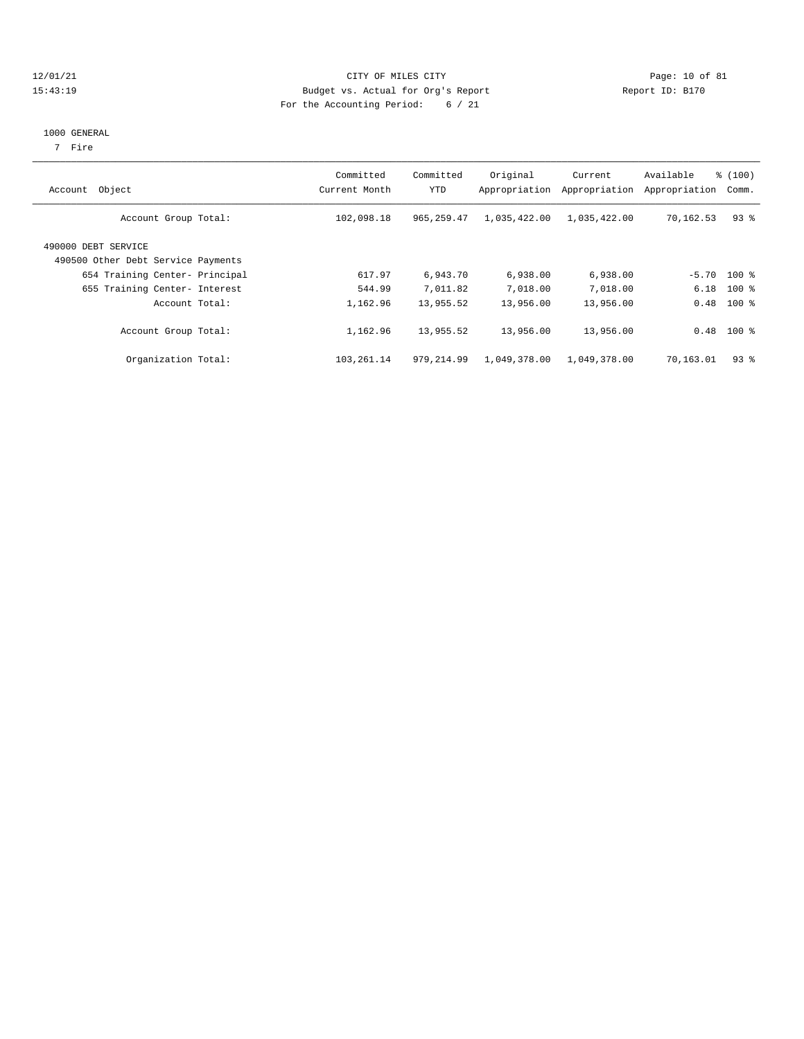#### 12/01/21 Page: 10 of 81 15:43:19 Budget vs. Actual for Org's Report Report ID: B170 For the Accounting Period: 6 / 21

## 1000 GENERAL

7 Fire

| Object<br>Account                                         | Committed<br>Current Month | Committed<br>YTD | Original<br>Appropriation | Current<br>Appropriation | Available<br>Appropriation | % (100)<br>Comm. |
|-----------------------------------------------------------|----------------------------|------------------|---------------------------|--------------------------|----------------------------|------------------|
| Account Group Total:                                      | 102,098.18                 | 965, 259.47      | 1,035,422.00              | 1,035,422.00             | 70,162.53                  | $93$ $%$         |
| 490000 DEBT SERVICE<br>490500 Other Debt Service Payments |                            |                  |                           |                          |                            |                  |
| 654 Training Center- Principal                            | 617.97                     | 6,943.70         | 6,938.00                  | 6,938.00                 |                            | $-5.70$ 100 %    |
| 655 Training Center- Interest                             | 544.99                     | 7,011.82         | 7,018.00                  | 7,018.00                 | 6.18                       | $100$ %          |
| Account Total:                                            | 1,162.96                   | 13,955.52        | 13,956.00                 | 13,956.00                |                            | $0.48$ 100 %     |
| Account Group Total:                                      | 1,162.96                   | 13,955.52        | 13,956.00                 | 13,956.00                |                            | $0.48$ 100 %     |
| Organization Total:                                       | 103,261.14                 | 979, 214.99      | 1,049,378.00              | 1,049,378.00             | 70,163.01                  | 938              |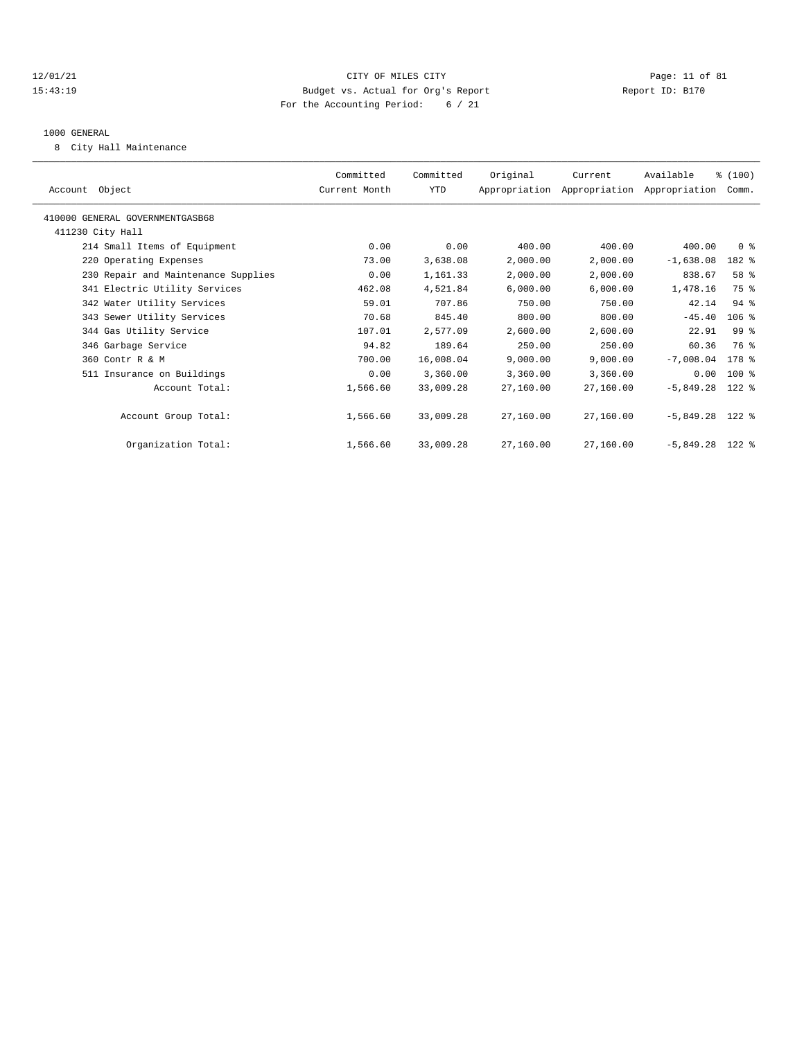#### 12/01/21 Page: 11 of 81 15:43:19 Budget vs. Actual for Org's Report Report ID: B170 For the Accounting Period: 6 / 21

#### 1000 GENERAL

8 City Hall Maintenance

| Committed<br>Current Month | Committed<br><b>YTD</b> | Original  | Current   | Available   | Comm.          |                                                                                                |
|----------------------------|-------------------------|-----------|-----------|-------------|----------------|------------------------------------------------------------------------------------------------|
|                            |                         |           |           |             |                |                                                                                                |
|                            |                         |           |           |             |                |                                                                                                |
| 0.00                       | 0.00                    | 400.00    | 400.00    | 400.00      | 0 <sup>8</sup> |                                                                                                |
| 73.00                      | 3,638.08                | 2,000.00  | 2,000.00  | $-1,638.08$ | 182 %          |                                                                                                |
| 0.00                       | 1,161.33                | 2,000.00  | 2,000.00  | 838.67      | 58 %           |                                                                                                |
| 462.08                     | 4,521.84                | 6,000.00  | 6,000.00  | 1,478.16    | 75 %           |                                                                                                |
| 59.01                      | 707.86                  | 750.00    | 750.00    | 42.14       | $94$ %         |                                                                                                |
| 70.68                      | 845.40                  | 800.00    | 800.00    | $-45.40$    | 106%           |                                                                                                |
| 107.01                     | 2,577.09                | 2,600.00  | 2,600.00  | 22.91       | 99 %           |                                                                                                |
| 94.82                      | 189.64                  | 250.00    | 250.00    | 60.36       | 76 %           |                                                                                                |
| 700.00                     | 16,008.04               | 9,000.00  | 9,000.00  | $-7,008.04$ | 178 %          |                                                                                                |
| 0.00                       | 3,360.00                | 3,360.00  | 3,360.00  | 0.00        | 100 %          |                                                                                                |
| 1,566.60                   | 33,009.28               | 27,160.00 | 27,160.00 | $-5,849.28$ | $122$ %        |                                                                                                |
| 1,566.60                   | 33,009.28               | 27,160.00 | 27,160.00 |             |                |                                                                                                |
| 1,566.60                   | 33,009.28               | 27,160.00 | 27,160.00 |             |                |                                                                                                |
|                            |                         |           |           |             |                | % (100)<br>Appropriation Appropriation Appropriation<br>$-5,849.28$ 122 %<br>$-5,849.28$ 122 % |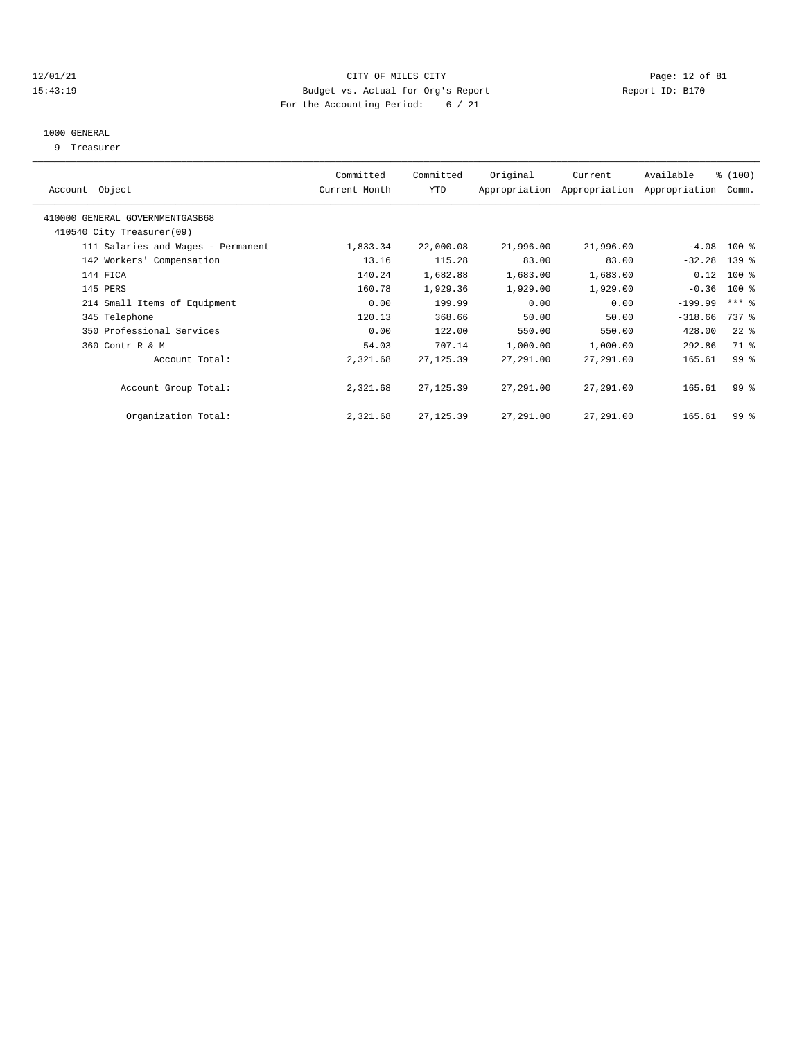#### 12/01/21 Page: 12 of 81 15:43:19 Budget vs. Actual for Org's Report Report ID: B170 For the Accounting Period: 6 / 21

#### 1000 GENERAL

9 Treasurer

| Object<br>Account                  | Committed<br>Current Month | Committed<br><b>YTD</b> | Original  | Current<br>Appropriation Appropriation | Available<br>Appropriation | % (100)<br>Comm. |  |
|------------------------------------|----------------------------|-------------------------|-----------|----------------------------------------|----------------------------|------------------|--|
|                                    |                            |                         |           |                                        |                            |                  |  |
| 410000 GENERAL GOVERNMENTGASB68    |                            |                         |           |                                        |                            |                  |  |
| 410540 City Treasurer(09)          |                            |                         |           |                                        |                            |                  |  |
| 111 Salaries and Wages - Permanent | 1,833.34                   | 22,000.08               | 21,996.00 | 21,996.00                              | $-4.08$                    | $100$ %          |  |
| 142 Workers' Compensation          | 13.16                      | 115.28                  | 83.00     | 83.00                                  | $-32.28$                   | 139 %            |  |
| 144 FICA                           | 140.24                     | 1,682.88                | 1,683.00  | 1,683.00                               | 0.12                       | $100*$           |  |
| 145 PERS                           | 160.78                     | 1,929.36                | 1,929.00  | 1,929.00                               | $-0.36$                    | 100 %            |  |
| 214 Small Items of Equipment       | 0.00                       | 199.99                  | 0.00      | 0.00                                   | $-199.99$                  | $***$ $%$        |  |
| 345 Telephone                      | 120.13                     | 368.66                  | 50.00     | 50.00                                  | $-318.66$                  | 737 %            |  |
| 350 Professional Services          | 0.00                       | 122.00                  | 550.00    | 550.00                                 | 428.00                     | $22$ %           |  |
| 360 Contr R & M                    | 54.03                      | 707.14                  | 1,000.00  | 1,000.00                               | 292.86                     | 71 %             |  |
| Account Total:                     | 2,321.68                   | 27, 125.39              | 27,291.00 | 27,291.00                              | 165.61                     | 99 %             |  |
|                                    |                            |                         |           |                                        |                            |                  |  |
| Account Group Total:               | 2,321.68                   | 27, 125.39              | 27,291.00 | 27,291.00                              | 165.61                     | 99 <sup>8</sup>  |  |
|                                    |                            |                         |           |                                        |                            |                  |  |
| Organization Total:                | 2,321.68                   | 27, 125.39              | 27,291.00 | 27,291.00                              | 165.61                     | 99 <sup>8</sup>  |  |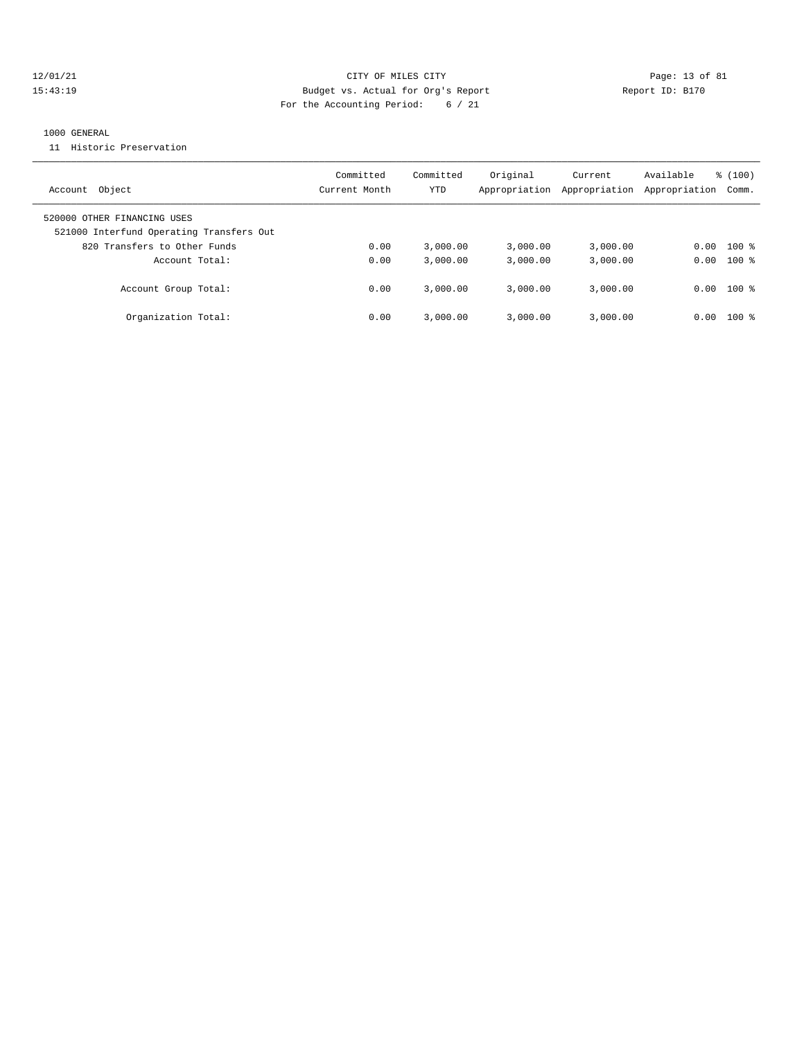#### 12/01/21 Page: 13 of 81 15:43:19 Budget vs. Actual for Org's Report Changer Report ID: B170 For the Accounting Period: 6 / 21

#### 1000 GENERAL

11 Historic Preservation

| Account Object                                                          | Committed<br>Current Month | Committed<br>YTD | Original<br>Appropriation | Current<br>Appropriation | Available<br>Appropriation | $\frac{100}{3}$<br>Comm. |
|-------------------------------------------------------------------------|----------------------------|------------------|---------------------------|--------------------------|----------------------------|--------------------------|
| 520000 OTHER FINANCING USES<br>521000 Interfund Operating Transfers Out |                            |                  |                           |                          |                            |                          |
| 820 Transfers to Other Funds                                            | 0.00                       | 3.000.00         | 3.000.00                  | 3,000.00                 | 0.00                       | $100*$                   |
| Account Total:                                                          | 0.00                       | 3.000.00         | 3.000.00                  | 3,000.00                 |                            | $0.00$ 100 %             |
| Account Group Total:                                                    | 0.00                       | 3.000.00         | 3.000.00                  | 3,000.00                 | 0.00                       | $100$ %                  |
| Organization Total:                                                     | 0.00                       | 3.000.00         | 3.000.00                  | 3,000.00                 | 0.00                       | $100$ %                  |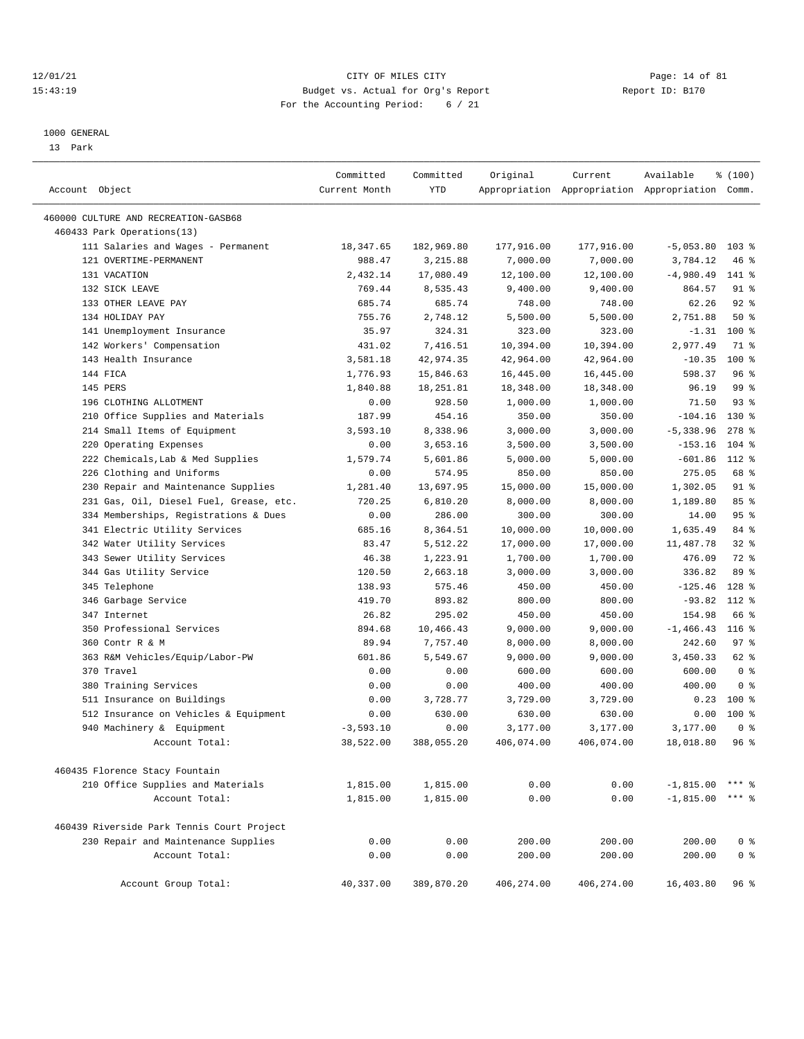#### 12/01/21 Page: 14 of 81<br>
12/01/21 Page: 14 of 81<br>
Budget vs. Actual for Org's Report Physics (Report ID: B170 15:43:19 Budget vs. Actual for Org's Report For the Accounting Period: 6 / 21

————————————————————————————————————————————————————————————————————————————————————————————————————————————————————————————————————

#### 1000 GENERAL

13 Park

|                                                     | Committed            | Committed  | Original     | Current      | Available                                       | \$(100)              |
|-----------------------------------------------------|----------------------|------------|--------------|--------------|-------------------------------------------------|----------------------|
| Account Object                                      | Current Month        | <b>YTD</b> |              |              | Appropriation Appropriation Appropriation Comm. |                      |
| 460000 CULTURE AND RECREATION-GASB68                |                      |            |              |              |                                                 |                      |
| 460433 Park Operations(13)                          |                      |            |              |              |                                                 |                      |
| 111 Salaries and Wages - Permanent                  | 18,347.65            | 182,969.80 | 177,916.00   | 177,916.00   | $-5,053.80$                                     | $103$ %              |
| 121 OVERTIME-PERMANENT                              | 988.47               | 3,215.88   | 7,000.00     | 7,000.00     | 3,784.12                                        | 46%                  |
| 131 VACATION                                        | 2,432.14             | 17,080.49  | 12,100.00    | 12,100.00    | $-4,980.49$                                     | 141 %                |
| 132 SICK LEAVE                                      | 769.44               | 8,535.43   | 9,400.00     | 9,400.00     | 864.57                                          | $91$ %               |
| 133 OTHER LEAVE PAY                                 | 685.74               | 685.74     | 748.00       | 748.00       | 62.26                                           | 92%                  |
| 134 HOLIDAY PAY                                     | 755.76               | 2,748.12   | 5,500.00     | 5,500.00     | 2,751.88                                        | 50%                  |
| 141 Unemployment Insurance                          | 35.97                | 324.31     | 323.00       | 323.00       | $-1.31$                                         | $100*$               |
| 142 Workers' Compensation                           | 431.02               | 7,416.51   | 10,394.00    | 10,394.00    | 2,977.49                                        | 71 %                 |
| 143 Health Insurance                                | 3,581.18             | 42,974.35  | 42,964.00    | 42,964.00    | $-10.35$                                        | 100 %                |
| 144 FICA                                            | 1,776.93             | 15,846.63  | 16,445.00    | 16,445.00    | 598.37                                          | 96%                  |
| 145 PERS                                            | 1,840.88             | 18,251.81  | 18,348.00    | 18,348.00    | 96.19                                           | 99 %                 |
| 196 CLOTHING ALLOTMENT                              | 0.00                 | 928.50     | 1,000.00     | 1,000.00     | 71.50                                           | $93$ $%$             |
|                                                     |                      | 454.16     |              |              |                                                 | 130 %                |
| 210 Office Supplies and Materials                   | 187.99               |            | 350.00       | 350.00       | $-104.16$                                       |                      |
| 214 Small Items of Equipment                        | 3,593.10             | 8,338.96   | 3,000.00     | 3,000.00     | $-5,338.96$                                     | $278$ %<br>$104$ %   |
| 220 Operating Expenses                              | 0.00                 | 3,653.16   | 3,500.00     | 3,500.00     | $-153.16$                                       |                      |
| 222 Chemicals, Lab & Med Supplies                   | 1,579.74             | 5,601.86   | 5,000.00     | 5,000.00     | $-601.86$                                       | 112 %                |
| 226 Clothing and Uniforms                           | 0.00                 | 574.95     | 850.00       | 850.00       | 275.05                                          | 68 %                 |
| 230 Repair and Maintenance Supplies                 | 1,281.40             | 13,697.95  | 15,000.00    | 15,000.00    | 1,302.05                                        | $91$ %               |
| 231 Gas, Oil, Diesel Fuel, Grease, etc.             | 720.25               | 6,810.20   | 8,000.00     | 8,000.00     | 1,189.80                                        | 85 %                 |
| 334 Memberships, Registrations & Dues               | 0.00                 | 286.00     | 300.00       | 300.00       | 14.00                                           | 95%                  |
| 341 Electric Utility Services                       | 685.16               | 8,364.51   | 10,000.00    | 10,000.00    | 1,635.49                                        | 84 %                 |
| 342 Water Utility Services                          | 83.47                | 5,512.22   | 17,000.00    | 17,000.00    | 11,487.78                                       | $32$ $%$             |
| 343 Sewer Utility Services                          | 46.38                | 1,223.91   | 1,700.00     | 1,700.00     | 476.09                                          | 72 %                 |
| 344 Gas Utility Service                             | 120.50               | 2,663.18   | 3,000.00     | 3,000.00     | 336.82                                          | 89 %                 |
| 345 Telephone                                       | 138.93               | 575.46     | 450.00       | 450.00       | $-125.46$                                       | 128 %                |
| 346 Garbage Service                                 | 419.70               | 893.82     | 800.00       | 800.00       | $-93.82$                                        | 112 %                |
| 347 Internet                                        | 26.82                | 295.02     | 450.00       | 450.00       | 154.98                                          | 66 %                 |
| 350 Professional Services                           | 894.68               | 10,466.43  | 9,000.00     | 9,000.00     | $-1, 466.43$                                    | $116$ %              |
| 360 Contr R & M                                     | 89.94                | 7,757.40   | 8,000.00     | 8,000.00     | 242.60                                          | 97%                  |
| 363 R&M Vehicles/Equip/Labor-PW                     | 601.86               | 5,549.67   | 9,000.00     | 9,000.00     | 3,450.33                                        | 62 %                 |
| 370 Travel                                          | 0.00                 | 0.00       | 600.00       | 600.00       | 600.00                                          | 0 <sup>8</sup>       |
| 380 Training Services                               | 0.00                 | 0.00       | 400.00       | 400.00       | 400.00                                          | 0 <sup>8</sup>       |
| 511 Insurance on Buildings                          | 0.00                 | 3,728.77   | 3,729.00     | 3,729.00     | 0.23                                            | $100*$               |
| 512 Insurance on Vehicles & Equipment               | 0.00                 | 630.00     | 630.00       | 630.00       | 0.00                                            | 100 %                |
| 940 Machinery & Equipment                           | $-3,593.10$          | 0.00       | 3,177.00     | 3,177.00     | 3,177.00                                        | 0 <sup>8</sup>       |
| Account Total:                                      | 38,522.00            | 388,055.20 | 406,074.00   | 406,074.00   | 18,018.80                                       | 96%                  |
|                                                     |                      |            |              |              |                                                 |                      |
| 460435 Florence Stacy Fountain                      |                      |            |              |              |                                                 |                      |
| 210 Office Supplies and Materials<br>Account Total: | 1,815.00<br>1,815.00 | 1,815.00   | 0.00<br>0.00 | 0.00<br>0.00 | $-1,815.00$                                     | $***$ 2<br>$***$ $%$ |
|                                                     |                      | 1,815.00   |              |              | $-1,815.00$                                     |                      |
| 460439 Riverside Park Tennis Court Project          |                      |            |              |              |                                                 |                      |
| 230 Repair and Maintenance Supplies                 | 0.00                 | 0.00       | 200.00       | 200.00       | 200.00                                          | 0 <sup>8</sup>       |
| Account Total:                                      | 0.00                 | 0.00       | 200.00       | 200.00       | 200.00                                          | 0 <sup>8</sup>       |
|                                                     |                      |            |              |              |                                                 |                      |
| Account Group Total:                                | 40,337.00            | 389,870.20 | 406,274.00   | 406,274.00   | 16,403.80                                       | 96%                  |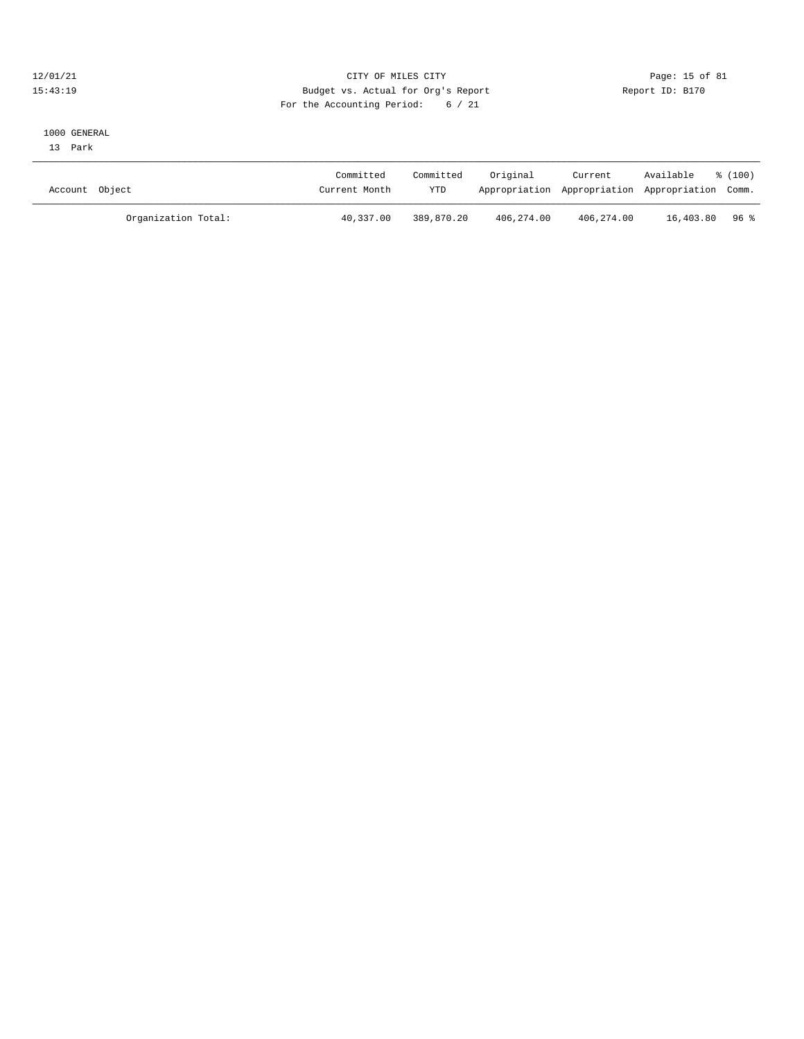#### 12/01/21 Page: 15 of 81 15:43:19 Budget vs. Actual for Org's Report Report ID: B170 For the Accounting Period: 6 / 21

# 1000 GENERAL

13 Park

| Account Object |                     | Committed<br>Current Month | Committed<br>YTD | Original   | Current    | Available<br>Appropriation Appropriation Appropriation Comm. | $\frac{100}{2}$ |
|----------------|---------------------|----------------------------|------------------|------------|------------|--------------------------------------------------------------|-----------------|
|                | Organization Total: | 40,337.00                  | 389,870.20       | 406,274.00 | 406,274.00 | 16,403.80 96%                                                |                 |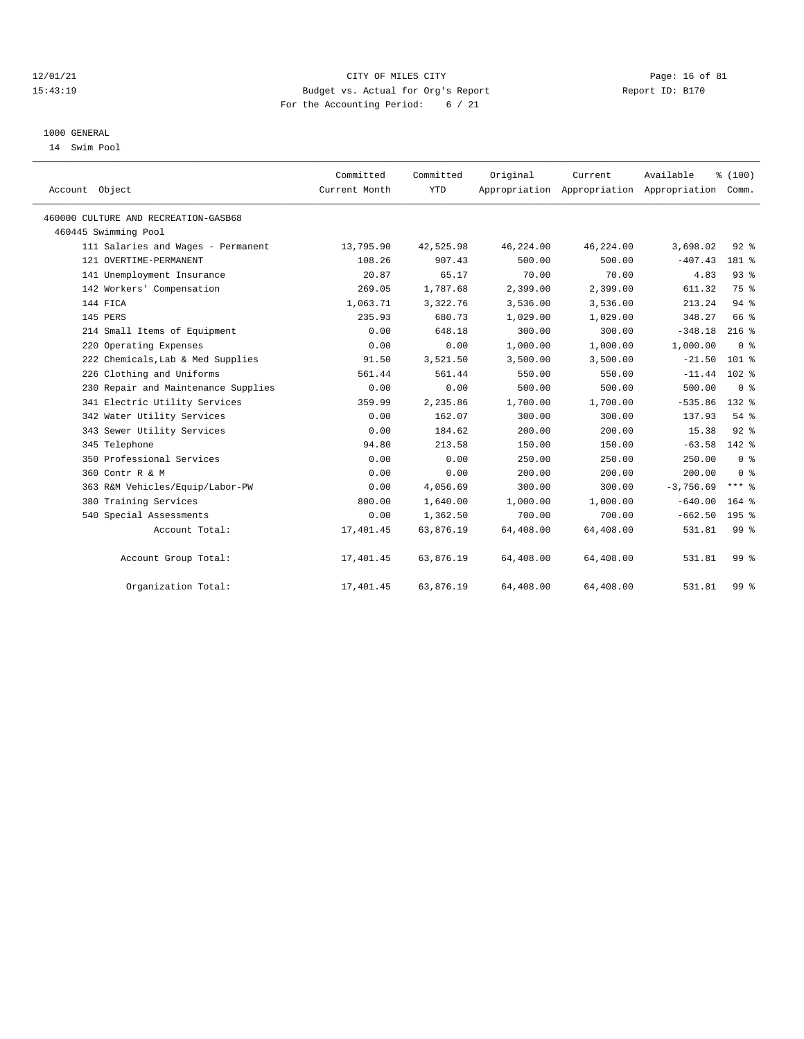#### $12/01/21$  Page: 16 of 81 15:43:19 Budget vs. Actual for Org's Report Report ID: B170 For the Accounting Period: 6 / 21

### 1000 GENERAL

14 Swim Pool

| Account Object                       | Committed<br>Current Month | Committed<br><b>YTD</b> | Original  | Current<br>Appropriation Appropriation Appropriation Comm. | Available   | % (100)          |
|--------------------------------------|----------------------------|-------------------------|-----------|------------------------------------------------------------|-------------|------------------|
| 460000 CULTURE AND RECREATION-GASB68 |                            |                         |           |                                                            |             |                  |
| 460445 Swimming Pool                 |                            |                         |           |                                                            |             |                  |
| 111 Salaries and Wages - Permanent   | 13,795.90                  | 42,525.98               | 46,224.00 | 46,224.00                                                  | 3,698.02    | $92$ $%$         |
| 121 OVERTIME-PERMANENT               | 108.26                     | 907.43                  | 500.00    | 500.00                                                     | $-407.43$   | 181 %            |
| 141 Unemployment Insurance           | 20.87                      | 65.17                   | 70.00     | 70.00                                                      | 4.83        | 93%              |
| 142 Workers' Compensation            | 269.05                     | 1,787.68                | 2,399.00  | 2,399.00                                                   | 611.32      | 75 %             |
| 144 FICA                             | 1,063.71                   | 3,322.76                | 3,536.00  | 3,536.00                                                   | 213.24      | 94%              |
| 145 PERS                             | 235.93                     | 680.73                  | 1,029.00  | 1,029.00                                                   | 348.27      | 66 %             |
| 214 Small Items of Equipment         | 0.00                       | 648.18                  | 300.00    | 300.00                                                     | $-348.18$   | $216$ %          |
| 220 Operating Expenses               | 0.00                       | 0.00                    | 1,000.00  | 1,000.00                                                   | 1,000.00    | 0 <sup>8</sup>   |
| 222 Chemicals, Lab & Med Supplies    | 91.50                      | 3,521.50                | 3,500.00  | 3,500.00                                                   | $-21.50$    | $101$ %          |
| 226 Clothing and Uniforms            | 561.44                     | 561.44                  | 550.00    | 550.00                                                     | $-11.44$    | $102*$           |
| 230 Repair and Maintenance Supplies  | 0.00                       | 0.00                    | 500.00    | 500.00                                                     | 500.00      | 0 <sup>8</sup>   |
| 341 Electric Utility Services        | 359.99                     | 2,235.86                | 1,700.00  | 1,700.00                                                   | $-535.86$   | 132 %            |
| 342 Water Utility Services           | 0.00                       | 162.07                  | 300.00    | 300.00                                                     | 137.93      | 54 %             |
| 343 Sewer Utility Services           | 0.00                       | 184.62                  | 200.00    | 200.00                                                     | 15.38       | $92$ $%$         |
| 345 Telephone                        | 94.80                      | 213.58                  | 150.00    | 150.00                                                     | $-63.58$    | $142$ %          |
| 350 Professional Services            | 0.00                       | 0.00                    | 250.00    | 250.00                                                     | 250.00      | 0 <sup>8</sup>   |
| 360 Contr R & M                      | 0.00                       | 0.00                    | 200.00    | 200.00                                                     | 200.00      | 0 <sup>8</sup>   |
| 363 R&M Vehicles/Equip/Labor-PW      | 0.00                       | 4,056.69                | 300.00    | 300.00                                                     | $-3,756.69$ | $***$ $%$        |
| 380 Training Services                | 800.00                     | 1,640.00                | 1,000.00  | 1,000.00                                                   | $-640.00$   | $164$ %          |
| 540 Special Assessments              | 0.00                       | 1,362.50                | 700.00    | 700.00                                                     | $-662.50$   | 195 <sub>8</sub> |
| Account Total:                       | 17,401.45                  | 63,876.19               | 64,408.00 | 64,408.00                                                  | 531.81      | 99 <sup>8</sup>  |
| Account Group Total:                 | 17,401.45                  | 63,876.19               | 64,408.00 | 64,408.00                                                  | 531.81      | 99 <sub>8</sub>  |
| Organization Total:                  | 17,401.45                  | 63,876.19               | 64,408.00 | 64,408.00                                                  | 531.81      | 99 <sup>8</sup>  |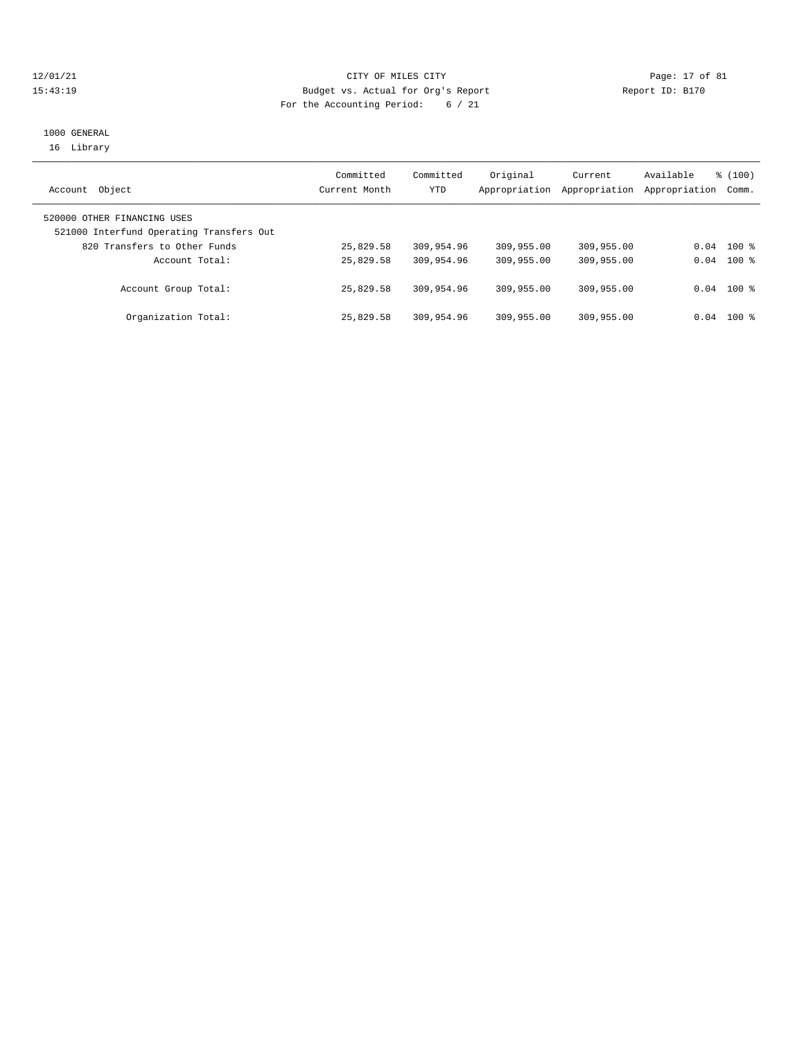#### 12/01/21 Page: 17 of 81 15:43:19 Budget vs. Actual for Org's Report Report ID: B170 For the Accounting Period: 6 / 21

## 1000 GENERAL 16 Library

| Object<br>Account                                                       | Committed<br>Current Month | Committed<br>YTD | Original   | Current<br>Appropriation Appropriation | Available<br>Appropriation Comm. | \$(100)      |
|-------------------------------------------------------------------------|----------------------------|------------------|------------|----------------------------------------|----------------------------------|--------------|
| 520000 OTHER FINANCING USES<br>521000 Interfund Operating Transfers Out |                            |                  |            |                                        |                                  |              |
| 820 Transfers to Other Funds                                            | 25,829.58                  | 309,954.96       | 309,955.00 | 309,955.00                             |                                  | $0.04$ 100 % |
| Account Total:                                                          | 25,829.58                  | 309,954.96       | 309,955.00 | 309,955.00                             |                                  | $0.04$ 100 % |
| Account Group Total:                                                    | 25,829.58                  | 309,954.96       | 309,955.00 | 309,955.00                             |                                  | $0.04$ 100 % |
| Organization Total:                                                     | 25,829.58                  | 309,954.96       | 309,955.00 | 309,955.00                             | 0.04                             | 100 %        |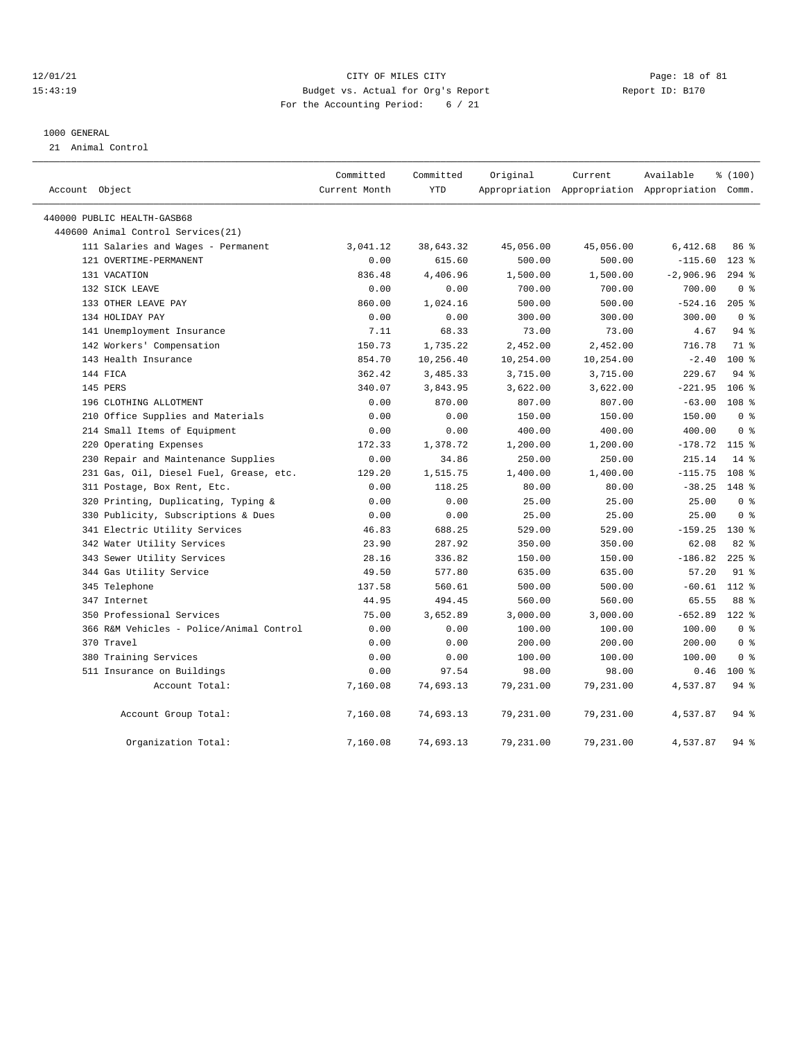#### $12/01/21$  Page: 18 of 81 15:43:19 Budget vs. Actual for Org's Report Report ID: B170 For the Accounting Period: 6 / 21

#### 1000 GENERAL

21 Animal Control

|                             |                                          | Committed<br>Current Month | Committed<br>YTD | Original  | Current                                         | Available   | % (100)          |
|-----------------------------|------------------------------------------|----------------------------|------------------|-----------|-------------------------------------------------|-------------|------------------|
| Account Object              |                                          |                            |                  |           | Appropriation Appropriation Appropriation Comm. |             |                  |
| 440000 PUBLIC HEALTH-GASB68 |                                          |                            |                  |           |                                                 |             |                  |
|                             | 440600 Animal Control Services (21)      |                            |                  |           |                                                 |             |                  |
|                             | 111 Salaries and Wages - Permanent       | 3,041.12                   | 38,643.32        | 45,056.00 | 45,056.00                                       | 6,412.68    | 86%              |
|                             | 121 OVERTIME-PERMANENT                   | 0.00                       | 615.60           | 500.00    | 500.00                                          | $-115.60$   | $123$ %          |
| 131 VACATION                |                                          | 836.48                     | 4,406.96         | 1,500.00  | 1,500.00                                        | $-2,906.96$ | $294$ %          |
|                             | 132 SICK LEAVE                           | 0.00                       | 0.00             | 700.00    | 700.00                                          | 700.00      | 0 <sup>8</sup>   |
|                             | 133 OTHER LEAVE PAY                      | 860.00                     | 1,024.16         | 500.00    | 500.00                                          | $-524.16$   | $205$ %          |
|                             | 134 HOLIDAY PAY                          | 0.00                       | 0.00             | 300.00    | 300.00                                          | 300.00      | 0 <sup>8</sup>   |
|                             | 141 Unemployment Insurance               | 7.11                       | 68.33            | 73.00     | 73.00                                           | 4.67        | 94%              |
|                             | 142 Workers' Compensation                | 150.73                     | 1,735.22         | 2,452.00  | 2,452.00                                        | 716.78      | 71.8             |
|                             | 143 Health Insurance                     | 854.70                     | 10,256.40        | 10,254.00 | 10,254.00                                       | $-2.40$     | $100$ %          |
| 144 FICA                    |                                          | 362.42                     | 3,485.33         | 3,715.00  | 3,715.00                                        | 229.67      | $94$ %           |
| 145 PERS                    |                                          | 340.07                     | 3,843.95         | 3,622.00  | 3,622.00                                        | $-221.95$   | $106$ %          |
|                             | 196 CLOTHING ALLOTMENT                   | 0.00                       | 870.00           | 807.00    | 807.00                                          | $-63.00$    | 108 <sup>8</sup> |
|                             | 210 Office Supplies and Materials        | 0.00                       | 0.00             | 150.00    | 150.00                                          | 150.00      | 0 <sup>8</sup>   |
|                             | 214 Small Items of Equipment             | 0.00                       | 0.00             | 400.00    | 400.00                                          | 400.00      | 0 <sup>8</sup>   |
|                             | 220 Operating Expenses                   | 172.33                     | 1,378.72         | 1,200.00  | 1,200.00                                        | $-178.72$   | 115 %            |
|                             | 230 Repair and Maintenance Supplies      | 0.00                       | 34.86            | 250.00    | 250.00                                          | 215.14      | $14*$            |
|                             | 231 Gas, Oil, Diesel Fuel, Grease, etc.  | 129.20                     | 1,515.75         | 1,400.00  | 1,400.00                                        | $-115.75$   | 108 <sup>8</sup> |
|                             | 311 Postage, Box Rent, Etc.              | 0.00                       | 118.25           | 80.00     | 80.00                                           | $-38.25$    | $148$ %          |
|                             | 320 Printing, Duplicating, Typing &      | 0.00                       | 0.00             | 25.00     | 25.00                                           | 25.00       | 0 <sup>8</sup>   |
|                             | 330 Publicity, Subscriptions & Dues      | 0.00                       | 0.00             | 25.00     | 25.00                                           | 25.00       | 0 <sup>8</sup>   |
|                             | 341 Electric Utility Services            | 46.83                      | 688.25           | 529.00    | 529.00                                          | $-159.25$   | $130*$           |
|                             | 342 Water Utility Services               | 23.90                      | 287.92           | 350.00    | 350.00                                          | 62.08       | 82%              |
|                             | 343 Sewer Utility Services               | 28.16                      | 336.82           | 150.00    | 150.00                                          | $-186.82$   | $225$ %          |
|                             | 344 Gas Utility Service                  | 49.50                      | 577.80           | 635.00    | 635.00                                          | 57.20       | $91$ %           |
| 345 Telephone               |                                          | 137.58                     | 560.61           | 500.00    | 500.00                                          | $-60.61$    | 112 %            |
| 347 Internet                |                                          | 44.95                      | 494.45           | 560.00    | 560.00                                          | 65.55       | 88 %             |
|                             | 350 Professional Services                | 75.00                      | 3,652.89         | 3,000.00  | 3,000.00                                        | $-652.89$   | $122$ %          |
|                             | 366 R&M Vehicles - Police/Animal Control | 0.00                       | 0.00             | 100.00    | 100.00                                          | 100.00      | 0 <sup>8</sup>   |
| 370 Travel                  |                                          | 0.00                       | 0.00             | 200.00    | 200.00                                          | 200.00      | 0 <sup>8</sup>   |
|                             | 380 Training Services                    | 0.00                       | 0.00             | 100.00    | 100.00                                          | 100.00      | 0 <sup>8</sup>   |
|                             | 511 Insurance on Buildings               | 0.00                       | 97.54            | 98.00     | 98.00                                           | 0.46        | $100*$           |
|                             | Account Total:                           | 7,160.08                   | 74,693.13        | 79,231.00 | 79,231.00                                       | 4,537.87    | 94%              |
|                             | Account Group Total:                     | 7,160.08                   | 74,693.13        | 79,231.00 | 79,231.00                                       | 4,537.87    | $94$ %           |
|                             | Organization Total:                      | 7,160.08                   | 74,693.13        | 79,231.00 | 79,231.00                                       | 4,537.87    | 94%              |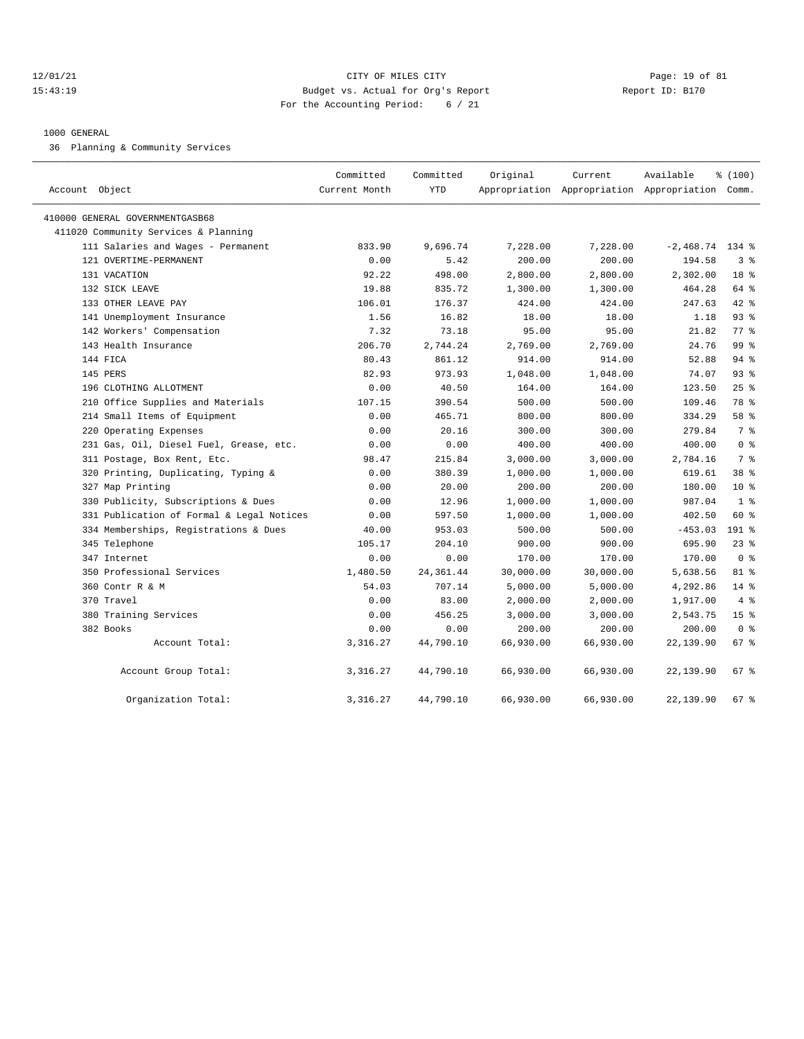#### 12/01/21 Page: 19 of 81 15:43:19 Budget vs. Actual for Org's Report Report ID: B170 For the Accounting Period: 6 / 21

#### 1000 GENERAL

36 Planning & Community Services

| Account Object                            | Committed<br>Current Month | Committed<br>YTD | Original  | Current<br>Appropriation Appropriation Appropriation Comm. | Available         | % (100)         |
|-------------------------------------------|----------------------------|------------------|-----------|------------------------------------------------------------|-------------------|-----------------|
| 410000 GENERAL GOVERNMENTGASB68           |                            |                  |           |                                                            |                   |                 |
| 411020 Community Services & Planning      |                            |                  |           |                                                            |                   |                 |
| 111 Salaries and Wages - Permanent        | 833.90                     | 9,696.74         | 7,228.00  | 7,228.00                                                   | $-2,468.74$ 134 % |                 |
| 121 OVERTIME-PERMANENT                    | 0.00                       | 5.42             | 200.00    | 200.00                                                     | 194.58            | 3 <sup>8</sup>  |
| 131 VACATION                              | 92.22                      | 498.00           | 2,800.00  | 2,800.00                                                   | 2,302.00          | 18 <sup>8</sup> |
| 132 SICK LEAVE                            | 19.88                      | 835.72           | 1,300.00  | 1,300.00                                                   | 464.28            | 64 %            |
| 133 OTHER LEAVE PAY                       | 106.01                     | 176.37           | 424.00    | 424.00                                                     | 247.63            | $42$ %          |
| 141 Unemployment Insurance                | 1.56                       | 16.82            | 18.00     | 18.00                                                      | 1.18              | $93$ $%$        |
| 142 Workers' Compensation                 | 7.32                       | 73.18            | 95.00     | 95.00                                                      | 21.82             | 77.8            |
| 143 Health Insurance                      | 206.70                     | 2,744.24         | 2,769.00  | 2,769.00                                                   | 24.76             | 99 %            |
| 144 FICA                                  | 80.43                      | 861.12           | 914.00    | 914.00                                                     | 52.88             | 94%             |
| 145 PERS                                  | 82.93                      | 973.93           | 1,048.00  | 1,048.00                                                   | 74.07             | 93%             |
| 196 CLOTHING ALLOTMENT                    | 0.00                       | 40.50            | 164.00    | 164.00                                                     | 123.50            | 25%             |
| 210 Office Supplies and Materials         | 107.15                     | 390.54           | 500.00    | 500.00                                                     | 109.46            | 78 %            |
| 214 Small Items of Equipment              | 0.00                       | 465.71           | 800.00    | 800.00                                                     | 334.29            | 58 %            |
| 220 Operating Expenses                    | 0.00                       | 20.16            | 300.00    | 300.00                                                     | 279.84            | 7 %             |
| 231 Gas, Oil, Diesel Fuel, Grease, etc.   | 0.00                       | 0.00             | 400.00    | 400.00                                                     | 400.00            | 0 <sup>8</sup>  |
| 311 Postage, Box Rent, Etc.               | 98.47                      | 215.84           | 3,000.00  | 3,000.00                                                   | 2,784.16          | 7 %             |
| 320 Printing, Duplicating, Typing &       | 0.00                       | 380.39           | 1,000.00  | 1,000.00                                                   | 619.61            | 38 %            |
| 327 Map Printing                          | 0.00                       | 20.00            | 200.00    | 200.00                                                     | 180.00            | $10*$           |
| 330 Publicity, Subscriptions & Dues       | 0.00                       | 12.96            | 1,000.00  | 1,000.00                                                   | 987.04            | 1 <sup>8</sup>  |
| 331 Publication of Formal & Legal Notices | 0.00                       | 597.50           | 1,000.00  | 1,000.00                                                   | 402.50            | $60*$           |
| 334 Memberships, Registrations & Dues     | 40.00                      | 953.03           | 500.00    | 500.00                                                     | $-453.03$         | $191$ %         |
| 345 Telephone                             | 105.17                     | 204.10           | 900.00    | 900.00                                                     | 695.90            | $23$ $%$        |
| 347 Internet                              | 0.00                       | 0.00             | 170.00    | 170.00                                                     | 170.00            | 0 <sup>8</sup>  |
| 350 Professional Services                 | 1,480.50                   | 24, 361.44       | 30,000.00 | 30,000.00                                                  | 5,638.56          | 81 %            |
| 360 Contr R & M                           | 54.03                      | 707.14           | 5,000.00  | 5,000.00                                                   | 4,292.86          | 14.8            |
| 370 Travel                                | 0.00                       | 83.00            | 2,000.00  | 2,000.00                                                   | 1,917.00          | 4%              |
| 380 Training Services                     | 0.00                       | 456.25           | 3,000.00  | 3,000.00                                                   | 2,543.75          | 15 <sup>8</sup> |
| 382 Books                                 | 0.00                       | 0.00             | 200.00    | 200.00                                                     | 200.00            | 0 <sup>8</sup>  |
| Account Total:                            | 3,316.27                   | 44,790.10        | 66,930.00 | 66,930.00                                                  | 22,139.90         | 67%             |
| Account Group Total:                      | 3,316.27                   | 44,790.10        | 66,930.00 | 66,930.00                                                  | 22,139.90         | 67%             |
| Organization Total:                       | 3,316.27                   | 44,790.10        | 66,930.00 | 66,930.00                                                  | 22,139.90         | 67%             |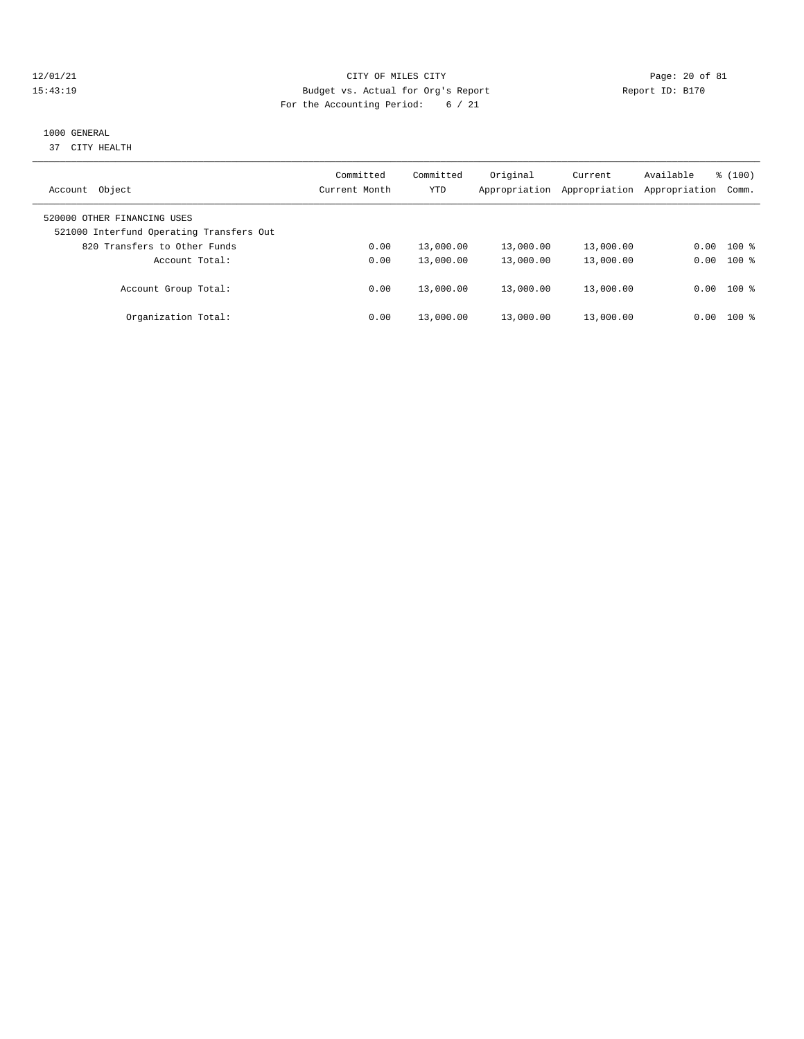#### 12/01/21 Page: 20 of 81 15:43:19 Budget vs. Actual for Org's Report Report ID: B170 For the Accounting Period: 6 / 21

# 1000 GENERAL

37 CITY HEALTH

| Object<br>Account                                                       | Committed<br>Current Month | Committed<br>YTD | Original<br>Appropriation | Current<br>Appropriation | Available<br>Appropriation | $\frac{100}{3}$<br>Comm. |
|-------------------------------------------------------------------------|----------------------------|------------------|---------------------------|--------------------------|----------------------------|--------------------------|
| 520000 OTHER FINANCING USES<br>521000 Interfund Operating Transfers Out |                            |                  |                           |                          |                            |                          |
| 820 Transfers to Other Funds                                            | 0.00                       | 13,000.00        | 13,000.00                 | 13,000.00                | 0.00                       | $100$ %                  |
| Account Total:                                                          | 0.00                       | 13,000.00        | 13,000.00                 | 13,000.00                | 0.00                       | $100$ %                  |
| Account Group Total:                                                    | 0.00                       | 13,000.00        | 13,000.00                 | 13,000.00                |                            | $0.00$ 100 %             |
| Organization Total:                                                     | 0.00                       | 13,000.00        | 13,000.00                 | 13,000.00                | 0.00                       | $100$ %                  |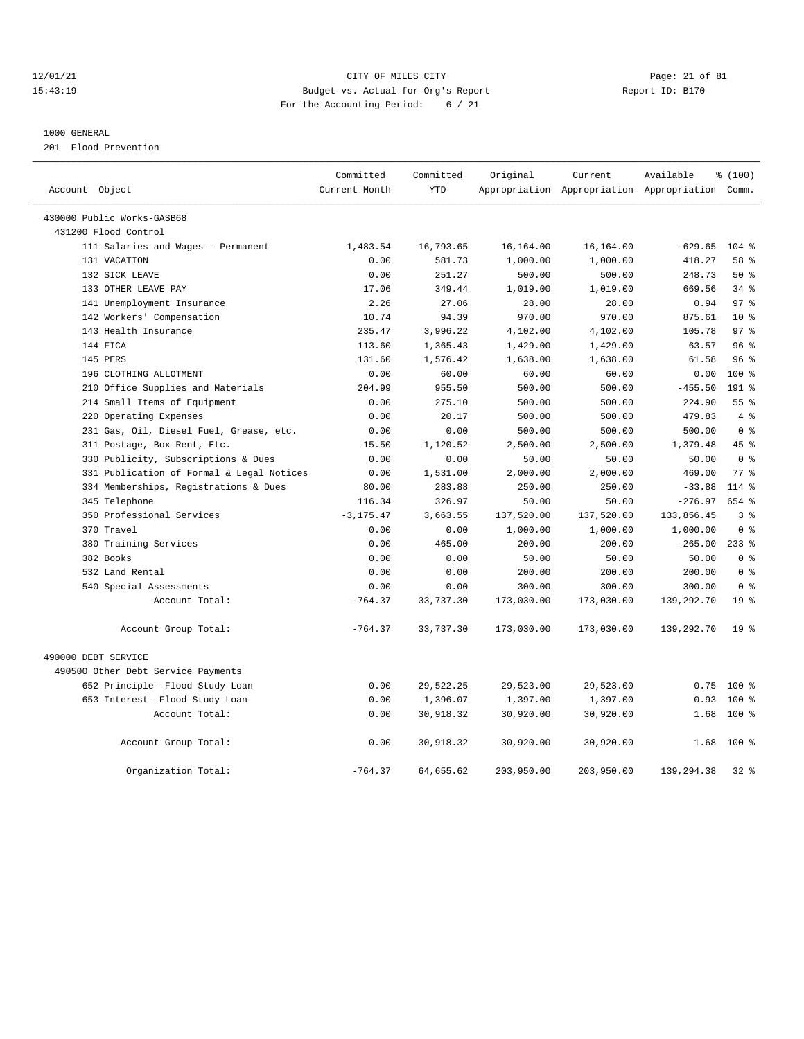#### 12/01/21 Page: 21 of 81 15:43:19 Budget vs. Actual for Org's Report Report ID: B170 For the Accounting Period: 6 / 21

#### 1000 GENERAL

201 Flood Prevention

| Account Object                            | Committed<br>Current Month | Committed<br><b>YTD</b> | Original   | Current    | Available<br>Appropriation Appropriation Appropriation Comm. | % (100)         |
|-------------------------------------------|----------------------------|-------------------------|------------|------------|--------------------------------------------------------------|-----------------|
|                                           |                            |                         |            |            |                                                              |                 |
| 430000 Public Works-GASB68                |                            |                         |            |            |                                                              |                 |
| 431200 Flood Control                      |                            |                         |            |            |                                                              |                 |
| 111 Salaries and Wages - Permanent        | 1,483.54                   | 16,793.65               | 16,164.00  | 16,164.00  | $-629.65$                                                    | $104*$          |
| 131 VACATION                              | 0.00                       | 581.73                  | 1,000.00   | 1,000.00   | 418.27                                                       | 58 %            |
| 132 SICK LEAVE                            | 0.00                       | 251.27                  | 500.00     | 500.00     | 248.73                                                       | 50%             |
| 133 OTHER LEAVE PAY                       | 17.06                      | 349.44                  | 1,019.00   | 1,019.00   | 669.56                                                       | 34%             |
| 141 Unemployment Insurance                | 2.26                       | 27.06                   | 28.00      | 28.00      | 0.94                                                         | 97 <sup>8</sup> |
| 142 Workers' Compensation                 | 10.74                      | 94.39                   | 970.00     | 970.00     | 875.61                                                       | $10*$           |
| 143 Health Insurance                      | 235.47                     | 3,996.22                | 4,102.00   | 4,102.00   | 105.78                                                       | 97 <sup>8</sup> |
| 144 FICA                                  | 113.60                     | 1,365.43                | 1,429.00   | 1,429.00   | 63.57                                                        | 96%             |
| 145 PERS                                  | 131.60                     | 1,576.42                | 1,638.00   | 1,638.00   | 61.58                                                        | 96%             |
| 196 CLOTHING ALLOTMENT                    | 0.00                       | 60.00                   | 60.00      | 60.00      | 0.00                                                         | 100 %           |
| 210 Office Supplies and Materials         | 204.99                     | 955.50                  | 500.00     | 500.00     | $-455.50$                                                    | $191$ %         |
| 214 Small Items of Equipment              | 0.00                       | 275.10                  | 500.00     | 500.00     | 224.90                                                       | 55%             |
| 220 Operating Expenses                    | 0.00                       | 20.17                   | 500.00     | 500.00     | 479.83                                                       | 4%              |
| 231 Gas, Oil, Diesel Fuel, Grease, etc.   | 0.00                       | 0.00                    | 500.00     | 500.00     | 500.00                                                       | 0 <sup>8</sup>  |
| 311 Postage, Box Rent, Etc.               | 15.50                      | 1,120.52                | 2,500.00   | 2,500.00   | 1,379.48                                                     | 45%             |
| 330 Publicity, Subscriptions & Dues       | 0.00                       | 0.00                    | 50.00      | 50.00      | 50.00                                                        | 0 <sup>8</sup>  |
| 331 Publication of Formal & Legal Notices | 0.00                       | 1,531.00                | 2,000.00   | 2,000.00   | 469.00                                                       | 77.8            |
| 334 Memberships, Registrations & Dues     | 80.00                      | 283.88                  | 250.00     | 250.00     | $-33.88$                                                     | $114*$          |
| 345 Telephone                             | 116.34                     | 326.97                  | 50.00      | 50.00      | $-276.97$                                                    | 654 %           |
| 350 Professional Services                 | $-3, 175.47$               | 3,663.55                | 137,520.00 | 137,520.00 | 133,856.45                                                   | 3%              |
| 370 Travel                                | 0.00                       | 0.00                    | 1,000.00   | 1,000.00   | 1,000.00                                                     | 0 <sup>8</sup>  |
| 380 Training Services                     | 0.00                       | 465.00                  | 200.00     | 200.00     | $-265.00$                                                    | $233$ $%$       |
| 382 Books                                 | 0.00                       | 0.00                    | 50.00      | 50.00      | 50.00                                                        | 0 <sup>8</sup>  |
| 532 Land Rental                           | 0.00                       | 0.00                    | 200.00     | 200.00     | 200.00                                                       | 0 <sup>8</sup>  |
| 540 Special Assessments                   | 0.00                       | 0.00                    | 300.00     | 300.00     | 300.00                                                       | 0 <sup>8</sup>  |
| Account Total:                            | $-764.37$                  | 33,737.30               | 173,030.00 | 173,030.00 | 139,292.70                                                   | 19 <sup>°</sup> |
| Account Group Total:                      | $-764.37$                  | 33,737.30               | 173,030.00 | 173,030.00 | 139,292.70                                                   | 19 <sup>8</sup> |
| 490000 DEBT SERVICE                       |                            |                         |            |            |                                                              |                 |
| 490500 Other Debt Service Payments        |                            |                         |            |            |                                                              |                 |
| 652 Principle- Flood Study Loan           | 0.00                       | 29,522.25               | 29,523.00  | 29,523.00  | 0.75                                                         | $100*$          |
| 653 Interest- Flood Study Loan            | 0.00                       | 1,396.07                | 1,397.00   | 1,397.00   | 0.93                                                         | 100 %           |
| Account Total:                            | 0.00                       | 30,918.32               | 30,920.00  | 30,920.00  | 1.68                                                         | $100*$          |
| Account Group Total:                      | 0.00                       | 30,918.32               | 30,920.00  | 30,920.00  | 1.68                                                         | $100$ %         |
| Organization Total:                       | $-764.37$                  | 64,655.62               | 203,950.00 | 203,950.00 | 139,294.38                                                   | $32*$           |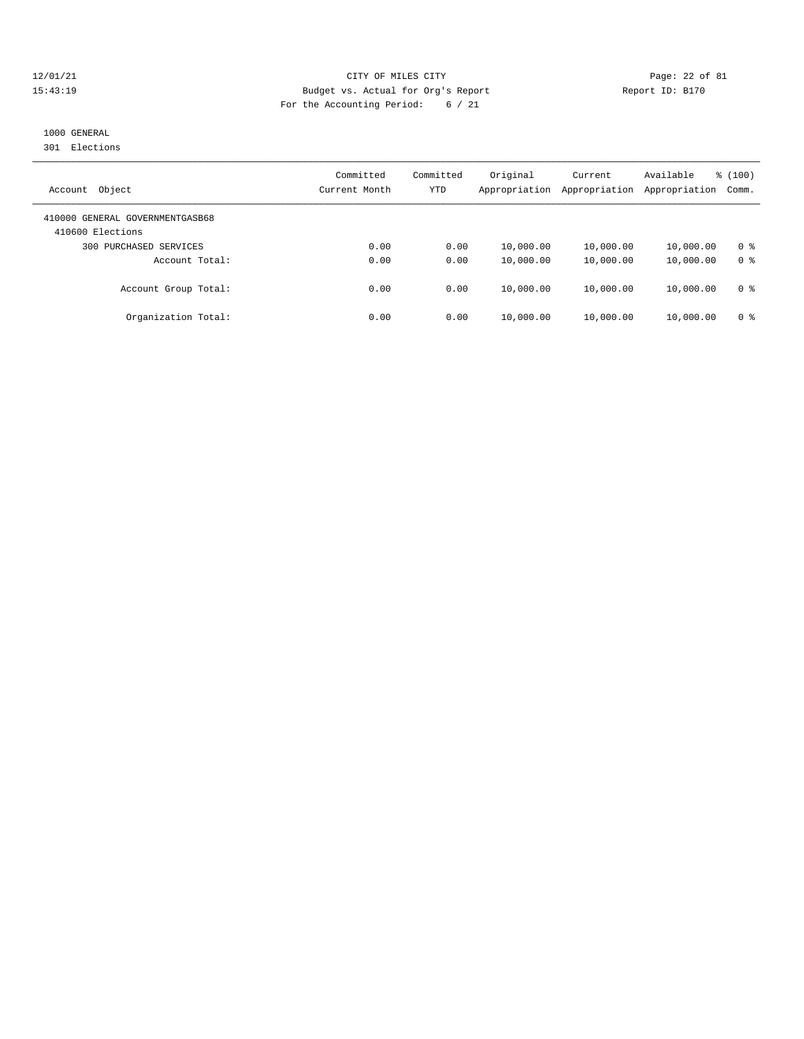#### 12/01/21 Page: 22 of 81 15:43:19 Budget vs. Actual for Org's Report Report ID: B170 For the Accounting Period: 6 / 21

# 1000 GENERAL

301 Elections

| Object<br>Account                                   | Committed<br>Current Month | Committed<br>YTD | Original<br>Appropriation | Current<br>Appropriation | Available<br>Appropriation | % (100)<br>Comm. |
|-----------------------------------------------------|----------------------------|------------------|---------------------------|--------------------------|----------------------------|------------------|
| 410000 GENERAL GOVERNMENTGASB68<br>410600 Elections |                            |                  |                           |                          |                            |                  |
| PURCHASED SERVICES<br>300                           | 0.00                       | 0.00             | 10,000.00                 | 10,000.00                | 10,000.00                  | 0 <sup>8</sup>   |
| Account Total:                                      | 0.00                       | 0.00             | 10,000.00                 | 10,000.00                | 10,000.00                  | 0 <sup>8</sup>   |
| Account Group Total:                                | 0.00                       | 0.00             | 10,000.00                 | 10,000.00                | 10,000.00                  | 0 <sup>8</sup>   |
| Organization Total:                                 | 0.00                       | 0.00             | 10,000.00                 | 10,000.00                | 10,000.00                  | 0 <sup>8</sup>   |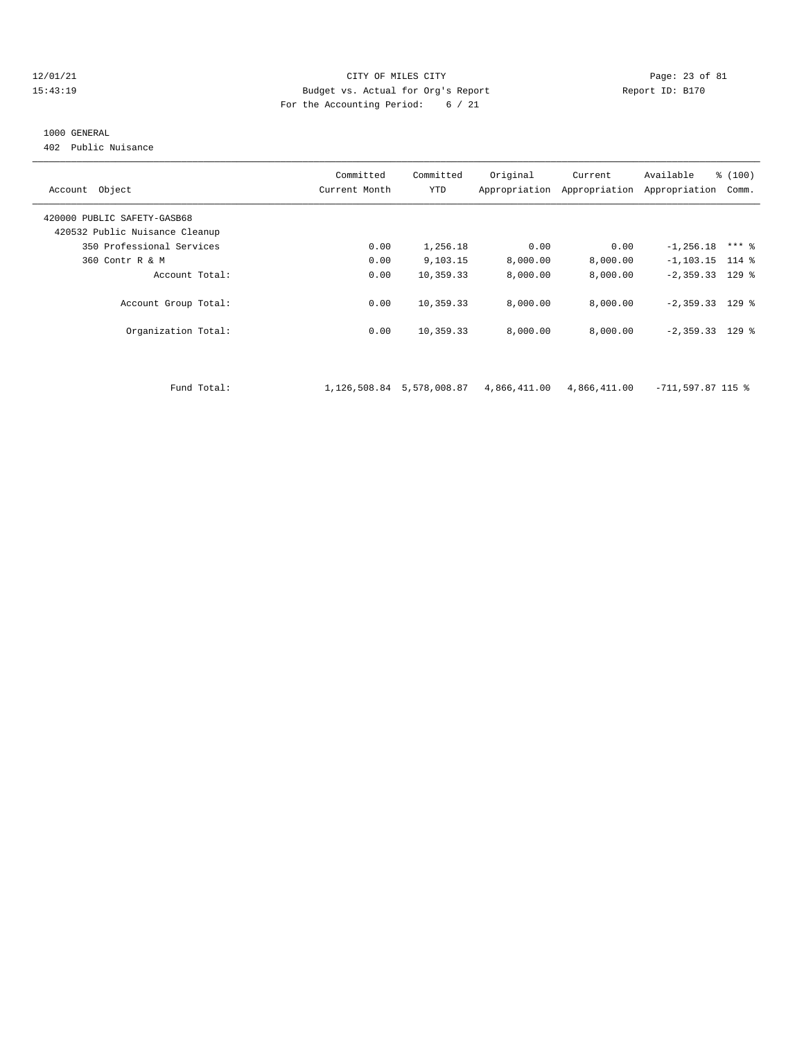#### $12/01/21$  Page: 23 of 81 15:43:19 Budget vs. Actual for Org's Report Report ID: B170 For the Accounting Period: 6 / 21

#### 1000 GENERAL

402 Public Nuisance

| Account Object                 | Committed<br>Current Month | Committed<br>YTD | Original     | Current<br>Appropriation Appropriation | Available<br>Appropriation | % (100)<br>Comm. |
|--------------------------------|----------------------------|------------------|--------------|----------------------------------------|----------------------------|------------------|
| 420000 PUBLIC SAFETY-GASB68    |                            |                  |              |                                        |                            |                  |
| 420532 Public Nuisance Cleanup |                            |                  |              |                                        |                            |                  |
| 350 Professional Services      | 0.00                       | 1,256.18         | 0.00         | 0.00                                   | $-1, 256.18$               | $***$ %          |
| 360 Contr R & M                | 0.00                       | 9,103.15         | 8,000.00     | 8,000.00                               | $-1, 103.15$ 114 %         |                  |
| Account Total:                 | 0.00                       | 10,359.33        | 8,000.00     | 8,000.00                               | $-2,359.33$ 129 %          |                  |
| Account Group Total:           | 0.00                       | 10,359.33        | 8,000.00     | 8,000.00                               | $-2,359.33$ 129 %          |                  |
| Organization Total:            | 0.00                       | 10,359.33        | 8.000.00     | 8,000.00                               | $-2,359.33$ 129 %          |                  |
|                                |                            |                  |              |                                        |                            |                  |
| Fund Total:                    | 1,126,508.84               | 5,578,008.87     | 4,866,411.00 | 4,866,411.00                           | $-711,597.87$ 115 %        |                  |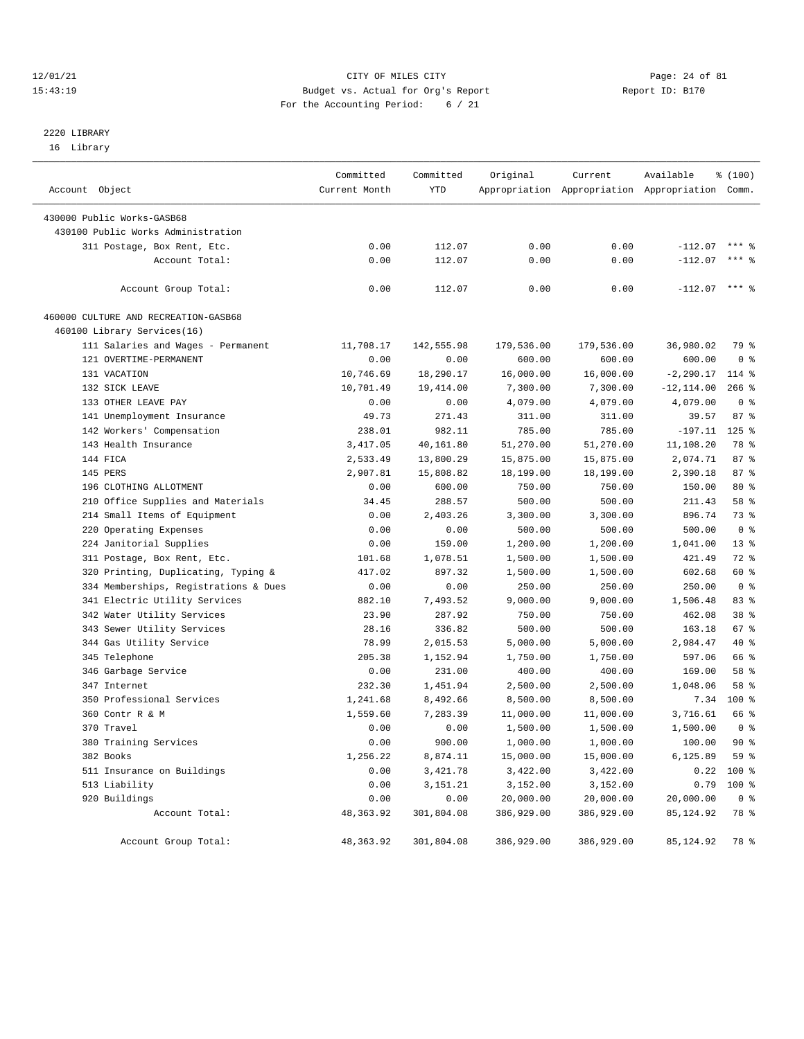#### 12/01/21 Page: 24 of 81<br>
12/01/21 Page: 24 of 81<br>
Budget vs. Actual for Org's Report Physics (Report ID: B170 15:43:19 Budget vs. Actual for Org's Report For the Accounting Period: 6 / 21

# 2220 LIBRARY

16 Library

| Account Object                        | Committed<br>Current Month | Committed<br>YTD | Original   | Current<br>Appropriation Appropriation Appropriation Comm. | Available       | \$(100)        |
|---------------------------------------|----------------------------|------------------|------------|------------------------------------------------------------|-----------------|----------------|
|                                       |                            |                  |            |                                                            |                 |                |
| 430000 Public Works-GASB68            |                            |                  |            |                                                            |                 |                |
| 430100 Public Works Administration    |                            |                  |            |                                                            |                 |                |
| 311 Postage, Box Rent, Etc.           | 0.00                       | 112.07           | 0.00       | 0.00                                                       | $-112.07$       | $***$ 2        |
| Account Total:                        | 0.00                       | 112.07           | 0.00       | 0.00                                                       | $-112.07$       | $***$ 2        |
| Account Group Total:                  | 0.00                       | 112.07           | 0.00       | 0.00                                                       | $-112.07$ *** % |                |
| 460000 CULTURE AND RECREATION-GASB68  |                            |                  |            |                                                            |                 |                |
| 460100 Library Services(16)           |                            |                  |            |                                                            |                 |                |
| 111 Salaries and Wages - Permanent    | 11,708.17                  | 142,555.98       | 179,536.00 | 179,536.00                                                 | 36,980.02       | 79 %           |
| 121 OVERTIME-PERMANENT                | 0.00                       | 0.00             | 600.00     | 600.00                                                     | 600.00          | 0 <sup>8</sup> |
| 131 VACATION                          | 10,746.69                  | 18,290.17        | 16,000.00  | 16,000.00                                                  | $-2, 290.17$    | 114 %          |
| 132 SICK LEAVE                        | 10,701.49                  | 19,414.00        | 7,300.00   | 7,300.00                                                   | $-12, 114.00$   | $266$ %        |
| 133 OTHER LEAVE PAY                   | 0.00                       | 0.00             | 4,079.00   | 4,079.00                                                   | 4,079.00        | 0 <sup>8</sup> |
| 141 Unemployment Insurance            | 49.73                      | 271.43           | 311.00     | 311.00                                                     | 39.57           | 87%            |
| 142 Workers' Compensation             | 238.01                     | 982.11           | 785.00     | 785.00                                                     | $-197.11$       | $125$ %        |
| 143 Health Insurance                  | 3,417.05                   | 40,161.80        | 51,270.00  | 51,270.00                                                  | 11,108.20       | 78 %           |
| 144 FICA                              | 2,533.49                   | 13,800.29        | 15,875.00  | 15,875.00                                                  | 2,074.71        | 87%            |
| 145 PERS                              | 2,907.81                   | 15,808.82        | 18,199.00  | 18,199.00                                                  | 2,390.18        | 87%            |
| 196 CLOTHING ALLOTMENT                | 0.00                       | 600.00           | 750.00     | 750.00                                                     | 150.00          | $80*$          |
| 210 Office Supplies and Materials     | 34.45                      | 288.57           | 500.00     | 500.00                                                     | 211.43          | 58 %           |
| 214 Small Items of Equipment          | 0.00                       | 2,403.26         | 3,300.00   | 3,300.00                                                   | 896.74          | 73 %           |
| 220 Operating Expenses                | 0.00                       | 0.00             | 500.00     | 500.00                                                     | 500.00          | 0 <sup>8</sup> |
| 224 Janitorial Supplies               | 0.00                       | 159.00           | 1,200.00   | 1,200.00                                                   | 1,041.00        | $13*$          |
| 311 Postage, Box Rent, Etc.           | 101.68                     | 1,078.51         | 1,500.00   | 1,500.00                                                   | 421.49          | 72 %           |
| 320 Printing, Duplicating, Typing &   | 417.02                     | 897.32           | 1,500.00   | 1,500.00                                                   | 602.68          | 60 %           |
| 334 Memberships, Registrations & Dues | 0.00                       | 0.00             | 250.00     | 250.00                                                     | 250.00          | 0 <sup>8</sup> |
| 341 Electric Utility Services         | 882.10                     | 7,493.52         | 9,000.00   | 9,000.00                                                   | 1,506.48        | 83%            |
| 342 Water Utility Services            | 23.90                      | 287.92           | 750.00     | 750.00                                                     | 462.08          | 38 %           |
| 343 Sewer Utility Services            | 28.16                      | 336.82           | 500.00     | 500.00                                                     | 163.18          | 67%            |
| 344 Gas Utility Service               | 78.99                      | 2,015.53         | 5,000.00   | 5,000.00                                                   | 2,984.47        | 40 %           |
| 345 Telephone                         | 205.38                     | 1,152.94         | 1,750.00   | 1,750.00                                                   | 597.06          | 66 %           |
| 346 Garbage Service                   | 0.00                       | 231.00           | 400.00     | 400.00                                                     | 169.00          | 58 %           |
| 347 Internet                          | 232.30                     | 1,451.94         | 2,500.00   | 2,500.00                                                   | 1,048.06        | 58 %           |
| 350 Professional Services             | 1,241.68                   | 8,492.66         | 8,500.00   | 8,500.00                                                   | 7.34            | 100 %          |
| 360 Contr R & M                       | 1,559.60                   | 7,283.39         | 11,000.00  | 11,000.00                                                  | 3,716.61        | 66 %           |
| 370 Travel                            | 0.00                       | 0.00             | 1,500.00   | 1,500.00                                                   | 1,500.00        | 0 <sup>8</sup> |
| 380 Training Services                 | 0.00                       | 900.00           | 1,000.00   | 1,000.00                                                   | 100.00          | 90%            |
| 382 Books                             | 1,256.22                   | 8,874.11         | 15,000.00  | 15,000.00                                                  | 6,125.89        | 59 %           |
| 511 Insurance on Buildings            | 0.00                       | 3,421.78         | 3,422.00   | 3,422.00                                                   | 0.22            | 100 %          |
| 513 Liability                         | 0.00                       | 3, 151. 21       | 3,152.00   | 3,152.00                                                   | 0.79            | 100 %          |
| 920 Buildings                         | 0.00                       | 0.00             | 20,000.00  | 20,000.00                                                  | 20,000.00       | 0 <sup>8</sup> |
| Account Total:                        | 48,363.92                  | 301,804.08       | 386,929.00 | 386,929.00                                                 | 85, 124.92      | 78 %           |
|                                       |                            |                  |            |                                                            |                 |                |
| Account Group Total:                  | 48,363.92                  | 301,804.08       | 386,929.00 | 386,929.00                                                 | 85, 124.92      | 78 %           |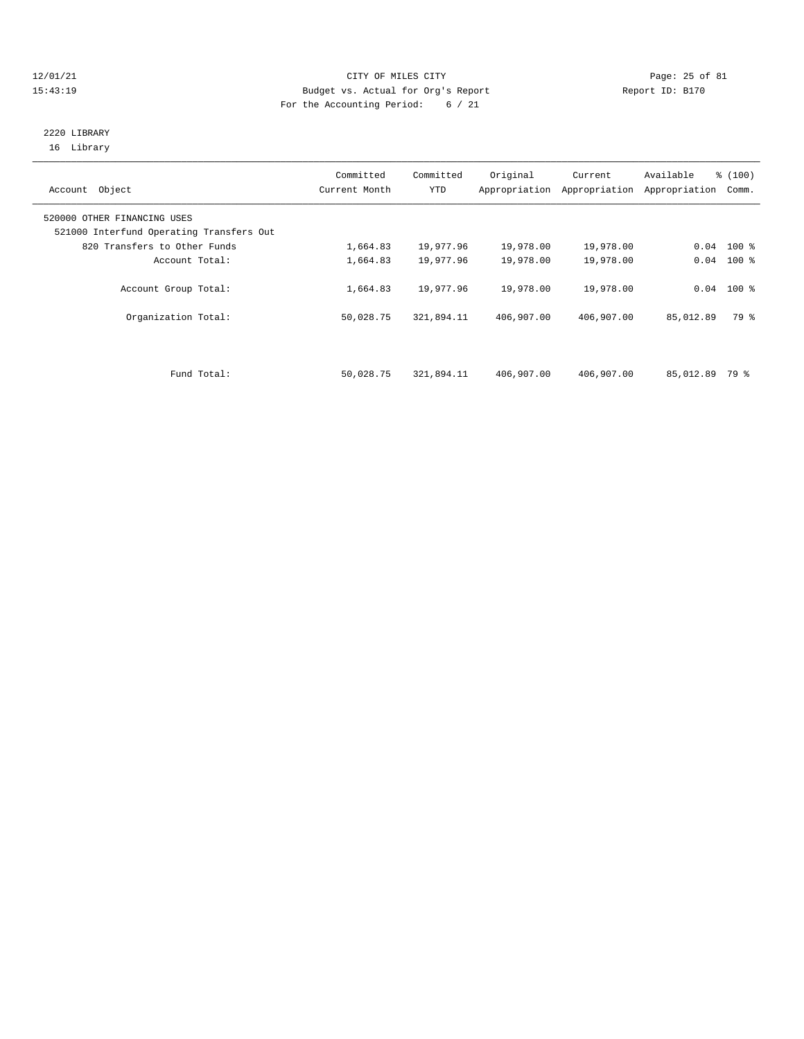#### 12/01/21 Page: 25 of 81 15:43:19 Budget vs. Actual for Org's Report Report ID: B170 For the Accounting Period: 6 / 21

## 2220 LIBRARY 16 Library

| Account Object                                                          | Committed<br>Current Month | Committed<br><b>YTD</b> | Original<br>Appropriation | Current<br>Appropriation | Available<br>Appropriation | % (100)<br>Comm. |
|-------------------------------------------------------------------------|----------------------------|-------------------------|---------------------------|--------------------------|----------------------------|------------------|
| 520000 OTHER FINANCING USES<br>521000 Interfund Operating Transfers Out |                            |                         |                           |                          |                            |                  |
| 820 Transfers to Other Funds                                            | 1,664.83                   | 19,977.96               | 19,978.00                 | 19,978.00                |                            | $0.04$ 100 %     |
| Account Total:                                                          | 1,664.83                   | 19,977.96               | 19,978.00                 | 19,978.00                |                            | $0.04$ 100 %     |
| Account Group Total:                                                    | 1,664.83                   | 19,977.96               | 19,978.00                 | 19,978.00                |                            | $0.04$ 100 %     |
| Organization Total:                                                     | 50,028.75                  | 321,894.11              | 406,907.00                | 406,907.00               | 85,012.89                  | 79 %             |
|                                                                         |                            |                         |                           |                          |                            |                  |
| Fund Total:                                                             | 50,028.75                  | 321,894.11              | 406,907.00                | 406,907.00               | 85,012.89                  | 79 %             |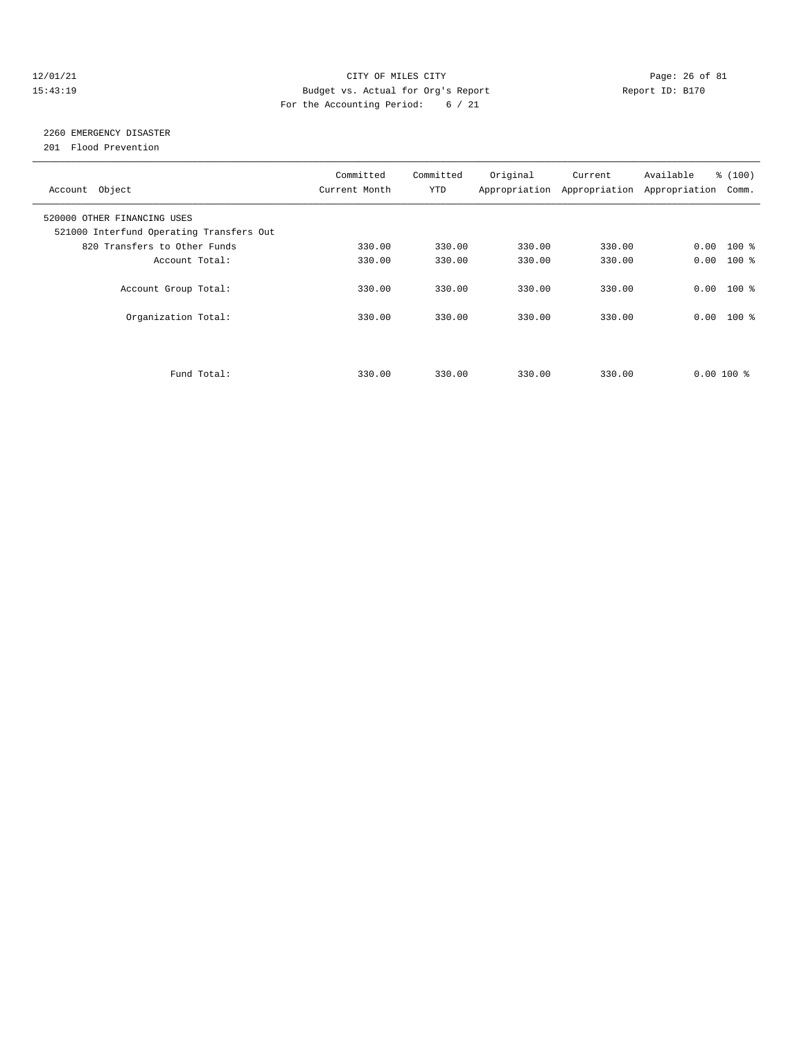#### $12/01/21$  Page: 26 of 81 15:43:19 Budget vs. Actual for Org's Report Report ID: B170 For the Accounting Period: 6 / 21

# 2260 EMERGENCY DISASTER

201 Flood Prevention

| Account Object                                                          | Committed<br>Current Month | Committed<br><b>YTD</b> | Original | Current<br>Appropriation Appropriation | Available<br>Appropriation | % (100)<br>Comm. |
|-------------------------------------------------------------------------|----------------------------|-------------------------|----------|----------------------------------------|----------------------------|------------------|
| 520000 OTHER FINANCING USES<br>521000 Interfund Operating Transfers Out |                            |                         |          |                                        |                            |                  |
| 820 Transfers to Other Funds                                            | 330.00                     | 330.00                  | 330.00   | 330.00                                 | $0.00$ 100 %               |                  |
| Account Total:                                                          | 330.00                     | 330.00                  | 330.00   | 330.00                                 | 0.00                       | $100$ %          |
| Account Group Total:                                                    | 330.00                     | 330.00                  | 330.00   | 330.00                                 | $0.00$ 100 %               |                  |
| Organization Total:                                                     | 330.00                     | 330.00                  | 330.00   | 330.00                                 | $0.00$ 100 %               |                  |
|                                                                         |                            |                         |          |                                        |                            |                  |
| Fund Total:                                                             | 330.00                     | 330.00                  | 330.00   | 330.00                                 | $0.00100$ %                |                  |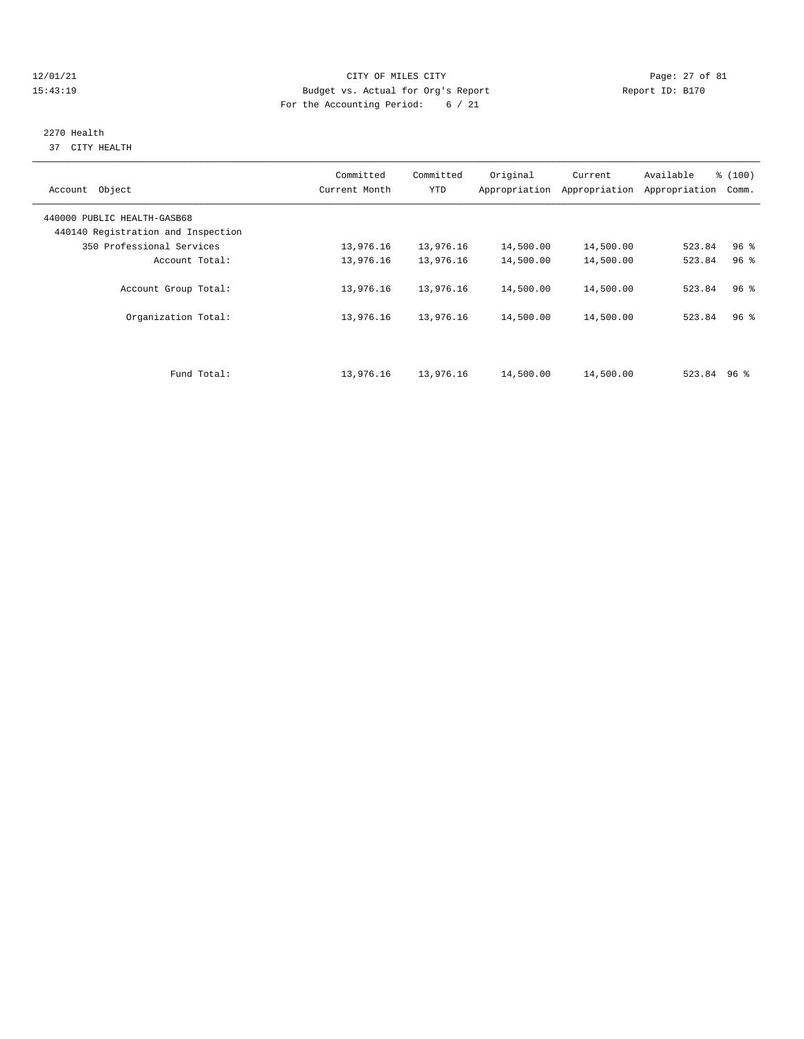#### 12/01/21 Page: 27 of 81 15:43:19 Budget vs. Actual for Org's Report Report ID: B170 For the Accounting Period: 6 / 21

#### 2270 Health 37 CITY HEALTH

| Account Object                                                    | Committed<br>Current Month | Committed<br><b>YTD</b> | Original<br>Appropriation | Current<br>Appropriation | Available<br>Appropriation | % (100)<br>Comm. |
|-------------------------------------------------------------------|----------------------------|-------------------------|---------------------------|--------------------------|----------------------------|------------------|
| 440000 PUBLIC HEALTH-GASB68<br>440140 Registration and Inspection |                            |                         |                           |                          |                            |                  |
| 350 Professional Services                                         | 13,976.16                  | 13,976.16               | 14,500.00                 | 14,500.00                | 523.84                     | $96$ %           |
| Account Total:                                                    | 13,976.16                  | 13,976.16               | 14,500.00                 | 14,500.00                | 523.84                     | 96 <sup>8</sup>  |
| Account Group Total:                                              | 13,976.16                  | 13,976.16               | 14,500.00                 | 14,500.00                | 523.84                     | 96 <sup>8</sup>  |
| Organization Total:                                               | 13,976.16                  | 13,976.16               | 14,500.00                 | 14,500.00                | 523.84                     | $96$ %           |
| Fund Total:                                                       | 13,976.16                  | 13,976.16               | 14,500.00                 | 14,500.00                | $523.84$ 96 %              |                  |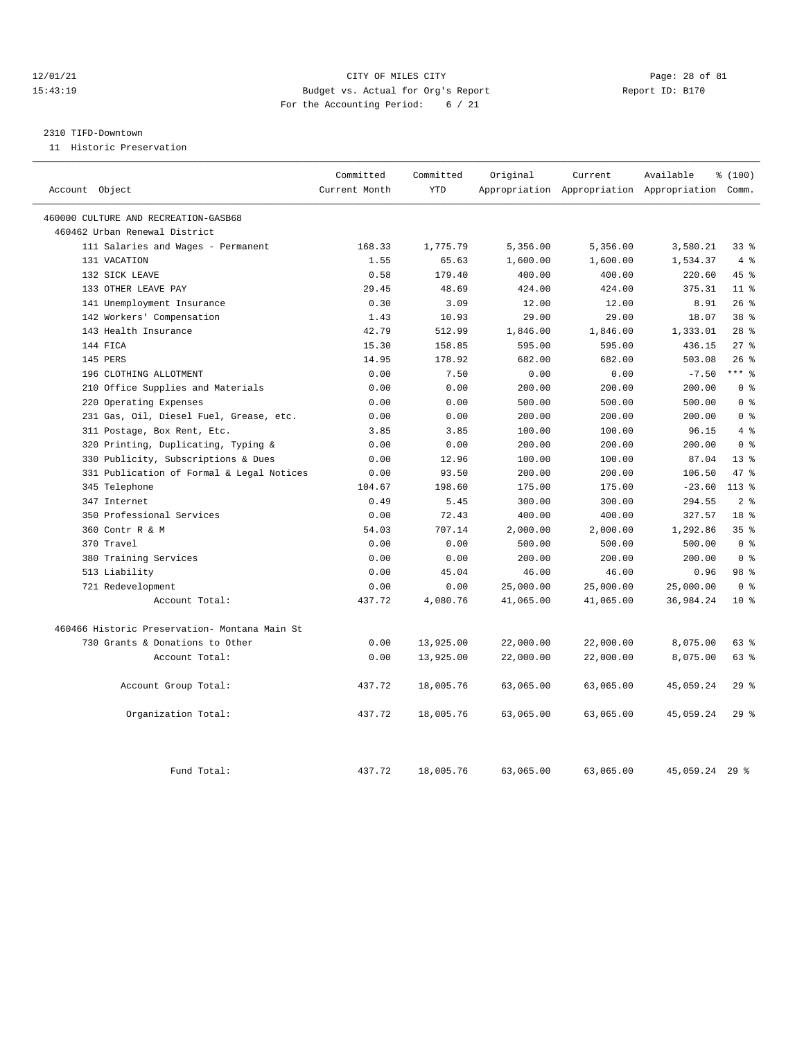#### 12/01/21 Page: 28 of 81 15:43:19 Budget vs. Actual for Org's Report Report ID: B170 For the Accounting Period: 6 / 21

#### 2310 TIFD-Downtown

11 Historic Preservation

| Account Object                                | Committed<br>Current Month | Committed<br><b>YTD</b> | Original  | Current   | Available<br>Appropriation Appropriation Appropriation Comm. | % (100)         |
|-----------------------------------------------|----------------------------|-------------------------|-----------|-----------|--------------------------------------------------------------|-----------------|
|                                               |                            |                         |           |           |                                                              |                 |
| 460000 CULTURE AND RECREATION-GASB68          |                            |                         |           |           |                                                              |                 |
| 460462 Urban Renewal District                 |                            |                         |           |           |                                                              |                 |
| 111 Salaries and Wages - Permanent            | 168.33                     | 1,775.79                | 5,356.00  | 5,356.00  | 3,580.21                                                     | $33*$           |
| 131 VACATION                                  | 1.55                       | 65.63                   | 1,600.00  | 1,600.00  | 1,534.37                                                     | 4%              |
| 132 SICK LEAVE                                | 0.58                       | 179.40                  | 400.00    | 400.00    | 220.60                                                       | 45 %            |
| 133 OTHER LEAVE PAY                           | 29.45                      | 48.69                   | 424.00    | 424.00    | 375.31                                                       | 11 <sup>8</sup> |
| 141 Unemployment Insurance                    | 0.30                       | 3.09                    | 12.00     | 12.00     | 8.91                                                         | 26%             |
| 142 Workers' Compensation                     | 1.43                       | 10.93                   | 29.00     | 29.00     | 18.07                                                        | 38 %            |
| 143 Health Insurance                          | 42.79                      | 512.99                  | 1,846.00  | 1,846.00  | 1,333.01                                                     | 28 <sup>8</sup> |
| 144 FICA                                      | 15.30                      | 158.85                  | 595.00    | 595.00    | 436.15                                                       | $27$ %          |
| 145 PERS                                      | 14.95                      | 178.92                  | 682.00    | 682.00    | 503.08                                                       | 26%             |
| 196 CLOTHING ALLOTMENT                        | 0.00                       | 7.50                    | 0.00      | 0.00      | $-7.50$                                                      | $***$ $%$       |
| Office Supplies and Materials<br>210          | 0.00                       | 0.00                    | 200.00    | 200.00    | 200.00                                                       | 0 <sup>8</sup>  |
| Operating Expenses<br>220                     | 0.00                       | 0.00                    | 500.00    | 500.00    | 500.00                                                       | 0 <sup>8</sup>  |
| 231 Gas, Oil, Diesel Fuel, Grease, etc.       | 0.00                       | 0.00                    | 200.00    | 200.00    | 200.00                                                       | 0 <sup>8</sup>  |
| 311 Postage, Box Rent, Etc.                   | 3.85                       | 3.85                    | 100.00    | 100.00    | 96.15                                                        | 4%              |
| 320 Printing, Duplicating, Typing &           | 0.00                       | 0.00                    | 200.00    | 200.00    | 200.00                                                       | 0 <sup>8</sup>  |
| 330 Publicity, Subscriptions & Dues           | 0.00                       | 12.96                   | 100.00    | 100.00    | 87.04                                                        | 13 <sup>8</sup> |
| 331 Publication of Formal & Legal Notices     | 0.00                       | 93.50                   | 200.00    | 200.00    | 106.50                                                       | 47.8            |
| 345 Telephone                                 | 104.67                     | 198.60                  | 175.00    | 175.00    | $-23.60$                                                     | $113*$          |
| 347 Internet                                  | 0.49                       | 5.45                    | 300.00    | 300.00    | 294.55                                                       | 2 <sup>8</sup>  |
| 350 Professional Services                     | 0.00                       | 72.43                   | 400.00    | 400.00    | 327.57                                                       | 18 %            |
| 360 Contr R & M                               | 54.03                      | 707.14                  | 2,000.00  | 2,000.00  | 1,292.86                                                     | 35 <sup>8</sup> |
| 370 Travel                                    | 0.00                       | 0.00                    | 500.00    | 500.00    | 500.00                                                       | 0 <sup>8</sup>  |
| 380 Training Services                         | 0.00                       | 0.00                    | 200.00    | 200.00    | 200.00                                                       | 0 <sup>8</sup>  |
| 513 Liability                                 | 0.00                       | 45.04                   | 46.00     | 46.00     | 0.96                                                         | 98 %            |
| 721 Redevelopment                             | 0.00                       | 0.00                    | 25,000.00 | 25,000.00 | 25,000.00                                                    | 0 <sup>8</sup>  |
| Account Total:                                | 437.72                     | 4,080.76                | 41,065.00 | 41,065.00 | 36,984.24                                                    | $10*$           |
| 460466 Historic Preservation- Montana Main St |                            |                         |           |           |                                                              |                 |
| 730 Grants & Donations to Other               | 0.00                       | 13,925.00               | 22,000.00 | 22,000.00 | 8,075.00                                                     | 63 %            |
| Account Total:                                | 0.00                       | 13,925.00               | 22,000.00 | 22,000.00 | 8,075.00                                                     | 63 %            |
| Account Group Total:                          | 437.72                     | 18,005.76               | 63,065.00 | 63,065.00 | 45,059.24                                                    | 29%             |
| Organization Total:                           | 437.72                     | 18,005.76               | 63,065.00 | 63,065.00 | 45,059.24                                                    | 29%             |
| Fund Total:                                   | 437.72                     | 18,005.76               | 63,065.00 | 63,065.00 | 45,059.24                                                    | $29$ $%$        |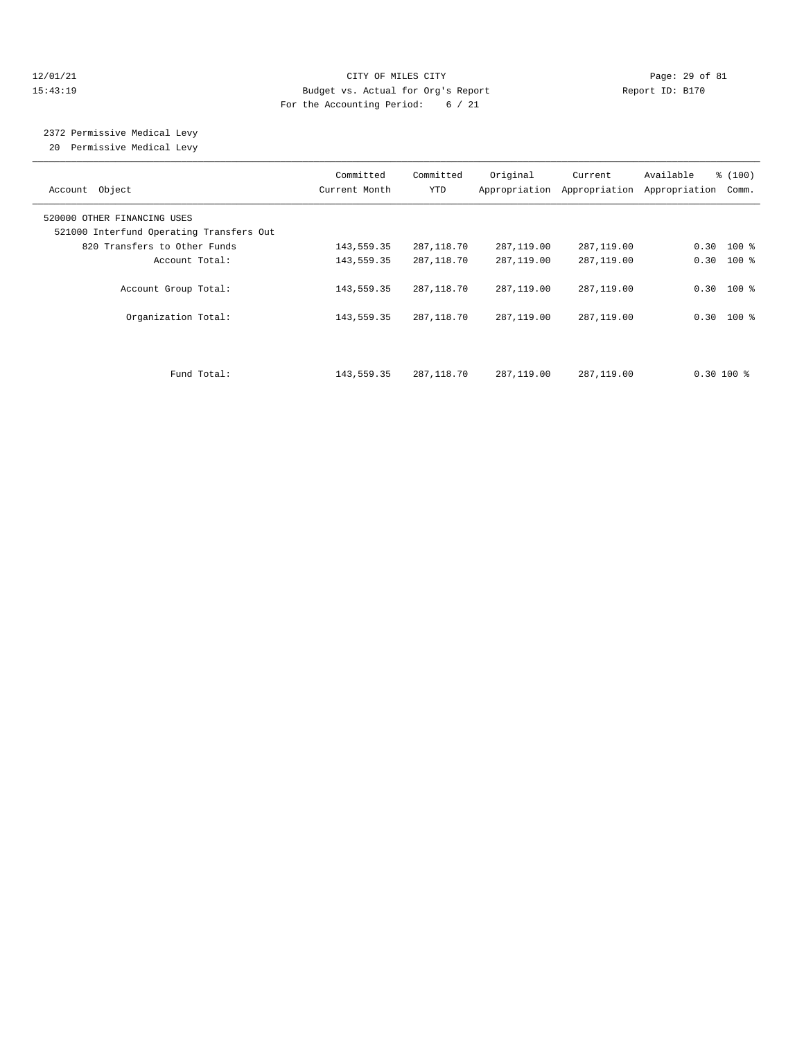#### 12/01/21 Page: 29 of 81 15:43:19 Budget vs. Actual for Org's Report Report ID: B170 For the Accounting Period: 6 / 21

2372 Permissive Medical Levy

20 Permissive Medical Levy

| Account Object                                                          | Committed<br>Current Month | Committed<br><b>YTD</b> | Original     | Current<br>Appropriation Appropriation | Available<br>Appropriation | % (100)<br>Comm. |
|-------------------------------------------------------------------------|----------------------------|-------------------------|--------------|----------------------------------------|----------------------------|------------------|
| 520000 OTHER FINANCING USES<br>521000 Interfund Operating Transfers Out |                            |                         |              |                                        |                            |                  |
| 820 Transfers to Other Funds                                            | 143,559.35                 | 287,118.70              | 287,119.00   | 287,119.00                             |                            | $0.30$ 100 %     |
| Account Total:                                                          | 143,559.35                 | 287,118.70              | 287,119.00   | 287,119.00                             |                            | $0.30$ 100 %     |
| Account Group Total:                                                    | 143,559.35                 | 287,118.70              | 287,119.00   | 287,119.00                             |                            | $0.30$ 100 %     |
| Organization Total:                                                     | 143,559.35                 | 287, 118.70             | 287,119.00   | 287,119.00                             |                            | $0.30$ 100 %     |
|                                                                         |                            |                         |              |                                        |                            |                  |
| Fund Total:                                                             | 143,559.35                 | 287, 118, 70            | 287, 119, 00 | 287,119.00                             | $0.30 100$ %               |                  |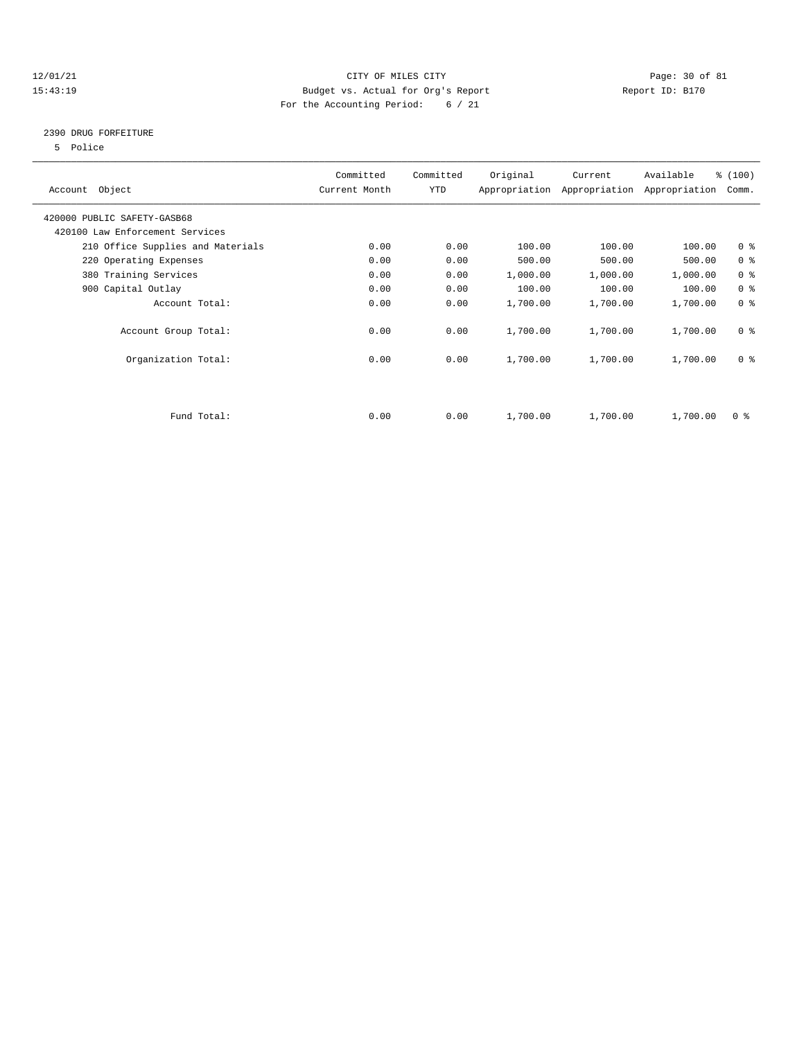#### 12/01/21 Page: 30 of 81 15:43:19 Budget vs. Actual for Org's Report Report ID: B170 For the Accounting Period: 6 / 21

## 2390 DRUG FORFEITURE

5 Police

|                                   | Committed     | Committed  | Original | Current                     | Available     | % (100)                 |
|-----------------------------------|---------------|------------|----------|-----------------------------|---------------|-------------------------|
| Account Object                    | Current Month | <b>YTD</b> |          | Appropriation Appropriation | Appropriation | Comm.                   |
| 420000 PUBLIC SAFETY-GASB68       |               |            |          |                             |               |                         |
| 420100 Law Enforcement Services   |               |            |          |                             |               |                         |
| 210 Office Supplies and Materials | 0.00          | 0.00       | 100.00   | 100.00                      | 100.00        | 0 <sup>8</sup>          |
| 220 Operating Expenses            | 0.00          | 0.00       | 500.00   | 500.00                      | 500.00        | 0 <sup>8</sup>          |
| 380 Training Services             | 0.00          | 0.00       | 1,000.00 | 1,000.00                    | 1,000.00      | 0 <sup>8</sup>          |
| 900 Capital Outlay                | 0.00          | 0.00       | 100.00   | 100.00                      | 100.00        | 0 <sup>8</sup>          |
| Account Total:                    | 0.00          | 0.00       | 1,700.00 | 1,700.00                    | 1,700.00      | 0 <sup>8</sup>          |
| Account Group Total:              | 0.00          | 0.00       | 1,700.00 | 1,700.00                    | 1,700.00      | 0 <sup>8</sup>          |
| Organization Total:               | 0.00          | 0.00       | 1,700.00 | 1,700.00                    | 1,700.00      | 0 <sup>8</sup>          |
|                                   |               |            |          |                             |               |                         |
|                                   |               |            |          |                             |               |                         |
| Fund Total:                       | 0.00          | 0.00       | 1,700.00 | 1,700.00                    | 1,700.00      | $0 \text{ }$ $\text{*}$ |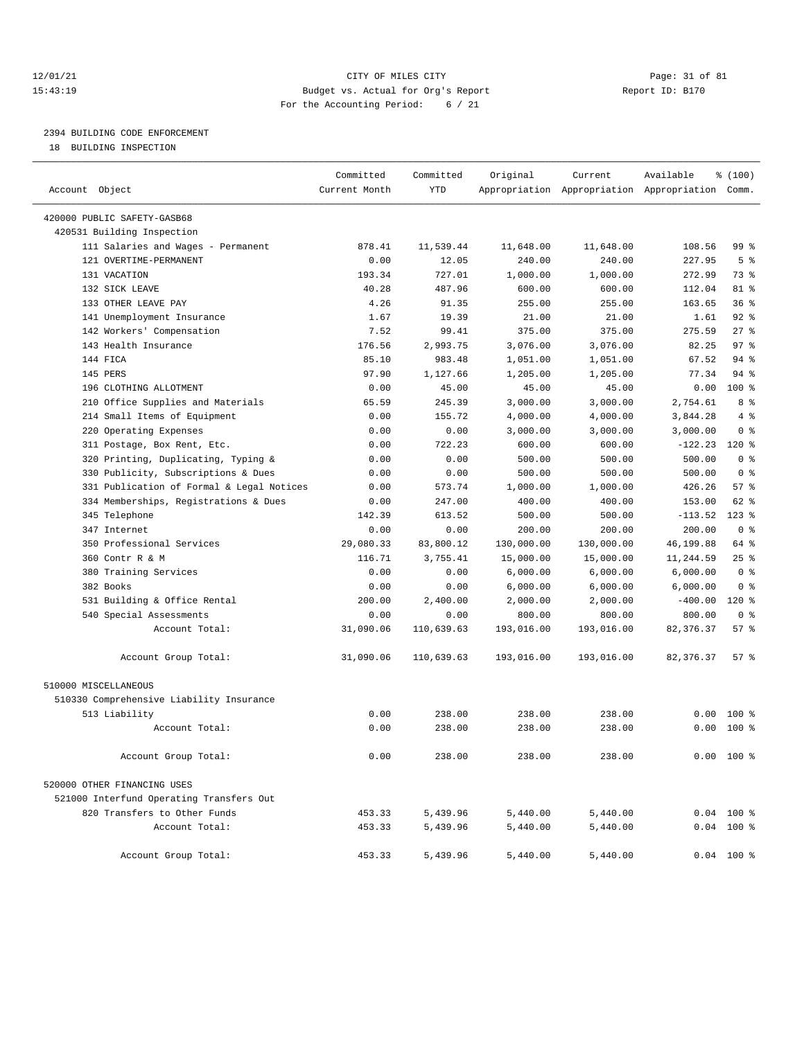#### 12/01/21 Page: 31 of 81 15:43:19 Budget vs. Actual for Org's Report Report ID: B170 For the Accounting Period: 6 / 21

# 2394 BUILDING CODE ENFORCEMENT

18 BUILDING INSPECTION

| Account Object                            | Committed<br>Current Month | Committed<br><b>YTD</b> | Original   | Current    | Available<br>Appropriation Appropriation Appropriation Comm. | % (100)         |  |
|-------------------------------------------|----------------------------|-------------------------|------------|------------|--------------------------------------------------------------|-----------------|--|
|                                           |                            |                         |            |            |                                                              |                 |  |
| 420000 PUBLIC SAFETY-GASB68               |                            |                         |            |            |                                                              |                 |  |
| 420531 Building Inspection                |                            |                         |            |            |                                                              |                 |  |
| 111 Salaries and Wages - Permanent        | 878.41                     | 11,539.44               | 11,648.00  | 11,648.00  | 108.56                                                       | 99 %            |  |
| 121 OVERTIME-PERMANENT                    | 0.00                       | 12.05                   | 240.00     | 240.00     | 227.95                                                       | 5 <sup>8</sup>  |  |
| 131 VACATION                              | 193.34                     | 727.01                  | 1,000.00   | 1,000.00   | 272.99                                                       | 73 %            |  |
| 132 SICK LEAVE                            | 40.28                      | 487.96                  | 600.00     | 600.00     | 112.04                                                       | $81*$           |  |
| 133 OTHER LEAVE PAY                       | 4.26                       | 91.35                   | 255.00     | 255.00     | 163.65                                                       | 36%             |  |
| 141 Unemployment Insurance                | 1.67                       | 19.39                   | 21.00      | 21.00      | 1.61                                                         | $92$ $%$        |  |
| 142 Workers' Compensation                 | 7.52                       | 99.41                   | 375.00     | 375.00     | 275.59                                                       | 27%             |  |
| 143 Health Insurance                      | 176.56                     | 2,993.75                | 3,076.00   | 3,076.00   | 82.25                                                        | 97 <sub>8</sub> |  |
| 144 FICA                                  | 85.10                      | 983.48                  | 1,051.00   | 1,051.00   | 67.52                                                        | 94%             |  |
| 145 PERS                                  | 97.90                      | 1,127.66                | 1,205.00   | 1,205.00   | 77.34                                                        | $94$ $%$        |  |
| 196 CLOTHING ALLOTMENT                    | 0.00                       | 45.00                   | 45.00      | 45.00      | 0.00                                                         | $100*$          |  |
| 210 Office Supplies and Materials         | 65.59                      | 245.39                  | 3,000.00   | 3,000.00   | 2,754.61                                                     | 8 %             |  |
| 214 Small Items of Equipment              | 0.00                       | 155.72                  | 4,000.00   | 4,000.00   | 3,844.28                                                     | 4%              |  |
| 220 Operating Expenses                    | 0.00                       | 0.00                    | 3,000.00   | 3,000.00   | 3,000.00                                                     | 0 <sup>8</sup>  |  |
| 311 Postage, Box Rent, Etc.               | 0.00                       | 722.23                  | 600.00     | 600.00     | $-122.23$                                                    | $120*$          |  |
| 320 Printing, Duplicating, Typing &       | 0.00                       | 0.00                    | 500.00     | 500.00     | 500.00                                                       | 0 <sup>8</sup>  |  |
| 330 Publicity, Subscriptions & Dues       | 0.00                       | 0.00                    | 500.00     | 500.00     | 500.00                                                       | 0 <sup>8</sup>  |  |
| 331 Publication of Formal & Legal Notices | 0.00                       | 573.74                  | 1,000.00   | 1,000.00   | 426.26                                                       | 57%             |  |
| 334 Memberships, Registrations & Dues     | 0.00                       | 247.00                  | 400.00     | 400.00     | 153.00                                                       | 62 %            |  |
| 345 Telephone                             | 142.39                     | 613.52                  | 500.00     | 500.00     | $-113.52$                                                    | $123$ %         |  |
| 347 Internet                              | 0.00                       | 0.00                    | 200.00     | 200.00     | 200.00                                                       | 0 <sup>8</sup>  |  |
| 350 Professional Services                 | 29,080.33                  | 83,800.12               | 130,000.00 | 130,000.00 | 46,199.88                                                    | 64 %            |  |
| 360 Contr R & M                           | 116.71                     | 3,755.41                | 15,000.00  | 15,000.00  | 11,244.59                                                    | 25%             |  |
| 380 Training Services                     | 0.00                       | 0.00                    | 6,000.00   | 6,000.00   | 6,000.00                                                     | 0 <sup>8</sup>  |  |
| 382 Books                                 | 0.00                       | 0.00                    | 6,000.00   | 6,000.00   | 6,000.00                                                     | 0 <sup>8</sup>  |  |
| 531 Building & Office Rental              | 200.00                     | 2,400.00                | 2,000.00   | 2,000.00   | $-400.00$                                                    | $120*$          |  |
| 540 Special Assessments                   | 0.00                       | 0.00                    | 800.00     | 800.00     | 800.00                                                       | 0 <sup>8</sup>  |  |
| Account Total:                            | 31,090.06                  | 110,639.63              | 193,016.00 | 193,016.00 | 82, 376.37                                                   | 57%             |  |
| Account Group Total:                      | 31,090.06                  | 110,639.63              | 193,016.00 | 193,016.00 | 82, 376.37                                                   | 57%             |  |
| 510000 MISCELLANEOUS                      |                            |                         |            |            |                                                              |                 |  |
| 510330 Comprehensive Liability Insurance  |                            |                         |            |            |                                                              |                 |  |
| 513 Liability                             | 0.00                       | 238.00                  | 238.00     | 238.00     | 0.00                                                         | 100 %           |  |
| Account Total:                            | 0.00                       | 238.00                  | 238.00     | 238.00     | 0.00                                                         | $100*$          |  |
| Account Group Total:                      | 0.00                       | 238.00                  | 238.00     | 238.00     |                                                              | $0.00$ 100 %    |  |
| 520000 OTHER FINANCING USES               |                            |                         |            |            |                                                              |                 |  |
| 521000 Interfund Operating Transfers Out  |                            |                         |            |            |                                                              |                 |  |
| 820 Transfers to Other Funds              | 453.33                     | 5,439.96                | 5,440.00   | 5,440.00   |                                                              | $0.04$ 100 %    |  |
| Account Total:                            | 453.33                     | 5,439.96                | 5,440.00   | 5,440.00   |                                                              | $0.04$ 100 %    |  |
| Account Group Total:                      | 453.33                     | 5,439.96                | 5,440.00   | 5,440.00   |                                                              | $0.04$ 100 %    |  |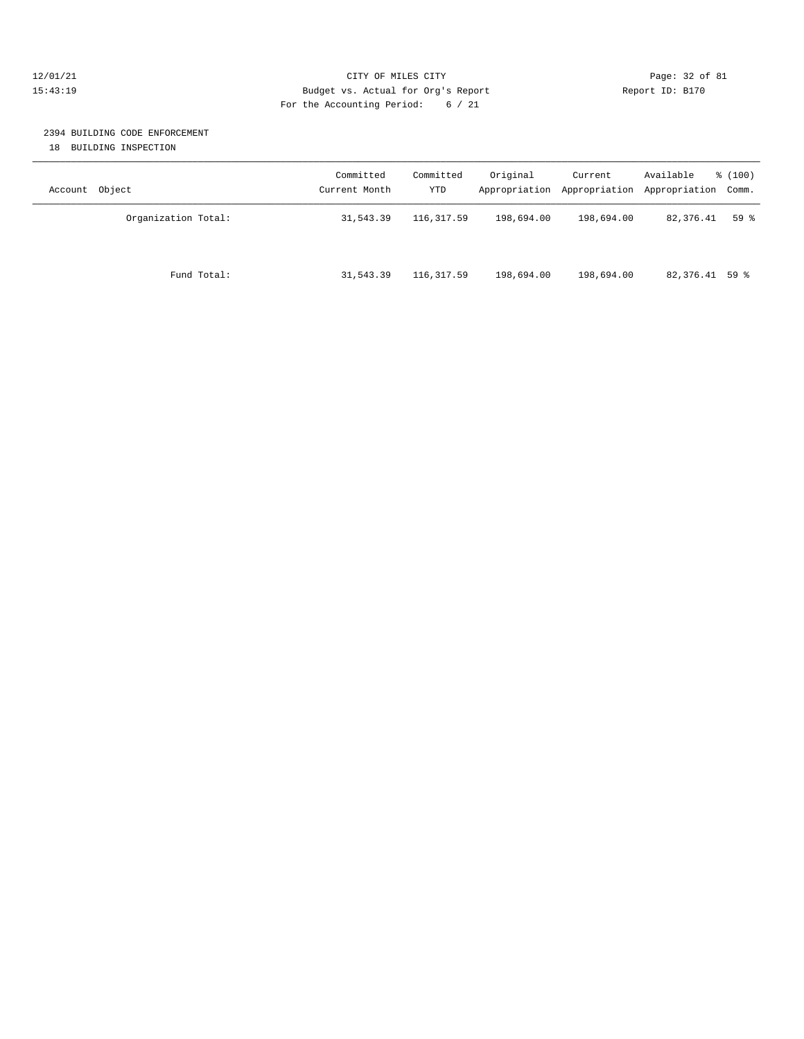#### 12/01/21 Page: 32 of 81 15:43:19 Budget vs. Actual for Org's Report Report ID: B170 For the Accounting Period: 6 / 21

# 2394 BUILDING CODE ENFORCEMENT

18 BUILDING INSPECTION

| Object<br>Account   | Committed<br>Current Month | Committed<br>YTD | Original   | Current<br>Appropriation Appropriation | Available<br>Appropriation Comm. | % (100) |
|---------------------|----------------------------|------------------|------------|----------------------------------------|----------------------------------|---------|
| Organization Total: | 31,543.39                  | 116,317.59       | 198,694.00 | 198,694.00                             | 82,376.41                        | 59%     |
| Fund Total:         | 31,543.39                  | 116,317.59       | 198,694.00 | 198,694.00                             | 82,376.41 59 %                   |         |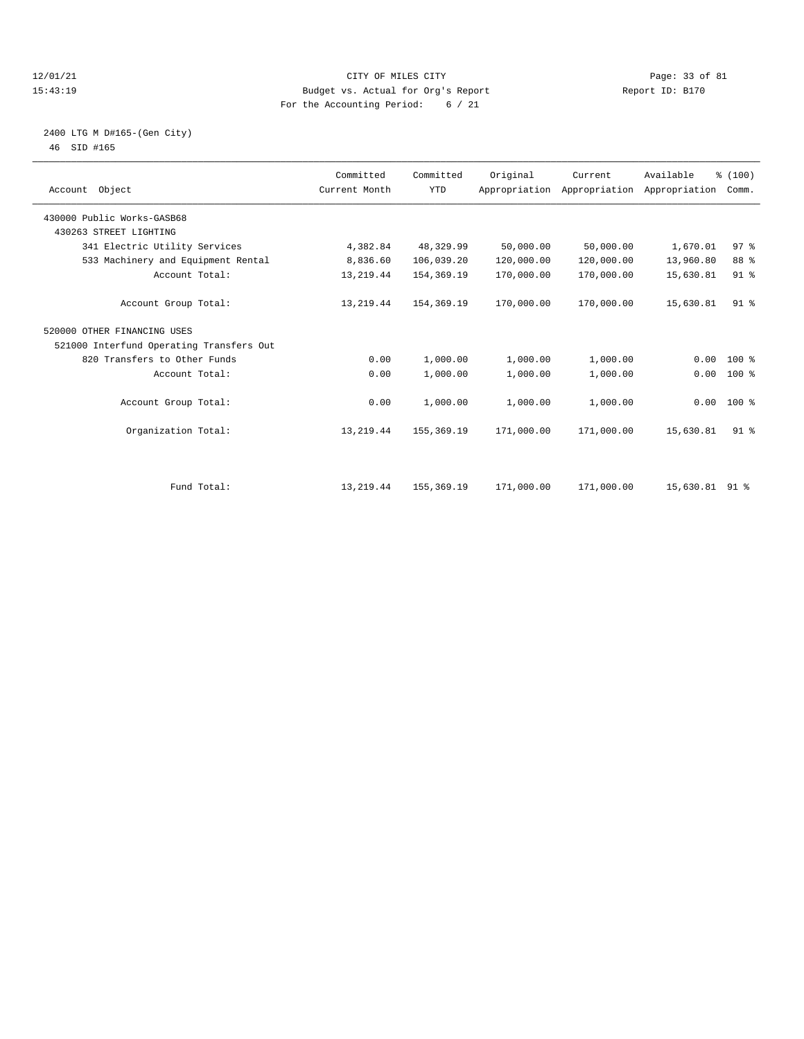#### 12/01/21 Page: 33 of 81 CITY OF MILES CITY CONTRIBUTE PAGE: 33 of 81 Page: 33 of 81 CITY CONTRIBUTER PAGE: 15<br>15:43:19 Budget vs. Actual for Org's Report Contribute Report ID: B170 15:43:19 Budget vs. Actual for Org's Report For the Accounting Period: 6 / 21

### 2400 LTG M D#165-(Gen City) 46 SID #165

| Account Object |                                                      | Committed<br>Current Month | Committed<br><b>YTD</b> | Original   | Current    | Available<br>Appropriation Appropriation Appropriation | % (100)<br>Comm. |  |
|----------------|------------------------------------------------------|----------------------------|-------------------------|------------|------------|--------------------------------------------------------|------------------|--|
|                | 430000 Public Works-GASB68<br>430263 STREET LIGHTING |                            |                         |            |            |                                                        |                  |  |
|                |                                                      |                            |                         |            |            |                                                        |                  |  |
|                | 341 Electric Utility Services                        | 4,382.84                   | 48,329.99               | 50,000.00  | 50,000.00  | 1,670.01                                               | 97 <sup>8</sup>  |  |
|                | 533 Machinery and Equipment Rental                   | 8,836.60                   | 106,039.20              | 120,000.00 | 120,000.00 | 13,960.80                                              | 88 %             |  |
|                | Account Total:                                       | 13, 219.44                 | 154,369.19              | 170,000.00 | 170,000.00 | 15,630.81                                              | 91 <sup>°</sup>  |  |
|                | Account Group Total:                                 | 13, 219.44                 | 154,369.19              | 170,000.00 | 170,000.00 | 15,630.81                                              | $91$ %           |  |
|                | 520000 OTHER FINANCING USES                          |                            |                         |            |            |                                                        |                  |  |
|                | 521000 Interfund Operating Transfers Out             |                            |                         |            |            |                                                        |                  |  |
|                | 820 Transfers to Other Funds                         | 0.00                       | 1,000.00                | 1,000.00   | 1,000.00   | 0.00                                                   | $100*$           |  |
|                | Account Total:                                       | 0.00                       | 1,000.00                | 1,000.00   | 1,000.00   | 0.00                                                   | $100$ %          |  |
|                | Account Group Total:                                 | 0.00                       | 1,000.00                | 1,000.00   | 1,000.00   |                                                        | $0.00 100$ %     |  |
|                | Organization Total:                                  | 13, 219.44                 | 155,369.19              | 171,000.00 | 171,000.00 | 15,630.81                                              | 91 %             |  |
|                | Fund Total:                                          | 13, 219.44                 | 155,369.19              | 171,000.00 | 171,000.00 | 15,630.81                                              | $91*$            |  |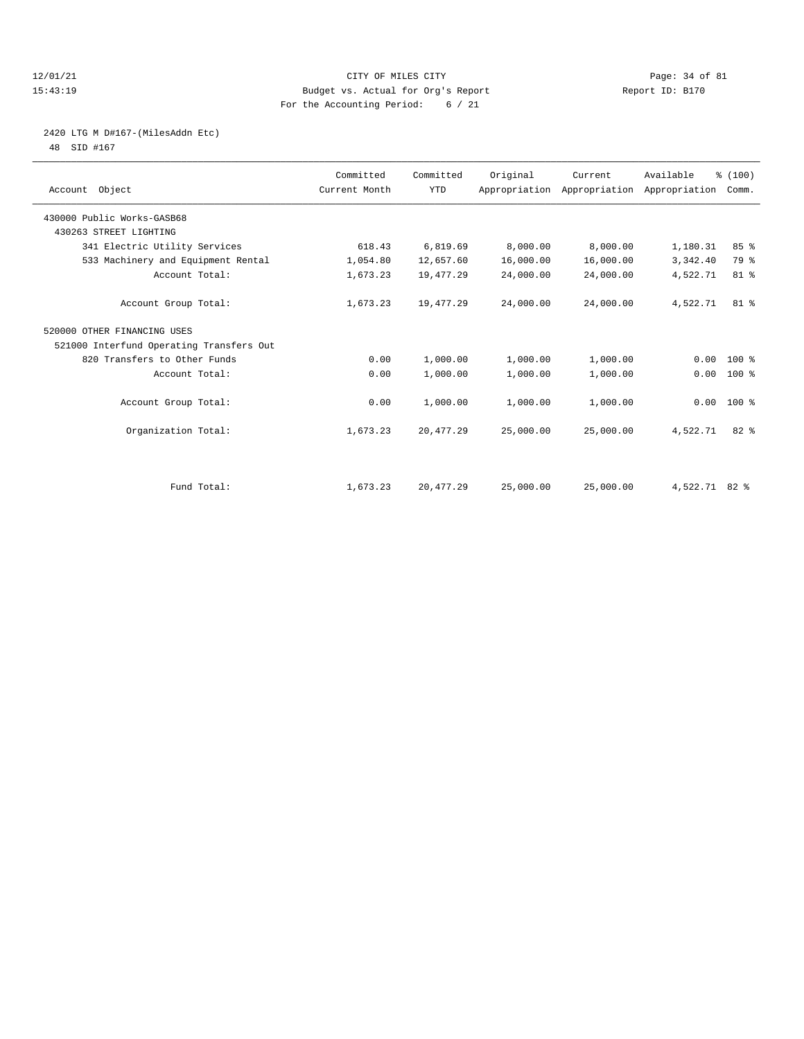#### 12/01/21 Page: 34 of 81 CITY OF MILES CITY CONTRIBUTE CITY PAGE: 34 of 81 Page: 34 of 81 CITY CHINES CITY CONTRIBUTE CITY PAGE: 34 OF 81 PAGE: 15:43:19 15:43:19 Budget vs. Actual for Org's Report For the Accounting Period: 6 / 21

# 2420 LTG M D#167-(MilesAddn Etc)

48 SID #167

| Account Object                           | Committed<br>Current Month | Committed<br><b>YTD</b> | Original  | Current   | Available<br>Appropriation Appropriation Appropriation | % (100)<br>Comm. |  |
|------------------------------------------|----------------------------|-------------------------|-----------|-----------|--------------------------------------------------------|------------------|--|
| 430000 Public Works-GASB68               |                            |                         |           |           |                                                        |                  |  |
| 430263 STREET LIGHTING                   |                            |                         |           |           |                                                        |                  |  |
| 341 Electric Utility Services            | 618.43                     | 6,819.69                | 8,000.00  | 8,000.00  | 1,180.31                                               | 85%              |  |
| 533 Machinery and Equipment Rental       | 1,054.80                   | 12,657.60               | 16,000.00 | 16,000.00 | 3,342.40                                               | 79 %             |  |
| Account Total:                           | 1,673.23                   | 19,477.29               | 24,000.00 | 24,000.00 | 4,522.71                                               | 81 %             |  |
| Account Group Total:                     | 1,673.23                   | 19,477.29               | 24,000.00 | 24,000.00 | 4,522.71                                               | 81 %             |  |
| 520000 OTHER FINANCING USES              |                            |                         |           |           |                                                        |                  |  |
| 521000 Interfund Operating Transfers Out |                            |                         |           |           |                                                        |                  |  |
| 820 Transfers to Other Funds             | 0.00                       | 1,000.00                | 1,000.00  | 1,000.00  | 0.00                                                   | $100*$           |  |
| Account Total:                           | 0.00                       | 1,000.00                | 1,000.00  | 1,000.00  | 0.00                                                   | 100 %            |  |
| Account Group Total:                     | 0.00                       | 1,000.00                | 1,000.00  | 1,000.00  |                                                        | $0.00 100$ %     |  |
| Organization Total:                      | 1,673.23                   | 20,477.29               | 25,000.00 | 25,000.00 | 4,522.71                                               | $82*$            |  |
|                                          |                            |                         |           |           |                                                        |                  |  |
| Fund Total:                              | 1,673.23                   | 20, 477.29              | 25,000.00 | 25,000.00 | 4,522.71 82 %                                          |                  |  |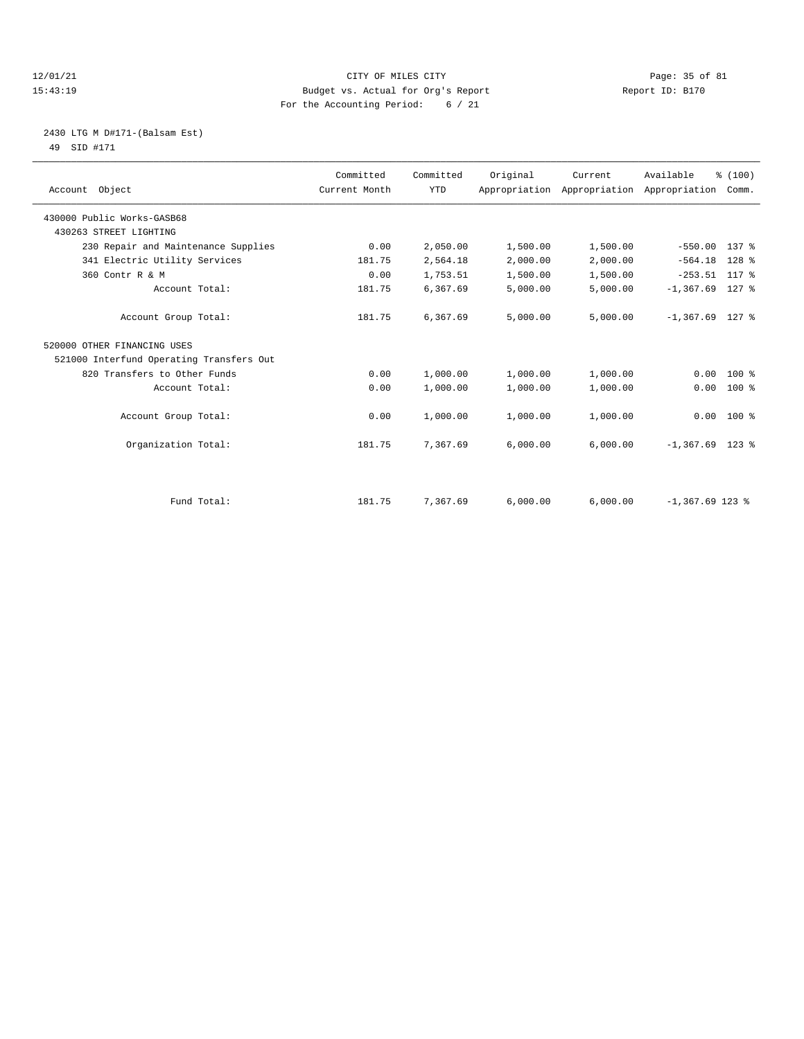#### 12/01/21 Page: 35 of 81 CITY OF MILES CITY CONTRIBUTE CITY PAGE: 35 of 81 Page: 35 of 81 CITY CHANGER PAGE: 15<br>15:43:19 Budget vs. Actual for Org's Report Changer of Report ID: B170 15:43:19 Budget vs. Actual for Org's Report For the Accounting Period: 6 / 21

#### 2430 LTG M D#171-(Balsam Est) 49 SID #171

| Account Object                           | Committed<br>Current Month | Committed<br><b>YTD</b> | Original | Current  | Available<br>Appropriation Appropriation Appropriation Comm. | % (100)      |
|------------------------------------------|----------------------------|-------------------------|----------|----------|--------------------------------------------------------------|--------------|
| 430000 Public Works-GASB68               |                            |                         |          |          |                                                              |              |
| 430263 STREET LIGHTING                   |                            |                         |          |          |                                                              |              |
| 230 Repair and Maintenance Supplies      | 0.00                       | 2,050.00                | 1,500.00 | 1,500.00 | $-550.00$                                                    | 137 %        |
| 341 Electric Utility Services            | 181.75                     | 2,564.18                | 2,000.00 | 2,000.00 | $-564.18$                                                    | $128$ %      |
| 360 Contr R & M                          | 0.00                       | 1,753.51                | 1,500.00 | 1,500.00 | $-253.51$ 117 %                                              |              |
| Account Total:                           | 181.75                     | 6,367.69                | 5,000.00 | 5,000.00 | $-1, 367.69$                                                 | 127 %        |
| Account Group Total:                     | 181.75                     | 6,367.69                | 5,000.00 | 5,000.00 | $-1,367.69$ 127 %                                            |              |
| 520000 OTHER FINANCING USES              |                            |                         |          |          |                                                              |              |
| 521000 Interfund Operating Transfers Out |                            |                         |          |          |                                                              |              |
| 820 Transfers to Other Funds             | 0.00                       | 1,000.00                | 1,000.00 | 1,000.00 | 0.00                                                         | $100*$       |
| Account Total:                           | 0.00                       | 1,000.00                | 1,000.00 | 1,000.00 | 0.00                                                         | $100*$       |
| Account Group Total:                     | 0.00                       | 1,000.00                | 1,000.00 | 1,000.00 |                                                              | $0.00 100$ % |
| Organization Total:                      | 181.75                     | 7,367.69                | 6,000.00 | 6,000.00 | $-1,367.69$ 123 %                                            |              |
|                                          |                            |                         |          |          |                                                              |              |
| Fund Total:                              | 181.75                     | 7,367.69                | 6,000.00 | 6.000.00 | $-1,367.69$ 123 %                                            |              |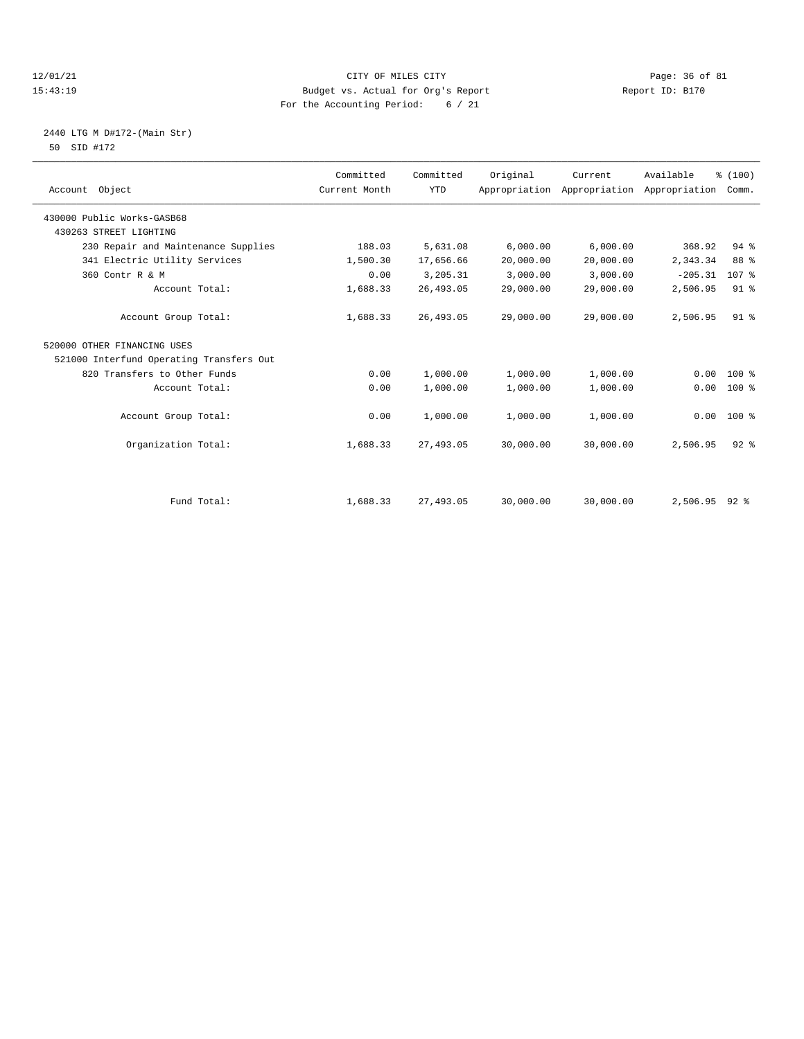#### 12/01/21 Page: 36 of 81 CITY OF MILES CITY CONTRIBUTE CITY PAGE: 36 of 81 Page: 36 of 81 CITY CHES CITY CONTRIBUTE CITY 15:43:19 Budget vs. Actual for Org's Report For the Accounting Period: 6 / 21

#### 2440 LTG M D#172-(Main Str) 50 SID #172

| Account Object                           | Committed<br>Current Month | Committed<br><b>YTD</b> | Original  | Current<br>Appropriation Appropriation Appropriation Comm. | Available     | % (100)          |  |
|------------------------------------------|----------------------------|-------------------------|-----------|------------------------------------------------------------|---------------|------------------|--|
| 430000 Public Works-GASB68               |                            |                         |           |                                                            |               |                  |  |
| 430263 STREET LIGHTING                   |                            |                         |           |                                                            |               |                  |  |
| 230 Repair and Maintenance Supplies      | 188.03                     | 5,631.08                | 6,000.00  | 6,000.00                                                   | 368.92        | 94%              |  |
| 341 Electric Utility Services            | 1,500.30                   | 17,656.66               | 20,000.00 | 20,000.00                                                  | 2,343.34      | 88 %             |  |
| 360 Contr R & M                          | 0.00                       | 3,205.31                | 3,000.00  | 3,000.00                                                   | $-205.31$     | 107 <sub>8</sub> |  |
| Account Total:                           | 1,688.33                   | 26, 493.05              | 29,000.00 | 29,000.00                                                  | 2,506.95      | 91 <sup>°</sup>  |  |
| Account Group Total:                     | 1,688.33                   | 26, 493.05              | 29,000.00 | 29,000.00                                                  | 2,506.95      | 91 <sup>°</sup>  |  |
| 520000 OTHER FINANCING USES              |                            |                         |           |                                                            |               |                  |  |
| 521000 Interfund Operating Transfers Out |                            |                         |           |                                                            |               |                  |  |
| 820 Transfers to Other Funds             | 0.00                       | 1,000.00                | 1,000.00  | 1,000.00                                                   | 0.00          | $100*$           |  |
| Account Total:                           | 0.00                       | 1,000.00                | 1,000.00  | 1,000.00                                                   | 0.00          | 100 %            |  |
| Account Group Total:                     | 0.00                       | 1,000.00                | 1,000.00  | 1,000.00                                                   | 0.00          | $100*$           |  |
| Organization Total:                      | 1,688.33                   | 27,493.05               | 30,000.00 | 30,000.00                                                  | 2,506.95      | $92$ $%$         |  |
|                                          |                            |                         |           |                                                            |               |                  |  |
| Fund Total:                              | 1,688.33                   | 27,493.05               | 30,000.00 | 30,000.00                                                  | 2,506.95 92 % |                  |  |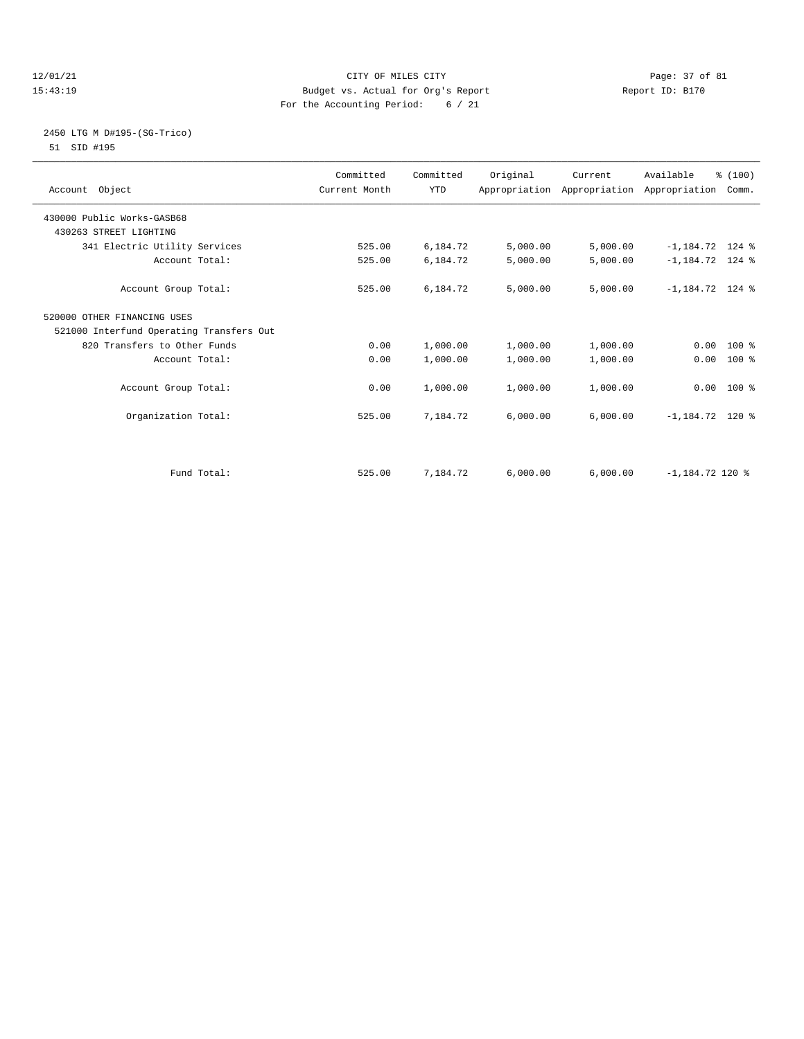## 12/01/21 Page: 37 of 81 CITY OF MILES CITY CONTRIBUTE CITY PAGE: 37 of 81 Page: 37 of 81 CITY CHILES CITY CONTRIBUTE CITY PAGE: 37 OF 81 15:43:19 Budget vs. Actual for Org's Report For the Accounting Period: 6 / 21

## 2450 LTG M D#195-(SG-Trico) 51 SID #195

| Account Object                           | Committed<br>Current Month | Committed<br><b>YTD</b> | Original | Current  | Available<br>Appropriation Appropriation Appropriation Comm. | % (100) |
|------------------------------------------|----------------------------|-------------------------|----------|----------|--------------------------------------------------------------|---------|
| 430000 Public Works-GASB68               |                            |                         |          |          |                                                              |         |
| 430263 STREET LIGHTING                   |                            |                         |          |          |                                                              |         |
| 341 Electric Utility Services            | 525.00                     | 6,184.72                | 5,000.00 | 5,000.00 | $-1,184.72$ 124 %                                            |         |
| Account Total:                           | 525.00                     | 6,184.72                | 5,000.00 | 5,000.00 | $-1,184.72$ 124 %                                            |         |
| Account Group Total:                     | 525.00                     | 6,184.72                | 5,000.00 | 5,000.00 | $-1,184.72$ 124 %                                            |         |
| 520000 OTHER FINANCING USES              |                            |                         |          |          |                                                              |         |
| 521000 Interfund Operating Transfers Out |                            |                         |          |          |                                                              |         |
| 820 Transfers to Other Funds             | 0.00                       | 1,000.00                | 1,000.00 | 1,000.00 | $0.00$ 100 %                                                 |         |
| Account Total:                           | 0.00                       | 1,000.00                | 1,000.00 | 1,000.00 | 0.00                                                         | $100*$  |
| Account Group Total:                     | 0.00                       | 1,000.00                | 1,000.00 | 1,000.00 | $0.00$ 100 %                                                 |         |
| Organization Total:                      | 525.00                     | 7,184.72                | 6,000.00 | 6,000.00 | $-1,184.72$ 120 %                                            |         |
|                                          |                            |                         |          |          |                                                              |         |
| Fund Total:                              | 525.00                     | 7,184.72                | 6,000.00 | 6,000.00 | $-1,184.72$ 120 %                                            |         |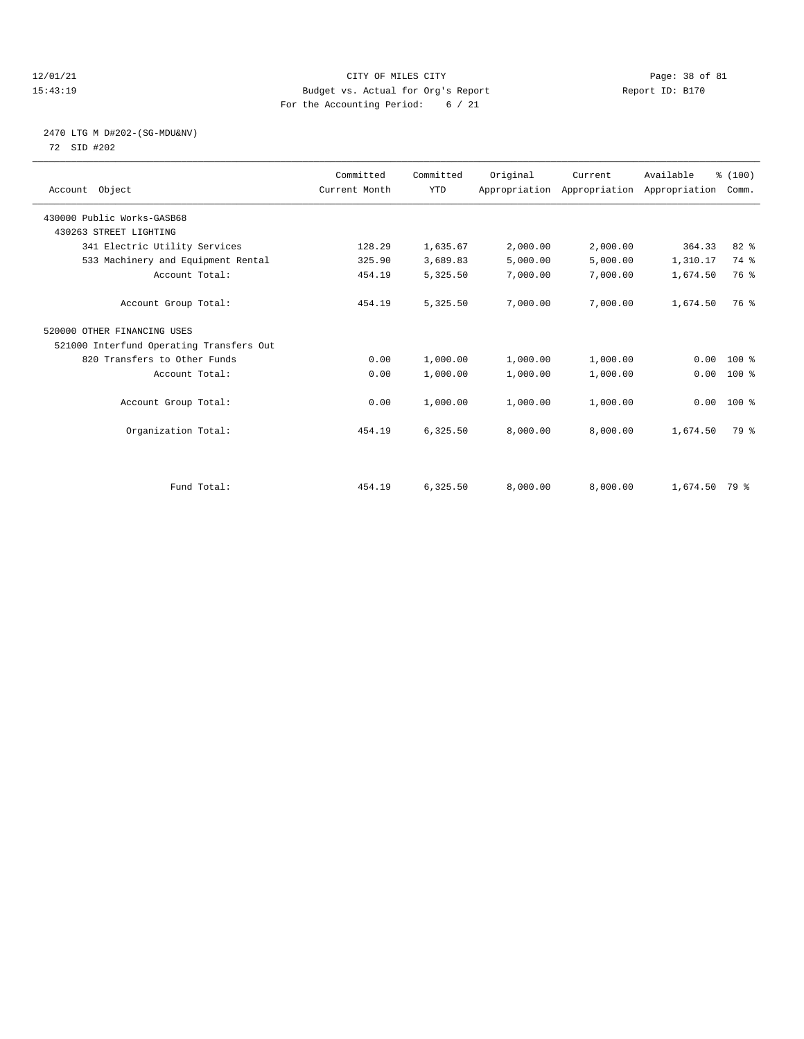## 12/01/21 Page: 38 of 81 CITY OF MILES CITY CONTRIBUTE CITY PAGE: 38 of 81 Page: 38 of 81 CITY CHES CITY PAGE: 20 PAGE: 38 OF 81 15:43:19 Budget vs. Actual for Org's Report For the Accounting Period: 6 / 21

#### 2470 LTG M D#202-(SG-MDU&NV) 72 SID #202

| Account Object                           | Committed<br>Current Month | Committed<br><b>YTD</b> | Original | Current<br>Appropriation Appropriation Appropriation | Available       | % (100)<br>Comm. |  |
|------------------------------------------|----------------------------|-------------------------|----------|------------------------------------------------------|-----------------|------------------|--|
| 430000 Public Works-GASB68               |                            |                         |          |                                                      |                 |                  |  |
| 430263 STREET LIGHTING                   |                            |                         |          |                                                      |                 |                  |  |
| 341 Electric Utility Services            | 128.29                     | 1,635.67                | 2,000.00 | 2,000.00                                             | 364.33          | 82 %             |  |
| 533 Machinery and Equipment Rental       | 325.90                     | 3,689.83                | 5,000.00 | 5,000.00                                             | 1,310.17        | 74 %             |  |
| Account Total:                           | 454.19                     | 5,325.50                | 7,000.00 | 7,000.00                                             | 1,674.50        | 76 %             |  |
| Account Group Total:                     | 454.19                     | 5,325.50                | 7,000.00 | 7,000.00                                             | 1,674.50        | 76 %             |  |
| 520000 OTHER FINANCING USES              |                            |                         |          |                                                      |                 |                  |  |
| 521000 Interfund Operating Transfers Out |                            |                         |          |                                                      |                 |                  |  |
| 820 Transfers to Other Funds             | 0.00                       | 1,000.00                | 1,000.00 | 1,000.00                                             | 0.00            | $100*$           |  |
| Account Total:                           | 0.00                       | 1,000.00                | 1,000.00 | 1,000.00                                             | 0.00            | $100*$           |  |
| Account Group Total:                     | 0.00                       | 1,000.00                | 1,000.00 | 1,000.00                                             |                 | $0.00$ 100 %     |  |
| Organization Total:                      | 454.19                     | 6,325.50                | 8,000.00 | 8,000.00                                             | 1,674.50        | 79 %             |  |
|                                          |                            |                         |          |                                                      |                 |                  |  |
| Fund Total:                              | 454.19                     | 6,325.50                | 8,000.00 | 8,000.00                                             | $1,674.50$ 79 % |                  |  |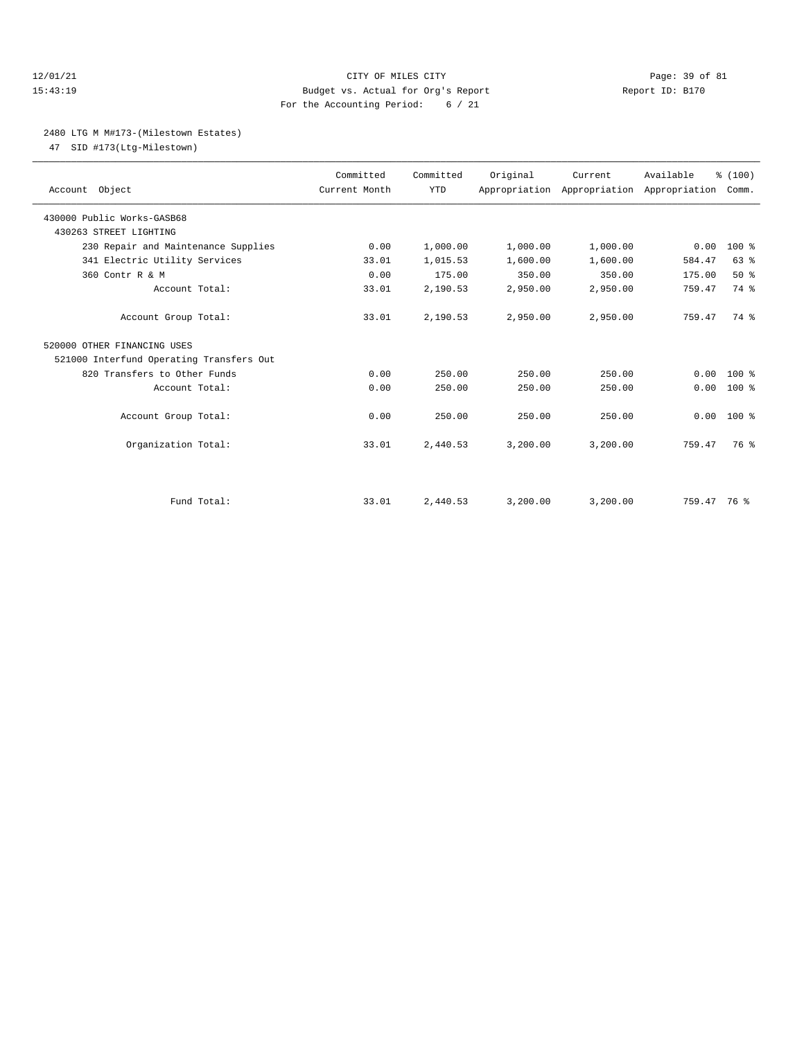## 12/01/21 Page: 39 of 81 15:43:19 Budget vs. Actual for Org's Report Report ID: B170 For the Accounting Period: 6 / 21

## 2480 LTG M M#173-(Milestown Estates)

47 SID #173(Ltg-Milestown)

| Account Object                           | Committed<br>Current Month | Committed<br><b>YTD</b> | Original | Current  | Available<br>Appropriation Appropriation Appropriation Comm. | % (100)      |  |
|------------------------------------------|----------------------------|-------------------------|----------|----------|--------------------------------------------------------------|--------------|--|
| 430000 Public Works-GASB68               |                            |                         |          |          |                                                              |              |  |
| 430263 STREET LIGHTING                   |                            |                         |          |          |                                                              |              |  |
| 230 Repair and Maintenance Supplies      | 0.00                       | 1,000.00                | 1,000.00 | 1,000.00 | 0.00                                                         | 100 %        |  |
| 341 Electric Utility Services            | 33.01                      | 1,015.53                | 1,600.00 | 1,600.00 | 584.47                                                       | 63%          |  |
| 360 Contr R & M                          | 0.00                       | 175.00                  | 350.00   | 350.00   | 175.00                                                       | 50%          |  |
| Account Total:                           | 33.01                      | 2,190.53                | 2,950.00 | 2,950.00 | 759.47                                                       | 74 %         |  |
| Account Group Total:                     | 33.01                      | 2,190.53                | 2,950.00 | 2,950.00 | 759.47                                                       | 74 %         |  |
| 520000 OTHER FINANCING USES              |                            |                         |          |          |                                                              |              |  |
| 521000 Interfund Operating Transfers Out |                            |                         |          |          |                                                              |              |  |
| 820 Transfers to Other Funds             | 0.00                       | 250.00                  | 250.00   | 250.00   | 0.00                                                         | $100*$       |  |
| Account Total:                           | 0.00                       | 250.00                  | 250.00   | 250.00   | 0.00                                                         | $100*$       |  |
| Account Group Total:                     | 0.00                       | 250.00                  | 250.00   | 250.00   |                                                              | $0.00 100$ % |  |
| Organization Total:                      | 33.01                      | 2,440.53                | 3,200.00 | 3,200.00 | 759.47                                                       | 76 %         |  |
|                                          |                            |                         |          |          |                                                              |              |  |
| Fund Total:                              | 33.01                      | 2,440.53                | 3,200.00 | 3,200.00 | 759.47 76 %                                                  |              |  |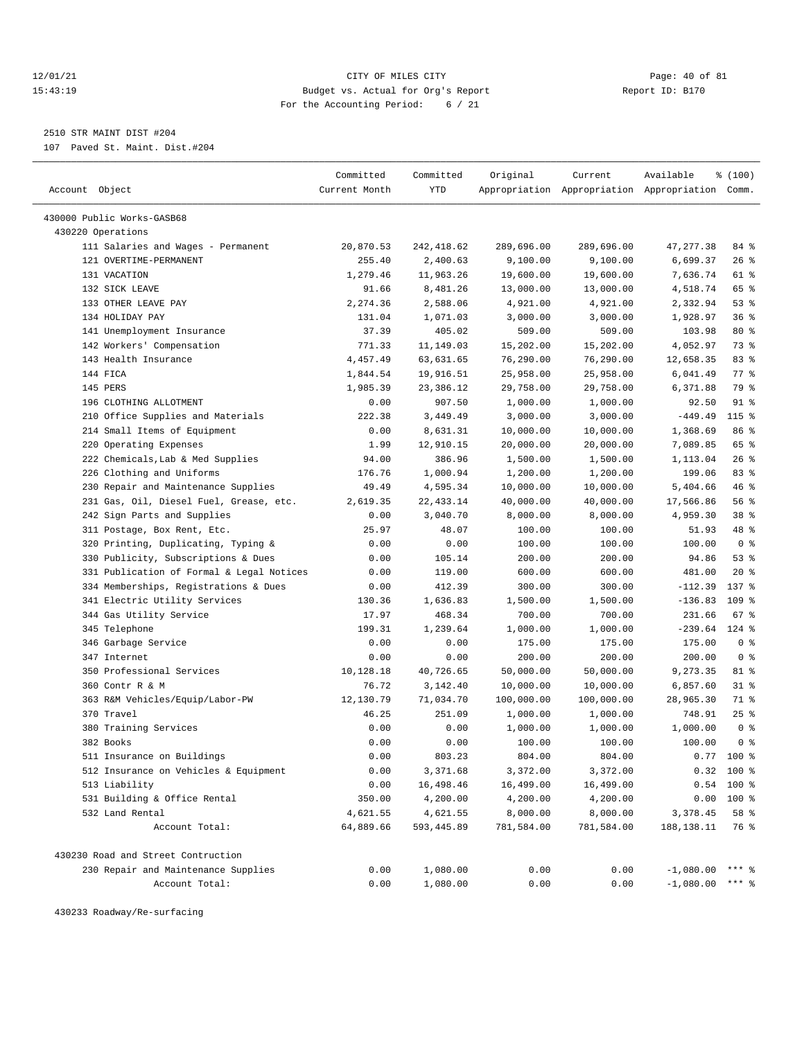## 12/01/21 Page: 40 of 81 15:43:19 Budget vs. Actual for Org's Report Report ID: B170 For the Accounting Period: 6 / 21

————————————————————————————————————————————————————————————————————————————————————————————————————————————————————————————————————

2510 STR MAINT DIST #204

107 Paved St. Maint. Dist.#204

|                                           | Committed     | Committed  | Original   | Current    | Available                                       | % (100)        |
|-------------------------------------------|---------------|------------|------------|------------|-------------------------------------------------|----------------|
| Account Object                            | Current Month | YTD        |            |            | Appropriation Appropriation Appropriation Comm. |                |
|                                           |               |            |            |            |                                                 |                |
| 430000 Public Works-GASB68                |               |            |            |            |                                                 |                |
| 430220 Operations                         |               |            |            |            |                                                 |                |
| 111 Salaries and Wages - Permanent        | 20,870.53     | 242,418.62 | 289,696.00 | 289,696.00 | 47, 277.38                                      | 84 %           |
| 121 OVERTIME-PERMANENT                    | 255.40        | 2,400.63   | 9,100.00   | 9,100.00   | 6,699.37                                        | $26$ %         |
| 131 VACATION                              | 1,279.46      | 11,963.26  | 19,600.00  | 19,600.00  | 7,636.74                                        | 61 %           |
| 132 SICK LEAVE                            | 91.66         | 8,481.26   | 13,000.00  | 13,000.00  | 4,518.74                                        | 65 %           |
| 133 OTHER LEAVE PAY                       | 2,274.36      | 2,588.06   | 4,921.00   | 4,921.00   | 2,332.94                                        | 53%            |
| 134 HOLIDAY PAY                           | 131.04        | 1,071.03   | 3,000.00   | 3,000.00   | 1,928.97                                        | 36%            |
| 141 Unemployment Insurance                | 37.39         | 405.02     | 509.00     | 509.00     | 103.98                                          | $80*$          |
| 142 Workers' Compensation                 | 771.33        | 11,149.03  | 15,202.00  | 15,202.00  | 4,052.97                                        | 73 %           |
| 143 Health Insurance                      | 4,457.49      | 63,631.65  | 76,290.00  | 76,290.00  | 12,658.35                                       | 83%            |
| 144 FICA                                  | 1,844.54      | 19,916.51  | 25,958.00  | 25,958.00  | 6,041.49                                        | 77 %           |
| 145 PERS                                  | 1,985.39      | 23,386.12  | 29,758.00  | 29,758.00  | 6,371.88                                        | 79 %           |
| 196 CLOTHING ALLOTMENT                    | 0.00          | 907.50     | 1,000.00   | 1,000.00   | 92.50                                           | $91$ %         |
| 210 Office Supplies and Materials         | 222.38        | 3,449.49   | 3,000.00   | 3,000.00   | $-449.49$                                       | 115 %          |
| 214 Small Items of Equipment              | 0.00          | 8,631.31   | 10,000.00  | 10,000.00  | 1,368.69                                        | 86 %           |
| 220 Operating Expenses                    | 1.99          | 12,910.15  | 20,000.00  | 20,000.00  | 7,089.85                                        | 65 %           |
| 222 Chemicals, Lab & Med Supplies         | 94.00         | 386.96     | 1,500.00   | 1,500.00   | 1,113.04                                        | $26$ %         |
| 226 Clothing and Uniforms                 | 176.76        | 1,000.94   | 1,200.00   | 1,200.00   | 199.06                                          | 83%            |
| 230 Repair and Maintenance Supplies       | 49.49         | 4,595.34   | 10,000.00  | 10,000.00  | 5,404.66                                        | 46 %           |
| 231 Gas, Oil, Diesel Fuel, Grease, etc.   | 2,619.35      | 22, 433.14 | 40,000.00  | 40,000.00  | 17,566.86                                       | 56 %           |
| 242 Sign Parts and Supplies               | 0.00          | 3,040.70   | 8,000.00   | 8,000.00   | 4,959.30                                        | 38 %           |
| 311 Postage, Box Rent, Etc.               | 25.97         | 48.07      | 100.00     | 100.00     | 51.93                                           | 48 %           |
| 320 Printing, Duplicating, Typing &       | 0.00          | 0.00       | 100.00     | 100.00     | 100.00                                          | 0 <sup>8</sup> |
| 330 Publicity, Subscriptions & Dues       | 0.00          | 105.14     | 200.00     | 200.00     | 94.86                                           | 53%            |
| 331 Publication of Formal & Legal Notices | 0.00          | 119.00     | 600.00     | 600.00     | 481.00                                          | 20%            |
| 334 Memberships, Registrations & Dues     | 0.00          | 412.39     | 300.00     | 300.00     | $-112.39$                                       | 137 %          |
| 341 Electric Utility Services             | 130.36        | 1,636.83   | 1,500.00   | 1,500.00   | $-136.83$                                       | $109$ %        |
| 344 Gas Utility Service                   | 17.97         | 468.34     | 700.00     | 700.00     | 231.66                                          | 67%            |
| 345 Telephone                             | 199.31        | 1,239.64   | 1,000.00   | 1,000.00   | $-239.64$                                       | $124$ %        |
| 346 Garbage Service                       | 0.00          | 0.00       | 175.00     | 175.00     | 175.00                                          | 0 <sup>8</sup> |
| 347 Internet                              | 0.00          | 0.00       | 200.00     | 200.00     | 200.00                                          | 0 <sup>8</sup> |
| 350 Professional Services                 | 10,128.18     | 40,726.65  | 50,000.00  | 50,000.00  | 9,273.35                                        | 81 %           |
| 360 Contr R & M                           | 76.72         | 3,142.40   | 10,000.00  | 10,000.00  | 6,857.60                                        | $31$ %         |
| 363 R&M Vehicles/Equip/Labor-PW           | 12,130.79     | 71,034.70  | 100,000.00 | 100,000.00 | 28,965.30                                       | 71 %           |
| 370 Travel                                | 46.25         | 251.09     | 1,000.00   | 1,000.00   | 748.91                                          | 25%            |
| 380 Training Services                     | 0.00          | 0.00       | 1,000.00   | 1,000.00   | 1,000.00                                        | 0 <sup>8</sup> |
| 382 Books                                 | 0.00          | 0.00       | 100.00     | 100.00     | 100.00                                          | 0 <sup>8</sup> |
| 511 Insurance on Buildings                | 0.00          | 803.23     | 804.00     | 804.00     | 0.77                                            | $100*$         |
| 512 Insurance on Vehicles & Equipment     | 0.00          | 3,371.68   | 3,372.00   | 3,372.00   |                                                 | $0.32$ 100 %   |
| 513 Liability                             | 0.00          | 16,498.46  | 16,499.00  | 16,499.00  | 0.54                                            | $100*$         |
| 531 Building & Office Rental              | 350.00        | 4,200.00   | 4,200.00   | 4,200.00   | 0.00                                            | 100 %          |
| 532 Land Rental                           | 4,621.55      | 4,621.55   | 8,000.00   | 8,000.00   | 3,378.45                                        | 58 %           |
| Account Total:                            | 64,889.66     | 593,445.89 | 781,584.00 | 781,584.00 | 188, 138. 11                                    | 76 %           |
| 430230 Road and Street Contruction        |               |            |            |            |                                                 |                |
| 230 Repair and Maintenance Supplies       | 0.00          | 1,080.00   | 0.00       | 0.00       | $-1,080.00$                                     | $***$ $%$      |
| Account Total:                            | 0.00          | 1,080.00   | 0.00       | 0.00       | $-1,080.00$                                     | *** 응          |

430233 Roadway/Re-surfacing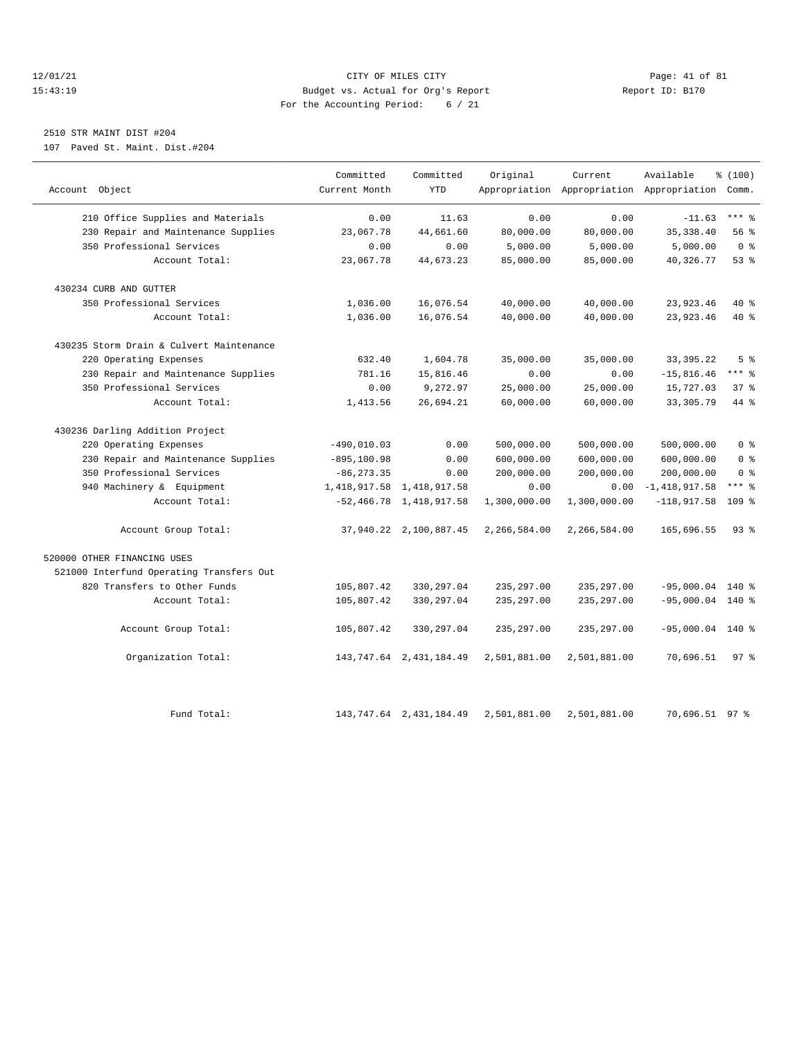## 12/01/21 Page: 41 of 81 CITY OF MILES CITY CONTRIBUTE CITY PAGE: 41 of 81 Page: 41 of 81 CITY CHINES CITY PAGE<br>15:43:19 Budget vs. Actual for Org's Report Chinese Report ID: B170 15:43:19 Budget vs. Actual for Org's Report For the Accounting Period: 6 / 21

# 2510 STR MAINT DIST #204

107 Paved St. Maint. Dist.#204

|                                          | Committed      | Committed                     | Original     | Current                                         | Available          | % (100)         |
|------------------------------------------|----------------|-------------------------------|--------------|-------------------------------------------------|--------------------|-----------------|
| Account Object                           | Current Month  | <b>YTD</b>                    |              | Appropriation Appropriation Appropriation Comm. |                    |                 |
| 210 Office Supplies and Materials        | 0.00           | 11.63                         | 0.00         | 0.00                                            | $-11.63$           | $***$ $%$       |
| 230 Repair and Maintenance Supplies      | 23,067.78      | 44,661.60                     | 80,000.00    | 80,000.00                                       | 35, 338.40         | 56%             |
| 350 Professional Services                | 0.00           | 0.00                          | 5,000.00     | 5,000.00                                        | 5,000.00           | 0 <sup>8</sup>  |
| Account Total:                           | 23,067.78      | 44,673.23                     | 85,000.00    | 85,000.00                                       | 40,326.77          | $53$ $%$        |
| 430234 CURB AND GUTTER                   |                |                               |              |                                                 |                    |                 |
| 350 Professional Services                | 1,036.00       | 16,076.54                     | 40,000.00    | 40,000.00                                       | 23,923.46          | $40*$           |
| Account Total:                           | 1,036.00       | 16,076.54                     | 40,000.00    | 40,000.00                                       | 23,923.46          | $40*$           |
| 430235 Storm Drain & Culvert Maintenance |                |                               |              |                                                 |                    |                 |
| 220 Operating Expenses                   | 632.40         | 1,604.78                      | 35,000.00    | 35,000.00                                       | 33, 395. 22        | 5 <sup>8</sup>  |
| 230 Repair and Maintenance Supplies      | 781.16         | 15,816.46                     | 0.00         | 0.00                                            | $-15,816.46$       | *** 응           |
| 350 Professional Services                | 0.00           | 9,272.97                      | 25,000.00    | 25,000.00                                       | 15,727.03          | 37%             |
| Account Total:                           | 1,413.56       | 26,694.21                     | 60,000.00    | 60,000.00                                       | 33, 305. 79        | 44 %            |
| 430236 Darling Addition Project          |                |                               |              |                                                 |                    |                 |
| 220 Operating Expenses                   | $-490,010.03$  | 0.00                          | 500,000.00   | 500,000.00                                      | 500,000.00         | 0 <sup>8</sup>  |
| 230 Repair and Maintenance Supplies      | $-895, 100.98$ | 0.00                          | 600,000.00   | 600,000.00                                      | 600,000.00         | 0 <sup>8</sup>  |
| 350 Professional Services                | $-86, 273.35$  | 0.00                          | 200,000.00   | 200,000.00                                      | 200,000.00         | 0 <sup>8</sup>  |
| 940 Machinery & Equipment                |                | 1, 418, 917.58 1, 418, 917.58 | 0.00         | 0.00                                            | $-1,418,917.58$    | $***$ $%$       |
| Account Total:                           |                | $-52,466.78$ 1,418,917.58     | 1,300,000.00 | 1,300,000.00                                    | $-118,917.58$      | 109 %           |
| Account Group Total:                     |                | 37,940.22 2,100,887.45        | 2,266,584.00 | 2,266,584.00                                    | 165,696.55         | $93$ $%$        |
| 520000 OTHER FINANCING USES              |                |                               |              |                                                 |                    |                 |
| 521000 Interfund Operating Transfers Out |                |                               |              |                                                 |                    |                 |
| 820 Transfers to Other Funds             | 105,807.42     | 330, 297.04                   | 235, 297.00  | 235, 297.00                                     | $-95,000.04$ 140 % |                 |
| Account Total:                           | 105,807.42     | 330, 297.04                   | 235, 297.00  | 235, 297.00                                     | $-95,000.04$ 140 % |                 |
| Account Group Total:                     | 105,807.42     | 330, 297.04                   | 235, 297.00  | 235, 297.00                                     | $-95,000.04$       | $140*$          |
| Organization Total:                      |                | 143, 747.64 2, 431, 184.49    | 2,501,881.00 | 2,501,881.00                                    | 70,696.51          | 97 <sup>8</sup> |
|                                          |                |                               |              |                                                 |                    |                 |
| Fund Total:                              |                | 143, 747.64 2, 431, 184.49    | 2,501,881.00 | 2,501,881.00                                    | 70,696.51 97 %     |                 |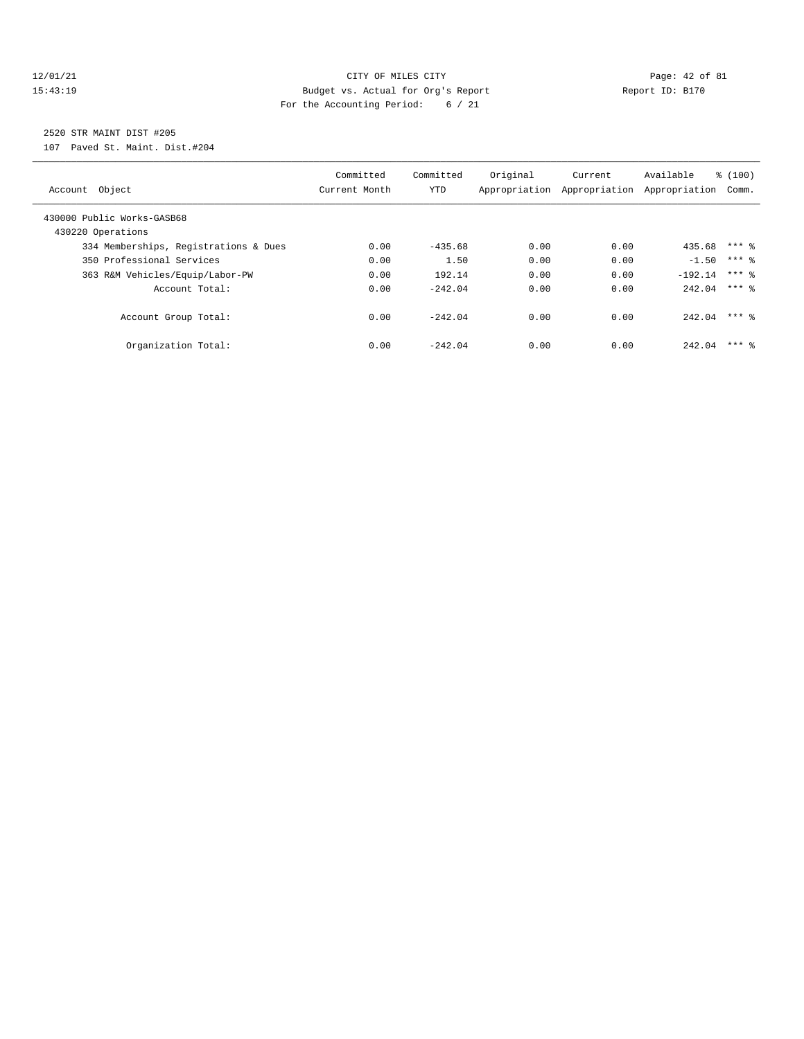## $\verb|12/01/21| \quad \verb|21/01/21| \quad \verb|Page: 42 of 81| \quad \verb|15:43:19| \quad \verb|15:43:19| \quad \verb|15:43:19| \quad \verb|15:43:19| \quad \verb|15:43:10| \quad \verb|15:43:11| \quad \verb|15:43:11| \quad \verb|15:43:12| \quad \verb|15:43:12| \quad \verb|15:43:13| \quad \verb|15:43:13| \quad \verb|15:43:14| \quad \verb|15:43:$ 15:43:19 Budget vs. Actual for Org's Report Report ID: B170 For the Accounting Period: 6 / 21

# 2520 STR MAINT DIST #205

107 Paved St. Maint. Dist.#204

| Object<br>Account                               | Committed<br>Current Month | Committed<br>YTD | Original<br>Appropriation | Current<br>Appropriation | Available<br>Appropriation | % (100)<br>Comm. |
|-------------------------------------------------|----------------------------|------------------|---------------------------|--------------------------|----------------------------|------------------|
| 430000 Public Works-GASB68<br>430220 Operations |                            |                  |                           |                          |                            |                  |
| 334 Memberships, Registrations & Dues           | 0.00                       | $-435.68$        | 0.00                      | 0.00                     | 435.68 *** \$              |                  |
| 350 Professional Services                       | 0.00                       | 1.50             | 0.00                      | 0.00                     | $-1.50$                    | $***$ 2          |
| 363 R&M Vehicles/Equip/Labor-PW                 | 0.00                       | 192.14           | 0.00                      | 0.00                     | $-192.14$                  | $***$ 2          |
| Account Total:                                  | 0.00                       | $-242.04$        | 0.00                      | 0.00                     | $242.04$ *** \$            |                  |
| Account Group Total:                            | 0.00                       | $-242.04$        | 0.00                      | 0.00                     | 242.04                     | $***$ 2          |
| Organization Total:                             | 0.00                       | $-242.04$        | 0.00                      | 0.00                     | 242.04                     | $***$ 2          |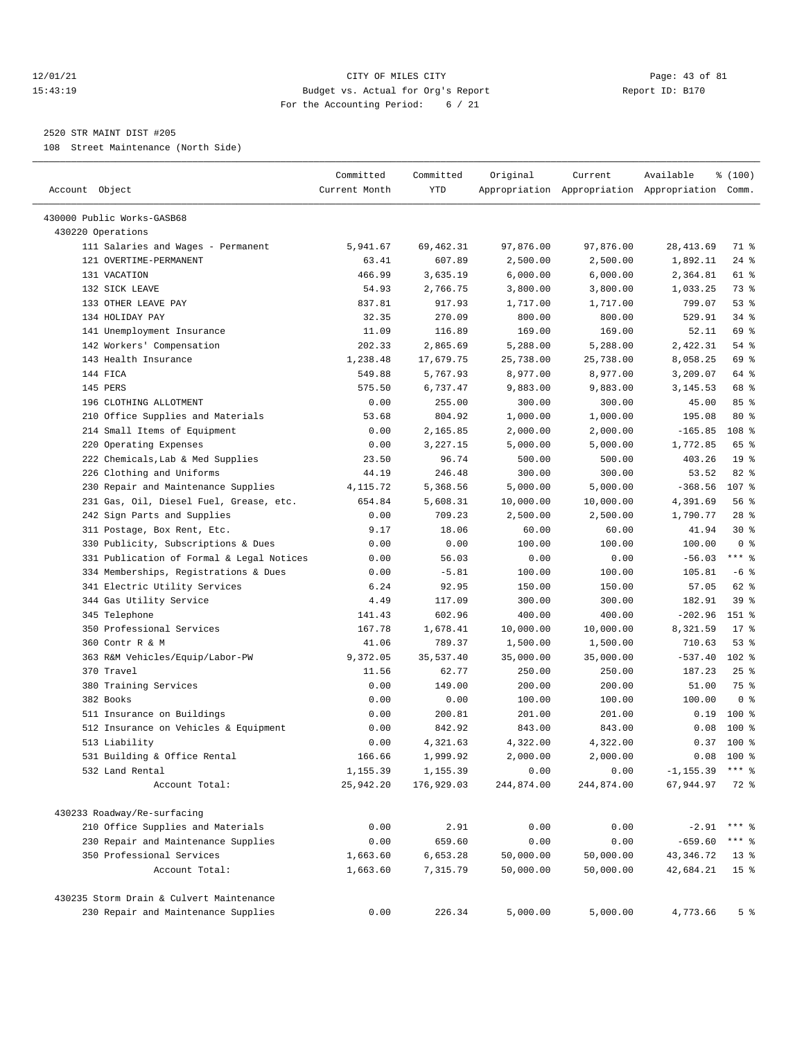## 12/01/21 Page: 43 of 81 15:43:19 Budget vs. Actual for Org's Report Report ID: B170 For the Accounting Period: 6 / 21

————————————————————————————————————————————————————————————————————————————————————————————————————————————————————————————————————

#### 2520 STR MAINT DIST #205

108 Street Maintenance (North Side)

| Account Object                            | Committed<br>Current Month | Committed<br>YTD | Original   | Current    | Available<br>Appropriation Appropriation Appropriation Comm. | % (100)         |
|-------------------------------------------|----------------------------|------------------|------------|------------|--------------------------------------------------------------|-----------------|
| 430000 Public Works-GASB68                |                            |                  |            |            |                                                              |                 |
| 430220 Operations                         |                            |                  |            |            |                                                              |                 |
| 111 Salaries and Wages - Permanent        | 5,941.67                   | 69, 462.31       | 97,876.00  | 97,876.00  | 28, 413.69                                                   | 71 %            |
| 121 OVERTIME-PERMANENT                    | 63.41                      | 607.89           | 2,500.00   | 2,500.00   | 1,892.11                                                     | $24$ %          |
| 131 VACATION                              | 466.99                     | 3,635.19         | 6,000.00   | 6,000.00   | 2,364.81                                                     | 61 %            |
| 132 SICK LEAVE                            | 54.93                      | 2,766.75         | 3,800.00   | 3,800.00   | 1,033.25                                                     | 73 %            |
| 133 OTHER LEAVE PAY                       | 837.81                     | 917.93           | 1,717.00   | 1,717.00   | 799.07                                                       | 53%             |
| 134 HOLIDAY PAY                           | 32.35                      | 270.09           | 800.00     | 800.00     | 529.91                                                       | 34%             |
| 141 Unemployment Insurance                | 11.09                      | 116.89           | 169.00     | 169.00     | 52.11                                                        | 69 %            |
| 142 Workers' Compensation                 | 202.33                     | 2,865.69         | 5,288.00   | 5,288.00   | 2,422.31                                                     | 54 %            |
| 143 Health Insurance                      | 1,238.48                   | 17,679.75        | 25,738.00  | 25,738.00  | 8,058.25                                                     | 69 %            |
| 144 FICA                                  | 549.88                     | 5,767.93         | 8,977.00   | 8,977.00   | 3,209.07                                                     | 64 %            |
| 145 PERS                                  | 575.50                     | 6,737.47         | 9,883.00   | 9,883.00   | 3,145.53                                                     | 68 %            |
| 196 CLOTHING ALLOTMENT                    | 0.00                       | 255.00           | 300.00     | 300.00     | 45.00                                                        | 85%             |
| 210 Office Supplies and Materials         | 53.68                      | 804.92           | 1,000.00   | 1,000.00   | 195.08                                                       | $80*$           |
| 214 Small Items of Equipment              | 0.00                       | 2,165.85         | 2,000.00   | 2,000.00   | $-165.85$                                                    | 108 %           |
| 220 Operating Expenses                    | 0.00                       | 3,227.15         | 5,000.00   | 5,000.00   | 1,772.85                                                     | 65 %            |
| 222 Chemicals, Lab & Med Supplies         | 23.50                      | 96.74            | 500.00     | 500.00     | 403.26                                                       | 19 <sup>°</sup> |
| 226 Clothing and Uniforms                 | 44.19                      | 246.48           | 300.00     | 300.00     | 53.52                                                        | 82 %            |
| 230 Repair and Maintenance Supplies       | 4,115.72                   | 5,368.56         | 5,000.00   | 5,000.00   | $-368.56$                                                    | 107 %           |
| 231 Gas, Oil, Diesel Fuel, Grease, etc.   | 654.84                     | 5,608.31         | 10,000.00  | 10,000.00  | 4,391.69                                                     | 56 %            |
| 242 Sign Parts and Supplies               | 0.00                       | 709.23           | 2,500.00   | 2,500.00   | 1,790.77                                                     | $28$ %          |
| 311 Postage, Box Rent, Etc.               | 9.17                       | 18.06            | 60.00      | 60.00      | 41.94                                                        | $30*$           |
| 330 Publicity, Subscriptions & Dues       | 0.00                       | 0.00             | 100.00     | 100.00     | 100.00                                                       | 0 <sup>8</sup>  |
| 331 Publication of Formal & Legal Notices | 0.00                       | 56.03            | 0.00       | 0.00       | $-56.03$                                                     | $***$ $%$       |
| 334 Memberships, Registrations & Dues     | 0.00                       | $-5.81$          | 100.00     | 100.00     | 105.81                                                       | $-6$ %          |
| 341 Electric Utility Services             | 6.24                       | 92.95            | 150.00     | 150.00     | 57.05                                                        | 62 %            |
| 344 Gas Utility Service                   | 4.49                       | 117.09           | 300.00     | 300.00     | 182.91                                                       | 39%             |
| 345 Telephone                             | 141.43                     | 602.96           | 400.00     | 400.00     | $-202.96$                                                    | 151 %           |
| 350 Professional Services                 | 167.78                     | 1,678.41         | 10,000.00  | 10,000.00  | 8,321.59                                                     | $17*$           |
| 360 Contr R & M                           | 41.06                      | 789.37           | 1,500.00   | 1,500.00   | 710.63                                                       | 53%             |
| 363 R&M Vehicles/Equip/Labor-PW           | 9,372.05                   | 35,537.40        | 35,000.00  | 35,000.00  | $-537.40$                                                    | $102$ %         |
| 370 Travel                                | 11.56                      | 62.77            | 250.00     | 250.00     | 187.23                                                       | $25$ %          |
| 380 Training Services                     | 0.00                       | 149.00           | 200.00     | 200.00     | 51.00                                                        | 75 %            |
| 382 Books                                 | 0.00                       | 0.00             | 100.00     | 100.00     | 100.00                                                       | 0 <sup>8</sup>  |
| 511 Insurance on Buildings                | 0.00                       | 200.81           | 201.00     | 201.00     | 0.19                                                         | $100$ %         |
| 512 Insurance on Vehicles & Equipment     | 0.00                       | 842.92           | 843.00     | 843.00     | 0.08                                                         | $100*$          |
| 513 Liability                             | 0.00                       | 4,321.63         | 4,322.00   | 4,322.00   | 0.37                                                         | $100*$          |
| 531 Building & Office Rental              | 166.66                     | 1,999.92         | 2,000.00   | 2,000.00   | 0.08                                                         | $100*$          |
| 532 Land Rental                           | 1,155.39                   | 1,155.39         | 0.00       | 0.00       | $-1, 155.39$                                                 | $***$ $%$       |
| Account Total:                            | 25,942.20                  | 176,929.03       | 244,874.00 | 244,874.00 | 67,944.97                                                    | 72 %            |
| 430233 Roadway/Re-surfacing               |                            |                  |            |            |                                                              |                 |
| 210 Office Supplies and Materials         | 0.00                       | 2.91             | 0.00       | 0.00       | $-2.91$                                                      | $***$ $%$       |
| 230 Repair and Maintenance Supplies       | 0.00                       | 659.60           | 0.00       | 0.00       | $-659.60$                                                    | $***$ $8$       |
| 350 Professional Services                 | 1,663.60                   | 6,653.28         | 50,000.00  | 50,000.00  | 43, 346. 72                                                  | $13*$           |
| Account Total:                            | 1,663.60                   | 7,315.79         | 50,000.00  | 50,000.00  | 42,684.21                                                    | 15 <sup>°</sup> |
| 430235 Storm Drain & Culvert Maintenance  |                            |                  |            |            |                                                              |                 |
| 230 Repair and Maintenance Supplies       | 0.00                       | 226.34           | 5,000.00   | 5,000.00   | 4,773.66                                                     | 5 <sup>8</sup>  |
|                                           |                            |                  |            |            |                                                              |                 |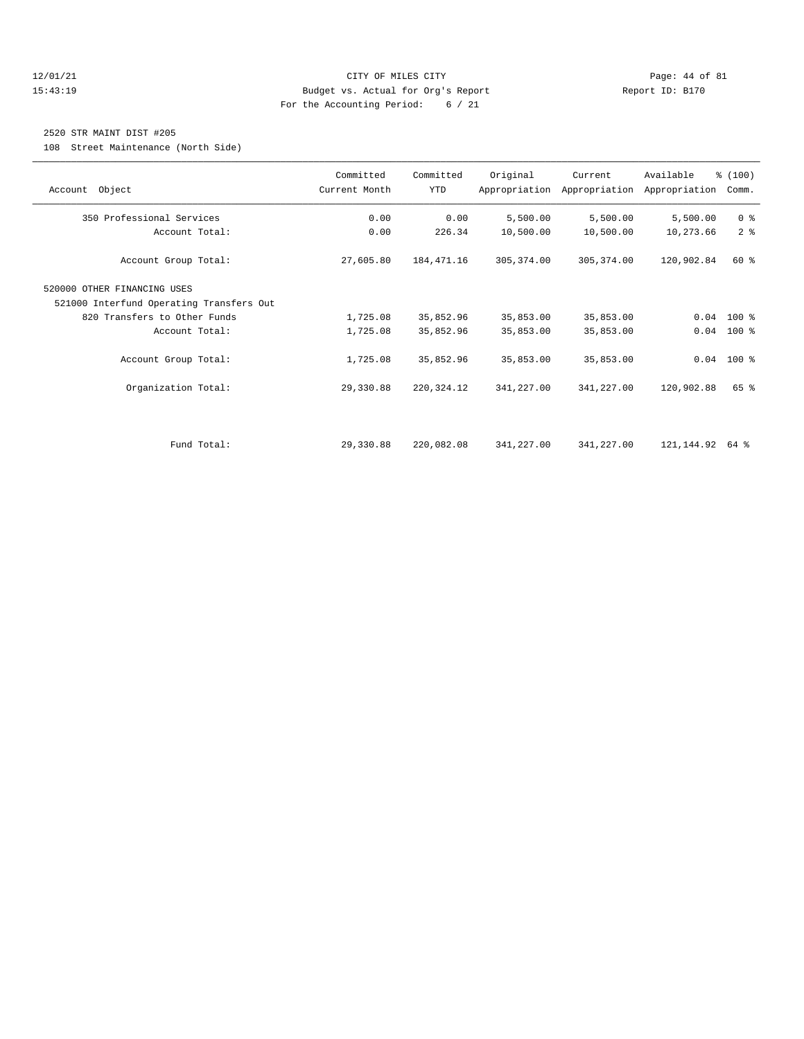## 12/01/21 Page: 44 of 81 15:43:19 Budget vs. Actual for Org's Report Report ID: B170 For the Accounting Period: 6 / 21

## 2520 STR MAINT DIST #205

108 Street Maintenance (North Side)

| Account Object                           | Committed<br>Current Month | Committed<br>YTD | Original    | Current     | Available<br>Appropriation Appropriation Appropriation | % (100)<br>Comm. |
|------------------------------------------|----------------------------|------------------|-------------|-------------|--------------------------------------------------------|------------------|
|                                          |                            |                  |             |             |                                                        |                  |
| 350 Professional Services                | 0.00                       | 0.00             | 5,500.00    | 5,500.00    | 5,500.00                                               | 0 <sup>8</sup>   |
| Account Total:                           | 0.00                       | 226.34           | 10,500.00   | 10,500.00   | 10,273.66                                              | 2 <sup>8</sup>   |
| Account Group Total:                     | 27,605.80                  | 184, 471.16      | 305, 374.00 | 305, 374.00 | 120,902.84                                             | $60*$            |
| 520000 OTHER FINANCING USES              |                            |                  |             |             |                                                        |                  |
| 521000 Interfund Operating Transfers Out |                            |                  |             |             |                                                        |                  |
| 820 Transfers to Other Funds             | 1,725.08                   | 35,852.96        | 35,853.00   | 35,853.00   |                                                        | $0.04$ 100 %     |
| Account Total:                           | 1,725.08                   | 35,852.96        | 35,853.00   | 35,853.00   | 0.04                                                   | $100$ %          |
| Account Group Total:                     | 1,725.08                   | 35,852.96        | 35,853.00   | 35,853.00   |                                                        | $0.04$ 100 %     |
| Organization Total:                      | 29,330.88                  | 220, 324.12      | 341,227.00  | 341,227.00  | 120,902.88                                             | 65 %             |
| Fund Total:                              | 29,330.88                  | 220,082.08       | 341,227.00  | 341,227.00  | 121,144.92                                             | 64 %             |
|                                          |                            |                  |             |             |                                                        |                  |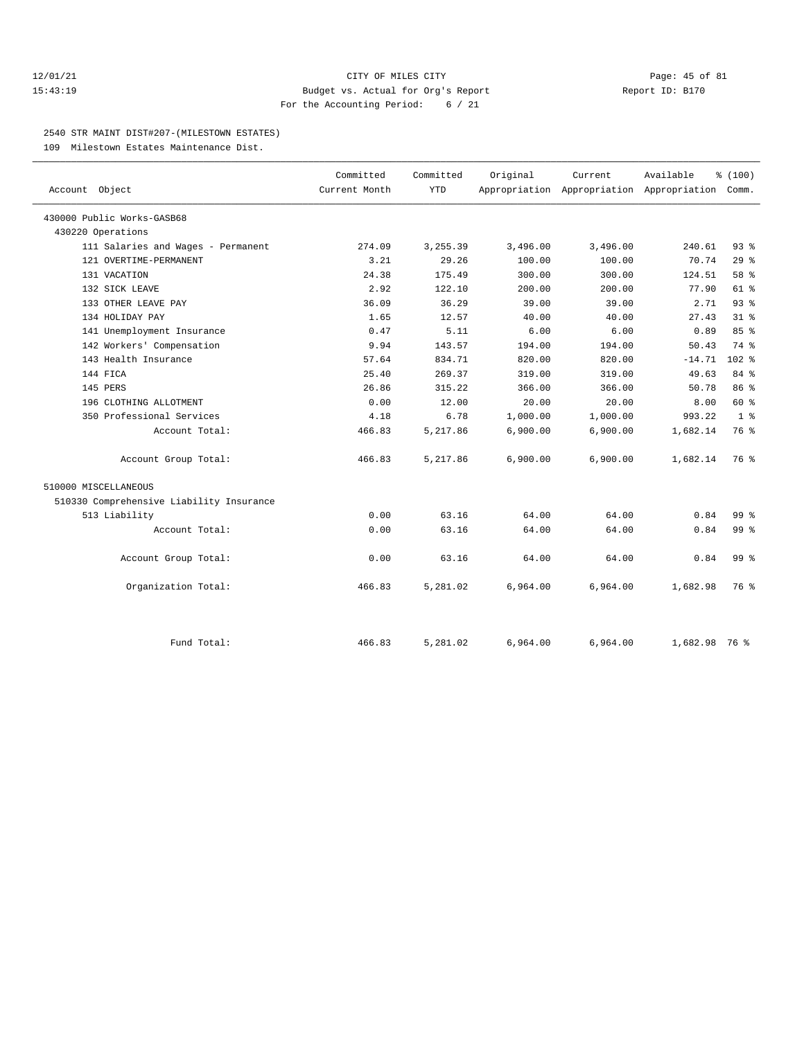## 12/01/21 Page: 45 of 81 15:43:19 Budget vs. Actual for Org's Report Report ID: B170 For the Accounting Period: 6 / 21

#### 2540 STR MAINT DIST#207-(MILESTOWN ESTATES)

109 Milestown Estates Maintenance Dist.

| Account Object                           | Committed<br>Current Month | Committed<br><b>YTD</b> | Original | Current<br>Appropriation Appropriation Appropriation Comm. | Available     | % (100)         |
|------------------------------------------|----------------------------|-------------------------|----------|------------------------------------------------------------|---------------|-----------------|
|                                          |                            |                         |          |                                                            |               |                 |
| 430000 Public Works-GASB68               |                            |                         |          |                                                            |               |                 |
| 430220 Operations                        |                            |                         |          |                                                            |               |                 |
| 111 Salaries and Wages - Permanent       | 274.09                     | 3, 255.39               | 3,496.00 | 3,496.00                                                   | 240.61        | $93$ $%$        |
| 121 OVERTIME-PERMANENT                   | 3.21                       | 29.26                   | 100.00   | 100.00                                                     | 70.74         | 29%             |
| 131 VACATION                             | 24.38                      | 175.49                  | 300.00   | 300.00                                                     | 124.51        | 58 %            |
| 132 SICK LEAVE                           | 2.92                       | 122.10                  | 200.00   | 200.00                                                     | 77.90         | 61 %            |
| 133 OTHER LEAVE PAY                      | 36.09                      | 36.29                   | 39.00    | 39.00                                                      | 2.71          | 93%             |
| 134 HOLIDAY PAY                          | 1.65                       | 12.57                   | 40.00    | 40.00                                                      | 27.43         | 31 <sup>8</sup> |
| 141 Unemployment Insurance               | 0.47                       | 5.11                    | 6.00     | 6.00                                                       | 0.89          | 85 %            |
| 142 Workers' Compensation                | 9.94                       | 143.57                  | 194.00   | 194.00                                                     | 50.43         | 74 %            |
| 143 Health Insurance                     | 57.64                      | 834.71                  | 820.00   | 820.00                                                     | $-14.71$      | $102$ %         |
| 144 FICA                                 | 25.40                      | 269.37                  | 319.00   | 319.00                                                     | 49.63         | 84 %            |
| 145 PERS                                 | 26.86                      | 315.22                  | 366.00   | 366.00                                                     | 50.78         | 86 %            |
| 196 CLOTHING ALLOTMENT                   | 0.00                       | 12.00                   | 20.00    | 20.00                                                      | 8.00          | 60 %            |
| 350 Professional Services                | 4.18                       | 6.78                    | 1,000.00 | 1,000.00                                                   | 993.22        | 1 <sup>8</sup>  |
| Account Total:                           | 466.83                     | 5,217.86                | 6,900.00 | 6,900.00                                                   | 1,682.14      | 76 %            |
| Account Group Total:                     | 466.83                     | 5,217.86                | 6,900.00 | 6,900.00                                                   | 1,682.14      | 76 %            |
| 510000 MISCELLANEOUS                     |                            |                         |          |                                                            |               |                 |
| 510330 Comprehensive Liability Insurance |                            |                         |          |                                                            |               |                 |
| 513 Liability                            | 0.00                       | 63.16                   | 64.00    | 64.00                                                      | 0.84          | 99 <sub>8</sub> |
| Account Total:                           | 0.00                       | 63.16                   | 64.00    | 64.00                                                      | 0.84          | 99 <sub>8</sub> |
| Account Group Total:                     | 0.00                       | 63.16                   | 64.00    | 64.00                                                      | 0.84          | 99 <sub>8</sub> |
| Organization Total:                      | 466.83                     | 5,281.02                | 6,964.00 | 6,964.00                                                   | 1,682.98      | 76 %            |
| Fund Total:                              | 466.83                     | 5,281.02                | 6,964.00 | 6,964.00                                                   | 1,682.98 76 % |                 |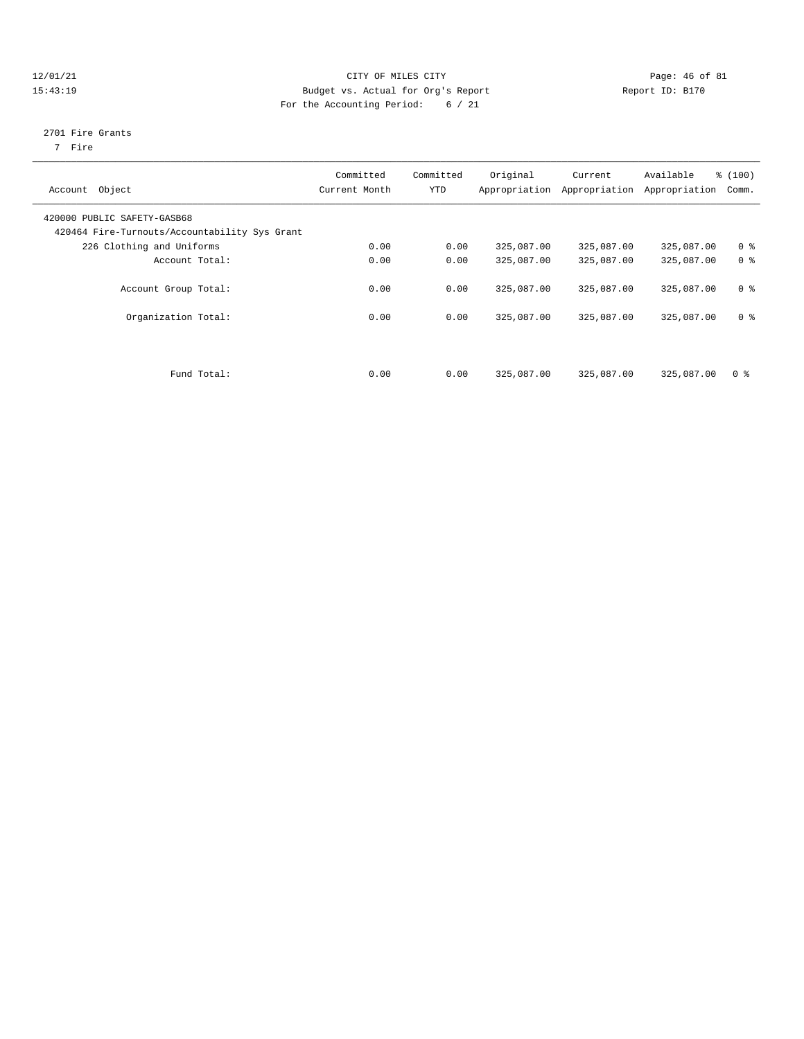## 12/01/21 **CITY OF MILES CITY CITY CITY Page: 46 of 81** 15:43:19 Budget vs. Actual for Org's Report Report ID: B170 For the Accounting Period: 6 / 21

# 2701 Fire Grants

7 Fire

| Account Object                                                               | Committed<br>Current Month | Committed<br><b>YTD</b> | Original   | Current<br>Appropriation Appropriation | Available<br>Appropriation | % (100)<br>Comm. |
|------------------------------------------------------------------------------|----------------------------|-------------------------|------------|----------------------------------------|----------------------------|------------------|
| 420000 PUBLIC SAFETY-GASB68<br>420464 Fire-Turnouts/Accountability Sys Grant |                            |                         |            |                                        |                            |                  |
| 226 Clothing and Uniforms                                                    | 0.00                       | 0.00                    | 325,087.00 | 325,087.00                             | 325,087.00                 | 0 <sup>8</sup>   |
| Account Total:                                                               | 0.00                       | 0.00                    | 325,087.00 | 325,087.00                             | 325,087.00                 | 0 <sup>8</sup>   |
| Account Group Total:                                                         | 0.00                       | 0.00                    | 325,087.00 | 325,087.00                             | 325,087.00                 | 0 <sup>8</sup>   |
| Organization Total:                                                          | 0.00                       | 0.00                    | 325,087.00 | 325,087.00                             | 325,087.00                 | 0 <sup>8</sup>   |
| Fund Total:                                                                  | 0.00                       | 0.00                    | 325,087.00 | 325,087.00                             | 325,087.00                 | 0 <sup>8</sup>   |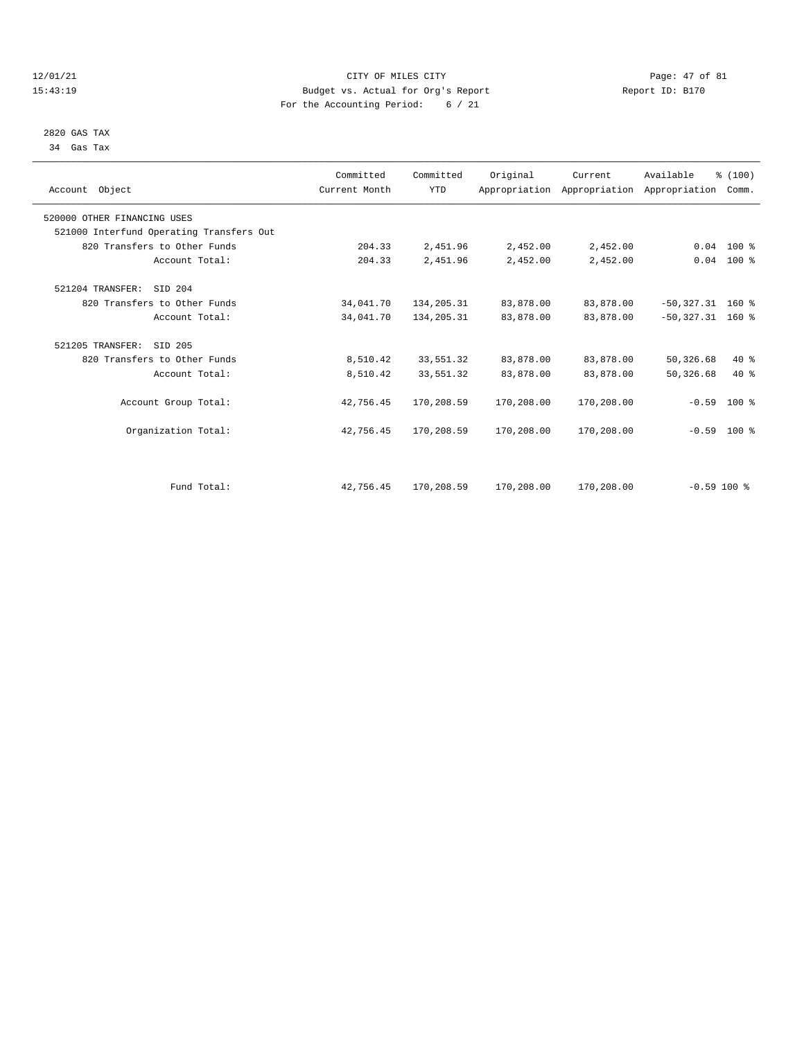## 12/01/21 Page: 47 of 81 CITY OF MILES CITY CONTRIBUTE CITY PAGE: 47 of 81 Page: 47 of 81 Page: 47 of 81 Page: 47 of 81 Page: 47 of 81 Page: 47 of 81 Page: 47 of 81 Page: 47 of 81 Page: 47 of 81 Page: 47 of 81 Page: 5. Actu 15:43:19 Budget vs. Actual for Org's Report For the Accounting Period: 6 / 21

 2820 GAS TAX 34 Gas Tax

| Account Object                           | Committed<br>Current Month | Committed<br><b>YTD</b> | Original   | Current    | Available<br>Appropriation Appropriation Appropriation | % (100)<br>Comm. |  |
|------------------------------------------|----------------------------|-------------------------|------------|------------|--------------------------------------------------------|------------------|--|
| 520000 OTHER FINANCING USES              |                            |                         |            |            |                                                        |                  |  |
| 521000 Interfund Operating Transfers Out |                            |                         |            |            |                                                        |                  |  |
| 820 Transfers to Other Funds             | 204.33                     | 2,451.96                | 2,452.00   | 2,452.00   |                                                        | $0.04$ 100 %     |  |
| Account Total:                           | 204.33                     | 2,451.96                | 2,452.00   | 2,452.00   |                                                        | $0.04$ 100 %     |  |
| 521204 TRANSFER: SID 204                 |                            |                         |            |            |                                                        |                  |  |
| 820 Transfers to Other Funds             | 34,041.70                  | 134,205.31              | 83,878.00  | 83,878.00  | $-50,327.31$ 160 %                                     |                  |  |
| Account Total:                           | 34,041.70                  | 134, 205.31             | 83,878.00  | 83,878.00  | $-50,327.31$ 160 %                                     |                  |  |
| 521205 TRANSFER:<br>SID 205              |                            |                         |            |            |                                                        |                  |  |
| 820 Transfers to Other Funds             | 8,510.42                   | 33,551.32               | 83,878.00  | 83,878.00  | 50,326.68                                              | $40*$            |  |
| Account Total:                           | 8,510.42                   | 33,551.32               | 83,878.00  | 83,878.00  | 50, 326.68                                             | $40*$            |  |
| Account Group Total:                     | 42,756.45                  | 170,208.59              | 170,208.00 | 170,208.00 | $-0.59$                                                | $100*$           |  |
| Organization Total:                      | 42,756.45                  | 170,208.59              | 170,208.00 | 170,208.00 |                                                        | $-0.59$ 100 %    |  |
|                                          |                            |                         |            |            |                                                        |                  |  |
| Fund Total:                              | 42,756.45                  | 170,208.59              | 170,208.00 | 170,208.00 | $-0.59$ 100 %                                          |                  |  |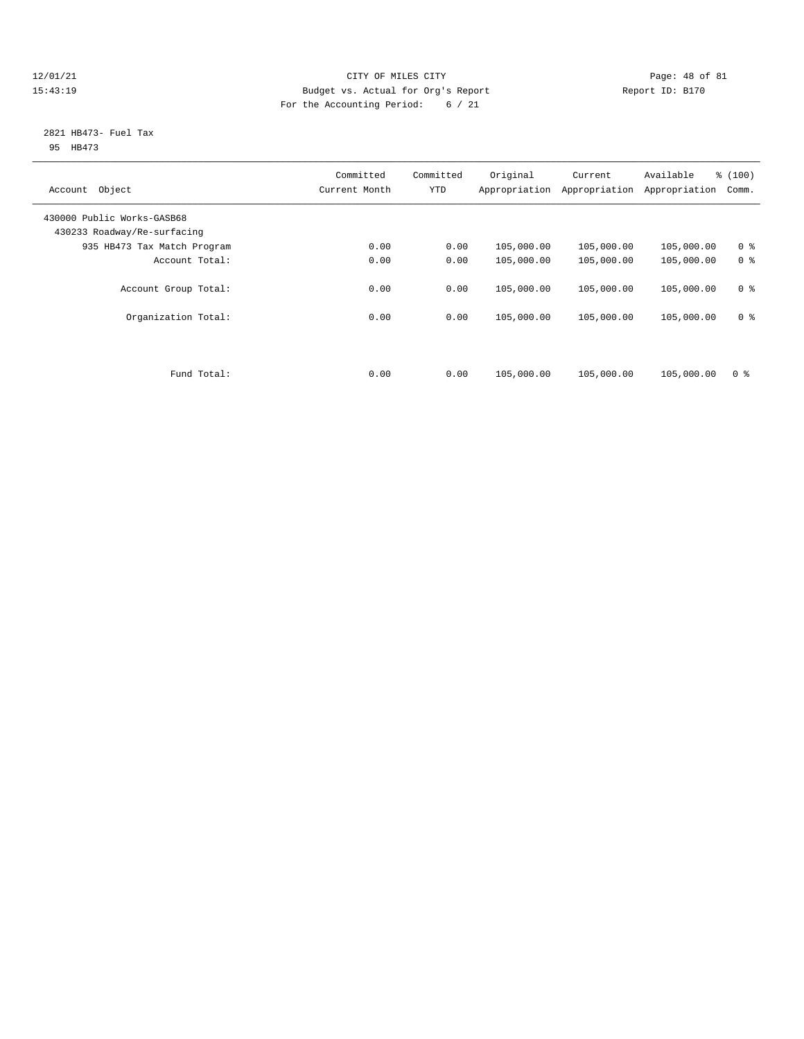## 12/01/21 Page: 48 of 81 CITY OF MILES CITY CONTRIBUTE CITY PAGE: 48 of 81 Page: 48 of 81 CITY CHINES CITY PAGE<br>15:43:19 Budget vs. Actual for Org's Report Chinese Report ID: B170 15:43:19 Budget vs. Actual for Org's Report For the Accounting Period: 6 / 21

## 2821 HB473- Fuel Tax 95 HB473

| Object<br>Account                                         | Committed<br>Current Month | Committed<br><b>YTD</b> | Original<br>Appropriation | Current<br>Appropriation | Available<br>Appropriation | % (100)<br>Comm. |
|-----------------------------------------------------------|----------------------------|-------------------------|---------------------------|--------------------------|----------------------------|------------------|
| 430000 Public Works-GASB68<br>430233 Roadway/Re-surfacing |                            |                         |                           |                          |                            |                  |
| 935 HB473 Tax Match Program                               | 0.00                       | 0.00                    | 105,000.00                | 105,000.00               | 105,000.00                 | 0 <sup>8</sup>   |
| Account Total:                                            | 0.00                       | 0.00                    | 105,000.00                | 105,000.00               | 105,000.00                 | 0 <sup>8</sup>   |
| Account Group Total:                                      | 0.00                       | 0.00                    | 105,000.00                | 105,000.00               | 105,000.00                 | 0 <sup>8</sup>   |
| Organization Total:                                       | 0.00                       | 0.00                    | 105,000.00                | 105,000.00               | 105,000.00                 | 0 <sup>8</sup>   |
| Fund Total:                                               | 0.00                       | 0.00                    | 105,000.00                | 105,000.00               | 105,000.00                 | 0 <sup>8</sup>   |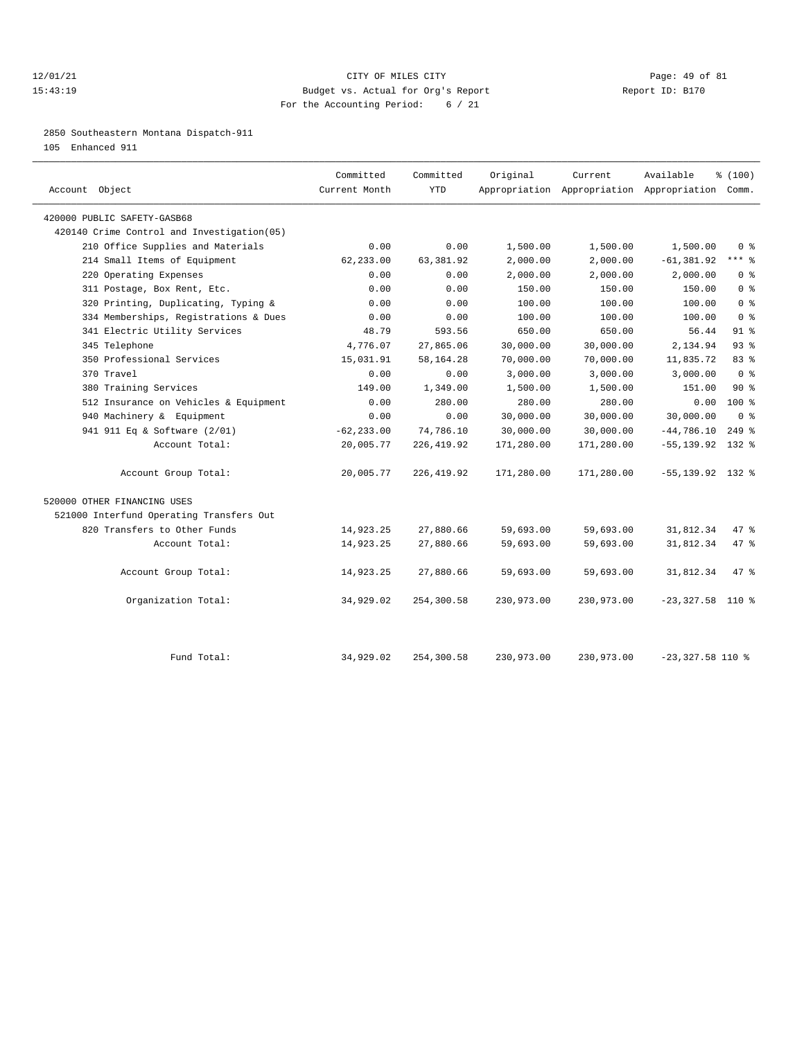## 12/01/21 Page: 49 of 81 15:43:19 Budget vs. Actual for Org's Report Report ID: B170 For the Accounting Period: 6 / 21

2850 Southeastern Montana Dispatch-911

105 Enhanced 911

| Account Object                              | Current Month | Committed<br><b>YTD</b> | Original   | Current    | Available<br>Appropriation Appropriation Appropriation Comm. | % (100)        |  |
|---------------------------------------------|---------------|-------------------------|------------|------------|--------------------------------------------------------------|----------------|--|
| 420000 PUBLIC SAFETY-GASB68                 |               |                         |            |            |                                                              |                |  |
| 420140 Crime Control and Investigation (05) |               |                         |            |            |                                                              |                |  |
| 210 Office Supplies and Materials           | 0.00          | 0.00                    | 1,500.00   | 1,500.00   | 1,500.00                                                     | 0 <sup>8</sup> |  |
| 214 Small Items of Equipment                | 62,233.00     | 63,381.92               | 2,000.00   | 2,000.00   | $-61, 381.92$                                                | $***$ 8        |  |
| 220 Operating Expenses                      | 0.00          | 0.00                    | 2,000.00   | 2,000.00   | 2,000.00                                                     | 0 <sup>8</sup> |  |
| 311 Postage, Box Rent, Etc.                 | 0.00          | 0.00                    | 150.00     | 150.00     | 150.00                                                       | 0 <sup>8</sup> |  |
| 320 Printing, Duplicating, Typing &         | 0.00          | 0.00                    | 100.00     | 100.00     | 100.00                                                       | 0 <sup>8</sup> |  |
| 334 Memberships, Registrations & Dues       | 0.00          | 0.00                    | 100.00     | 100.00     | 100.00                                                       | 0 <sup>8</sup> |  |
| 341 Electric Utility Services               | 48.79         | 593.56                  | 650.00     | 650.00     | 56.44                                                        | $91$ %         |  |
| 345 Telephone                               | 4,776.07      | 27,865.06               | 30,000.00  | 30,000.00  | 2,134.94                                                     | 93%            |  |
| 350 Professional Services                   | 15,031.91     | 58,164.28               | 70,000.00  | 70,000.00  | 11,835.72                                                    | $83$ $%$       |  |
| 370 Travel                                  | 0.00          | 0.00                    | 3,000.00   | 3,000.00   | 3,000.00                                                     | 0 <sup>8</sup> |  |
| 380 Training Services                       | 149.00        | 1,349.00                | 1,500.00   | 1,500.00   | 151.00                                                       | $90*$          |  |
| 512 Insurance on Vehicles & Equipment       | 0.00          | 280.00                  | 280.00     | 280.00     | 0.00                                                         | 100 %          |  |
| 940 Machinery & Equipment                   | 0.00          | 0.00                    | 30,000.00  | 30,000.00  | 30,000.00                                                    | 0 <sup>8</sup> |  |
| 941 911 Eq & Software (2/01)                | $-62, 233.00$ | 74,786.10               | 30,000.00  | 30,000.00  | $-44,786.10$                                                 | $249$ %        |  |
| Account Total:                              | 20,005.77     | 226, 419.92             | 171,280.00 | 171,280.00 | $-55, 139.92$                                                | 132 %          |  |
| Account Group Total:                        | 20,005.77     | 226,419.92              | 171,280.00 | 171,280.00 | $-55, 139.92$ 132 %                                          |                |  |
| 520000 OTHER FINANCING USES                 |               |                         |            |            |                                                              |                |  |
| 521000 Interfund Operating Transfers Out    |               |                         |            |            |                                                              |                |  |
| 820 Transfers to Other Funds                | 14,923.25     | 27,880.66               | 59,693.00  | 59,693.00  | 31,812.34                                                    | $47$ %         |  |
| Account Total:                              | 14,923.25     | 27,880.66               | 59,693.00  | 59,693.00  | 31,812.34                                                    | 47.8           |  |
| Account Group Total:                        | 14,923.25     | 27,880.66               | 59,693.00  | 59,693.00  | 31,812.34                                                    | 47.8           |  |
| Organization Total:                         | 34,929.02     | 254,300.58              | 230,973.00 | 230,973.00 | $-23, 327.58$                                                | 110 %          |  |
| Fund Total:                                 | 34,929.02     | 254,300.58              | 230,973.00 | 230,973.00 | $-23,327.58$ 110 %                                           |                |  |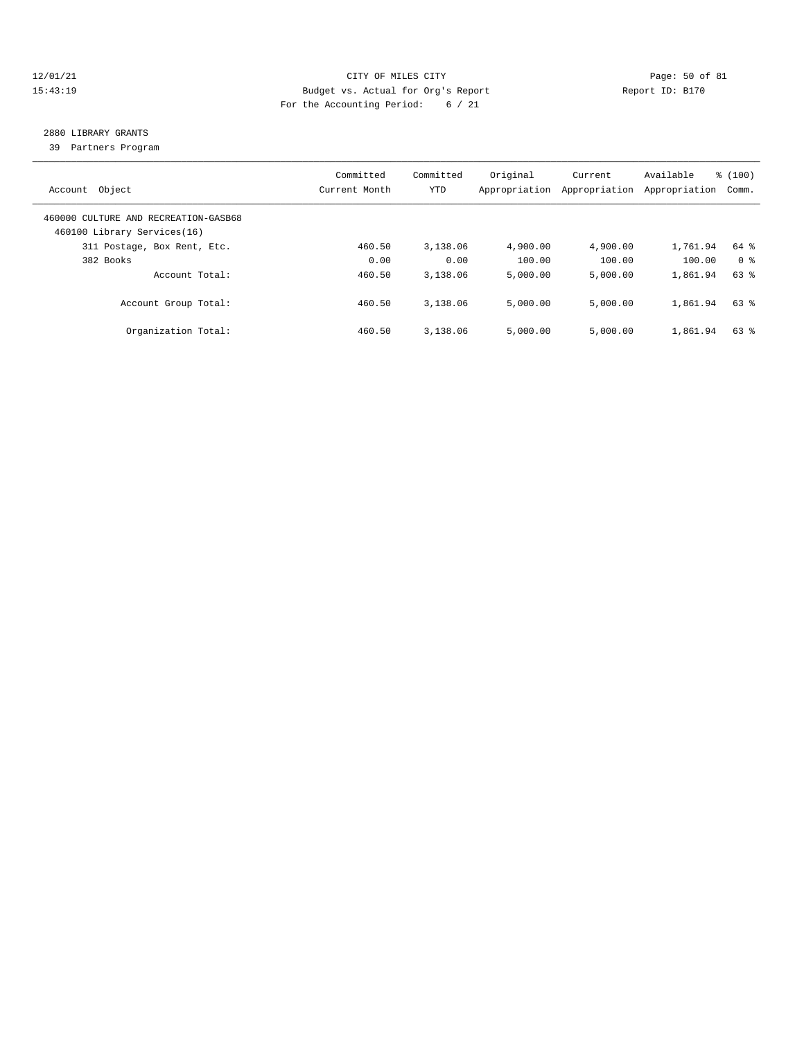## 12/01/21 Page: 50 of 81 15:43:19 Budget vs. Actual for Org's Report Report ID: B170 For the Accounting Period: 6 / 21

# 2880 LIBRARY GRANTS

39 Partners Program

| Account Object                                                      | Committed<br>Current Month | Committed<br>YTD | Original<br>Appropriation | Current<br>Appropriation | Available<br>Appropriation | % (100)<br>Comm. |
|---------------------------------------------------------------------|----------------------------|------------------|---------------------------|--------------------------|----------------------------|------------------|
| 460000 CULTURE AND RECREATION-GASB68<br>460100 Library Services(16) |                            |                  |                           |                          |                            |                  |
| 311 Postage, Box Rent, Etc.                                         | 460.50                     | 3,138.06         | 4,900.00                  | 4,900.00                 | 1,761.94                   | 64 %             |
| 382 Books                                                           | 0.00                       | 0.00             | 100.00                    | 100.00                   | 100.00                     | 0 %              |
| Account Total:                                                      | 460.50                     | 3,138.06         | 5,000.00                  | 5.000.00                 | 1,861.94                   | 63 %             |
| Account Group Total:                                                | 460.50                     | 3,138.06         | 5.000.00                  | 5,000.00                 | 1,861.94                   | 63 %             |
| Organization Total:                                                 | 460.50                     | 3,138.06         | 5,000.00                  | 5.000.00                 | 1,861.94                   | $63$ $%$         |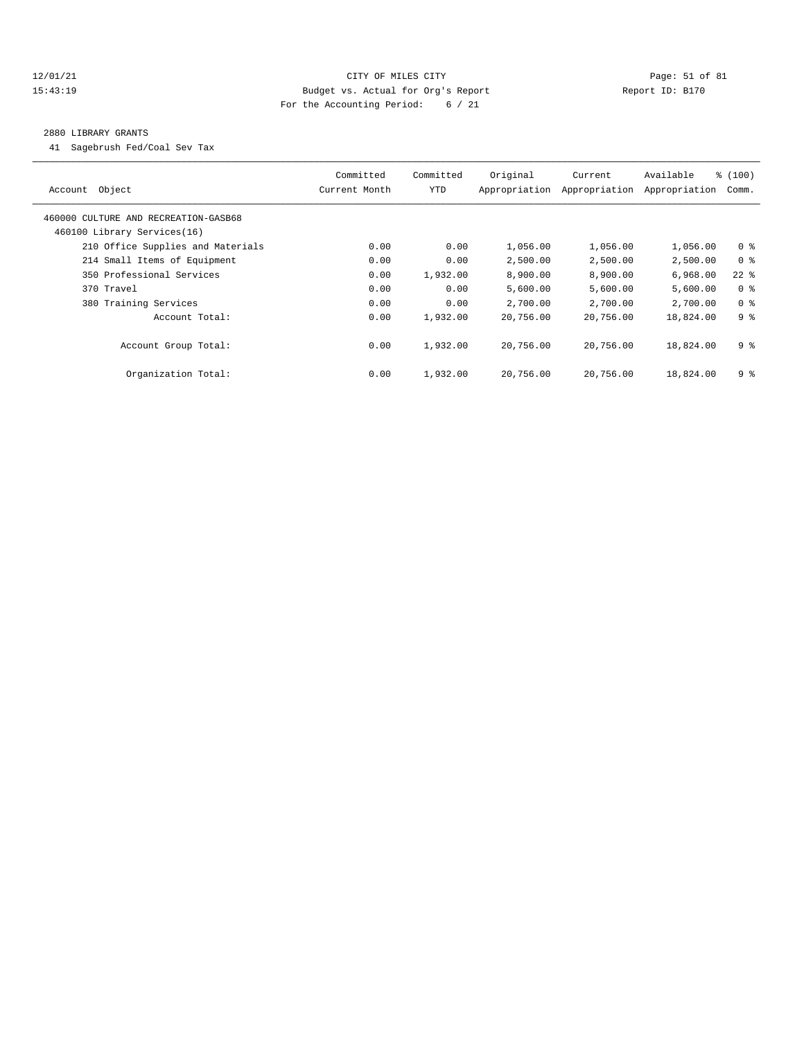## 12/01/21 Page: 51 of 81 15:43:19 Budget vs. Actual for Org's Report Report ID: B170 For the Accounting Period: 6 / 21

#### 2880 LIBRARY GRANTS

41 Sagebrush Fed/Coal Sev Tax

| Object<br>Account                                                   | Committed<br>Current Month | Committed<br>YTD | Original<br>Appropriation | Current<br>Appropriation | Available<br>Appropriation | % (100)<br>Comm. |
|---------------------------------------------------------------------|----------------------------|------------------|---------------------------|--------------------------|----------------------------|------------------|
| 460000 CULTURE AND RECREATION-GASB68<br>460100 Library Services(16) |                            |                  |                           |                          |                            |                  |
| 210 Office Supplies and Materials                                   | 0.00                       | 0.00             | 1,056.00                  | 1,056.00                 | 1,056.00                   | 0 <sup>8</sup>   |
| 214 Small Items of Equipment                                        | 0.00                       | 0.00             | 2,500.00                  | 2,500.00                 | 2,500.00                   | 0 <sup>8</sup>   |
| 350 Professional Services                                           | 0.00                       | 1,932.00         | 8,900.00                  | 8,900.00                 | 6,968.00                   | $22$ %           |
| 370 Travel                                                          | 0.00                       | 0.00             | 5,600.00                  | 5,600.00                 | 5,600.00                   | 0 <sup>8</sup>   |
| 380 Training Services                                               | 0.00                       | 0.00             | 2,700.00                  | 2,700.00                 | 2,700.00                   | 0 <sup>8</sup>   |
| Account Total:                                                      | 0.00                       | 1,932.00         | 20,756.00                 | 20,756.00                | 18,824.00                  | 9 <sup>8</sup>   |
| Account Group Total:                                                | 0.00                       | 1,932.00         | 20,756.00                 | 20,756.00                | 18,824.00                  | 9 %              |
| Organization Total:                                                 | 0.00                       | 1,932.00         | 20,756.00                 | 20,756.00                | 18,824.00                  | 9 %              |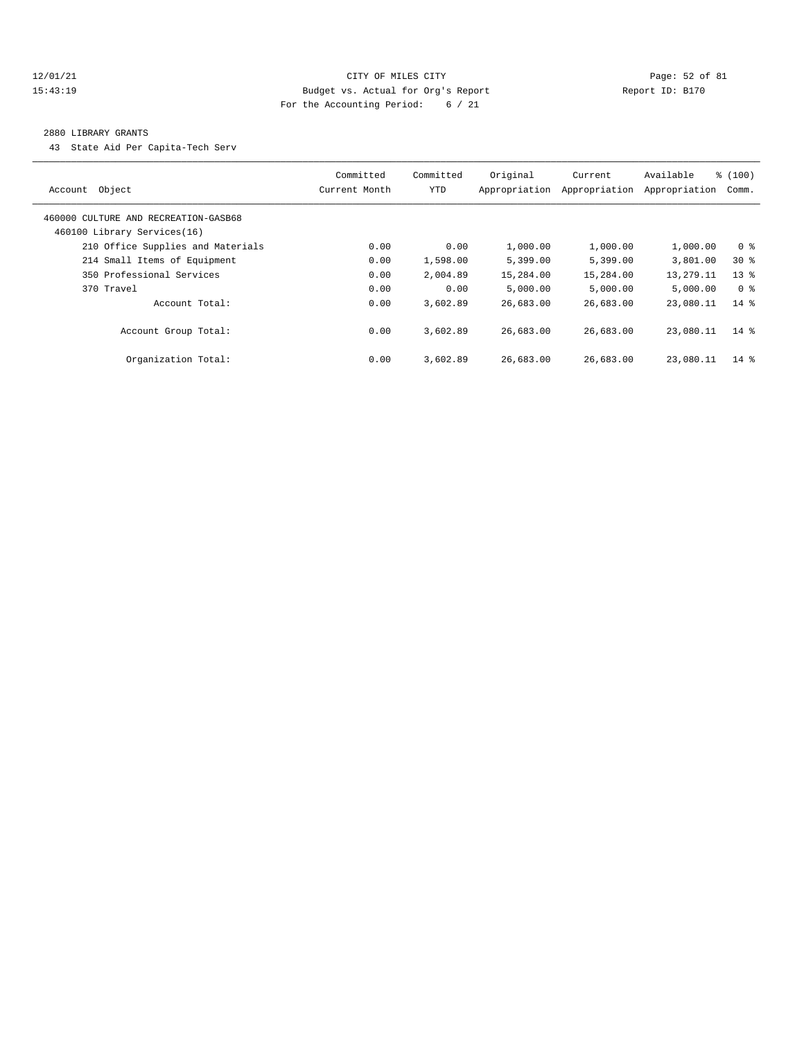## 12/01/21 Page: 52 of 81 15:43:19 Budget vs. Actual for Org's Report Report ID: B170 For the Accounting Period: 6 / 21

#### 2880 LIBRARY GRANTS

43 State Aid Per Capita-Tech Serv

| Account Object                                                      | Committed<br>Current Month | Committed<br>YTD | Original<br>Appropriation | Current<br>Appropriation | Available<br>Appropriation | % (100)<br>Comm. |
|---------------------------------------------------------------------|----------------------------|------------------|---------------------------|--------------------------|----------------------------|------------------|
| 460000 CULTURE AND RECREATION-GASB68<br>460100 Library Services(16) |                            |                  |                           |                          |                            |                  |
| 210 Office Supplies and Materials                                   | 0.00                       | 0.00             | 1,000.00                  | 1,000.00                 | 1,000.00                   | 0 <sup>8</sup>   |
| 214 Small Items of Equipment                                        | 0.00                       | 1,598.00         | 5,399.00                  | 5,399.00                 | 3,801.00                   | $30*$            |
| 350 Professional Services                                           | 0.00                       | 2,004.89         | 15,284.00                 | 15,284.00                | 13,279.11                  | $13*$            |
| 370 Travel                                                          | 0.00                       | 0.00             | 5,000.00                  | 5.000.00                 | 5,000.00                   | 0 %              |
| Account Total:                                                      | 0.00                       | 3,602.89         | 26,683.00                 | 26,683.00                | 23,080.11                  | $14*$            |
| Account Group Total:                                                | 0.00                       | 3,602.89         | 26,683.00                 | 26,683.00                | 23,080.11                  | $14*$            |
| Organization Total:                                                 | 0.00                       | 3,602.89         | 26,683.00                 | 26,683.00                | 23,080.11                  | $14*$            |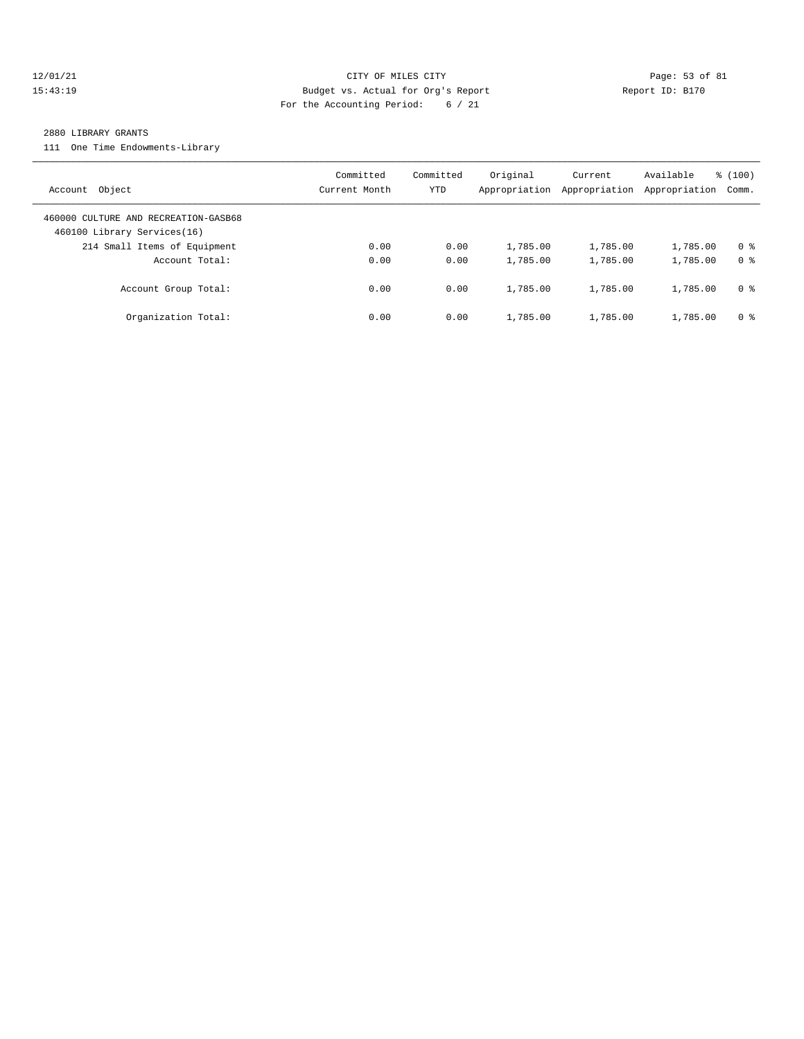## 12/01/21 Page: 53 of 81 15:43:19 Budget vs. Actual for Org's Report Report ID: B170 For the Accounting Period: 6 / 21

#### 2880 LIBRARY GRANTS

111 One Time Endowments-Library

| Account Object                                                      | Committed<br>Current Month | Committed<br>YTD | Original<br>Appropriation | Current<br>Appropriation | Available<br>Appropriation | % (100)<br>Comm. |
|---------------------------------------------------------------------|----------------------------|------------------|---------------------------|--------------------------|----------------------------|------------------|
| 460000 CULTURE AND RECREATION-GASB68<br>460100 Library Services(16) |                            |                  |                           |                          |                            |                  |
| 214 Small Items of Equipment                                        | 0.00                       | 0.00             | 1,785.00                  | 1,785.00                 | 1,785.00                   | 0 <sup>8</sup>   |
| Account Total:                                                      | 0.00                       | 0.00             | 1,785.00                  | 1,785.00                 | 1,785.00                   | 0 <sup>8</sup>   |
| Account Group Total:                                                | 0.00                       | 0.00             | 1,785.00                  | 1,785.00                 | 1,785.00                   | 0 %              |
| Organization Total:                                                 | 0.00                       | 0.00             | 1,785.00                  | 1,785.00                 | 1,785.00                   | 0 <sup>8</sup>   |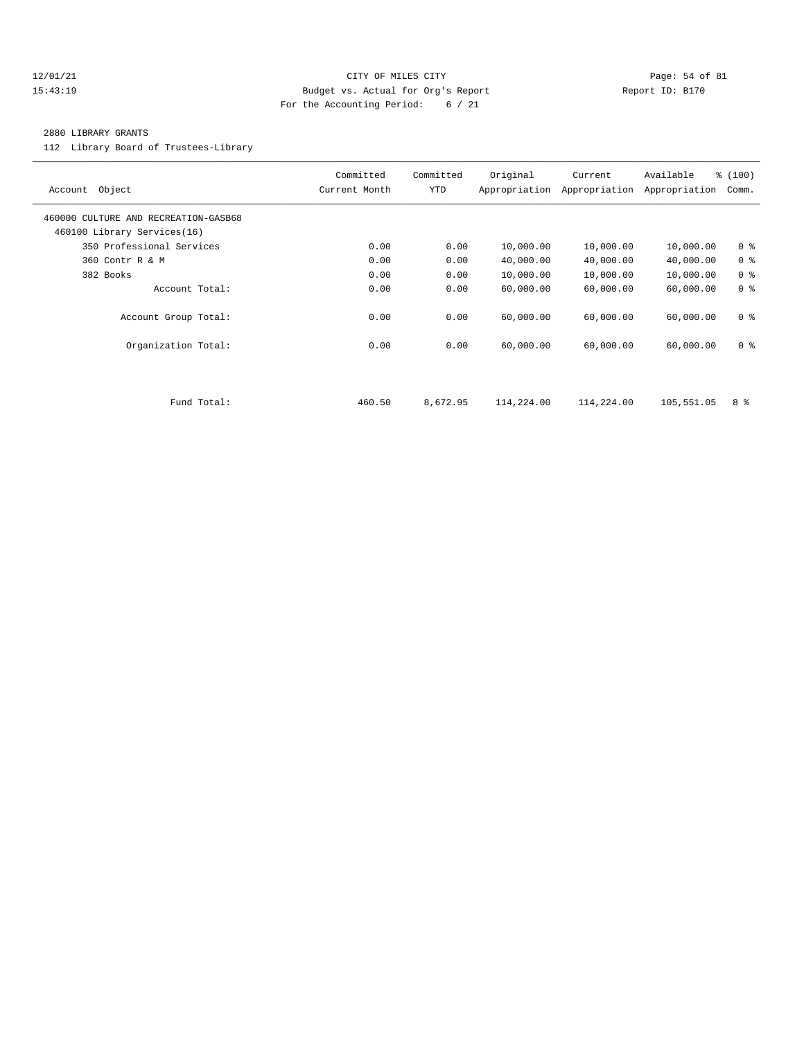## $12/01/21$  Page: 54 of 81 15:43:19 Budget vs. Actual for Org's Report Report ID: B170 For the Accounting Period: 6 / 21

#### 2880 LIBRARY GRANTS

112 Library Board of Trustees-Library

| Object<br>Account                                                   | Committed<br>Current Month | Committed<br>YTD | Original<br>Appropriation | Current<br>Appropriation | Available<br>Appropriation | % (100)<br>Comm. |
|---------------------------------------------------------------------|----------------------------|------------------|---------------------------|--------------------------|----------------------------|------------------|
| 460000 CULTURE AND RECREATION-GASB68<br>460100 Library Services(16) |                            |                  |                           |                          |                            |                  |
| 350 Professional Services                                           | 0.00                       | 0.00             | 10,000.00                 | 10,000.00                | 10,000.00                  | 0 <sup>8</sup>   |
| 360 Contr R & M                                                     | 0.00                       | 0.00             | 40,000.00                 | 40,000.00                | 40,000.00                  | 0 <sup>8</sup>   |
| 382 Books                                                           | 0.00                       | 0.00             | 10,000.00                 | 10,000.00                | 10,000.00                  | 0 <sup>8</sup>   |
| Account Total:                                                      | 0.00                       | 0.00             | 60,000.00                 | 60,000.00                | 60,000.00                  | 0 <sup>8</sup>   |
| Account Group Total:                                                | 0.00                       | 0.00             | 60,000.00                 | 60,000.00                | 60,000.00                  | 0 <sup>8</sup>   |
| Organization Total:                                                 | 0.00                       | 0.00             | 60,000.00                 | 60,000.00                | 60,000.00                  | 0 <sup>8</sup>   |
|                                                                     |                            |                  |                           |                          |                            |                  |
| Fund Total:                                                         | 460.50                     | 8,672.95         | 114,224.00                | 114,224.00               | 105,551.05                 | 8 %              |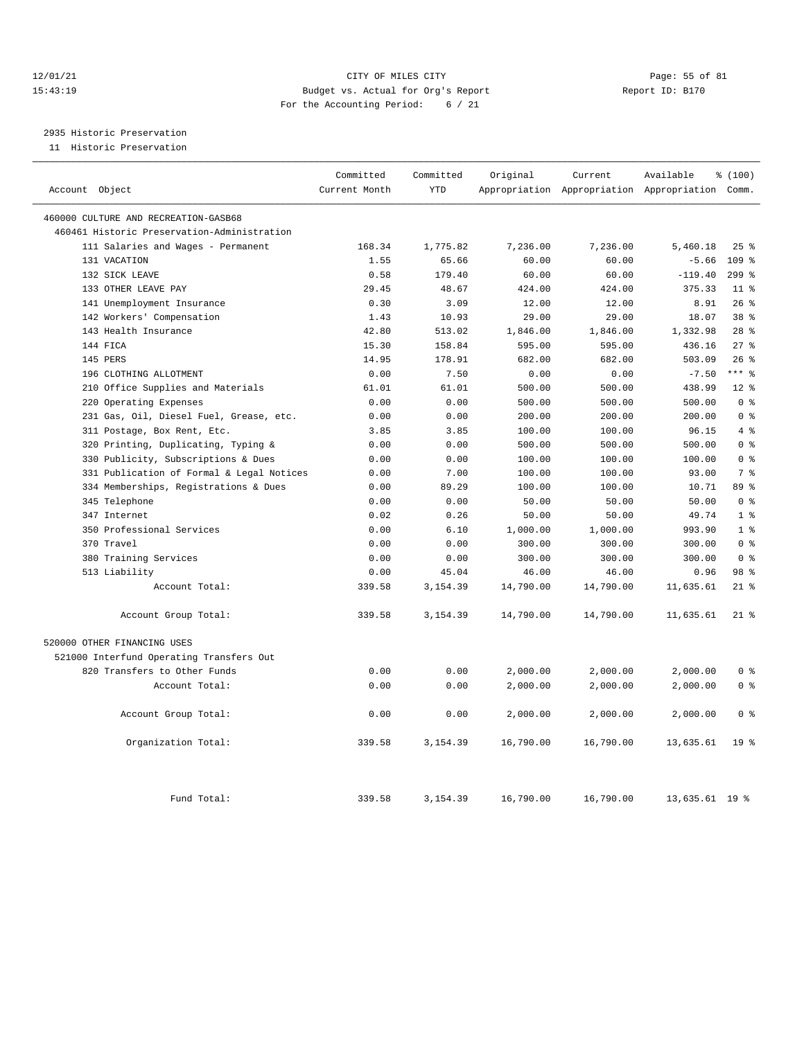## 12/01/21 Page: 55 of 81 CITY OF MILES CITY CONTRIBUTE PAGE: 55 of 81<br>15:43:19 Budget vs. Actual for Org's Report Page: 15 of 81 Page: 55 of 81 15:43:19 Budget vs. Actual for Org's Report For the Accounting Period: 6 / 21

# 2935 Historic Preservation

11 Historic Preservation

| Account Object                              | Committed<br>Current Month | Committed<br><b>YTD</b> | Original  | Current   | Available<br>Appropriation Appropriation Appropriation Comm. | % (100)         |
|---------------------------------------------|----------------------------|-------------------------|-----------|-----------|--------------------------------------------------------------|-----------------|
| 460000 CULTURE AND RECREATION-GASB68        |                            |                         |           |           |                                                              |                 |
| 460461 Historic Preservation-Administration |                            |                         |           |           |                                                              |                 |
| 111 Salaries and Wages - Permanent          | 168.34                     | 1,775.82                | 7,236.00  | 7,236.00  | 5,460.18                                                     | 25%             |
| 131 VACATION                                | 1.55                       | 65.66                   | 60.00     | 60.00     | $-5.66$                                                      | 109 %           |
| 132 SICK LEAVE                              | 0.58                       | 179.40                  | 60.00     | 60.00     | $-119.40$                                                    | $299$ $%$       |
| 133 OTHER LEAVE PAY                         | 29.45                      | 48.67                   | 424.00    | 424.00    | 375.33                                                       | $11$ %          |
| 141 Unemployment Insurance                  | 0.30                       | 3.09                    | 12.00     | 12.00     | 8.91                                                         | 26%             |
| 142 Workers' Compensation                   | 1.43                       | 10.93                   | 29.00     | 29.00     | 18.07                                                        | $38*$           |
| 143 Health Insurance                        | 42.80                      | 513.02                  | 1,846.00  | 1,846.00  | 1,332.98                                                     | $28$ %          |
| 144 FICA                                    | 15.30                      | 158.84                  | 595.00    | 595.00    | 436.16                                                       | $27$ %          |
| 145 PERS                                    | 14.95                      | 178.91                  | 682.00    | 682.00    | 503.09                                                       | 26%             |
| 196 CLOTHING ALLOTMENT                      | 0.00                       | 7.50                    | 0.00      | 0.00      | $-7.50$                                                      | $***$ 8         |
| 210 Office Supplies and Materials           | 61.01                      | 61.01                   | 500.00    | 500.00    | 438.99                                                       | $12*$           |
| 220 Operating Expenses                      | 0.00                       | 0.00                    | 500.00    | 500.00    | 500.00                                                       | 0 <sup>8</sup>  |
| 231 Gas, Oil, Diesel Fuel, Grease, etc.     | 0.00                       | 0.00                    | 200.00    | 200.00    | 200.00                                                       | 0 <sup>8</sup>  |
| 311 Postage, Box Rent, Etc.                 | 3.85                       | 3.85                    | 100.00    | 100.00    | 96.15                                                        | 4%              |
| 320 Printing, Duplicating, Typing &         | 0.00                       | 0.00                    | 500.00    | 500.00    | 500.00                                                       | 0 <sup>8</sup>  |
|                                             |                            | 0.00                    |           | 100.00    | 100.00                                                       | 0 <sup>8</sup>  |
| 330 Publicity, Subscriptions & Dues         | 0.00                       |                         | 100.00    |           | 93.00                                                        | 7 <sup>8</sup>  |
| 331 Publication of Formal & Legal Notices   | 0.00                       | 7.00                    | 100.00    | 100.00    |                                                              |                 |
| 334 Memberships, Registrations & Dues       | 0.00                       | 89.29                   | 100.00    | 100.00    | 10.71                                                        | 89 %            |
| 345 Telephone                               | 0.00                       | 0.00                    | 50.00     | 50.00     | 50.00                                                        | 0 <sup>8</sup>  |
| 347 Internet                                | 0.02                       | 0.26                    | 50.00     | 50.00     | 49.74                                                        | 1 <sup>8</sup>  |
| 350 Professional Services                   | 0.00                       | 6.10                    | 1,000.00  | 1,000.00  | 993.90                                                       | 1 <sup>8</sup>  |
| 370 Travel                                  | 0.00                       | 0.00                    | 300.00    | 300.00    | 300.00                                                       | 0 <sup>8</sup>  |
| 380 Training Services                       | 0.00                       | 0.00                    | 300.00    | 300.00    | 300.00                                                       | 0 <sup>8</sup>  |
| 513 Liability                               | 0.00                       | 45.04                   | 46.00     | 46.00     | 0.96                                                         | 98 <sup>8</sup> |
| Account Total:                              | 339.58                     | 3,154.39                | 14,790.00 | 14,790.00 | 11,635.61                                                    | $21$ %          |
| Account Group Total:                        | 339.58                     | 3,154.39                | 14,790.00 | 14,790.00 | 11,635.61                                                    | $21$ %          |
| 520000 OTHER FINANCING USES                 |                            |                         |           |           |                                                              |                 |
| 521000 Interfund Operating Transfers Out    |                            |                         |           |           |                                                              |                 |
| 820 Transfers to Other Funds                | 0.00                       | 0.00                    | 2,000.00  | 2,000.00  | 2,000.00                                                     | 0 <sup>8</sup>  |
| Account Total:                              | 0.00                       | 0.00                    | 2,000.00  | 2,000.00  | 2,000.00                                                     | 0 <sup>8</sup>  |
|                                             |                            |                         |           |           |                                                              |                 |
| Account Group Total:                        | 0.00                       | 0.00                    | 2,000.00  | 2,000.00  | 2,000.00                                                     | 0 <sup>8</sup>  |
| Organization Total:                         | 339.58                     | 3,154.39                | 16,790.00 | 16,790.00 | 13,635.61                                                    | 19 <sup>°</sup> |
| Fund Total:                                 | 339.58                     | 3,154.39                | 16,790.00 | 16,790.00 | 13,635.61 19 %                                               |                 |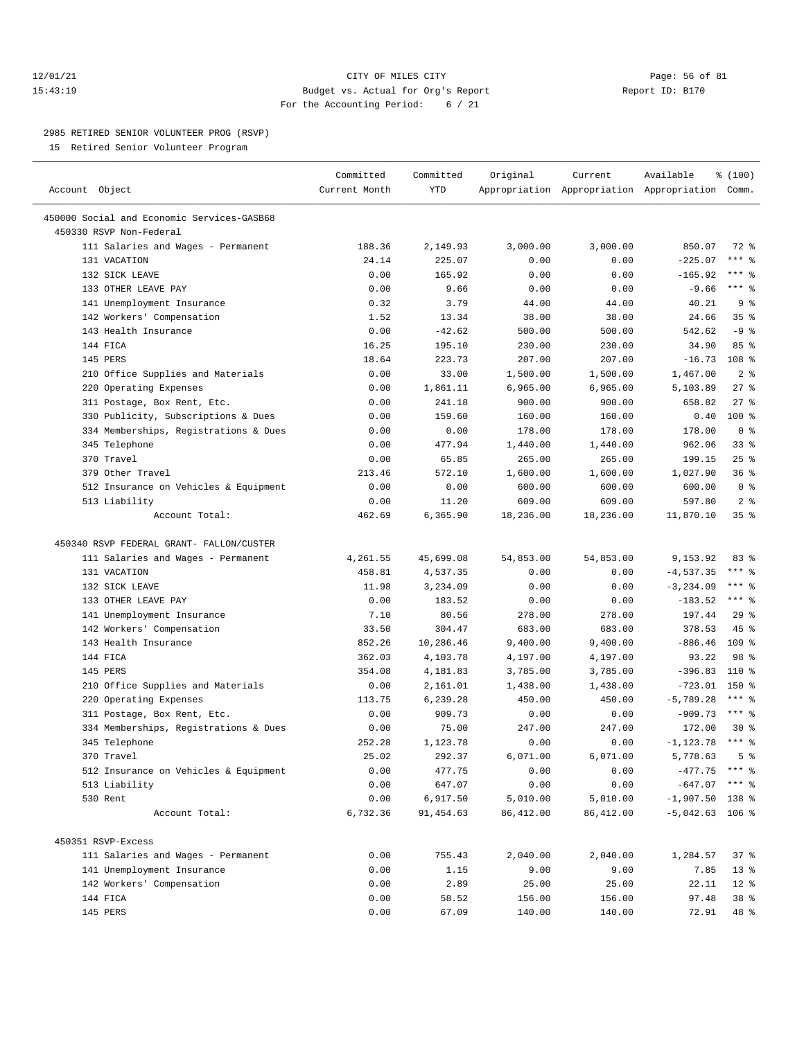## 12/01/21 Page: 56 of 81 15:43:19 Budget vs. Actual for Org's Report Report ID: B170 For the Accounting Period: 6 / 21

————————————————————————————————————————————————————————————————————————————————————————————————————————————————————————————————————

#### 2985 RETIRED SENIOR VOLUNTEER PROG (RSVP)

15 Retired Senior Volunteer Program

|                                                                       | Committed     | Committed  | Original   | Current    | Available                                       | \$(100)             |
|-----------------------------------------------------------------------|---------------|------------|------------|------------|-------------------------------------------------|---------------------|
| Account Object                                                        | Current Month | <b>YTD</b> |            |            | Appropriation Appropriation Appropriation Comm. |                     |
|                                                                       |               |            |            |            |                                                 |                     |
| 450000 Social and Economic Services-GASB68<br>450330 RSVP Non-Federal |               |            |            |            |                                                 |                     |
| 111 Salaries and Wages - Permanent                                    | 188.36        | 2,149.93   | 3,000.00   | 3,000.00   | 850.07                                          | 72 %                |
| 131 VACATION                                                          | 24.14         | 225.07     | 0.00       | 0.00       | $-225.07$                                       | $***$ $-$           |
| 132 SICK LEAVE                                                        | 0.00          | 165.92     | 0.00       | 0.00       | $-165.92$                                       | $***$ $-$           |
| 133 OTHER LEAVE PAY                                                   | 0.00          | 9.66       | 0.00       | 0.00       | $-9.66$                                         | $***$ $%$           |
| 141 Unemployment Insurance                                            | 0.32          | 3.79       | 44.00      | 44.00      | 40.21                                           | 9 <sup>8</sup>      |
| 142 Workers' Compensation                                             | 1.52          | 13.34      | 38.00      | 38.00      | 24.66                                           | 35%                 |
| 143 Health Insurance                                                  | 0.00          | $-42.62$   | 500.00     | 500.00     | 542.62                                          | $-9$ %              |
| 144 FICA                                                              | 16.25         | 195.10     | 230.00     | 230.00     | 34.90                                           | 85%                 |
| 145 PERS                                                              | 18.64         | 223.73     | 207.00     | 207.00     | $-16.73$                                        | 108 %               |
| 210 Office Supplies and Materials                                     | 0.00          | 33.00      | 1,500.00   | 1,500.00   | 1,467.00                                        | 2 <sup>8</sup>      |
| 220 Operating Expenses                                                | 0.00          | 1,861.11   | 6,965.00   | 6,965.00   | 5,103.89                                        | $27$ %              |
| 311 Postage, Box Rent, Etc.                                           | 0.00          | 241.18     | 900.00     | 900.00     | 658.82                                          | $27$ %              |
| 330 Publicity, Subscriptions & Dues                                   | 0.00          | 159.60     | 160.00     | 160.00     | 0.40                                            | $100$ %             |
| 334 Memberships, Registrations & Dues                                 | 0.00          | 0.00       | 178.00     | 178.00     | 178.00                                          | 0 <sup>8</sup>      |
| 345 Telephone                                                         | 0.00          | 477.94     | 1,440.00   | 1,440.00   | 962.06                                          | $33$ $%$            |
| 370 Travel                                                            | 0.00          | 65.85      | 265.00     | 265.00     | 199.15                                          | 25%                 |
| 379 Other Travel                                                      | 213.46        | 572.10     | 1,600.00   | 1,600.00   | 1,027.90                                        | 36%                 |
| 512 Insurance on Vehicles & Equipment                                 | 0.00          | 0.00       | 600.00     | 600.00     | 600.00                                          | 0 <sup>8</sup>      |
| 513 Liability                                                         | 0.00          | 11.20      | 609.00     | 609.00     | 597.80                                          | 2 <sup>8</sup>      |
| Account Total:                                                        | 462.69        | 6,365.90   | 18,236.00  | 18,236.00  | 11,870.10                                       | 35%                 |
|                                                                       |               |            |            |            |                                                 |                     |
| 450340 RSVP FEDERAL GRANT- FALLON/CUSTER                              |               |            |            |            |                                                 |                     |
| 111 Salaries and Wages - Permanent                                    | 4,261.55      | 45,699.08  | 54,853.00  | 54,853.00  | 9,153.92                                        | 83%                 |
| 131 VACATION                                                          | 458.81        | 4,537.35   | 0.00       | 0.00       | $-4,537.35$                                     | $***$ $%$           |
| 132 SICK LEAVE                                                        | 11.98         | 3,234.09   | 0.00       | 0.00       | $-3, 234.09$                                    | $***$ $8$           |
| 133 OTHER LEAVE PAY                                                   | 0.00          | 183.52     | 0.00       | 0.00       | $-183.52$                                       | *** 응               |
| 141 Unemployment Insurance                                            | 7.10          | 80.56      | 278.00     | 278.00     | 197.44                                          | 29%                 |
| 142 Workers' Compensation                                             | 33.50         | 304.47     | 683.00     | 683.00     | 378.53                                          | $45$ %              |
| 143 Health Insurance                                                  | 852.26        | 10,286.46  | 9,400.00   | 9,400.00   | $-886.46$                                       | 109 <sup>8</sup>    |
| 144 FICA                                                              | 362.03        | 4,103.78   | 4,197.00   | 4,197.00   | 93.22                                           | 98 %                |
| 145 PERS                                                              | 354.08        | 4,181.83   | 3,785.00   | 3,785.00   | $-396.83$                                       | 110 %               |
| 210 Office Supplies and Materials                                     | 0.00          | 2,161.01   | 1,438.00   | 1,438.00   | $-723.01$ 150 %                                 |                     |
| 220 Operating Expenses                                                | 113.75        | 6,239.28   | 450.00     | 450.00     | $-5,789.28$                                     | $***$ $%$           |
| 311 Postage, Box Rent, Etc.                                           | 0.00          | 909.73     | 0.00       | 0.00       | $-909.73$                                       | $***$ $-$           |
| 334 Memberships, Registrations & Dues                                 | 0.00          | 75.00      | 247.00     | 247.00     | 172.00                                          | $30*$               |
| 345 Telephone                                                         | 252.28        | 1,123.78   | 0.00       | 0.00       | $-1, 123.78$                                    | $***$ $\frac{6}{6}$ |
| 370 Travel                                                            | 25.02         | 292.37     | 6,071.00   | 6,071.00   | 5,778.63                                        | 5 <sup>8</sup>      |
| 512 Insurance on Vehicles & Equipment                                 | 0.00          | 477.75     | 0.00       | 0.00       | $-477.75$ *** $%$                               |                     |
| 513 Liability                                                         | 0.00          | 647.07     | 0.00       | 0.00       | $-647.07$ *** \$                                |                     |
| 530 Rent                                                              | 0.00          | 6,917.50   | 5,010.00   | 5,010.00   | $-1,907.50$ 138 %                               |                     |
| Account Total:                                                        | 6,732.36      | 91, 454.63 | 86, 412.00 | 86, 412.00 | $-5,042.63$ 106 %                               |                     |
|                                                                       |               |            |            |            |                                                 |                     |
| 450351 RSVP-Excess                                                    |               |            |            |            |                                                 |                     |
| 111 Salaries and Wages - Permanent                                    | 0.00          | 755.43     | 2,040.00   | 2,040.00   | 1,284.57                                        | 37%                 |
| 141 Unemployment Insurance                                            | 0.00          | 1.15       | 9.00       | 9.00       | 7.85                                            | $13*$               |
| 142 Workers' Compensation                                             | 0.00          | 2.89       | 25.00      | 25.00      | 22.11                                           | $12*$               |
| 144 FICA                                                              | 0.00          | 58.52      | 156.00     | 156.00     | 97.48                                           | 38 %                |
| 145 PERS                                                              | 0.00          | 67.09      | 140.00     | 140.00     | 72.91                                           | 48 %                |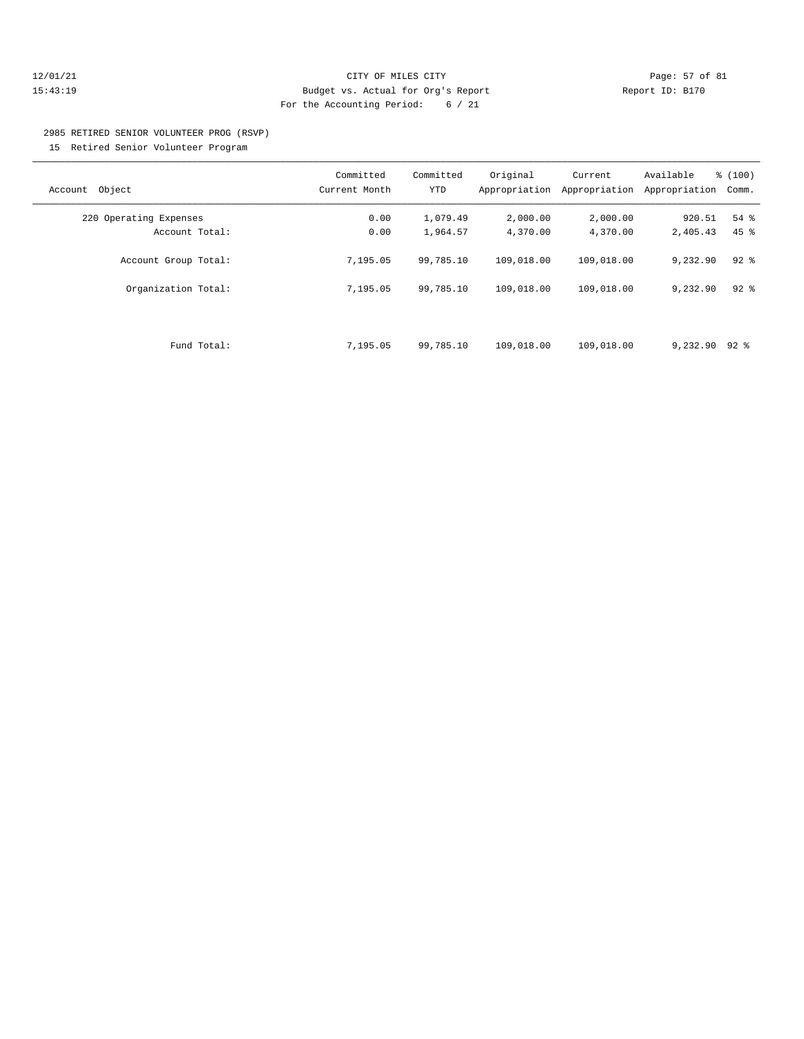## 12/01/21 Page: 57 of 81 15:43:19 Budget vs. Actual for Org's Report Report ID: B170 For the Accounting Period: 6 / 21

# 2985 RETIRED SENIOR VOLUNTEER PROG (RSVP)

15 Retired Senior Volunteer Program

| Object<br>Account      | Committed<br>Current Month | Committed<br><b>YTD</b> | Original<br>Appropriation | Current<br>Appropriation | Available<br>Appropriation | % (100)<br>Comm. |
|------------------------|----------------------------|-------------------------|---------------------------|--------------------------|----------------------------|------------------|
| 220 Operating Expenses | 0.00                       | 1,079.49                | 2,000.00                  | 2,000.00                 | 920.51                     | $54$ %           |
| Account Total:         | 0.00                       | 1,964.57                | 4,370.00                  | 4,370.00                 | 2,405.43                   | $45$ %           |
| Account Group Total:   | 7,195.05                   | 99,785.10               | 109,018.00                | 109,018.00               | 9,232.90                   | $92$ $%$         |
| Organization Total:    | 7,195.05                   | 99,785.10               | 109,018.00                | 109,018.00               | 9,232.90                   | $92$ $%$         |
|                        |                            |                         |                           |                          |                            |                  |
| Fund Total:            | 7,195.05                   | 99,785.10               | 109,018.00                | 109,018.00               | 9,232.90                   | 92 %             |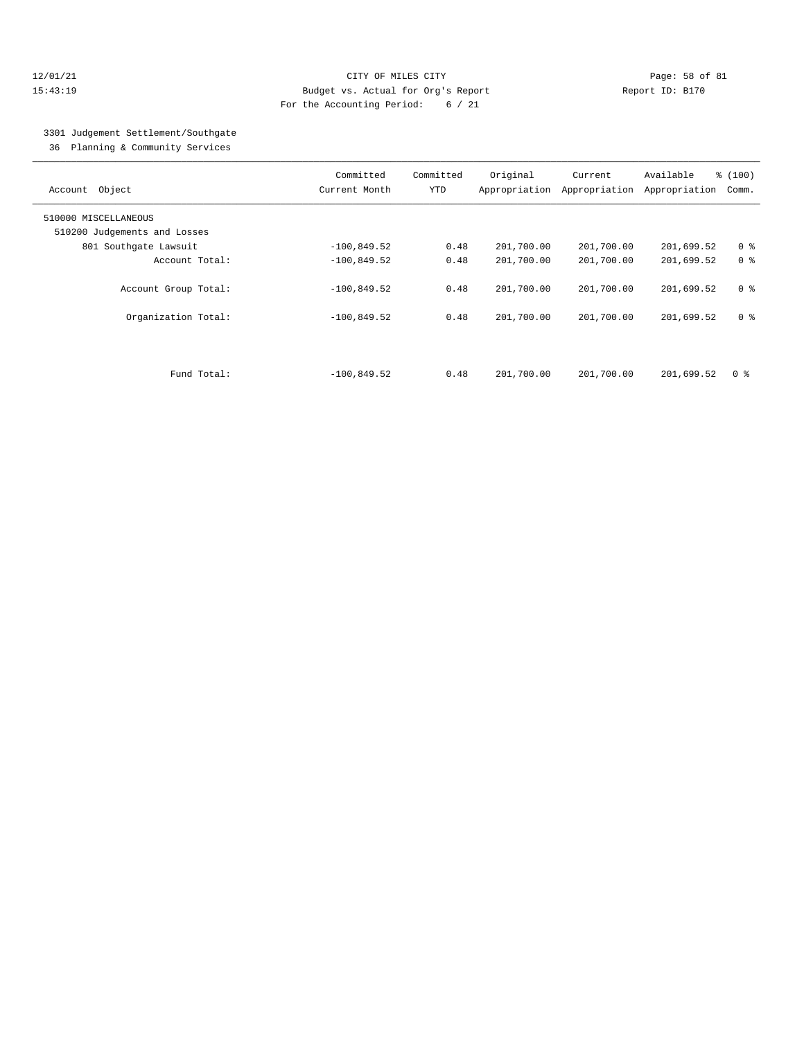## 12/01/21 Page: 58 of 81 15:43:19 Budget vs. Actual for Org's Report Report ID: B170 For the Accounting Period: 6 / 21

# 3301 Judgement Settlement/Southgate

36 Planning & Community Services

| Account Object                                       | Committed<br>Current Month | Committed<br><b>YTD</b> | Original<br>Appropriation | Current<br>Appropriation | Available<br>Appropriation | % (100)<br>Comm. |
|------------------------------------------------------|----------------------------|-------------------------|---------------------------|--------------------------|----------------------------|------------------|
| 510000 MISCELLANEOUS<br>510200 Judgements and Losses |                            |                         |                           |                          |                            |                  |
| 801 Southgate Lawsuit                                | $-100,849.52$              | 0.48                    | 201,700.00                | 201,700.00               | 201,699.52                 | 0 <sup>8</sup>   |
| Account Total:                                       | $-100,849.52$              | 0.48                    | 201,700.00                | 201,700.00               | 201,699.52                 | 0 <sup>8</sup>   |
| Account Group Total:                                 | $-100,849.52$              | 0.48                    | 201,700.00                | 201,700.00               | 201,699.52                 | 0 <sup>8</sup>   |
| Organization Total:                                  | $-100,849.52$              | 0.48                    | 201,700.00                | 201,700.00               | 201,699.52                 | 0 %              |
|                                                      |                            |                         |                           |                          |                            |                  |
| Fund Total:                                          | $-100.849.52$              | 0.48                    | 201,700.00                | 201,700.00               | 201,699.52                 | 0 ક              |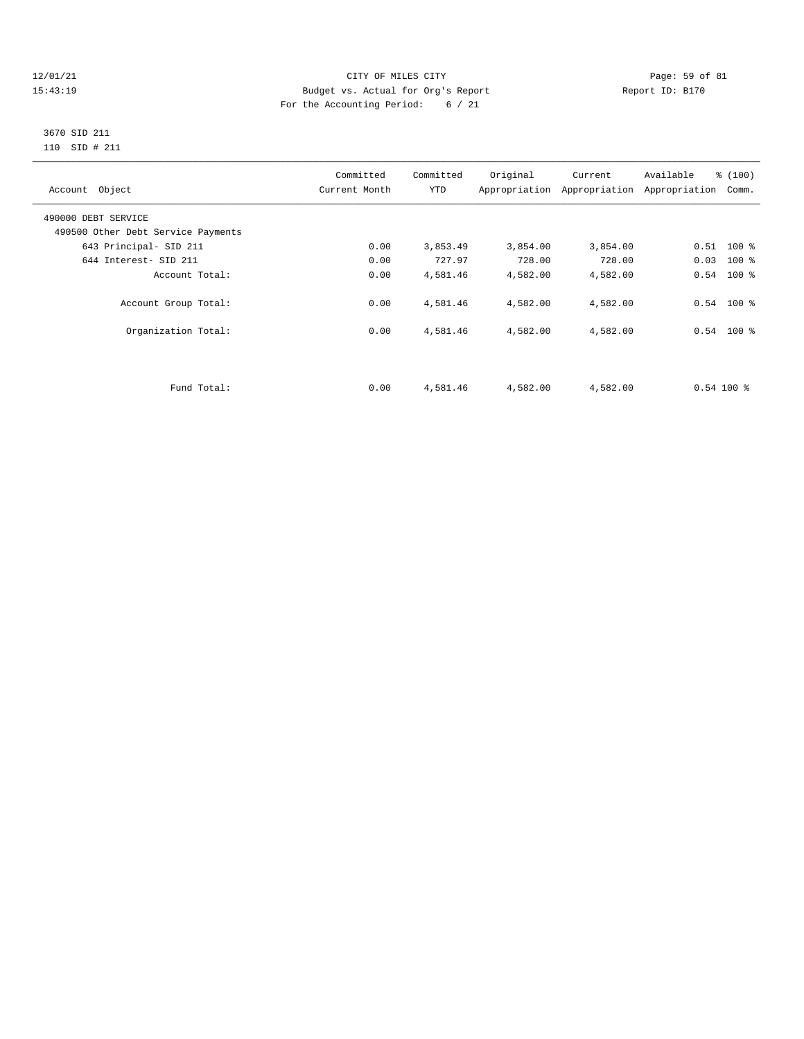#### 12/01/21 Page: 59 of 81 15:43:19 Budget vs. Actual for Org's Report Report ID: B170 For the Accounting Period: 6 / 21

Organization Total: 0.00 4,581.46 4,582.00 4,582.00 0.54 100 %

#### 3670 SID 211 110 SID # 211

| Account Object                                            | Committed<br>Current Month | Committed<br>YTD | Original | Current<br>Appropriation Appropriation Appropriation Comm. | Available | % (100)      |
|-----------------------------------------------------------|----------------------------|------------------|----------|------------------------------------------------------------|-----------|--------------|
| 490000 DEBT SERVICE<br>490500 Other Debt Service Payments |                            |                  |          |                                                            |           |              |
| 643 Principal- SID 211                                    | 0.00                       | 3,853.49         | 3,854.00 | 3,854.00                                                   |           | $0.51$ 100 % |
| 644 Interest- SID 211                                     | 0.00                       | 727.97           | 728.00   | 728.00                                                     |           | $0.03$ 100 % |
| Account Total:                                            | 0.00                       | 4,581.46         | 4,582.00 | 4,582.00                                                   |           | $0.54$ 100 % |
| Account Group Total:                                      | 0.00                       | 4,581.46         | 4,582.00 | 4,582.00                                                   | 0.54      | $100*$       |

Fund Total: 0.00 4,581.46 4,582.00 4,582.00 0.54 100 %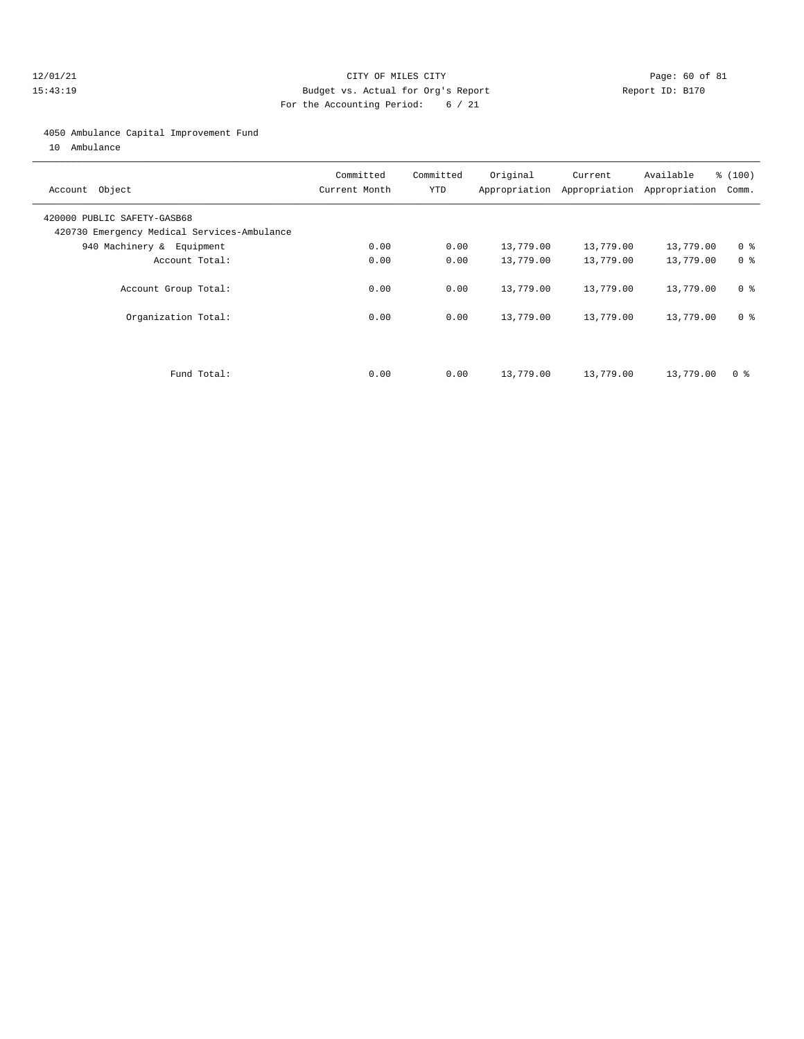## 12/01/21 Page: 60 of 81 15:43:19 Budget vs. Actual for Org's Report Report ID: B170 For the Accounting Period: 6 / 21

#### 4050 Ambulance Capital Improvement Fund

10 Ambulance

| Account Object                                                             | Committed<br>Current Month | Committed<br><b>YTD</b> | Original  | Current<br>Appropriation Appropriation | Available<br>Appropriation | % (100)<br>Comm. |
|----------------------------------------------------------------------------|----------------------------|-------------------------|-----------|----------------------------------------|----------------------------|------------------|
| 420000 PUBLIC SAFETY-GASB68<br>420730 Emergency Medical Services-Ambulance |                            |                         |           |                                        |                            |                  |
| 940 Machinery & Equipment                                                  | 0.00                       | 0.00                    | 13,779.00 | 13,779.00                              | 13,779.00                  | 0 <sup>8</sup>   |
| Account Total:                                                             | 0.00                       | 0.00                    | 13,779.00 | 13,779.00                              | 13,779.00                  | 0 <sup>8</sup>   |
| Account Group Total:                                                       | 0.00                       | 0.00                    | 13,779.00 | 13,779.00                              | 13,779.00                  | 0 <sup>8</sup>   |
| Organization Total:                                                        | 0.00                       | 0.00                    | 13,779.00 | 13,779.00                              | 13,779.00                  | 0 <sup>8</sup>   |
| Fund Total:                                                                | 0.00                       | 0.00                    | 13,779.00 | 13,779.00                              | 13,779.00                  | 0 ક              |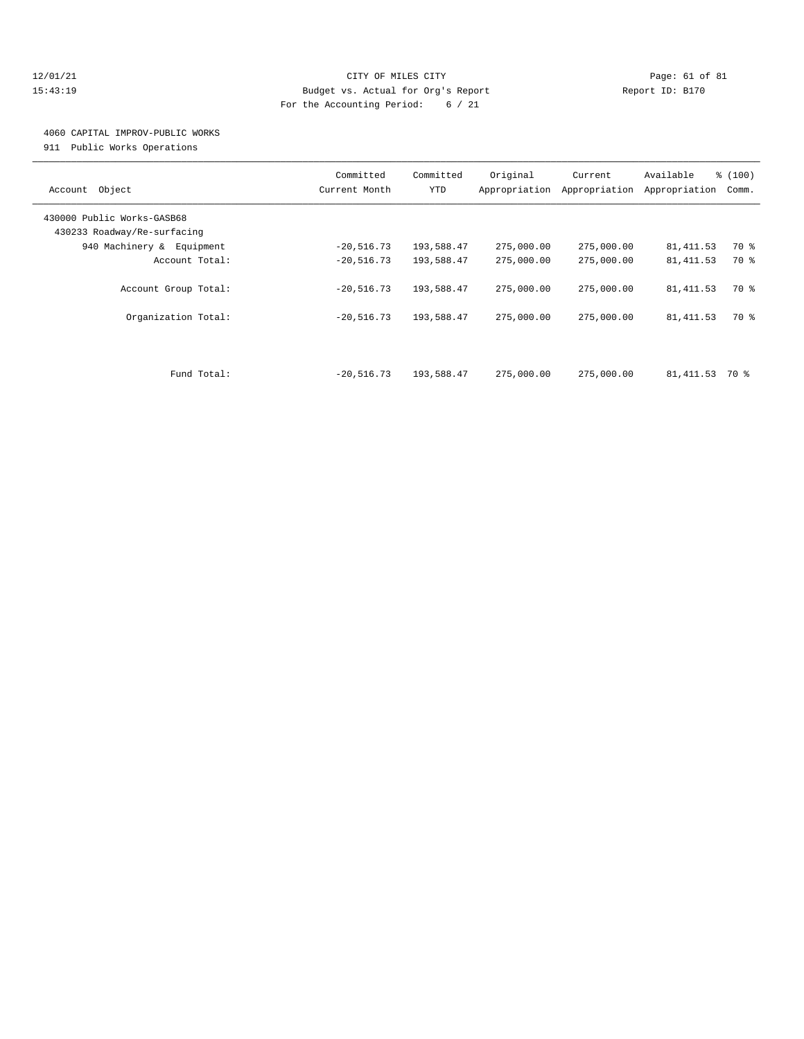## 12/01/21 Page: 61 of 81 15:43:19 Budget vs. Actual for Org's Report Report ID: B170 For the Accounting Period: 6 / 21

# 4060 CAPITAL IMPROV-PUBLIC WORKS

911 Public Works Operations

| Object<br>Account                                         | Committed<br>Current Month | Committed<br><b>YTD</b> | Original<br>Appropriation | Current<br>Appropriation | Available<br>Appropriation | % (100)<br>Comm. |
|-----------------------------------------------------------|----------------------------|-------------------------|---------------------------|--------------------------|----------------------------|------------------|
| 430000 Public Works-GASB68<br>430233 Roadway/Re-surfacing |                            |                         |                           |                          |                            |                  |
| 940 Machinery & Equipment                                 | $-20,516.73$               | 193,588.47              | 275,000.00                | 275,000.00               | 81, 411.53                 | 70 %             |
| Account Total:                                            | $-20,516.73$               | 193,588.47              | 275,000.00                | 275,000.00               | 81, 411.53                 | 70 %             |
| Account Group Total:                                      | $-20,516.73$               | 193,588.47              | 275,000.00                | 275,000.00               | 81, 411.53                 | 70 %             |
| Organization Total:                                       | $-20,516.73$               | 193,588.47              | 275,000.00                | 275,000.00               | 81, 411.53                 | 70 %             |
| Fund Total:                                               | $-20,516.73$               | 193,588.47              | 275,000.00                | 275,000.00               | 81,411.53                  | 70 %             |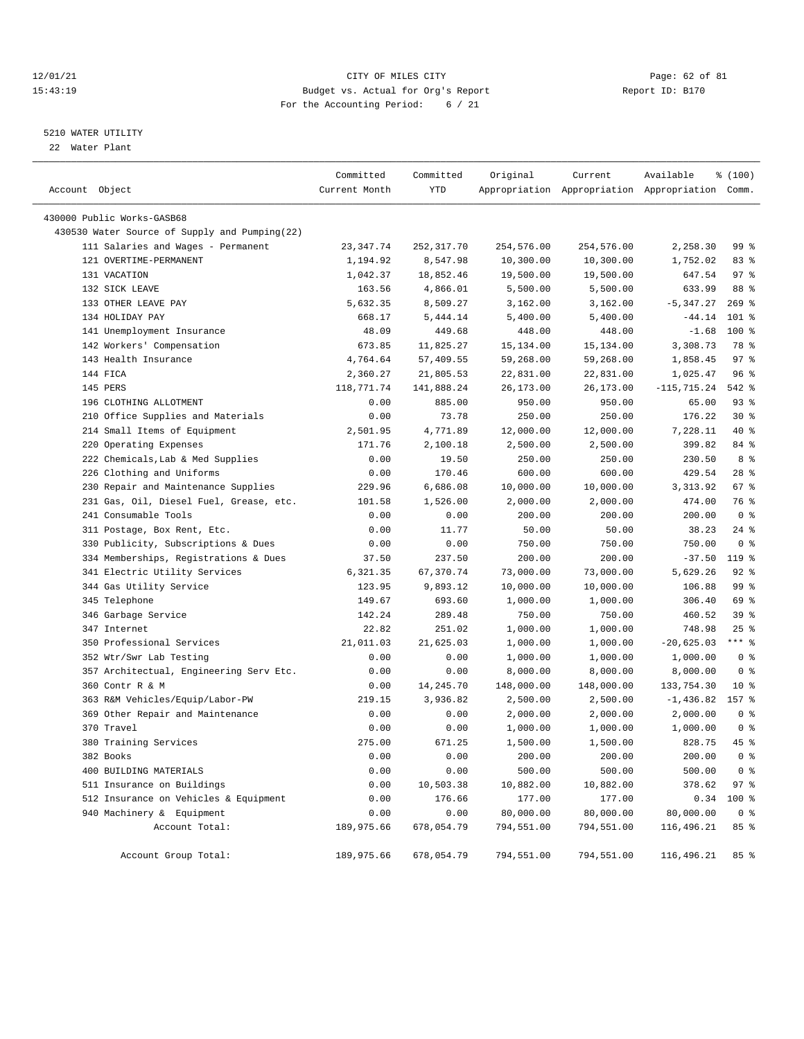## 12/01/21 Page: 62 of 81 CITY OF MILES CITY CONTRIBUTE CITY PAGE: 62 of 81 Page: 62 of 81 CITY CHILES CITY CONTRIBUTE CITY PAGE: 2005 81 15:43:19 Budget vs. Actual for Org's Report For the Accounting Period: 6 / 21

# 5210 WATER UTILITY

22 Water Plant

| Account Object                                | Committed<br>Current Month | Committed<br>YTD | Original   | Current    | Available<br>Appropriation Appropriation Appropriation Comm. | \$(100)        |  |
|-----------------------------------------------|----------------------------|------------------|------------|------------|--------------------------------------------------------------|----------------|--|
| 430000 Public Works-GASB68                    |                            |                  |            |            |                                                              |                |  |
| 430530 Water Source of Supply and Pumping(22) |                            |                  |            |            |                                                              |                |  |
| 111 Salaries and Wages - Permanent            | 23, 347. 74                | 252,317.70       | 254,576.00 | 254,576.00 | 2,258.30                                                     | 99 %           |  |
| 121 OVERTIME-PERMANENT                        | 1,194.92                   | 8,547.98         | 10,300.00  | 10,300.00  | 1,752.02                                                     | 83%            |  |
| 131 VACATION                                  | 1,042.37                   | 18,852.46        | 19,500.00  | 19,500.00  | 647.54                                                       | 97%            |  |
| 132 SICK LEAVE                                | 163.56                     | 4,866.01         | 5,500.00   | 5,500.00   | 633.99                                                       | 88 %           |  |
| 133 OTHER LEAVE PAY                           | 5,632.35                   | 8,509.27         | 3,162.00   | 3,162.00   | $-5, 347.27$                                                 | $269$ %        |  |
| 134 HOLIDAY PAY                               | 668.17                     | 5,444.14         | 5,400.00   | 5,400.00   | $-44.14$                                                     | $101$ %        |  |
| 141 Unemployment Insurance                    | 48.09                      | 449.68           | 448.00     | 448.00     | $-1.68$                                                      | $100*$         |  |
| 142 Workers' Compensation                     | 673.85                     | 11,825.27        | 15,134.00  | 15,134.00  | 3,308.73                                                     | 78 %           |  |
| 143 Health Insurance                          | 4,764.64                   | 57,409.55        | 59,268.00  | 59,268.00  | 1,858.45                                                     | 97%            |  |
| 144 FICA                                      | 2,360.27                   | 21,805.53        | 22,831.00  | 22,831.00  | 1,025.47                                                     | 96%            |  |
| 145 PERS                                      |                            |                  |            |            |                                                              | 542 %          |  |
| 196 CLOTHING ALLOTMENT                        | 118,771.74                 | 141,888.24       | 26,173.00  | 26,173.00  | $-115,715.24$                                                | $93$ $%$       |  |
|                                               | 0.00                       | 885.00           | 950.00     | 950.00     | 65.00                                                        | $30*$          |  |
| 210 Office Supplies and Materials             | 0.00                       | 73.78            | 250.00     | 250.00     | 176.22                                                       | 40 %           |  |
| 214 Small Items of Equipment                  | 2,501.95                   | 4,771.89         | 12,000.00  | 12,000.00  | 7,228.11                                                     |                |  |
| 220 Operating Expenses                        | 171.76                     | 2,100.18         | 2,500.00   | 2,500.00   | 399.82                                                       | 84 %           |  |
| 222 Chemicals, Lab & Med Supplies             | 0.00                       | 19.50            | 250.00     | 250.00     | 230.50                                                       | 8 %            |  |
| 226 Clothing and Uniforms                     | 0.00                       | 170.46           | 600.00     | 600.00     | 429.54                                                       | $28$ %         |  |
| 230 Repair and Maintenance Supplies           | 229.96                     | 6,686.08         | 10,000.00  | 10,000.00  | 3, 313.92                                                    | 67%            |  |
| 231 Gas, Oil, Diesel Fuel, Grease, etc.       | 101.58                     | 1,526.00         | 2,000.00   | 2,000.00   | 474.00                                                       | 76 %           |  |
| 241 Consumable Tools                          | 0.00                       | 0.00             | 200.00     | 200.00     | 200.00                                                       | 0 <sup>8</sup> |  |
| 311 Postage, Box Rent, Etc.                   | 0.00                       | 11.77            | 50.00      | 50.00      | 38.23                                                        | $24$ %         |  |
| 330 Publicity, Subscriptions & Dues           | 0.00                       | 0.00             | 750.00     | 750.00     | 750.00                                                       | 0 <sup>8</sup> |  |
| 334 Memberships, Registrations & Dues         | 37.50                      | 237.50           | 200.00     | 200.00     | $-37.50$                                                     | 119 %          |  |
| 341 Electric Utility Services                 | 6,321.35                   | 67,370.74        | 73,000.00  | 73,000.00  | 5,629.26                                                     | 92%            |  |
| 344 Gas Utility Service                       | 123.95                     | 9,893.12         | 10,000.00  | 10,000.00  | 106.88                                                       | 99 %           |  |
| 345 Telephone                                 | 149.67                     | 693.60           | 1,000.00   | 1,000.00   | 306.40                                                       | 69 %           |  |
| 346 Garbage Service                           | 142.24                     | 289.48           | 750.00     | 750.00     | 460.52                                                       | 39 %           |  |
| 347 Internet                                  | 22.82                      | 251.02           | 1,000.00   | 1,000.00   | 748.98                                                       | $25$ %         |  |
| 350 Professional Services                     | 21,011.03                  | 21,625.03        | 1,000.00   | 1,000.00   | $-20,625.03$                                                 | $***$ $%$      |  |
| 352 Wtr/Swr Lab Testing                       | 0.00                       | 0.00             | 1,000.00   | 1,000.00   | 1,000.00                                                     | 0 <sup>8</sup> |  |
| 357 Architectual, Engineering Serv Etc.       | 0.00                       | 0.00             | 8,000.00   | 8,000.00   | 8,000.00                                                     | 0 <sup>8</sup> |  |
| 360 Contr R & M                               | 0.00                       | 14, 245. 70      | 148,000.00 | 148,000.00 | 133,754.30                                                   | $10*$          |  |
| 363 R&M Vehicles/Equip/Labor-PW               | 219.15                     | 3,936.82         | 2,500.00   | 2,500.00   | $-1,436.82$                                                  | 157 %          |  |
| 369 Other Repair and Maintenance              | 0.00                       | 0.00             | 2,000.00   | 2,000.00   | 2,000.00                                                     | 0 <sup>8</sup> |  |
| 370 Travel                                    | 0.00                       | 0.00             | 1,000.00   | 1,000.00   | 1,000.00                                                     | 0 <sup>8</sup> |  |
| 380 Training Services                         | 275.00                     | 671.25           | 1,500.00   | 1,500.00   | 828.75                                                       | 45%            |  |
| 382 Books                                     | 0.00                       | 0.00             | 200.00     | 200.00     | 200.00                                                       | 0 <sup>8</sup> |  |
| 400 BUILDING MATERIALS                        | 0.00                       | 0.00             | 500.00     | 500.00     | 500.00                                                       | 0 <sup>8</sup> |  |
| 511 Insurance on Buildings                    | 0.00                       | 10,503.38        | 10,882.00  | 10,882.00  | 378.62                                                       | 97%            |  |
| 512 Insurance on Vehicles & Equipment         | 0.00                       | 176.66           | 177.00     | 177.00     | 0.34                                                         | 100 %          |  |
| 940 Machinery & Equipment                     | 0.00                       | 0.00             | 80,000.00  | 80,000.00  | 80,000.00                                                    | 0 <sup>8</sup> |  |
| Account Total:                                | 189,975.66                 | 678,054.79       | 794,551.00 | 794,551.00 | 116,496.21                                                   | 85 %           |  |
| Account Group Total:                          | 189,975.66                 | 678,054.79       | 794,551.00 | 794,551.00 | 116,496.21                                                   | 85 %           |  |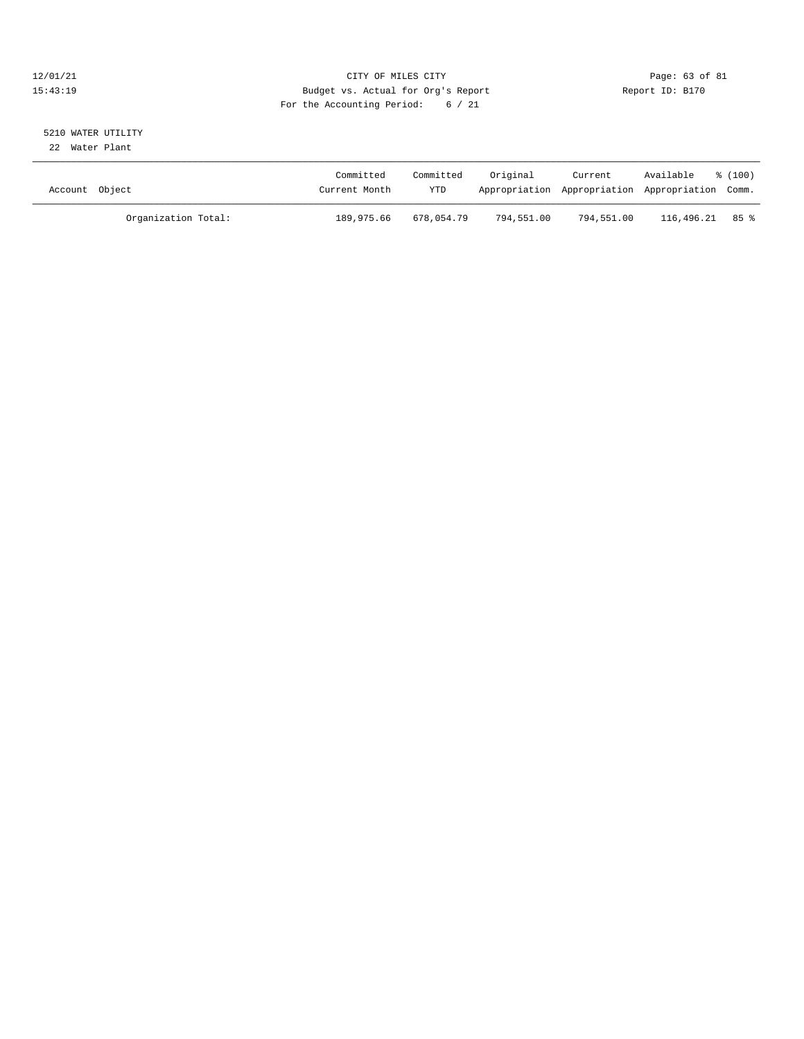## 12/01/21 Page: 63 of 81 CITY OF MILES CITY CONTRIBUTE CITY PAGE: 63 of 81 Page: 63 of 81 CITY CHES CITY CONTRIBUTE CITY 15:43:19 Budget vs. Actual for Org's Report For the Accounting Period: 6 / 21

# 5210 WATER UTILITY

22 Water Plant

| Account Object |                     | Committed<br>Current Month | Committed<br>YTD | Original   | Current    | Available<br>Appropriation Appropriation Appropriation Comm. | $\frac{100}{2}$ |
|----------------|---------------------|----------------------------|------------------|------------|------------|--------------------------------------------------------------|-----------------|
|                | Organization Total: | 189,975.66                 | 678,054.79       | 794,551.00 | 794,551.00 | 116,496.21                                                   | 85 %            |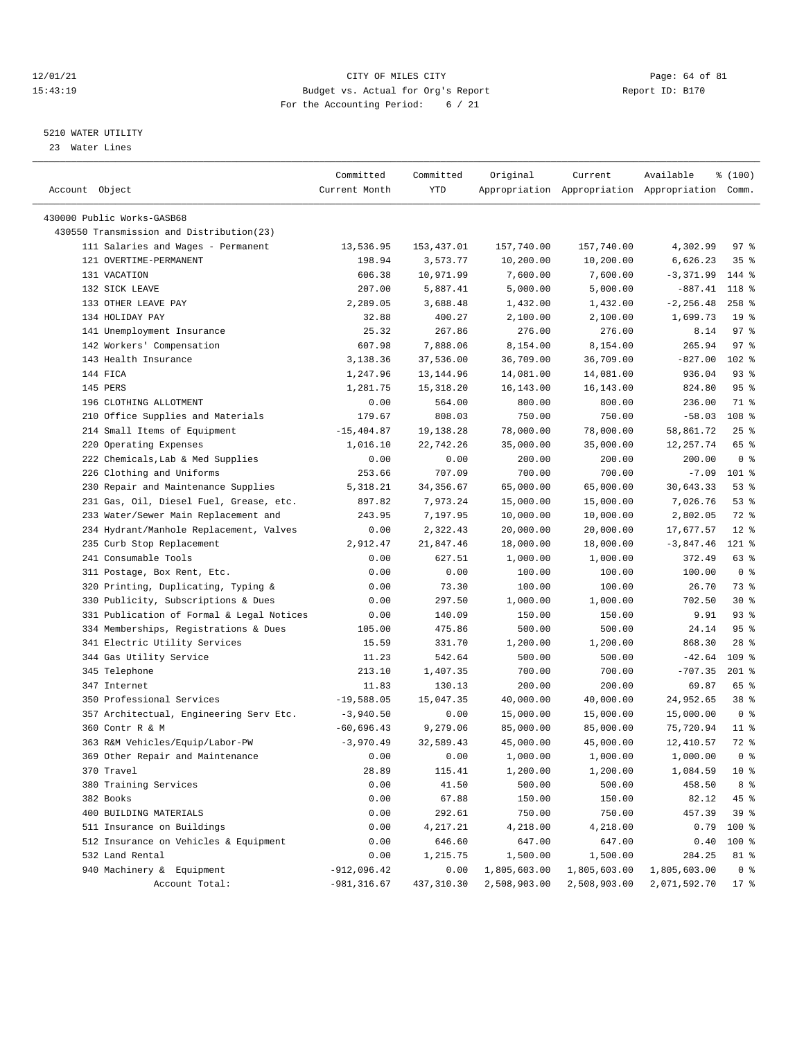## 12/01/21 Page: 64 of 81<br>
12/01/21 Page: 64 of 81<br>
Budget vs. Actual for Org's Report Physics (Report ID: B170 15:43:19 Budget vs. Actual for Org's Report For the Accounting Period: 6 / 21

————————————————————————————————————————————————————————————————————————————————————————————————————————————————————————————————————

# 5210 WATER UTILITY

23 Water Lines

|                                           | Committed      | Committed  | Original     | Current      | Available                                       | \$(100)         |
|-------------------------------------------|----------------|------------|--------------|--------------|-------------------------------------------------|-----------------|
| Account Object                            | Current Month  | YTD        |              |              | Appropriation Appropriation Appropriation Comm. |                 |
|                                           |                |            |              |              |                                                 |                 |
| 430000 Public Works-GASB68                |                |            |              |              |                                                 |                 |
| 430550 Transmission and Distribution(23)  |                |            |              |              |                                                 |                 |
| 111 Salaries and Wages - Permanent        | 13,536.95      | 153,437.01 | 157,740.00   | 157,740.00   | 4,302.99                                        | 97%             |
| 121 OVERTIME-PERMANENT                    | 198.94         | 3,573.77   | 10,200.00    | 10,200.00    | 6,626.23                                        | 35 <sup>8</sup> |
| 131 VACATION                              | 606.38         | 10,971.99  | 7,600.00     | 7,600.00     | $-3,371.99$                                     | $144$ %         |
| 132 SICK LEAVE                            | 207.00         | 5,887.41   | 5,000.00     | 5,000.00     | -887.41                                         | 118 %           |
| 133 OTHER LEAVE PAY                       | 2,289.05       | 3,688.48   | 1,432.00     | 1,432.00     | $-2, 256.48$                                    | $258$ %         |
| 134 HOLIDAY PAY                           | 32.88          | 400.27     | 2,100.00     | 2,100.00     | 1,699.73                                        | 19 <sup>°</sup> |
| 141 Unemployment Insurance                | 25.32          | 267.86     | 276.00       | 276.00       | 8.14                                            | 97%             |
| 142 Workers' Compensation                 | 607.98         | 7,888.06   | 8,154.00     | 8,154.00     | 265.94                                          | 97%             |
| 143 Health Insurance                      | 3,138.36       | 37,536.00  | 36,709.00    | 36,709.00    | $-827.00$                                       | $102$ %         |
| 144 FICA                                  | 1,247.96       | 13,144.96  | 14,081.00    | 14,081.00    | 936.04                                          | 93%             |
| 145 PERS                                  | 1,281.75       | 15, 318.20 | 16,143.00    | 16,143.00    | 824.80                                          | 95%             |
| 196 CLOTHING ALLOTMENT                    | 0.00           | 564.00     | 800.00       | 800.00       | 236.00                                          | 71 %            |
| 210 Office Supplies and Materials         | 179.67         | 808.03     | 750.00       | 750.00       | $-58.03$                                        | 108 %           |
| 214 Small Items of Equipment              | $-15,404.87$   | 19,138.28  | 78,000.00    | 78,000.00    | 58,861.72                                       | $25$ %          |
| 220 Operating Expenses                    | 1,016.10       | 22,742.26  | 35,000.00    | 35,000.00    | 12,257.74                                       | 65 %            |
| 222 Chemicals, Lab & Med Supplies         | 0.00           | 0.00       | 200.00       | 200.00       | 200.00                                          | 0 <sup>8</sup>  |
| 226 Clothing and Uniforms                 | 253.66         | 707.09     | 700.00       | 700.00       | $-7.09$                                         | 101 %           |
| 230 Repair and Maintenance Supplies       | 5,318.21       | 34, 356.67 | 65,000.00    | 65,000.00    | 30,643.33                                       | 53%             |
| 231 Gas, Oil, Diesel Fuel, Grease, etc.   | 897.82         | 7,973.24   | 15,000.00    | 15,000.00    | 7,026.76                                        | 53%             |
| 233 Water/Sewer Main Replacement and      | 243.95         | 7,197.95   | 10,000.00    | 10,000.00    | 2,802.05                                        | 72 %            |
| 234 Hydrant/Manhole Replacement, Valves   | 0.00           | 2,322.43   | 20,000.00    | 20,000.00    | 17,677.57                                       | $12$ %          |
| 235 Curb Stop Replacement                 | 2,912.47       | 21,847.46  | 18,000.00    | 18,000.00    | $-3,847.46$                                     | $121$ %         |
| 241 Consumable Tools                      | 0.00           | 627.51     | 1,000.00     | 1,000.00     | 372.49                                          | 63%             |
| 311 Postage, Box Rent, Etc.               | 0.00           | 0.00       | 100.00       | 100.00       | 100.00                                          | 0 <sup>8</sup>  |
| 320 Printing, Duplicating, Typing &       | 0.00           | 73.30      | 100.00       | 100.00       | 26.70                                           | 73 %            |
| 330 Publicity, Subscriptions & Dues       | 0.00           | 297.50     | 1,000.00     | 1,000.00     | 702.50                                          | $30*$           |
| 331 Publication of Formal & Legal Notices | 0.00           | 140.09     | 150.00       | 150.00       | 9.91                                            | 93%             |
| 334 Memberships, Registrations & Dues     | 105.00         | 475.86     | 500.00       | 500.00       | 24.14                                           | 95%             |
| 341 Electric Utility Services             | 15.59          | 331.70     | 1,200.00     | 1,200.00     | 868.30                                          | $28$ %          |
| 344 Gas Utility Service                   | 11.23          | 542.64     | 500.00       | 500.00       | $-42.64$                                        | 109 %           |
| 345 Telephone                             | 213.10         | 1,407.35   | 700.00       | 700.00       | $-707.35$                                       | $201$ %         |
| 347 Internet                              | 11.83          | 130.13     | 200.00       | 200.00       | 69.87                                           | 65 %            |
| 350 Professional Services                 | $-19,588.05$   | 15,047.35  | 40,000.00    | 40,000.00    | 24,952.65                                       | 38 <sup>8</sup> |
| 357 Architectual, Engineering Serv Etc.   | $-3,940.50$    | 0.00       | 15,000.00    | 15,000.00    | 15,000.00                                       | 0 <sup>8</sup>  |
| 360 Contr R & M                           | $-60,696.43$   | 9,279.06   | 85,000.00    | 85,000.00    | 75,720.94                                       | $11$ %          |
| 363 R&M Vehicles/Equip/Labor-PW           | $-3,970.49$    | 32,589.43  | 45,000.00    | 45,000.00    | 12,410.57                                       | 72 %            |
| 369 Other Repair and Maintenance          | 0.00           | 0.00       | 1,000.00     | 1,000.00     | 1,000.00                                        | 0 %             |
| 370 Travel                                | 28.89          | 115.41     | 1,200.00     | 1,200.00     | 1,084.59                                        | 10 <sup>8</sup> |
| 380 Training Services                     | 0.00           | 41.50      | 500.00       | 500.00       | 458.50                                          | 8 %             |
| 382 Books                                 | 0.00           | 67.88      | 150.00       | 150.00       | 82.12                                           | 45 %            |
| 400 BUILDING MATERIALS                    | 0.00           | 292.61     | 750.00       | 750.00       | 457.39                                          | 39 %            |
| 511 Insurance on Buildings                | 0.00           | 4,217.21   | 4,218.00     | 4,218.00     | 0.79                                            | 100 %           |
| 512 Insurance on Vehicles & Equipment     | 0.00           | 646.60     | 647.00       | 647.00       | 0.40                                            | 100 %           |
| 532 Land Rental                           | 0.00           | 1,215.75   | 1,500.00     | 1,500.00     | 284.25                                          | 81 %            |
| 940 Machinery & Equipment                 | $-912,096.42$  | 0.00       | 1,805,603.00 | 1,805,603.00 | 1,805,603.00                                    | 0 <sup>8</sup>  |
| Account Total:                            | $-981, 316.67$ | 437,310.30 | 2,508,903.00 | 2,508,903.00 | 2,071,592.70                                    | $17$ %          |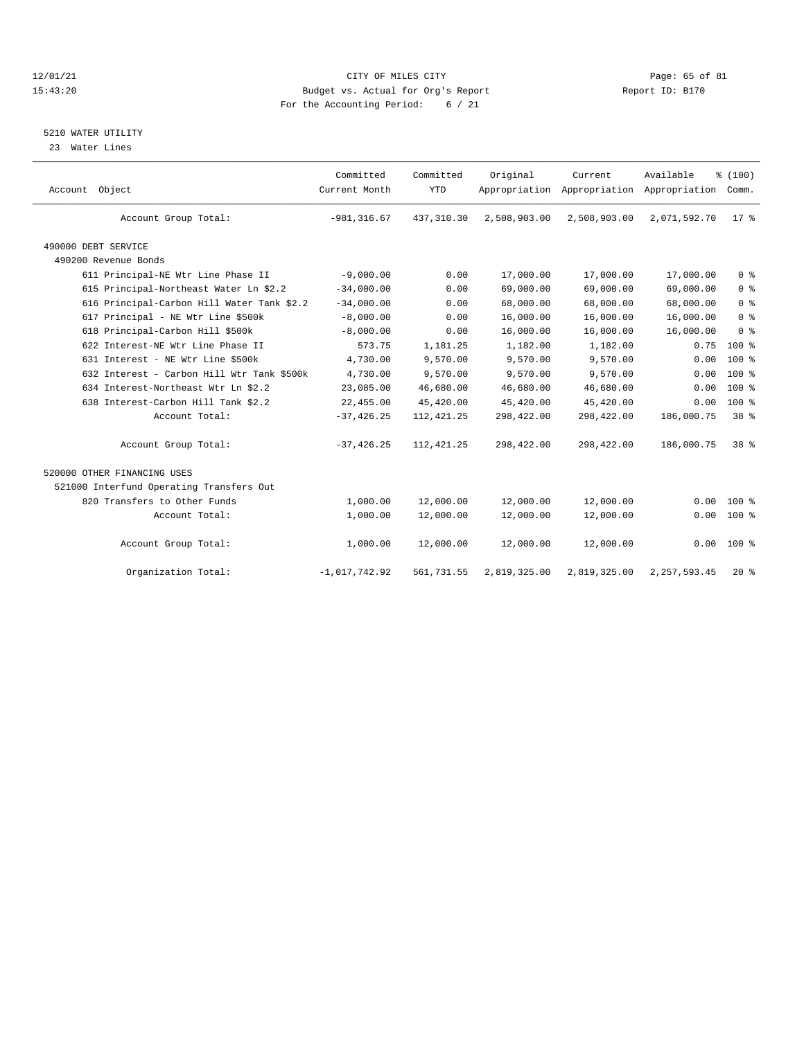## 12/01/21 Page: 65 of 81 CITY OF MILES CITY CONTRIBUTE CITY PAGE: 65 of 81 Page: 65 of 81 CITY CHES CITY CONTRIBUTE CITY PAGE: 15:43:20 15:43:20 Budget vs. Actual for Org's Report For the Accounting Period: 6 / 21

#### 5210 WATER UTILITY

23 Water Lines

| Account Object                             | Committed<br>Current Month | Committed<br><b>YTD</b> | Original     | Current      | Available<br>Appropriation Appropriation Appropriation Comm. | % (100)         |  |
|--------------------------------------------|----------------------------|-------------------------|--------------|--------------|--------------------------------------------------------------|-----------------|--|
| Account Group Total:                       | $-981, 316.67$             | 437, 310.30             | 2,508,903.00 | 2,508,903.00 | 2,071,592.70                                                 | $17*$           |  |
| 490000 DEBT SERVICE                        |                            |                         |              |              |                                                              |                 |  |
| 490200 Revenue Bonds                       |                            |                         |              |              |                                                              |                 |  |
| 611 Principal-NE Wtr Line Phase II         | $-9,000.00$                | 0.00                    | 17,000.00    | 17,000.00    | 17,000.00                                                    | 0 <sup>8</sup>  |  |
| 615 Principal-Northeast Water Ln \$2.2     | $-34,000.00$               | 0.00                    | 69,000.00    | 69,000.00    | 69,000.00                                                    | 0 <sup>8</sup>  |  |
| 616 Principal-Carbon Hill Water Tank \$2.2 | $-34,000.00$               | 0.00                    | 68,000.00    | 68,000.00    | 68,000.00                                                    | 0 <sup>8</sup>  |  |
| 617 Principal - NE Wtr Line \$500k         | $-8,000.00$                | 0.00                    | 16,000.00    | 16,000.00    | 16,000.00                                                    | 0 <sup>8</sup>  |  |
| 618 Principal-Carbon Hill \$500k           | $-8,000.00$                | 0.00                    | 16,000.00    | 16,000.00    | 16,000.00                                                    | 0 <sup>8</sup>  |  |
| 622 Interest-NE Wtr Line Phase II          | 573.75                     | 1,181.25                | 1,182.00     | 1,182.00     | 0.75                                                         | $100*$          |  |
| 631 Interest - NE Wtr Line \$500k          | 4,730.00                   | 9,570.00                | 9,570.00     | 9,570.00     | 0.00                                                         | $100*$          |  |
| 632 Interest - Carbon Hill Wtr Tank \$500k | 4,730.00                   | 9,570.00                | 9,570.00     | 9,570.00     | 0.00                                                         | 100 %           |  |
| 634 Interest-Northeast Wtr Ln \$2.2        | 23,085.00                  | 46,680.00               | 46,680.00    | 46,680.00    | 0.00                                                         | $100*$          |  |
| 638 Interest-Carbon Hill Tank \$2.2        | 22,455.00                  | 45,420.00               | 45,420.00    | 45,420.00    | 0.00                                                         | $100*$          |  |
| Account Total:                             | $-37, 426.25$              | 112, 421.25             | 298,422.00   | 298,422.00   | 186,000.75                                                   | 38 %            |  |
| Account Group Total:                       | $-37, 426.25$              | 112, 421.25             | 298,422.00   | 298,422.00   | 186,000.75                                                   | 38 <sup>8</sup> |  |
| 520000 OTHER FINANCING USES                |                            |                         |              |              |                                                              |                 |  |
| 521000 Interfund Operating Transfers Out   |                            |                         |              |              |                                                              |                 |  |
| 820 Transfers to Other Funds               | 1,000.00                   | 12,000.00               | 12,000.00    | 12,000.00    | 0.00                                                         | $100*$          |  |
| Account Total:                             | 1,000.00                   | 12,000.00               | 12,000.00    | 12,000.00    | 0.00                                                         | $100*$          |  |
| Account Group Total:                       | 1,000.00                   | 12,000.00               | 12,000.00    | 12,000.00    |                                                              | $0.00 100$ %    |  |
| Organization Total:                        | $-1,017,742.92$            | 561,731.55              | 2,819,325.00 | 2,819,325.00 | 2, 257, 593.45                                               | $20*$           |  |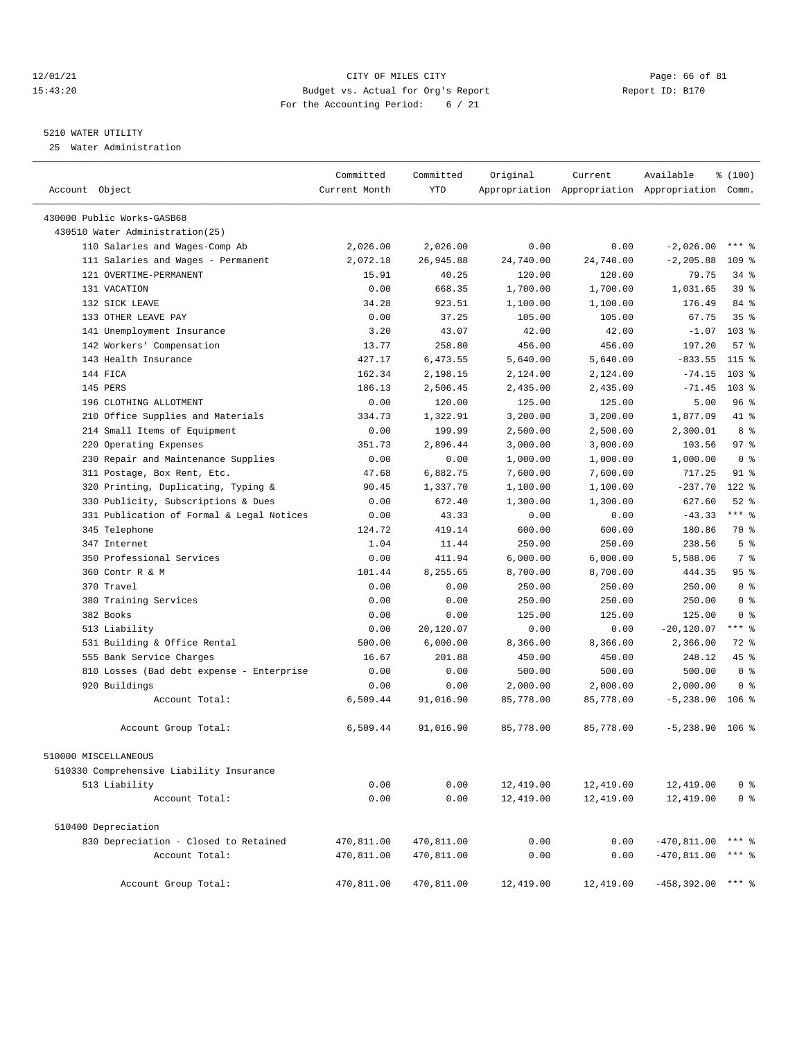## 12/01/21 Page: 66 of 81 CITY OF MILES CITY CONTRIBUTE CITY PAGE: 66 of 81 Page: 66 of 81 CITY CHES CITY CONTRIBUTE CITY PAGE: 15:43:20 15:43:20 Budget vs. Actual for Org's Report For the Accounting Period: 6 / 21

————————————————————————————————————————————————————————————————————————————————————————————————————————————————————————————————————

## 5210 WATER UTILITY

25 Water Administration

|                                           | Committed     | Committed  | Original  | Current   | Available                                       | \$(100)          |
|-------------------------------------------|---------------|------------|-----------|-----------|-------------------------------------------------|------------------|
| Account Object                            | Current Month | <b>YTD</b> |           |           | Appropriation Appropriation Appropriation Comm. |                  |
| 430000 Public Works-GASB68                |               |            |           |           |                                                 |                  |
| 430510 Water Administration(25)           |               |            |           |           |                                                 |                  |
| 110 Salaries and Wages-Comp Ab            | 2,026.00      | 2,026.00   | 0.00      | 0.00      | $-2,026.00$                                     | $***$ $%$        |
| 111 Salaries and Wages - Permanent        | 2,072.18      | 26,945.88  | 24,740.00 | 24,740.00 | $-2, 205.88$                                    | 109 <sup>8</sup> |
| 121 OVERTIME-PERMANENT                    | 15.91         | 40.25      | 120.00    | 120.00    | 79.75                                           | $34$ $%$         |
| 131 VACATION                              | 0.00          | 668.35     | 1,700.00  | 1,700.00  | 1,031.65                                        | 39 %             |
| 132 SICK LEAVE                            | 34.28         | 923.51     | 1,100.00  | 1,100.00  | 176.49                                          | 84 %             |
| 133 OTHER LEAVE PAY                       | 0.00          | 37.25      | 105.00    | 105.00    | 67.75                                           | 35 <sup>8</sup>  |
| 141 Unemployment Insurance                | 3.20          | 43.07      | 42.00     | 42.00     | $-1.07$                                         | $103$ %          |
| 142 Workers' Compensation                 | 13.77         | 258.80     | 456.00    | 456.00    | 197.20                                          | 57%              |
| 143 Health Insurance                      | 427.17        | 6,473.55   | 5,640.00  | 5,640.00  | $-833.55$                                       | $115$ %          |
| 144 FICA                                  | 162.34        | 2,198.15   | 2,124.00  | 2,124.00  | $-74.15$                                        | $103$ %          |
| 145 PERS                                  | 186.13        | 2,506.45   | 2,435.00  | 2,435.00  | $-71.45$                                        | $103$ %          |
| 196 CLOTHING ALLOTMENT                    | 0.00          | 120.00     | 125.00    | 125.00    | 5.00                                            | 96%              |
| 210 Office Supplies and Materials         | 334.73        | 1,322.91   | 3,200.00  | 3,200.00  | 1,877.09                                        | 41 %             |
| 214 Small Items of Equipment              | 0.00          | 199.99     | 2,500.00  | 2,500.00  | 2,300.01                                        | 8 %              |
| 220 Operating Expenses                    | 351.73        | 2,896.44   | 3,000.00  | 3,000.00  | 103.56                                          | $97$ $%$         |
| 230 Repair and Maintenance Supplies       | 0.00          | 0.00       | 1,000.00  | 1,000.00  | 1,000.00                                        | 0 <sup>8</sup>   |
| 311 Postage, Box Rent, Etc.               | 47.68         | 6,882.75   | 7,600.00  | 7,600.00  | 717.25                                          | $91$ %           |
| 320 Printing, Duplicating, Typing &       | 90.45         | 1,337.70   | 1,100.00  | 1,100.00  | $-237.70$                                       | 122 %            |
| 330 Publicity, Subscriptions & Dues       | 0.00          | 672.40     | 1,300.00  | 1,300.00  | 627.60                                          | $52$ $%$         |
| 331 Publication of Formal & Legal Notices | 0.00          | 43.33      | 0.00      | 0.00      | $-43.33$                                        | $***$ $-$        |
| 345 Telephone                             | 124.72        | 419.14     | 600.00    | 600.00    | 180.86                                          | 70 %             |
| 347 Internet                              | 1.04          | 11.44      | 250.00    | 250.00    | 238.56                                          | 5 <sup>8</sup>   |
| 350 Professional Services                 | 0.00          | 411.94     | 6,000.00  | 6,000.00  | 5,588.06                                        | 7 %              |
| 360 Contr R & M                           | 101.44        | 8,255.65   | 8,700.00  | 8,700.00  | 444.35                                          | 95%              |
| 370 Travel                                | 0.00          | 0.00       | 250.00    | 250.00    | 250.00                                          | 0 <sup>8</sup>   |
| 380 Training Services                     | 0.00          | 0.00       | 250.00    | 250.00    | 250.00                                          | 0 <sup>8</sup>   |
| 382 Books                                 | 0.00          | 0.00       | 125.00    | 125.00    | 125.00                                          | 0 <sup>8</sup>   |
| 513 Liability                             | 0.00          | 20,120.07  | 0.00      | 0.00      | $-20,120.07$                                    | $***$ $-$        |
| 531 Building & Office Rental              | 500.00        | 6,000.00   | 8,366.00  | 8,366.00  | 2,366.00                                        | 72 %             |
| 555 Bank Service Charges                  | 16.67         | 201.88     | 450.00    | 450.00    | 248.12                                          | 45 %             |
| 810 Losses (Bad debt expense - Enterprise | 0.00          | 0.00       | 500.00    | 500.00    | 500.00                                          | 0 <sup>8</sup>   |
| 920 Buildings                             | 0.00          | 0.00       | 2,000.00  | 2,000.00  | 2,000.00                                        | 0 <sup>8</sup>   |
| Account Total:                            | 6,509.44      | 91,016.90  | 85,778.00 | 85,778.00 | $-5, 238.90$                                    | $106$ %          |
| Account Group Total:                      | 6,509.44      | 91,016.90  | 85,778.00 | 85,778.00 | $-5,238.90$ 106 %                               |                  |
| 510000 MISCELLANEOUS                      |               |            |           |           |                                                 |                  |
| 510330 Comprehensive Liability Insurance  |               |            |           |           |                                                 |                  |
| 513 Liability                             | 0.00          | 0.00       | 12,419.00 | 12,419.00 | 12,419.00                                       | 0 <sup>8</sup>   |
| Account Total:                            | 0.00          | 0.00       | 12,419.00 | 12,419.00 | 12,419.00                                       | 0 <sup>8</sup>   |
| 510400 Depreciation                       |               |            |           |           |                                                 |                  |
| 830 Depreciation - Closed to Retained     | 470,811.00    | 470,811.00 | 0.00      | 0.00      | $-470, 811.00$                                  | *** 응            |
| Account Total:                            | 470,811.00    | 470,811.00 | 0.00      | 0.00      | $-470, 811.00$                                  | $***$ $-$        |
| Account Group Total:                      | 470,811.00    | 470,811.00 | 12,419.00 | 12,419.00 | $-458,392.00$ *** \$                            |                  |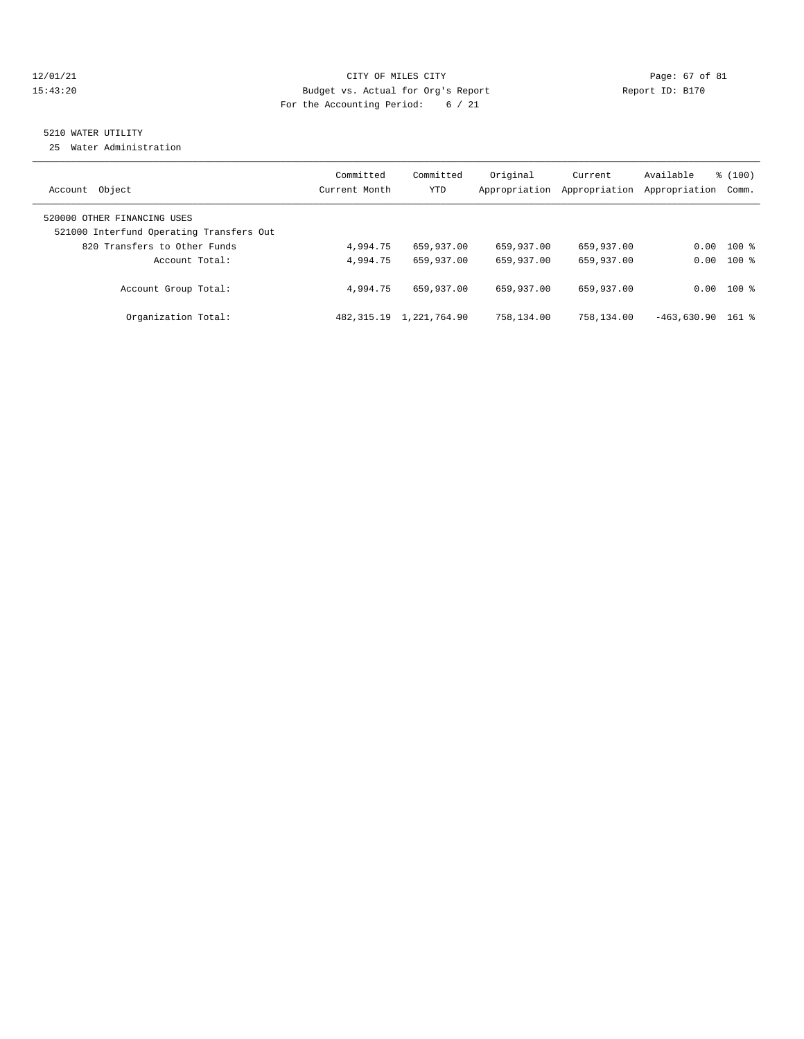## $12/01/21$  Page: 67 of 81 15:43:20 Budget vs. Actual for Org's Report Report ID: B170 For the Accounting Period: 6 / 21

## 5210 WATER UTILITY

25 Water Administration

| Account Object                                                          | Committed<br>Current Month | Committed<br>YTD | Original<br>Appropriation | Current<br>Appropriation | Available<br>Appropriation | $\frac{100}{3}$<br>Comm. |
|-------------------------------------------------------------------------|----------------------------|------------------|---------------------------|--------------------------|----------------------------|--------------------------|
| 520000 OTHER FINANCING USES<br>521000 Interfund Operating Transfers Out |                            |                  |                           |                          |                            |                          |
| 820 Transfers to Other Funds                                            | 4,994.75                   | 659,937.00       | 659,937.00                | 659,937.00               |                            | $0.00$ 100 %             |
| Account Total:                                                          | 4,994.75                   | 659,937.00       | 659,937.00                | 659,937.00               |                            | $0.00$ 100 %             |
| Account Group Total:                                                    | 4,994.75                   | 659,937.00       | 659,937.00                | 659,937.00               |                            | $0.00$ 100 %             |
| Organization Total:                                                     | 482, 315.19                | 1,221,764.90     | 758,134.00                | 758,134.00               | $-463.630.90$              | $161$ %                  |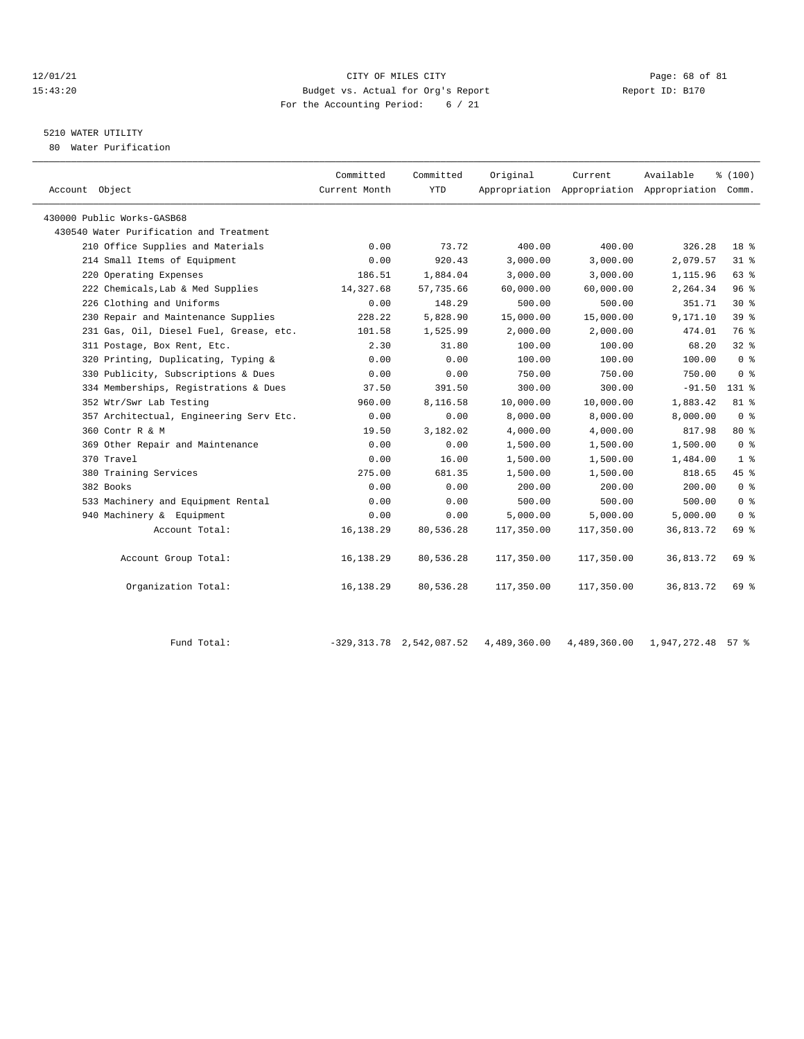## 12/01/21 CITY OF MILES CITY CHES CITY CONTRIBUTE ASSESS TO A PAGE: 68 OF 81<br>15:43:20 Budget vs. Actual for Org's Report (1999) Report ID: B170 15:43:20 Budget vs. Actual for Org's Report For the Accounting Period: 6 / 21

# 5210 WATER UTILITY

80 Water Purification

| Account Object                          | Committed<br>Current Month | Committed<br><b>YTD</b> | Original   | Current<br>Appropriation Appropriation Appropriation Comm. | Available | % (100)         |
|-----------------------------------------|----------------------------|-------------------------|------------|------------------------------------------------------------|-----------|-----------------|
| 430000 Public Works-GASB68              |                            |                         |            |                                                            |           |                 |
| 430540 Water Purification and Treatment |                            |                         |            |                                                            |           |                 |
| 210 Office Supplies and Materials       | 0.00                       | 73.72                   | 400.00     | 400.00                                                     | 326.28    | 18 <sup>8</sup> |
| 214 Small Items of Equipment            | 0.00                       | 920.43                  | 3,000.00   | 3,000.00                                                   | 2,079.57  | 31.8            |
| 220 Operating Expenses                  | 186.51                     | 1,884.04                | 3,000.00   | 3,000.00                                                   | 1,115.96  | 63%             |
| 222 Chemicals, Lab & Med Supplies       | 14,327.68                  | 57,735.66               | 60,000.00  | 60,000.00                                                  | 2,264.34  | 96%             |
| 226 Clothing and Uniforms               | 0.00                       | 148.29                  | 500.00     | 500.00                                                     | 351.71    | $30*$           |
| 230 Repair and Maintenance Supplies     | 228.22                     | 5,828.90                | 15,000.00  | 15,000.00                                                  | 9,171.10  | 39 <sup>8</sup> |
| 231 Gas, Oil, Diesel Fuel, Grease, etc. | 101.58                     | 1,525.99                | 2,000.00   | 2,000.00                                                   | 474.01    | 76 %            |
| 311 Postage, Box Rent, Etc.             | 2.30                       | 31.80                   | 100.00     | 100.00                                                     | 68.20     | 328             |
| 320 Printing, Duplicating, Typing &     | 0.00                       | 0.00                    | 100.00     | 100.00                                                     | 100.00    | 0 <sup>8</sup>  |
| 330 Publicity, Subscriptions & Dues     | 0.00                       | 0.00                    | 750.00     | 750.00                                                     | 750.00    | 0 <sup>8</sup>  |
| 334 Memberships, Registrations & Dues   | 37.50                      | 391.50                  | 300.00     | 300.00                                                     | $-91.50$  | $131$ %         |
| 352 Wtr/Swr Lab Testing                 | 960.00                     | 8,116.58                | 10,000.00  | 10,000.00                                                  | 1,883.42  | $81$ %          |
| 357 Architectual, Engineering Serv Etc. | 0.00                       | 0.00                    | 8,000.00   | 8,000.00                                                   | 8,000.00  | 0 <sup>8</sup>  |
| 360 Contr R & M                         | 19.50                      | 3,182.02                | 4,000.00   | 4,000.00                                                   | 817.98    | $80*$           |
| 369 Other Repair and Maintenance        | 0.00                       | 0.00                    | 1,500.00   | 1,500.00                                                   | 1,500.00  | 0 <sup>8</sup>  |
| 370 Travel                              | 0.00                       | 16.00                   | 1,500.00   | 1,500.00                                                   | 1,484.00  | 1 <sup>8</sup>  |
| 380 Training Services                   | 275.00                     | 681.35                  | 1,500.00   | 1,500.00                                                   | 818.65    | 45%             |
| 382 Books                               | 0.00                       | 0.00                    | 200.00     | 200.00                                                     | 200.00    | 0 <sup>8</sup>  |
| 533 Machinery and Equipment Rental      | 0.00                       | 0.00                    | 500.00     | 500.00                                                     | 500.00    | 0 <sup>8</sup>  |
| 940 Machinery & Equipment               | 0.00                       | 0.00                    | 5,000.00   | 5,000.00                                                   | 5,000.00  | 0 <sup>8</sup>  |
| Account Total:                          | 16, 138.29                 | 80,536.28               | 117,350.00 | 117,350.00                                                 | 36,813.72 | 69 %            |
| Account Group Total:                    | 16,138.29                  | 80,536.28               | 117,350.00 | 117,350.00                                                 | 36,813.72 | 69 %            |
| Organization Total:                     | 16,138.29                  | 80,536.28               | 117,350.00 | 117,350.00                                                 | 36,813.72 | 69 %            |

Fund Total: -329,313.78 2,542,087.52 4,489,360.00 4,489,360.00 1,947,272.48 57 %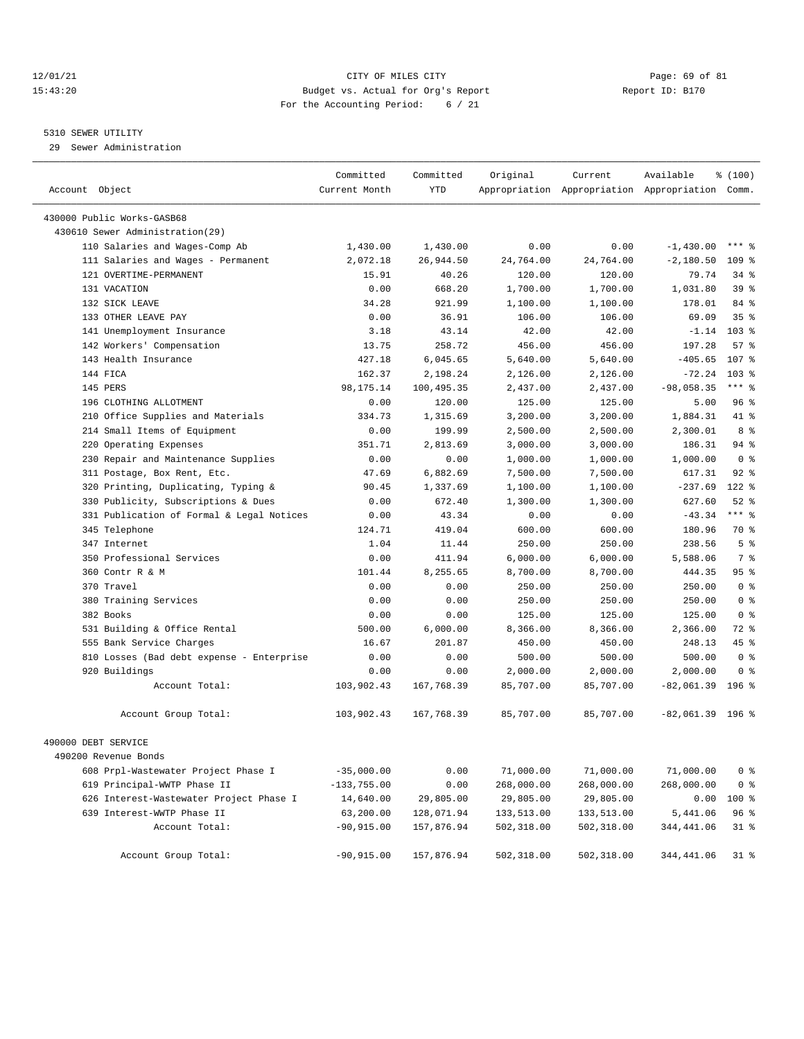## 12/01/21 Page: 69 of 81 CITY OF MILES CITY CONTRIBUTE CITY PAGE: 69 of 81 Page: 69 of 81 CITY CHILES CITY CONTRIBUTE CITY PAGE: 20 15:43:20 Budget vs. Actual for Org's Report For the Accounting Period: 6 / 21

#### 5310 SEWER UTILITY

29 Sewer Administration

| Account Object                            | Committed<br>Current Month | Committed<br>YTD | Original   | Current    | Available<br>Appropriation Appropriation Appropriation Comm. | % (100)          |
|-------------------------------------------|----------------------------|------------------|------------|------------|--------------------------------------------------------------|------------------|
| 430000 Public Works-GASB68                |                            |                  |            |            |                                                              |                  |
| 430610 Sewer Administration (29)          |                            |                  |            |            |                                                              |                  |
| 110 Salaries and Wages-Comp Ab            | 1,430.00                   | 1,430.00         | 0.00       | 0.00       | $-1,430.00$                                                  | $***$ 2          |
| 111 Salaries and Wages - Permanent        | 2,072.18                   | 26,944.50        | 24,764.00  | 24,764.00  | $-2,180.50$                                                  | 109 <sup>8</sup> |
| 121 OVERTIME-PERMANENT                    | 15.91                      | 40.26            | 120.00     | 120.00     | 79.74                                                        | $34$ $%$         |
| 131 VACATION                              | 0.00                       | 668.20           | 1,700.00   | 1,700.00   | 1,031.80                                                     | 39 <sup>8</sup>  |
| 132 SICK LEAVE                            | 34.28                      | 921.99           | 1,100.00   | 1,100.00   | 178.01                                                       | 84 %             |
| 133 OTHER LEAVE PAY                       | 0.00                       | 36.91            | 106.00     | 106.00     | 69.09                                                        | 35%              |
| 141 Unemployment Insurance                | 3.18                       | 43.14            | 42.00      | 42.00      | $-1.14$                                                      | $103*$           |
| 142 Workers' Compensation                 | 13.75                      | 258.72           | 456.00     | 456.00     | 197.28                                                       | 57%              |
| 143 Health Insurance                      | 427.18                     | 6,045.65         | 5,640.00   | 5,640.00   | $-405.65$                                                    | 107 %            |
| 144 FICA                                  | 162.37                     | 2,198.24         | 2,126.00   | 2,126.00   | $-72.24$                                                     | $103$ %          |
| 145 PERS                                  | 98, 175. 14                | 100,495.35       | 2,437.00   | 2,437.00   | $-98,058.35$                                                 | $***$ $%$        |
| 196 CLOTHING ALLOTMENT                    | 0.00                       | 120.00           | 125.00     | 125.00     | 5.00                                                         | 96%              |
| 210 Office Supplies and Materials         | 334.73                     | 1,315.69         | 3,200.00   | 3,200.00   | 1,884.31                                                     | 41 %             |
| 214 Small Items of Equipment              | 0.00                       | 199.99           | 2,500.00   | 2,500.00   | 2,300.01                                                     | 8 %              |
| 220 Operating Expenses                    | 351.71                     | 2,813.69         | 3,000.00   | 3,000.00   | 186.31                                                       | 94 %             |
| 230 Repair and Maintenance Supplies       | 0.00                       | 0.00             | 1,000.00   | 1,000.00   | 1,000.00                                                     | 0 <sup>8</sup>   |
| 311 Postage, Box Rent, Etc.               | 47.69                      | 6,882.69         | 7,500.00   | 7,500.00   | 617.31                                                       | $92$ $%$         |
| 320 Printing, Duplicating, Typing &       | 90.45                      | 1,337.69         | 1,100.00   | 1,100.00   | $-237.69$                                                    | 122 %            |
| 330 Publicity, Subscriptions & Dues       | 0.00                       | 672.40           | 1,300.00   | 1,300.00   | 627.60                                                       | $52$ $%$         |
| 331 Publication of Formal & Legal Notices | 0.00                       | 43.34            | 0.00       | 0.00       | $-43.34$                                                     | $***$ 8          |
| 345 Telephone                             | 124.71                     | 419.04           | 600.00     | 600.00     | 180.96                                                       | 70 %             |
| 347 Internet                              | 1.04                       | 11.44            | 250.00     | 250.00     | 238.56                                                       | 5 <sup>8</sup>   |
| 350 Professional Services                 | 0.00                       | 411.94           | 6,000.00   | 6,000.00   | 5,588.06                                                     | 7 <sup>°</sup>   |
| 360 Contr R & M                           | 101.44                     | 8,255.65         | 8,700.00   | 8,700.00   | 444.35                                                       | 95%              |
| 370 Travel                                | 0.00                       | 0.00             | 250.00     | 250.00     | 250.00                                                       | 0 <sup>8</sup>   |
| 380 Training Services                     | 0.00                       | 0.00             | 250.00     | 250.00     | 250.00                                                       | 0 <sup>8</sup>   |
| 382 Books                                 | 0.00                       | 0.00             | 125.00     | 125.00     | 125.00                                                       | 0 <sup>8</sup>   |
| 531 Building & Office Rental              | 500.00                     | 6,000.00         | 8,366.00   | 8,366.00   | 2,366.00                                                     | 72 %             |
| 555 Bank Service Charges                  | 16.67                      | 201.87           | 450.00     | 450.00     | 248.13                                                       | $45*$            |
| 810 Losses (Bad debt expense - Enterprise | 0.00                       | 0.00             | 500.00     | 500.00     | 500.00                                                       | 0 <sup>8</sup>   |
| 920 Buildings                             | 0.00                       | 0.00             | 2,000.00   | 2,000.00   | 2,000.00                                                     | 0 <sup>8</sup>   |
| Account Total:                            | 103,902.43                 | 167,768.39       | 85,707.00  | 85,707.00  | $-82,061.39$                                                 | 196 %            |
| Account Group Total:                      | 103,902.43                 | 167,768.39       | 85,707.00  | 85,707.00  | $-82,061.39$ 196 %                                           |                  |
| 490000 DEBT SERVICE                       |                            |                  |            |            |                                                              |                  |
| 490200 Revenue Bonds                      |                            |                  |            |            |                                                              |                  |
| 608 Prpl-Wastewater Project Phase I       | $-35,000.00$               | 0.00             | 71,000.00  | 71,000.00  | 71,000.00                                                    | 0 <sup>8</sup>   |
| 619 Principal-WWTP Phase II               | $-133,755.00$              | 0.00             | 268,000.00 | 268,000.00 | 268,000.00                                                   | 0 <sup>8</sup>   |
| 626 Interest-Wastewater Project Phase I   | 14,640.00                  | 29,805.00        | 29,805.00  | 29,805.00  | 0.00                                                         | 100 %            |
| 639 Interest-WWTP Phase II                | 63,200.00                  | 128,071.94       | 133,513.00 | 133,513.00 | 5,441.06                                                     | 96 %             |
| Account Total:                            | $-90,915.00$               | 157,876.94       | 502,318.00 | 502,318.00 | 344,441.06                                                   | $31$ %           |
| Account Group Total:                      | $-90,915.00$               | 157,876.94       | 502,318.00 | 502,318.00 | 344,441.06                                                   | $31$ %           |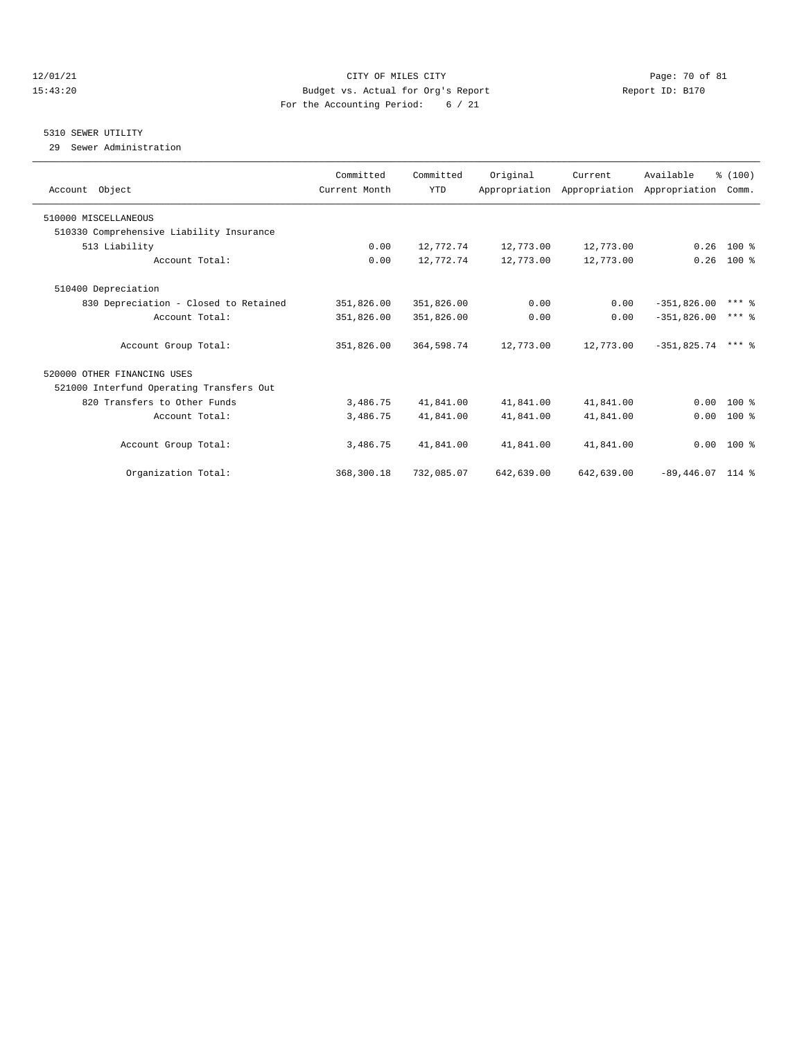## 12/01/21 Page: 70 of 81 15:43:20 Budget vs. Actual for Org's Report Report ID: B170 For the Accounting Period: 6 / 21

#### 5310 SEWER UTILITY

29 Sewer Administration

| Account Object                           | Committed<br>Current Month | Committed<br><b>YTD</b> | Original   | Current<br>Appropriation Appropriation Appropriation Comm. | Available          | % (100)             |
|------------------------------------------|----------------------------|-------------------------|------------|------------------------------------------------------------|--------------------|---------------------|
| 510000 MISCELLANEOUS                     |                            |                         |            |                                                            |                    |                     |
| 510330 Comprehensive Liability Insurance |                            |                         |            |                                                            |                    |                     |
| 513 Liability                            | 0.00                       | 12,772.74               | 12,773.00  | 12,773.00                                                  | 0.26               | $100*$              |
| Account Total:                           | 0.00                       | 12,772.74               | 12,773.00  | 12,773.00                                                  | 0.26               | $100$ %             |
| 510400 Depreciation                      |                            |                         |            |                                                            |                    |                     |
| 830 Depreciation - Closed to Retained    | 351,826.00                 | 351,826.00              | 0.00       | 0.00                                                       | $-351,826.00$      | $***$ $\frac{6}{5}$ |
| Account Total:                           | 351,826.00                 | 351,826.00              | 0.00       | 0.00                                                       | $-351,826.00$      | $***$ 2             |
| Account Group Total:                     | 351,826.00                 | 364,598.74              | 12,773.00  | 12,773.00                                                  | $-351.825.74$      | $***$ 2             |
| 520000 OTHER FINANCING USES              |                            |                         |            |                                                            |                    |                     |
| 521000 Interfund Operating Transfers Out |                            |                         |            |                                                            |                    |                     |
| 820 Transfers to Other Funds             | 3,486.75                   | 41,841.00               | 41,841.00  | 41,841.00                                                  | 0.00               | $100*$              |
| Account Total:                           | 3,486.75                   | 41,841.00               | 41,841.00  | 41,841.00                                                  | 0.00               | $100*$              |
| Account Group Total:                     | 3,486.75                   | 41,841.00               | 41,841.00  | 41,841.00                                                  |                    | $0.00$ 100 %        |
| Organization Total:                      | 368,300.18                 | 732,085.07              | 642,639.00 | 642,639.00                                                 | $-89,446.07$ 114 % |                     |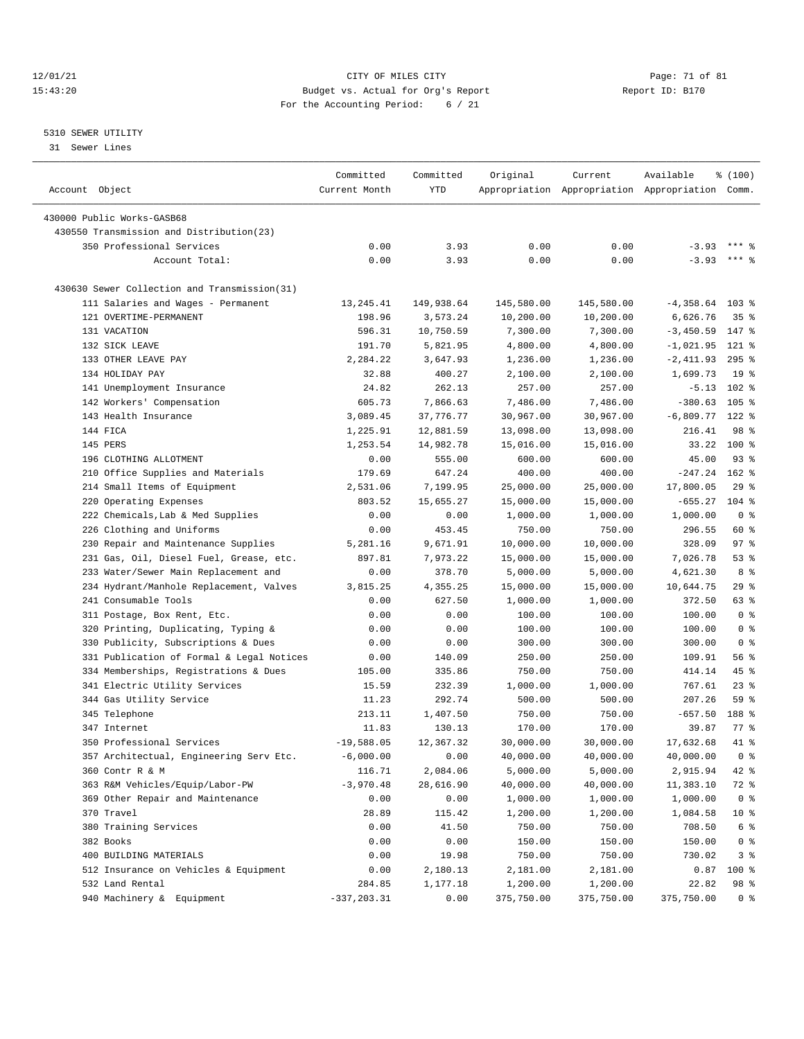## 12/01/21 Page: 71 of 81 CITY OF MILES CITY CONTRIBUTE CITY PAGE: 71 of 81 Page: 71 of 81 Page: 71 of 81 Page: 71 of 81 Page: 71 of 81 Page: 71 of 81 Page: 71 of 81 Page: 71 of 81 Page: 71 of 81 Page: 71 of 81 Page: 71 of 8 15:43:20 Budget vs. Actual for Org's Report For the Accounting Period: 6 / 21

# 5310 SEWER UTILITY

31 Sewer Lines

|                                              | Committed                | Committed         | Original              | Current               | Available                                       | % (100)                |
|----------------------------------------------|--------------------------|-------------------|-----------------------|-----------------------|-------------------------------------------------|------------------------|
| Account Object                               | Current Month            | YTD               |                       |                       | Appropriation Appropriation Appropriation Comm. |                        |
|                                              |                          |                   |                       |                       |                                                 |                        |
| 430000 Public Works-GASB68                   |                          |                   |                       |                       |                                                 |                        |
| 430550 Transmission and Distribution(23)     |                          |                   |                       |                       |                                                 |                        |
| 350 Professional Services                    | 0.00                     | 3.93              | 0.00                  | 0.00                  | $-3.93$                                         | *** 9                  |
| Account Total:                               | 0.00                     | 3.93              | 0.00                  | 0.00                  | $-3.93$                                         | $***$ 2                |
| 430630 Sewer Collection and Transmission(31) |                          |                   |                       |                       |                                                 |                        |
| 111 Salaries and Wages - Permanent           | 13,245.41                | 149,938.64        | 145,580.00            | 145,580.00            | $-4,358.64$ 103 %                               |                        |
| 121 OVERTIME-PERMANENT                       | 198.96                   | 3,573.24          | 10,200.00             | 10,200.00             | 6,626.76                                        | 35%                    |
| 131 VACATION                                 | 596.31                   | 10,750.59         | 7,300.00              | 7,300.00              | $-3,450.59$                                     | 147 %                  |
| 132 SICK LEAVE                               | 191.70                   | 5,821.95          | 4,800.00              | 4,800.00              | $-1,021.95$                                     | $121$ %                |
| 133 OTHER LEAVE PAY                          | 2,284.22                 | 3,647.93          | 1,236.00              | 1,236.00              | $-2,411.93$                                     | $295$ %                |
| 134 HOLIDAY PAY                              | 32.88                    | 400.27            | 2,100.00              | 2,100.00              | 1,699.73                                        | 19 <sup>°</sup>        |
| 141 Unemployment Insurance                   | 24.82                    | 262.13            | 257.00                | 257.00                | $-5.13$                                         | $102$ %                |
| 142 Workers' Compensation                    | 605.73                   | 7,866.63          | 7,486.00              | 7,486.00              | $-380.63$                                       | $105$ %                |
| 143 Health Insurance                         | 3,089.45                 | 37,776.77         | 30,967.00             | 30,967.00             | $-6,809.77$                                     | $122$ %                |
| 144 FICA                                     | 1,225.91                 | 12,881.59         | 13,098.00             | 13,098.00             | 216.41                                          | 98 %                   |
| 145 PERS                                     | 1,253.54                 | 14,982.78         | 15,016.00             | 15,016.00             | 33.22                                           | $100*$                 |
| 196 CLOTHING ALLOTMENT                       | 0.00                     | 555.00            | 600.00                | 600.00                | 45.00                                           | $93$ $%$               |
| 210 Office Supplies and Materials            | 179.69                   | 647.24            | 400.00                | 400.00                | $-247.24$                                       | $162$ %                |
| 214 Small Items of Equipment                 | 2,531.06                 | 7,199.95          | 25,000.00             | 25,000.00             | 17,800.05                                       | 29%                    |
| 220 Operating Expenses                       | 803.52                   | 15,655.27         | 15,000.00             | 15,000.00             | $-655.27$                                       | $104$ %                |
| 222 Chemicals, Lab & Med Supplies            | 0.00                     | 0.00              | 1,000.00              | 1,000.00              | 1,000.00                                        | 0 <sup>8</sup>         |
| 226 Clothing and Uniforms                    | 0.00                     | 453.45            | 750.00                | 750.00                | 296.55                                          | 60 %                   |
| 230 Repair and Maintenance Supplies          | 5,281.16                 | 9,671.91          | 10,000.00             | 10,000.00             | 328.09                                          | 97%                    |
| 231 Gas, Oil, Diesel Fuel, Grease, etc.      | 897.81                   | 7,973.22          | 15,000.00             | 15,000.00             | 7,026.78                                        | 53%                    |
| 233 Water/Sewer Main Replacement and         | 0.00                     | 378.70            | 5,000.00              | 5,000.00              | 4,621.30                                        | 8 %                    |
| 234 Hydrant/Manhole Replacement, Valves      | 3,815.25                 | 4,355.25          | 15,000.00             | 15,000.00             | 10,644.75                                       | 29%                    |
| 241 Consumable Tools                         | 0.00                     | 627.50            | 1,000.00              | 1,000.00              | 372.50                                          | 63 %                   |
| 311 Postage, Box Rent, Etc.                  | 0.00                     | 0.00              | 100.00                | 100.00                | 100.00                                          | 0 <sup>8</sup>         |
| 320 Printing, Duplicating, Typing &          | 0.00                     | 0.00              | 100.00                | 100.00                | 100.00                                          | 0 <sup>8</sup>         |
| 330 Publicity, Subscriptions & Dues          | 0.00                     | 0.00              | 300.00                | 300.00                | 300.00                                          | 0 <sup>8</sup>         |
| 331 Publication of Formal & Legal Notices    | 0.00                     | 140.09            | 250.00                | 250.00                | 109.91                                          | 56%                    |
| 334 Memberships, Registrations & Dues        | 105.00                   | 335.86            | 750.00                | 750.00                | 414.14                                          | 45 %                   |
| 341 Electric Utility Services                | 15.59                    | 232.39            | 1,000.00              | 1,000.00              | 767.61                                          | $23$ %                 |
| 344 Gas Utility Service                      | 11.23                    | 292.74            | 500.00                | 500.00                | 207.26                                          | 59 %                   |
| 345 Telephone                                | 213.11                   | 1,407.50          | 750.00                | 750.00                | $-657.50$                                       | 188 %                  |
| 347 Internet                                 | 11.83                    | 130.13            | 170.00                | 170.00                | 39.87                                           | $77$ $\frac{6}{9}$     |
| 350 Professional Services                    | $-19.588.05$             | 12,367.32         | 30,000.00             | 30,000.00             | 17,632.68                                       | 41.8                   |
| 357 Architectual, Engineering Serv Etc.      | $-6,000.00$              | 0.00              | 40,000.00             | 40,000.00             | 40,000.00                                       | 0 <sup>8</sup>         |
| 360 Contr R & M                              | 116.71                   | 2,084.06          | 5,000.00              | 5,000.00              | 2,915.94                                        | 42 %                   |
| 363 R&M Vehicles/Equip/Labor-PW              | $-3,970.48$              | 28,616.90         |                       |                       | 11,383.10                                       |                        |
| 369 Other Repair and Maintenance             | 0.00                     | 0.00              | 40,000.00<br>1,000.00 | 40,000.00<br>1,000.00 | 1,000.00                                        | 72 %<br>0 <sup>8</sup> |
| 370 Travel                                   | 28.89                    | 115.42            |                       |                       | 1,084.58                                        | $10*$                  |
|                                              |                          |                   | 1,200.00              | 1,200.00              |                                                 |                        |
| 380 Training Services                        | 0.00                     | 41.50             | 750.00                | 750.00                | 708.50                                          | 6 %                    |
| 382 Books                                    | 0.00                     | 0.00              | 150.00                | 150.00                | 150.00                                          | 0 <sup>8</sup>         |
| 400 BUILDING MATERIALS                       | 0.00                     | 19.98<br>2,180.13 | 750.00                | 750.00                | 730.02                                          | 3%                     |
| 512 Insurance on Vehicles & Equipment        | 0.00                     |                   | 2,181.00              | 2,181.00              | 0.87                                            | 100 %                  |
| 532 Land Rental                              | 284.85<br>$-337, 203.31$ | 1,177.18          | 1,200.00              | 1,200.00              | 22.82<br>375,750.00                             | 98 %<br>0 <sup>8</sup> |
| 940 Machinery & Equipment                    |                          | 0.00              | 375,750.00            | 375,750.00            |                                                 |                        |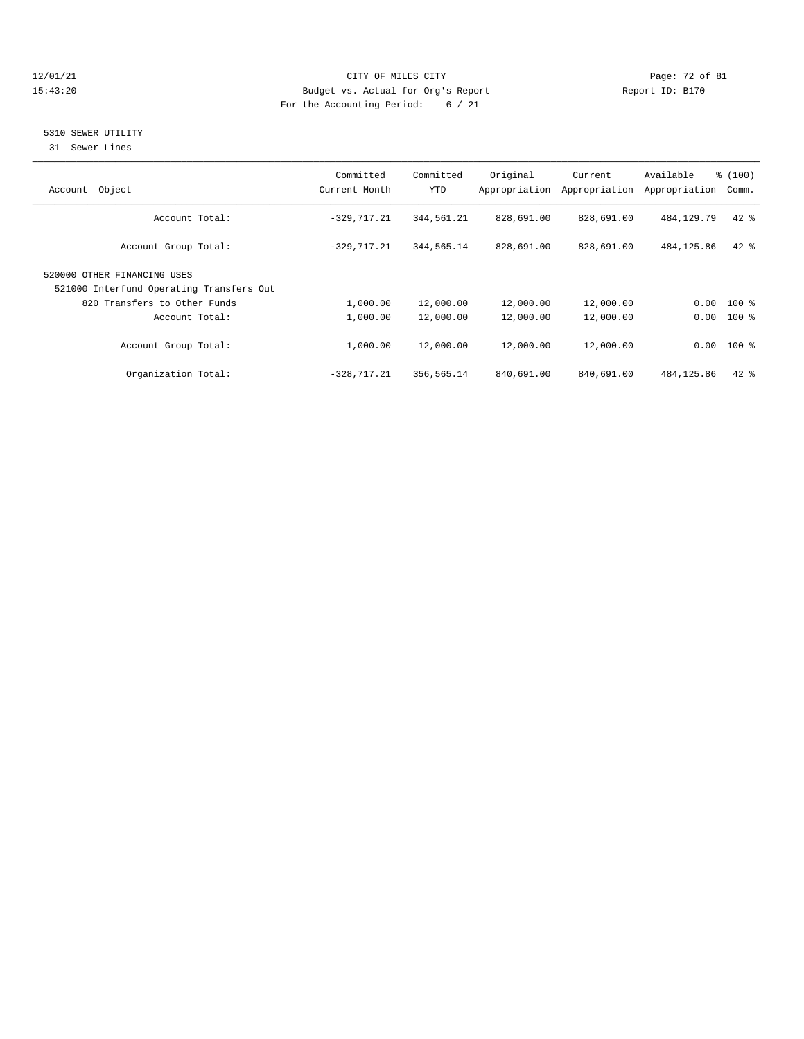## 12/01/21 CITY OF MILES CITY CHES CITY CONTRACT DEALER PAGE: 72 of 81<br>15:43:20 Budget vs. Actual for Org's Report Contract Page: 72 of 81 15:43:20 Budget vs. Actual for Org's Report For the Accounting Period: 6 / 21

# 5310 SEWER UTILITY

31 Sewer Lines

| Object<br>Account                                                       | Committed<br>Current Month | Committed<br>YTD | Original<br>Appropriation | Current<br>Appropriation | Available<br>Appropriation | % (100)<br>Comm. |
|-------------------------------------------------------------------------|----------------------------|------------------|---------------------------|--------------------------|----------------------------|------------------|
| Account Total:                                                          | $-329,717.21$              | 344,561.21       | 828,691.00                | 828,691.00               | 484, 129, 79               | $42*$            |
| Account Group Total:                                                    | $-329, 717.21$             | 344,565.14       | 828,691.00                | 828,691.00               | 484, 125.86                | $42*$            |
| 520000 OTHER FINANCING USES<br>521000 Interfund Operating Transfers Out |                            |                  |                           |                          |                            |                  |
| 820 Transfers to Other Funds                                            | 1,000.00                   | 12,000.00        | 12,000.00                 | 12,000.00                | 0.00                       | $100$ %          |
| Account Total:                                                          | 1,000.00                   | 12,000.00        | 12,000.00                 | 12,000.00                | 0.00                       | $100$ %          |
| Account Group Total:                                                    | 1,000.00                   | 12,000.00        | 12,000.00                 | 12,000.00                |                            | $0.00$ 100 %     |
| Organization Total:                                                     | $-328, 717.21$             | 356,565.14       | 840,691.00                | 840,691.00               | 484,125.86                 | $42*$            |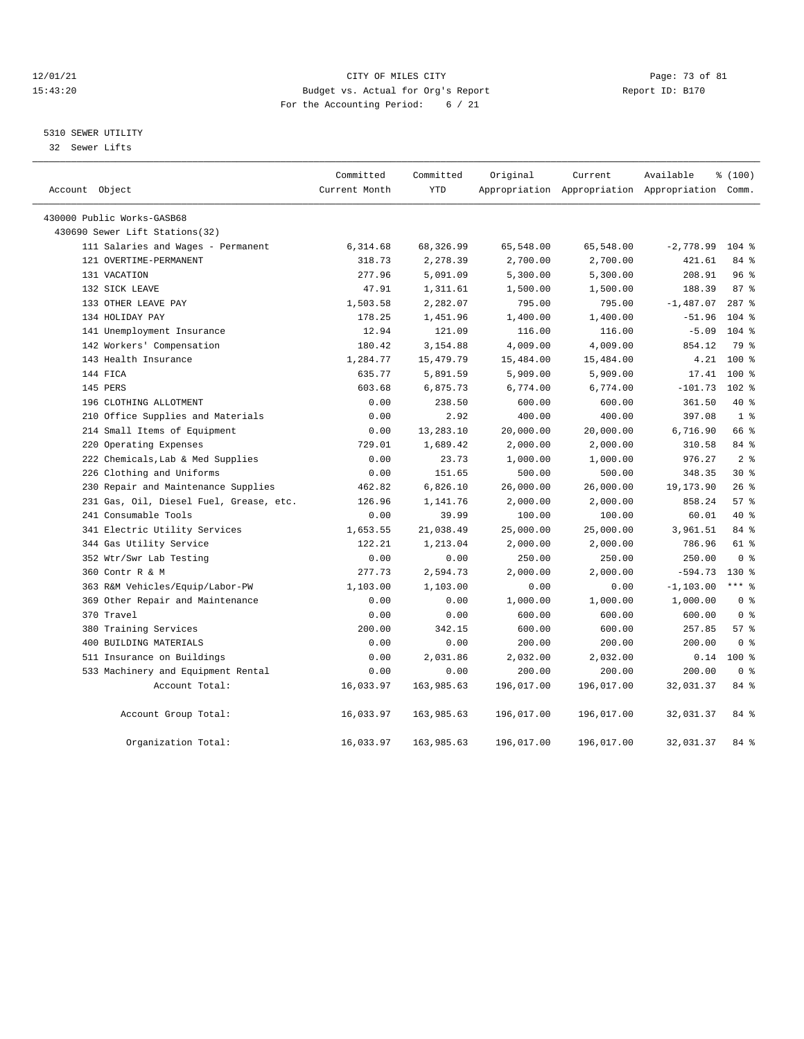### 12/01/21 Page: 73 of 81 CITY OF MILES CITY CONTRIBUTE CITY PAGE: 73 of 81 Page: 73 of 81 CITY CHES CITY CONTRIBUTE CITY 15:43:20 Budget vs. Actual for Org's Report For the Accounting Period: 6 / 21

# 5310 SEWER UTILITY

32 Sewer Lifts

|                |                                         | Committed     | Committed   | Original   | Current    | Available                                       | % (100)        |  |
|----------------|-----------------------------------------|---------------|-------------|------------|------------|-------------------------------------------------|----------------|--|
| Account Object |                                         | Current Month | <b>YTD</b>  |            |            | Appropriation Appropriation Appropriation Comm. |                |  |
|                | 430000 Public Works-GASB68              |               |             |            |            |                                                 |                |  |
|                | 430690 Sewer Lift Stations(32)          |               |             |            |            |                                                 |                |  |
|                | 111 Salaries and Wages - Permanent      | 6,314.68      | 68,326.99   | 65,548.00  | 65,548.00  | $-2,778.99$                                     | $104$ %        |  |
|                | 121 OVERTIME-PERMANENT                  | 318.73        | 2,278.39    | 2,700.00   | 2,700.00   | 421.61                                          | 84 %           |  |
|                | 131 VACATION                            | 277.96        | 5,091.09    | 5,300.00   | 5,300.00   | 208.91                                          | 96%            |  |
|                | 132 SICK LEAVE                          | 47.91         | 1,311.61    | 1,500.00   | 1,500.00   | 188.39                                          | 87%            |  |
|                | 133 OTHER LEAVE PAY                     | 1,503.58      | 2,282.07    | 795.00     | 795.00     | $-1,487.07$                                     | $287$ %        |  |
|                | 134 HOLIDAY PAY                         | 178.25        | 1,451.96    | 1,400.00   | 1,400.00   | $-51.96$                                        | $104$ %        |  |
|                | 141 Unemployment Insurance              | 12.94         | 121.09      | 116.00     | 116.00     | $-5.09$                                         | $104*$         |  |
|                | 142 Workers' Compensation               | 180.42        | 3,154.88    | 4,009.00   | 4,009.00   | 854.12                                          | 79 %           |  |
|                | 143 Health Insurance                    | 1,284.77      | 15, 479. 79 | 15,484.00  | 15,484.00  | 4.21                                            | 100%           |  |
|                | 144 FICA                                | 635.77        | 5,891.59    | 5,909.00   | 5,909.00   | 17.41                                           | $100*$         |  |
|                | 145 PERS                                | 603.68        | 6,875.73    | 6,774.00   | 6,774.00   | $-101.73$                                       | $102*$         |  |
|                | 196 CLOTHING ALLOTMENT                  | 0.00          | 238.50      | 600.00     | 600.00     | 361.50                                          | $40*$          |  |
|                | 210 Office Supplies and Materials       | 0.00          | 2.92        | 400.00     | 400.00     | 397.08                                          | 1 <sup>8</sup> |  |
|                | 214 Small Items of Equipment            | 0.00          | 13,283.10   | 20,000.00  | 20,000.00  | 6,716.90                                        | 66 %           |  |
|                | 220 Operating Expenses                  | 729.01        | 1,689.42    | 2,000.00   | 2,000.00   | 310.58                                          | 84 %           |  |
|                | 222 Chemicals, Lab & Med Supplies       | 0.00          | 23.73       | 1,000.00   | 1,000.00   | 976.27                                          | 2 <sup>8</sup> |  |
|                | 226 Clothing and Uniforms               | 0.00          | 151.65      | 500.00     | 500.00     | 348.35                                          | $30*$          |  |
|                | 230 Repair and Maintenance Supplies     | 462.82        | 6,826.10    | 26,000.00  | 26,000.00  | 19,173.90                                       | 26%            |  |
|                | 231 Gas, Oil, Diesel Fuel, Grease, etc. | 126.96        | 1,141.76    | 2,000.00   | 2,000.00   | 858.24                                          | 57%            |  |
|                | 241 Consumable Tools                    | 0.00          | 39.99       | 100.00     | 100.00     | 60.01                                           | $40*$          |  |
|                | 341 Electric Utility Services           | 1,653.55      | 21,038.49   | 25,000.00  | 25,000.00  | 3,961.51                                        | 84 %           |  |
|                | 344 Gas Utility Service                 | 122.21        | 1,213.04    | 2,000.00   | 2,000.00   | 786.96                                          | 61 %           |  |
|                | 352 Wtr/Swr Lab Testing                 | 0.00          | 0.00        | 250.00     | 250.00     | 250.00                                          | 0 <sup>8</sup> |  |
|                | 360 Contr R & M                         | 277.73        | 2,594.73    | 2,000.00   | 2,000.00   | $-594.73$                                       | $130*$         |  |
|                | 363 R&M Vehicles/Equip/Labor-PW         | 1,103.00      | 1,103.00    | 0.00       | 0.00       | $-1, 103.00$                                    | $***$ 8        |  |
|                | 369 Other Repair and Maintenance        | 0.00          | 0.00        | 1,000.00   | 1,000.00   | 1,000.00                                        | 0 <sup>8</sup> |  |
|                | 370 Travel                              | 0.00          | 0.00        | 600.00     | 600.00     | 600.00                                          | 0 <sup>8</sup> |  |
|                | 380 Training Services                   | 200.00        | 342.15      | 600.00     | 600.00     | 257.85                                          | 57%            |  |
|                | 400 BUILDING MATERIALS                  | 0.00          | 0.00        | 200.00     | 200.00     | 200.00                                          | 0 <sup>8</sup> |  |
|                | 511 Insurance on Buildings              | 0.00          | 2,031.86    | 2,032.00   | 2,032.00   | 0.14                                            | $100*$         |  |
|                | 533 Machinery and Equipment Rental      | 0.00          | 0.00        | 200.00     | 200.00     | 200.00                                          | 0 <sup>8</sup> |  |
|                | Account Total:                          | 16,033.97     | 163,985.63  | 196,017.00 | 196,017.00 | 32,031.37                                       | 84 %           |  |
|                | Account Group Total:                    | 16,033.97     | 163,985.63  | 196,017.00 | 196,017.00 | 32,031.37                                       | 84 %           |  |
|                | Organization Total:                     | 16,033.97     | 163,985.63  | 196,017.00 | 196,017.00 | 32,031.37                                       | 84 %           |  |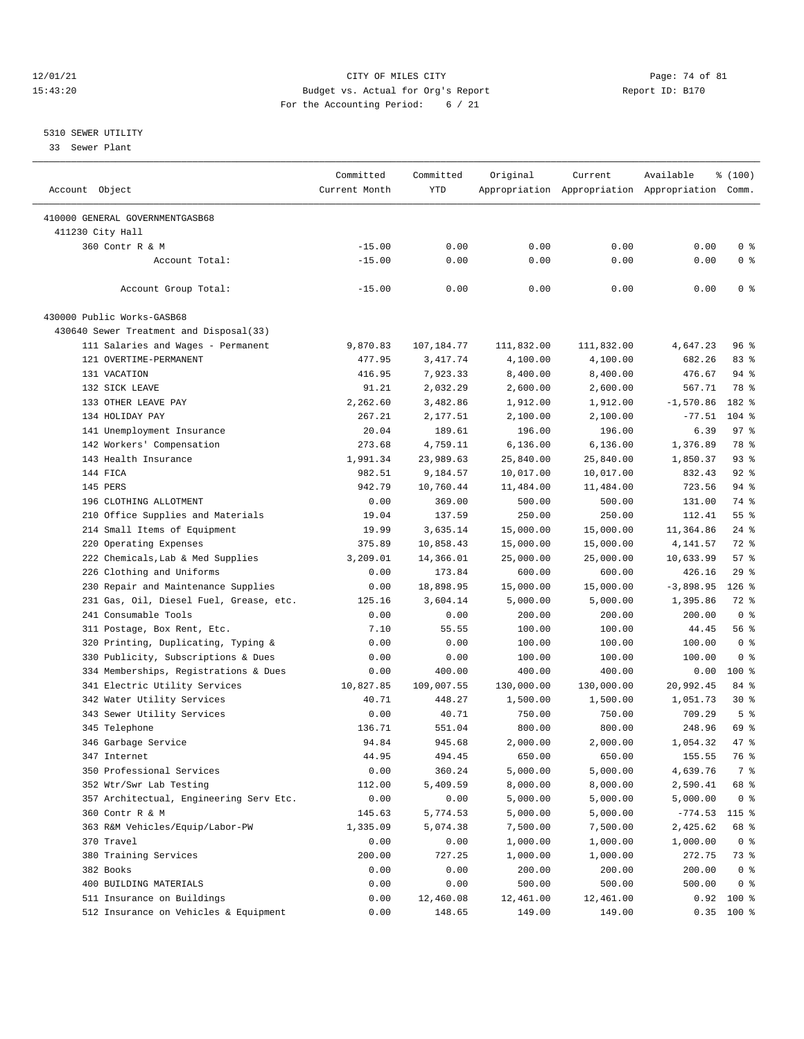### 12/01/21 Page: 74 of 81<br>
12/01/21 Page: 74 of 81<br>
Budget vs. Actual for Org's Report Physics (Report ID: B170 15:43:20 Budget vs. Actual for Org's Report For the Accounting Period: 6 / 21

————————————————————————————————————————————————————————————————————————————————————————————————————————————————————————————————————

## 5310 SEWER UTILITY

33 Sewer Plant

|                                         | Committed     | Committed  | Original   | Current    | Available                                       | \$(100)        |
|-----------------------------------------|---------------|------------|------------|------------|-------------------------------------------------|----------------|
| Account Object                          | Current Month | <b>YTD</b> |            |            | Appropriation Appropriation Appropriation Comm. |                |
|                                         |               |            |            |            |                                                 |                |
| 410000 GENERAL GOVERNMENTGASB68         |               |            |            |            |                                                 |                |
| 411230 City Hall                        |               | 0.00       | 0.00       | 0.00       | 0.00                                            | 0 <sup>8</sup> |
| 360 Contr R & M                         | $-15.00$      |            |            |            |                                                 |                |
| Account Total:                          | $-15.00$      | 0.00       | 0.00       | 0.00       | 0.00                                            | 0 <sup>8</sup> |
| Account Group Total:                    | $-15.00$      | 0.00       | 0.00       | 0.00       | 0.00                                            | 0 <sup>8</sup> |
| 430000 Public Works-GASB68              |               |            |            |            |                                                 |                |
| 430640 Sewer Treatment and Disposal(33) |               |            |            |            |                                                 |                |
| 111 Salaries and Wages - Permanent      | 9,870.83      | 107,184.77 | 111,832.00 | 111,832.00 | 4,647.23                                        | 96 %           |
| 121 OVERTIME-PERMANENT                  | 477.95        | 3,417.74   | 4,100.00   | 4,100.00   | 682.26                                          | 83%            |
| 131 VACATION                            | 416.95        | 7,923.33   | 8,400.00   | 8,400.00   | 476.67                                          | 94 %           |
| 132 SICK LEAVE                          | 91.21         | 2,032.29   | 2,600.00   | 2,600.00   | 567.71                                          | 78 %           |
| 133 OTHER LEAVE PAY                     | 2,262.60      | 3,482.86   | 1,912.00   | 1,912.00   | $-1,570.86$                                     | 182 %          |
| 134 HOLIDAY PAY                         | 267.21        | 2,177.51   | 2,100.00   | 2,100.00   | $-77.51$                                        | $104$ %        |
| 141 Unemployment Insurance              | 20.04         | 189.61     | 196.00     | 196.00     | 6.39                                            | 97%            |
| 142 Workers' Compensation               | 273.68        | 4,759.11   | 6,136.00   | 6,136.00   | 1,376.89                                        | 78 %           |
| 143 Health Insurance                    | 1,991.34      | 23,989.63  | 25,840.00  | 25,840.00  | 1,850.37                                        | $93$ $%$       |
| 144 FICA                                | 982.51        | 9,184.57   | 10,017.00  | 10,017.00  | 832.43                                          | $92$ $%$       |
| 145 PERS                                | 942.79        | 10,760.44  | 11,484.00  | 11,484.00  | 723.56                                          | $94$ %         |
| 196 CLOTHING ALLOTMENT                  | 0.00          | 369.00     | 500.00     | 500.00     | 131.00                                          | 74 %           |
| 210 Office Supplies and Materials       | 19.04         | 137.59     | 250.00     | 250.00     | 112.41                                          | 55 %           |
| 214 Small Items of Equipment            | 19.99         | 3,635.14   | 15,000.00  | 15,000.00  | 11,364.86                                       | $24$ %         |
| 220 Operating Expenses                  | 375.89        | 10,858.43  | 15,000.00  | 15,000.00  | 4,141.57                                        | 72 %           |
| 222 Chemicals, Lab & Med Supplies       | 3,209.01      | 14,366.01  | 25,000.00  | 25,000.00  | 10,633.99                                       | 57%            |
| 226 Clothing and Uniforms               | 0.00          | 173.84     | 600.00     | 600.00     | 426.16                                          | 29%            |
| 230 Repair and Maintenance Supplies     | 0.00          | 18,898.95  | 15,000.00  | 15,000.00  | $-3,898.95$                                     | $126$ %        |
| 231 Gas, Oil, Diesel Fuel, Grease, etc. | 125.16        | 3,604.14   | 5,000.00   | 5,000.00   | 1,395.86                                        | 72 %           |
| 241 Consumable Tools                    | 0.00          | 0.00       | 200.00     | 200.00     | 200.00                                          | 0 <sup>8</sup> |
| 311 Postage, Box Rent, Etc.             | 7.10          | 55.55      | 100.00     | 100.00     | 44.45                                           | 56%            |
|                                         |               |            |            |            |                                                 | 0 <sup>8</sup> |
| 320 Printing, Duplicating, Typing &     | 0.00          | 0.00       | 100.00     | 100.00     | 100.00                                          | 0 <sup>8</sup> |
| 330 Publicity, Subscriptions & Dues     | 0.00          | 0.00       | 100.00     | 100.00     | 100.00                                          |                |
| 334 Memberships, Registrations & Dues   | 0.00          | 400.00     | 400.00     | 400.00     | 0.00                                            | $100$ %        |
| 341 Electric Utility Services           | 10,827.85     | 109,007.55 | 130,000.00 | 130,000.00 | 20,992.45                                       | 84 %           |
| 342 Water Utility Services              | 40.71         | 448.27     | 1,500.00   | 1,500.00   | 1,051.73                                        | $30*$          |
| 343 Sewer Utility Services              | 0.00          | 40.71      | 750.00     | 750.00     | 709.29                                          | 5 <sup>8</sup> |
| 345 Telephone                           | 136.71        | 551.04     | 800.00     | 800.00     | 248.96                                          | 69 %           |
| 346 Garbage Service                     | 94.84         | 945.68     | 2,000.00   | 2,000.00   | 1,054.32                                        | $47$ %         |
| 347 Internet                            | 44.95         | 494.45     | 650.00     | 650.00     | 155.55                                          | 76 %           |
| 350 Professional Services               | 0.00          | 360.24     | 5,000.00   | 5,000.00   | 4,639.76                                        | 7 %            |
| 352 Wtr/Swr Lab Testing                 | 112.00        | 5,409.59   | 8,000.00   | 8,000.00   | 2,590.41                                        | 68 %           |
| 357 Architectual, Engineering Serv Etc. | 0.00          | 0.00       | 5,000.00   | 5,000.00   | 5,000.00                                        | 0 <sup>8</sup> |
| 360 Contr R & M                         | 145.63        | 5,774.53   | 5,000.00   | 5,000.00   | $-774.53$                                       | $115$ %        |
| 363 R&M Vehicles/Equip/Labor-PW         | 1,335.09      | 5,074.38   | 7,500.00   | 7,500.00   | 2,425.62                                        | 68 %           |
| 370 Travel                              | 0.00          | 0.00       | 1,000.00   | 1,000.00   | 1,000.00                                        | 0 <sup>8</sup> |
| 380 Training Services                   | 200.00        | 727.25     | 1,000.00   | 1,000.00   | 272.75                                          | 73 %           |
| 382 Books                               | 0.00          | 0.00       | 200.00     | 200.00     | 200.00                                          | 0 <sup>8</sup> |
| 400 BUILDING MATERIALS                  | 0.00          | 0.00       | 500.00     | 500.00     | 500.00                                          | 0 <sup>8</sup> |
| 511 Insurance on Buildings              | 0.00          | 12,460.08  | 12,461.00  | 12,461.00  |                                                 | $0.92$ 100 %   |
| 512 Insurance on Vehicles & Equipment   | 0.00          | 148.65     | 149.00     | 149.00     |                                                 | $0.35$ 100 %   |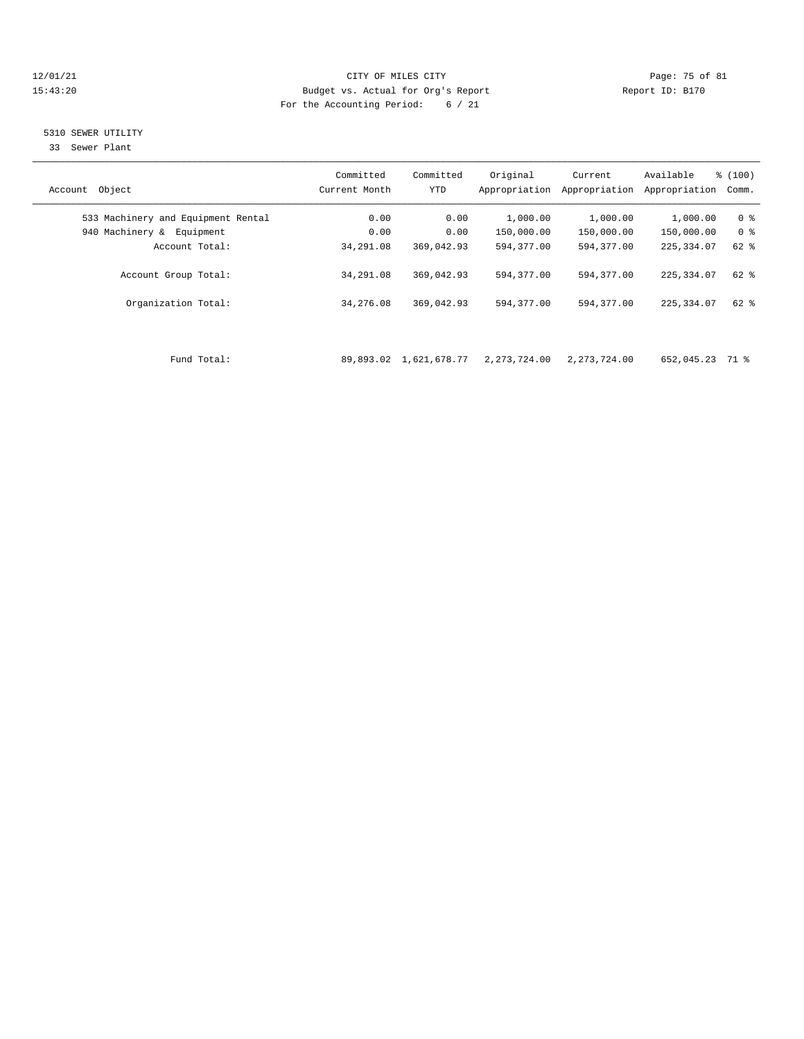### 12/01/21 Page: 75 of 81 CITY OF MILES CITY CONTRIBUTE CITY PAGE: 75 of 81 Page: 75 of 81 CITY CHEROLES CITY CONTRIBUTE CITY 15:43:20 Budget vs. Actual for Org's Report For the Accounting Period: 6 / 21

## 5310 SEWER UTILITY

33 Sewer Plant

| Object<br>Account                  | Committed<br>Current Month | Committed<br><b>YTD</b> | Original<br>Appropriation | Current<br>Appropriation | Available<br>Appropriation | % (100)<br>Comm. |
|------------------------------------|----------------------------|-------------------------|---------------------------|--------------------------|----------------------------|------------------|
| 533 Machinery and Equipment Rental | 0.00                       | 0.00                    | 1,000.00                  | 1,000.00                 | 1,000.00                   | 0 <sup>8</sup>   |
| 940 Machinery & Equipment          | 0.00                       | 0.00                    | 150,000.00                | 150,000.00               | 150,000.00                 | 0 <sup>8</sup>   |
| Account Total:                     | 34,291.08                  | 369,042.93              | 594,377.00                | 594, 377, 00             | 225, 334.07                | 62 %             |
| Account Group Total:               | 34,291.08                  | 369,042.93              | 594,377.00                | 594, 377, 00             | 225, 334, 07               | $62$ $%$         |
| Organization Total:                | 34,276.08                  | 369,042.93              | 594,377.00                | 594,377.00               | 225, 334, 07               | 62 %             |
|                                    |                            |                         |                           |                          |                            |                  |
| Fund Total:                        |                            | 89,893.02 1,621,678.77  | 2,273,724.00              | 2, 273, 724.00           | 652,045.23                 | 71 %             |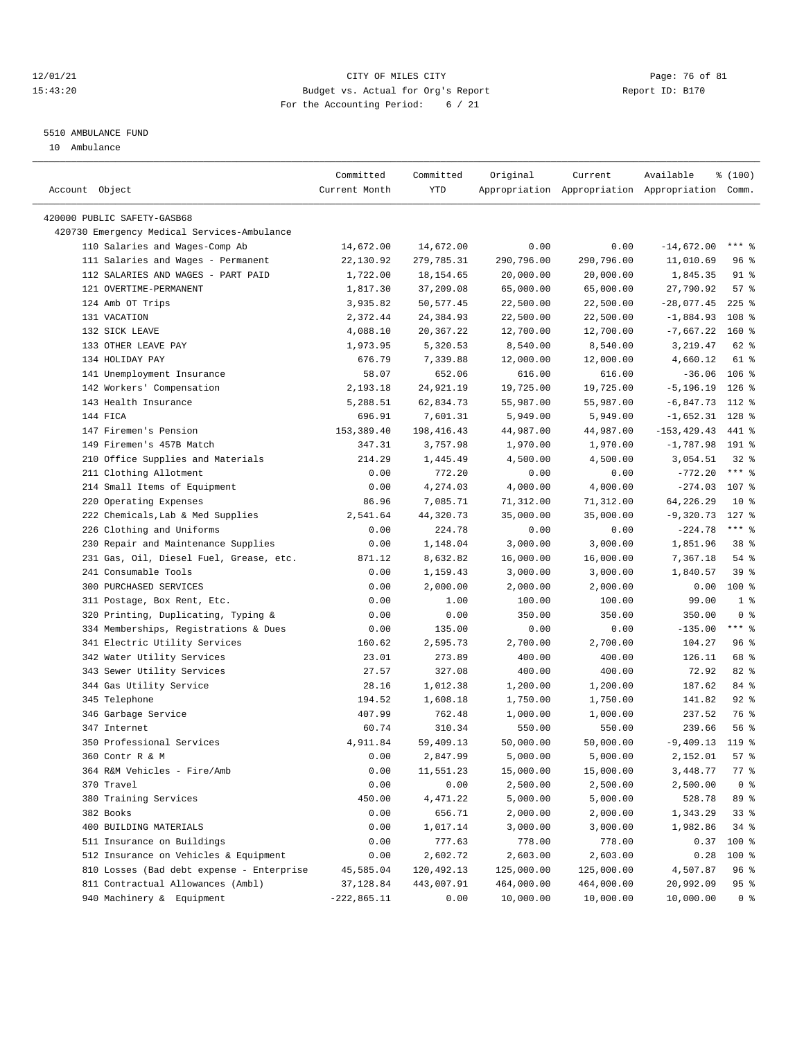### 12/01/21 Page: 76 of 81 15:43:20 Budget vs. Actual for Org's Report Report ID: B170 For the Accounting Period: 6 / 21

#### 5510 AMBULANCE FUND

10 Ambulance

|                                             | Committed     | Committed    | Original   | Current    | Available                                       | % (100)         |
|---------------------------------------------|---------------|--------------|------------|------------|-------------------------------------------------|-----------------|
| Account Object                              | Current Month | <b>YTD</b>   |            |            | Appropriation Appropriation Appropriation Comm. |                 |
| 420000 PUBLIC SAFETY-GASB68                 |               |              |            |            |                                                 |                 |
| 420730 Emergency Medical Services-Ambulance |               |              |            |            |                                                 |                 |
| 110 Salaries and Wages-Comp Ab              | 14,672.00     | 14,672.00    | 0.00       | 0.00       | $-14,672.00$                                    | $***$ $%$       |
| 111 Salaries and Wages - Permanent          | 22,130.92     | 279,785.31   | 290,796.00 | 290,796.00 | 11,010.69                                       | 96%             |
| 112 SALARIES AND WAGES - PART PAID          | 1,722.00      | 18, 154.65   | 20,000.00  | 20,000.00  | 1,845.35                                        | $91$ %          |
| 121 OVERTIME-PERMANENT                      | 1,817.30      | 37,209.08    | 65,000.00  | 65,000.00  | 27,790.92                                       | 57%             |
| 124 Amb OT Trips                            | 3,935.82      | 50, 577.45   | 22,500.00  | 22,500.00  | $-28,077.45$                                    | $225$ %         |
| 131 VACATION                                | 2,372.44      | 24,384.93    | 22,500.00  | 22,500.00  | $-1,884.93$                                     | 108 %           |
| 132 SICK LEAVE                              | 4,088.10      | 20,367.22    | 12,700.00  | 12,700.00  | $-7,667.22$                                     | $160*$          |
| 133 OTHER LEAVE PAY                         | 1,973.95      | 5,320.53     | 8,540.00   | 8,540.00   | 3,219.47                                        | 62 %            |
| 134 HOLIDAY PAY                             | 676.79        | 7,339.88     | 12,000.00  | 12,000.00  | 4,660.12                                        | 61 %            |
| 141 Unemployment Insurance                  | 58.07         | 652.06       | 616.00     | 616.00     | $-36.06$ 106 %                                  |                 |
| 142 Workers' Compensation                   | 2,193.18      | 24,921.19    | 19,725.00  | 19,725.00  | $-5,196.19$ 126 %                               |                 |
| 143 Health Insurance                        | 5,288.51      | 62,834.73    | 55,987.00  | 55,987.00  | $-6,847.73$ 112 %                               |                 |
| 144 FICA                                    | 696.91        | 7,601.31     | 5,949.00   | 5,949.00   | $-1,652.31$ 128 %                               |                 |
| 147 Firemen's Pension                       | 153, 389.40   | 198, 416. 43 | 44,987.00  | 44,987.00  | $-153, 429.43$                                  | 441 %           |
| 149 Firemen's 457B Match                    | 347.31        | 3,757.98     | 1,970.00   | 1,970.00   | $-1,787.98$ 191 %                               |                 |
| 210 Office Supplies and Materials           | 214.29        | 1,445.49     | 4,500.00   | 4,500.00   | 3,054.51                                        | $32$ $%$        |
| 211 Clothing Allotment                      | 0.00          | 772.20       | 0.00       | 0.00       | $-772.20$                                       | $***$ 8         |
| 214 Small Items of Equipment                | 0.00          | 4,274.03     | 4,000.00   | 4,000.00   | $-274.03$                                       | 107 %           |
| 220 Operating Expenses                      | 86.96         | 7,085.71     | 71,312.00  | 71,312.00  | 64,226.29                                       | 10 <sup>8</sup> |
| 222 Chemicals, Lab & Med Supplies           | 2,541.64      | 44,320.73    | 35,000.00  | 35,000.00  | -9,320.73                                       | $127$ %         |
| 226 Clothing and Uniforms                   | 0.00          | 224.78       | 0.00       | 0.00       | $-224.78$                                       | $***$ $_{8}$    |
| 230 Repair and Maintenance Supplies         | 0.00          | 1,148.04     | 3,000.00   | 3,000.00   | 1,851.96                                        | 38 %            |
| 231 Gas, Oil, Diesel Fuel, Grease, etc.     | 871.12        | 8,632.82     | 16,000.00  | 16,000.00  | 7,367.18                                        | 54 %            |
| 241 Consumable Tools                        | 0.00          | 1,159.43     | 3,000.00   | 3,000.00   | 1,840.57                                        | 39 %            |
| 300 PURCHASED SERVICES                      | 0.00          | 2,000.00     | 2,000.00   | 2,000.00   | 0.00                                            | 100 %           |
| 311 Postage, Box Rent, Etc.                 | 0.00          | 1.00         | 100.00     | 100.00     | 99.00                                           | 1 <sup>8</sup>  |
| 320 Printing, Duplicating, Typing &         | 0.00          | 0.00         | 350.00     | 350.00     | 350.00                                          | 0 <sup>8</sup>  |
| 334 Memberships, Registrations & Dues       | 0.00          | 135.00       | 0.00       | 0.00       | $-135.00$                                       | $***$ $_{8}$    |
| 341 Electric Utility Services               | 160.62        | 2,595.73     | 2,700.00   | 2,700.00   | 104.27                                          | 96%             |
| 342 Water Utility Services                  | 23.01         | 273.89       | 400.00     | 400.00     | 126.11                                          | 68 %            |
| 343 Sewer Utility Services                  | 27.57         | 327.08       | 400.00     | 400.00     | 72.92                                           | 82%             |
| 344 Gas Utility Service                     | 28.16         | 1,012.38     | 1,200.00   | 1,200.00   | 187.62                                          | 84 %            |
| 345 Telephone                               | 194.52        | 1,608.18     | 1,750.00   | 1,750.00   | 141.82                                          | 92%             |
| 346 Garbage Service                         | 407.99        | 762.48       | 1,000.00   | 1,000.00   | 237.52                                          | 76 %            |
| 347 Internet                                | 60.74         | 310.34       | 550.00     | 550.00     | 239.66                                          | 56%             |
| 350 Professional Services                   | 4,911.84      | 59,409.13    | 50,000.00  | 50,000.00  | $-9,409.13$                                     | $119*$          |
| 360 Contr R & M                             | 0.00          | 2,847.99     | 5,000.00   | 5,000.00   | 2,152.01                                        | 57%             |
| 364 R&M Vehicles - Fire/Amb                 | 0.00          | 11,551.23    | 15,000.00  | 15,000.00  | 3,448.77                                        | 77 %            |
| 370 Travel                                  | 0.00          | 0.00         | 2,500.00   | 2,500.00   | 2,500.00                                        | 0 <sup>8</sup>  |
| 380 Training Services                       | 450.00        | 4,471.22     | 5,000.00   | 5,000.00   | 528.78                                          | 89 %            |
| 382 Books                                   | 0.00          | 656.71       | 2,000.00   | 2,000.00   | 1,343.29                                        | 33%             |
| 400 BUILDING MATERIALS                      | 0.00          | 1,017.14     | 3,000.00   | 3,000.00   | 1,982.86                                        | 34%             |
| 511 Insurance on Buildings                  | 0.00          | 777.63       | 778.00     | 778.00     | 0.37                                            | 100 %           |
| 512 Insurance on Vehicles & Equipment       | 0.00          | 2,602.72     | 2,603.00   | 2,603.00   | 0.28                                            | 100 %           |
| 810 Losses (Bad debt expense - Enterprise   | 45,585.04     | 120,492.13   | 125,000.00 | 125,000.00 | 4,507.87                                        | 96 %            |
| 811 Contractual Allowances (Ambl)           | 37,128.84     | 443,007.91   | 464,000.00 | 464,000.00 | 20,992.09                                       | 95 %            |
| 940 Machinery & Equipment                   | $-222,865.11$ | 0.00         | 10,000.00  | 10,000.00  | 10,000.00                                       | 0 <sup>8</sup>  |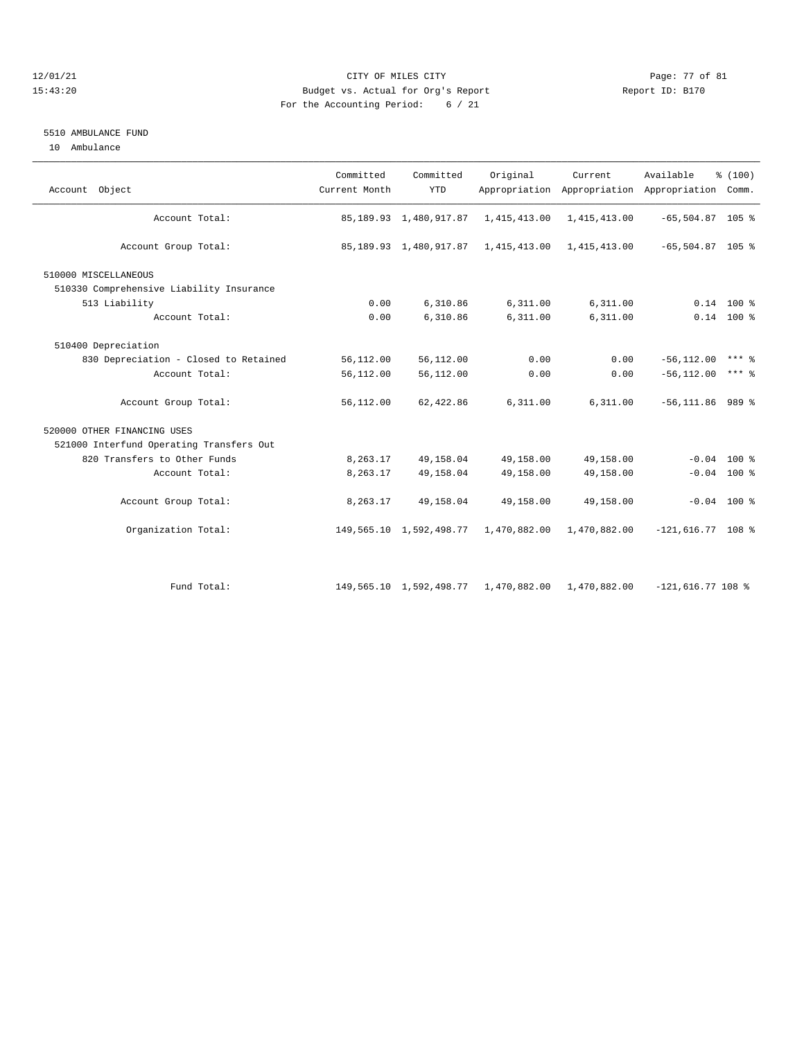### 12/01/21 Page: 77 of 81 15:43:20 Budget vs. Actual for Org's Report Report ID: B170 For the Accounting Period: 6 / 21

### 5510 AMBULANCE FUND

10 Ambulance

| Account Object                           | Committed<br>Current Month | Committed<br><b>YTD</b>   | Original     | Current      | Available<br>Appropriation Appropriation Appropriation Comm. | \$(100)             |
|------------------------------------------|----------------------------|---------------------------|--------------|--------------|--------------------------------------------------------------|---------------------|
| Account Total:                           |                            | 85, 189.93 1, 480, 917.87 | 1,415,413.00 | 1,415,413.00 | $-65,504.87$ 105 %                                           |                     |
| Account Group Total:                     |                            | 85, 189.93 1, 480, 917.87 | 1,415,413.00 | 1,415,413.00 | $-65, 504.87$ 105 %                                          |                     |
| 510000 MISCELLANEOUS                     |                            |                           |              |              |                                                              |                     |
| 510330 Comprehensive Liability Insurance |                            |                           |              |              |                                                              |                     |
| 513 Liability                            | 0.00                       | 6,310.86                  | 6,311.00     | 6,311.00     |                                                              | $0.14$ 100 %        |
| Account Total:                           | 0.00                       | 6,310.86                  | 6,311.00     | 6,311.00     |                                                              | $0.14$ 100 %        |
| 510400 Depreciation                      |                            |                           |              |              |                                                              |                     |
| 830 Depreciation - Closed to Retained    | 56,112.00                  | 56,112.00                 | 0.00         | 0.00         | $-56, 112.00$                                                | $***$ $\frac{6}{5}$ |
| Account Total:                           | 56,112.00                  | 56,112.00                 | 0.00         | 0.00         | $-56, 112.00$                                                | $***$ $\frac{6}{5}$ |
| Account Group Total:                     | 56,112.00                  | 62,422.86                 | 6,311.00     | 6, 311.00    | $-56, 111.86$                                                | 989 %               |
| 520000 OTHER FINANCING USES              |                            |                           |              |              |                                                              |                     |
| 521000 Interfund Operating Transfers Out |                            |                           |              |              |                                                              |                     |
| 820 Transfers to Other Funds             | 8,263.17                   | 49,158.04                 | 49,158.00    | 49,158.00    |                                                              | $-0.04$ 100 %       |
| Account Total:                           | 8,263.17                   | 49,158.04                 | 49,158.00    | 49,158.00    |                                                              | $-0.04$ 100 %       |
| Account Group Total:                     | 8,263.17                   | 49,158.04                 | 49,158.00    | 49,158.00    |                                                              | $-0.04$ 100 %       |
| Organization Total:                      |                            | 149,565.10 1,592,498.77   | 1,470,882.00 | 1,470,882.00 | $-121,616.77$ 108 %                                          |                     |
|                                          |                            |                           |              |              |                                                              |                     |
| Fund Total:                              |                            | 149,565.10 1,592,498.77   | 1,470,882.00 | 1,470,882.00 | $-121,616.77$ 108 %                                          |                     |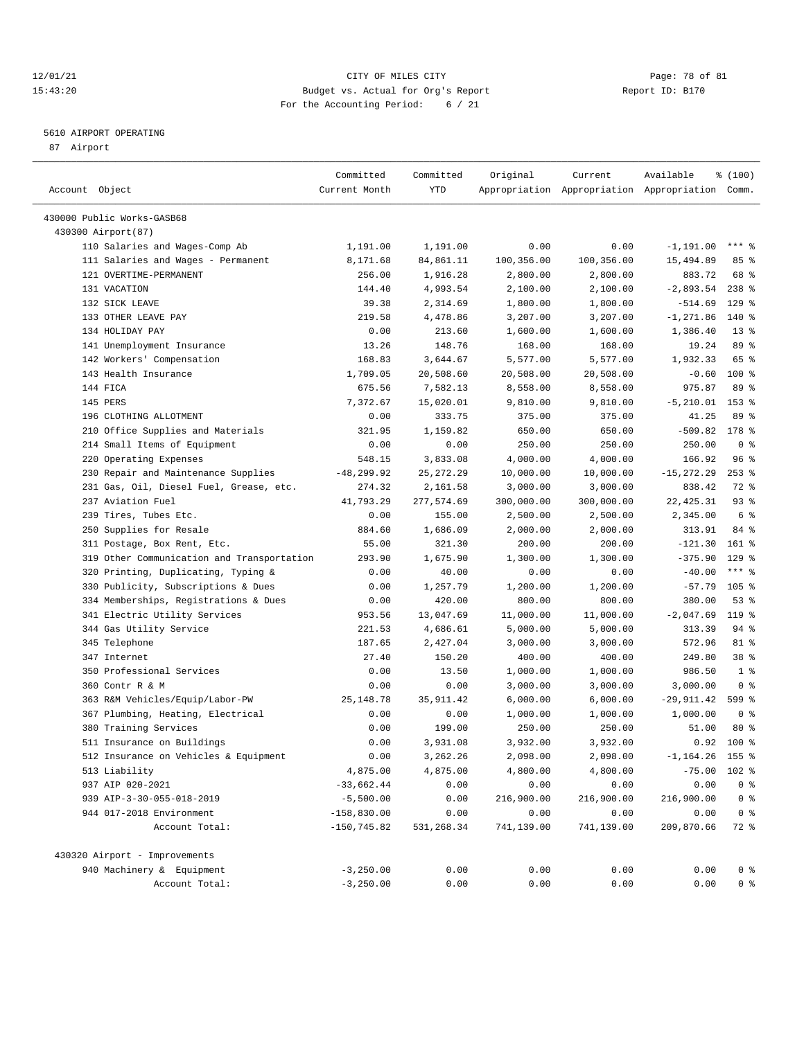### 12/01/21 Page: 78 of 81<br>
12/01/21 Page: 78 of 81<br>
Budget vs. Actual for Org's Report Physics (Report ID: B170 15:43:20 Budget vs. Actual for Org's Report For the Accounting Period: 6 / 21

————————————————————————————————————————————————————————————————————————————————————————————————————————————————————————————————————

## 5610 AIRPORT OPERATING

87 Airport

|                                            | Committed      | Committed   | Original   | Current    | Available                                       | % (100)         |
|--------------------------------------------|----------------|-------------|------------|------------|-------------------------------------------------|-----------------|
| Account Object                             | Current Month  | <b>YTD</b>  |            |            | Appropriation Appropriation Appropriation Comm. |                 |
|                                            |                |             |            |            |                                                 |                 |
| 430000 Public Works-GASB68                 |                |             |            |            |                                                 |                 |
| 430300 Airport (87)                        |                |             |            |            |                                                 | *** 응           |
| 110 Salaries and Wages-Comp Ab             | 1,191.00       | 1,191.00    | 0.00       | 0.00       | $-1, 191.00$                                    |                 |
| 111 Salaries and Wages - Permanent         | 8,171.68       | 84,861.11   | 100,356.00 | 100,356.00 | 15,494.89                                       | 85%             |
| 121 OVERTIME-PERMANENT                     | 256.00         | 1,916.28    | 2,800.00   | 2,800.00   | 883.72                                          | 68 %            |
| 131 VACATION                               | 144.40         | 4,993.54    | 2,100.00   | 2,100.00   | $-2,893.54$                                     | $238$ %         |
| 132 SICK LEAVE                             | 39.38          | 2,314.69    | 1,800.00   | 1,800.00   | $-514.69$                                       | $129$ %         |
| 133 OTHER LEAVE PAY                        | 219.58         | 4,478.86    | 3,207.00   | 3,207.00   | $-1, 271.86$                                    | 140 %           |
| 134 HOLIDAY PAY                            | 0.00           | 213.60      | 1,600.00   | 1,600.00   | 1,386.40                                        | $13*$           |
| 141 Unemployment Insurance                 | 13.26          | 148.76      | 168.00     | 168.00     | 19.24                                           | 89 %            |
| 142 Workers' Compensation                  | 168.83         | 3,644.67    | 5,577.00   | 5,577.00   | 1,932.33                                        | 65 %            |
| 143 Health Insurance                       | 1,709.05       | 20,508.60   | 20,508.00  | 20,508.00  | $-0.60$                                         | $100$ %         |
| 144 FICA                                   | 675.56         | 7,582.13    | 8,558.00   | 8,558.00   | 975.87                                          | 89 %            |
| 145 PERS                                   | 7,372.67       | 15,020.01   | 9,810.00   | 9,810.00   | $-5,210.01$ 153 %                               |                 |
| 196 CLOTHING ALLOTMENT                     | 0.00           | 333.75      | 375.00     | 375.00     | 41.25                                           | 89 %            |
| 210 Office Supplies and Materials          | 321.95         | 1,159.82    | 650.00     | 650.00     | $-509.82$                                       | 178 %           |
| 214 Small Items of Equipment               | 0.00           | 0.00        | 250.00     | 250.00     | 250.00                                          | 0 <sup>8</sup>  |
| 220 Operating Expenses                     | 548.15         | 3,833.08    | 4,000.00   | 4,000.00   | 166.92                                          | 96%             |
| 230 Repair and Maintenance Supplies        | $-48, 299.92$  | 25, 272. 29 | 10,000.00  | 10,000.00  | $-15, 272.29$                                   | $253$ $%$       |
| 231 Gas, Oil, Diesel Fuel, Grease, etc.    | 274.32         | 2,161.58    | 3,000.00   | 3,000.00   | 838.42                                          | 72 %            |
| 237 Aviation Fuel                          | 41,793.29      | 277,574.69  | 300,000.00 | 300,000.00 | 22, 425.31                                      | $93$ $%$        |
| 239 Tires, Tubes Etc.                      | 0.00           | 155.00      | 2,500.00   | 2,500.00   | 2,345.00                                        | 6 %             |
| 250 Supplies for Resale                    | 884.60         | 1,686.09    | 2,000.00   | 2,000.00   | 313.91                                          | 84 %            |
| 311 Postage, Box Rent, Etc.                | 55.00          | 321.30      | 200.00     | 200.00     | $-121.30$                                       | 161 %           |
| 319 Other Communication and Transportation | 293.90         | 1,675.90    | 1,300.00   | 1,300.00   | $-375.90$                                       | $129$ %         |
| 320 Printing, Duplicating, Typing &        | 0.00           | 40.00       | 0.00       | 0.00       | $-40.00$                                        | $***$ $-$       |
| 330 Publicity, Subscriptions & Dues        | 0.00           | 1,257.79    | 1,200.00   | 1,200.00   | $-57.79$                                        | $105$ %         |
| 334 Memberships, Registrations & Dues      | 0.00           | 420.00      | 800.00     | 800.00     | 380.00                                          | 53%             |
| 341 Electric Utility Services              | 953.56         | 13,047.69   | 11,000.00  | 11,000.00  | $-2,047.69$                                     | $119$ %         |
| 344 Gas Utility Service                    | 221.53         | 4,686.61    | 5,000.00   | 5,000.00   | 313.39                                          | $94$ %          |
| 345 Telephone                              | 187.65         | 2,427.04    | 3,000.00   | 3,000.00   | 572.96                                          | 81 %            |
| 347 Internet                               | 27.40          | 150.20      | 400.00     | 400.00     | 249.80                                          | 38 <sup>8</sup> |
| 350 Professional Services                  | 0.00           | 13.50       | 1,000.00   | 1,000.00   | 986.50                                          | 1 <sup>8</sup>  |
| 360 Contr R & M                            | 0.00           | 0.00        | 3,000.00   | 3,000.00   | 3,000.00                                        | 0 <sup>8</sup>  |
| 363 R&M Vehicles/Equip/Labor-PW            | 25, 148.78     | 35,911.42   | 6,000.00   | 6,000.00   | $-29,911.42$                                    | 599 %           |
| 367 Plumbing, Heating, Electrical          | 0.00           | 0.00        | 1,000.00   | 1,000.00   | 1,000.00                                        | 0 <sup>8</sup>  |
| 380 Training Services                      | 0.00           | 199.00      | 250.00     | 250.00     | 51.00                                           | $80*$           |
| 511 Insurance on Buildings                 | 0.00           | 3,931.08    | 3,932.00   | 3,932.00   | 0.92                                            | 100 %           |
| 512 Insurance on Vehicles & Equipment      | 0.00           | 3,262.26    | 2,098.00   | 2,098.00   | $-1, 164.26$ 155 %                              |                 |
| 513 Liability                              | 4,875.00       | 4,875.00    | 4,800.00   | 4,800.00   | $-75.00$ 102 %                                  |                 |
| 937 AIP 020-2021                           | $-33,662.44$   | 0.00        | 0.00       | 0.00       | 0.00                                            | 0 <sup>8</sup>  |
| 939 AIP-3-30-055-018-2019                  | $-5,500.00$    | 0.00        | 216,900.00 | 216,900.00 | 216,900.00                                      | 0 <sup>8</sup>  |
| 944 017-2018 Environment                   | $-158,830.00$  | 0.00        | 0.00       | 0.00       | 0.00                                            | 0 <sup>8</sup>  |
| Account Total:                             | $-150, 745.82$ | 531,268.34  | 741,139.00 | 741,139.00 | 209,870.66                                      | 72 %            |
|                                            |                |             |            |            |                                                 |                 |
| 430320 Airport - Improvements              |                |             |            |            |                                                 |                 |
| 940 Machinery & Equipment                  | $-3, 250.00$   | 0.00        | 0.00       | 0.00       | 0.00                                            | 0 <sup>8</sup>  |
| Account Total:                             | $-3, 250.00$   | 0.00        | 0.00       | 0.00       | 0.00                                            | 0 <sup>8</sup>  |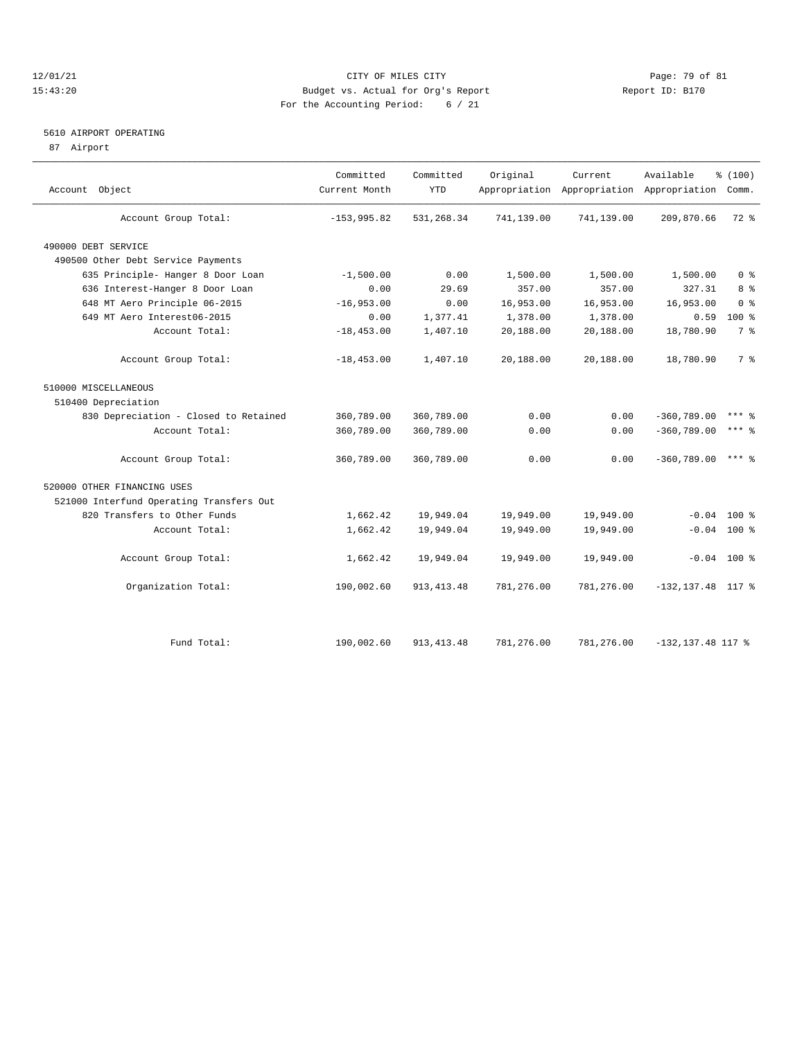### 12/01/21 Page: 79 of 81<br>
12/01/21 Page: 79 of 81<br>
Budget vs. Actual for Org's Report Physics (Report ID: B170 15:43:20 Budget vs. Actual for Org's Report For the Accounting Period: 6 / 21

## 5610 AIRPORT OPERATING

87 Airport

| Account Object                           | Committed<br>Current Month | Committed<br><b>YTD</b> | Original   | Current    | Available<br>Appropriation Appropriation Appropriation Comm. | % (100)          |
|------------------------------------------|----------------------------|-------------------------|------------|------------|--------------------------------------------------------------|------------------|
| Account Group Total:                     | $-153,995.82$              | 531,268.34              | 741,139.00 | 741,139.00 | 209,870.66                                                   | 72 %             |
| 490000 DEBT SERVICE                      |                            |                         |            |            |                                                              |                  |
| 490500 Other Debt Service Payments       |                            |                         |            |            |                                                              |                  |
| 635 Principle- Hanger 8 Door Loan        | $-1,500.00$                | 0.00                    | 1,500.00   | 1,500.00   | 1,500.00                                                     | 0 <sup>8</sup>   |
| 636 Interest-Hanger 8 Door Loan          | 0.00                       | 29.69                   | 357.00     | 357.00     | 327.31                                                       | $8 \frac{6}{10}$ |
| 648 MT Aero Principle 06-2015            | $-16,953.00$               | 0.00                    | 16,953.00  | 16,953.00  | 16,953.00                                                    | 0 <sup>8</sup>   |
| 649 MT Aero Interest06-2015              | 0.00                       | 1,377.41                | 1,378.00   | 1,378.00   | 0.59                                                         | $100*$           |
| Account Total:                           | $-18, 453.00$              | 1,407.10                | 20,188.00  | 20,188.00  | 18,780.90                                                    | 7 <sup>°</sup>   |
| Account Group Total:                     | $-18, 453.00$              | 1,407.10                | 20,188.00  | 20,188.00  | 18,780.90                                                    | 7 %              |
| 510000 MISCELLANEOUS                     |                            |                         |            |            |                                                              |                  |
| 510400 Depreciation                      |                            |                         |            |            |                                                              |                  |
| 830 Depreciation - Closed to Retained    | 360,789.00                 | 360,789.00              | 0.00       | 0.00       | $-360,789.00$                                                | $***$ &          |
| Account Total:                           | 360,789.00                 | 360,789.00              | 0.00       | 0.00       | $-360,789.00$                                                | $***$ 2          |
| Account Group Total:                     | 360,789.00                 | 360,789.00              | 0.00       | 0.00       | $-360,789.00$                                                | $***$ $%$        |
| 520000 OTHER FINANCING USES              |                            |                         |            |            |                                                              |                  |
| 521000 Interfund Operating Transfers Out |                            |                         |            |            |                                                              |                  |
| 820 Transfers to Other Funds             | 1,662.42                   | 19,949.04               | 19,949.00  | 19,949.00  | $-0.04$                                                      | $100*$           |
| Account Total:                           | 1,662.42                   | 19,949.04               | 19,949.00  | 19,949.00  |                                                              | $-0.04$ 100 %    |
| Account Group Total:                     | 1,662.42                   | 19,949.04               | 19,949.00  | 19,949.00  |                                                              | $-0.04$ 100 %    |
| Organization Total:                      | 190,002.60                 | 913, 413. 48            | 781,276.00 | 781,276.00 | $-132, 137.48$ 117 %                                         |                  |
|                                          |                            |                         |            |            |                                                              |                  |
| Fund Total:                              | 190,002.60                 | 913, 413. 48            | 781,276.00 | 781,276.00 | $-132, 137.48$ 117 %                                         |                  |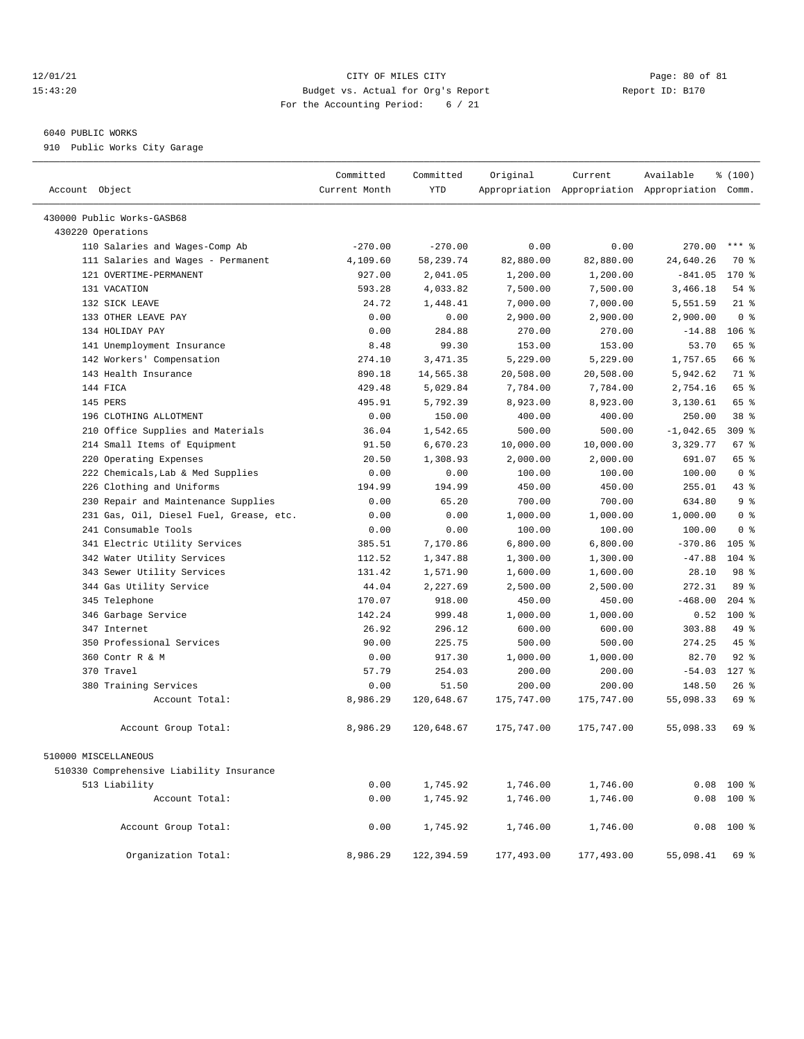### 12/01/21 Page: 80 of 81 CITY OF MILES CITY CONTRIBUTE CITY PAGE: 80 of 81 Page: 80 of 81 CITY CHILES CITY CONTRIBUTE CITY PAGE: 20 15:43:20 Budget vs. Actual for Org's Report For the Accounting Period: 6 / 21

## 6040 PUBLIC WORKS

910 Public Works City Garage

| Account Object                           | Committed<br>Current Month | Committed<br><b>YTD</b> | Original   | Current    | Available<br>Appropriation Appropriation Appropriation Comm. | % (100)          |  |
|------------------------------------------|----------------------------|-------------------------|------------|------------|--------------------------------------------------------------|------------------|--|
| 430000 Public Works-GASB68               |                            |                         |            |            |                                                              |                  |  |
| 430220 Operations                        |                            |                         |            |            |                                                              |                  |  |
| 110 Salaries and Wages-Comp Ab           | $-270.00$                  | $-270.00$               | 0.00       | 0.00       | 270.00                                                       | $***$ $%$        |  |
| 111 Salaries and Wages - Permanent       | 4,109.60                   | 58,239.74               | 82,880.00  | 82,880.00  | 24,640.26                                                    | 70 %             |  |
| 121 OVERTIME-PERMANENT                   | 927.00                     | 2,041.05                | 1,200.00   | 1,200.00   | $-841.05$                                                    | $170*$           |  |
| 131 VACATION                             | 593.28                     | 4,033.82                | 7,500.00   | 7,500.00   | 3,466.18                                                     | 54 %             |  |
| 132 SICK LEAVE                           | 24.72                      | 1,448.41                | 7,000.00   | 7,000.00   | 5,551.59                                                     | $21$ %           |  |
| 133 OTHER LEAVE PAY                      | 0.00                       | 0.00                    | 2,900.00   | 2,900.00   | 2,900.00                                                     | 0 <sup>8</sup>   |  |
| 134 HOLIDAY PAY                          | 0.00                       | 284.88                  | 270.00     | 270.00     | $-14.88$                                                     | 106%             |  |
| 141 Unemployment Insurance               | 8.48                       | 99.30                   | 153.00     | 153.00     | 53.70                                                        | 65 %             |  |
| 142 Workers' Compensation                | 274.10                     | 3, 471.35               | 5,229.00   | 5,229.00   | 1,757.65                                                     | 66 %             |  |
| 143 Health Insurance                     | 890.18                     | 14,565.38               | 20,508.00  | 20,508.00  | 5,942.62                                                     | 71 %             |  |
| 144 FICA                                 | 429.48                     | 5,029.84                | 7,784.00   | 7,784.00   | 2,754.16                                                     | 65 %             |  |
| 145 PERS                                 | 495.91                     | 5,792.39                | 8,923.00   | 8,923.00   | 3,130.61                                                     | 65 %             |  |
| 196 CLOTHING ALLOTMENT                   | 0.00                       | 150.00                  | 400.00     | 400.00     | 250.00                                                       | 38 %             |  |
| 210 Office Supplies and Materials        | 36.04                      | 1,542.65                | 500.00     | 500.00     | $-1,042.65$                                                  | 309 %            |  |
| 214 Small Items of Equipment             | 91.50                      | 6,670.23                | 10,000.00  | 10,000.00  | 3,329.77                                                     | 67 %             |  |
| 220 Operating Expenses                   | 20.50                      | 1,308.93                | 2,000.00   | 2,000.00   | 691.07                                                       | 65 %             |  |
| 222 Chemicals, Lab & Med Supplies        | 0.00                       | 0.00                    | 100.00     | 100.00     | 100.00                                                       | 0 <sup>8</sup>   |  |
| 226 Clothing and Uniforms                | 194.99                     | 194.99                  | 450.00     | 450.00     | 255.01                                                       | 43 %             |  |
| 230 Repair and Maintenance Supplies      | 0.00                       | 65.20                   | 700.00     | 700.00     | 634.80                                                       | 9 <sup>8</sup>   |  |
| 231 Gas, Oil, Diesel Fuel, Grease, etc.  | 0.00                       | 0.00                    | 1,000.00   | 1,000.00   | 1,000.00                                                     | 0 <sup>8</sup>   |  |
| 241 Consumable Tools                     | 0.00                       | 0.00                    | 100.00     | 100.00     | 100.00                                                       | 0 <sup>8</sup>   |  |
| 341 Electric Utility Services            | 385.51                     | 7,170.86                | 6,800.00   | 6,800.00   | $-370.86$                                                    | 105 <sub>8</sub> |  |
| 342 Water Utility Services               | 112.52                     | 1,347.88                | 1,300.00   | 1,300.00   | $-47.88$                                                     | $104$ %          |  |
| 343 Sewer Utility Services               | 131.42                     | 1,571.90                | 1,600.00   | 1,600.00   | 28.10                                                        | 98 %             |  |
| 344 Gas Utility Service                  | 44.04                      | 2,227.69                | 2,500.00   | 2,500.00   | 272.31                                                       | 89 %             |  |
| 345 Telephone                            | 170.07                     | 918.00                  | 450.00     | 450.00     | $-468.00$                                                    | $204$ %          |  |
| 346 Garbage Service                      | 142.24                     | 999.48                  | 1,000.00   | 1,000.00   | 0.52                                                         | $100*$           |  |
| 347 Internet                             | 26.92                      | 296.12                  | 600.00     | 600.00     | 303.88                                                       | 49 %             |  |
| 350 Professional Services                | 90.00                      | 225.75                  | 500.00     | 500.00     | 274.25                                                       | 45 %             |  |
| 360 Contr R & M                          | 0.00                       | 917.30                  | 1,000.00   | 1,000.00   | 82.70                                                        | $92$ %           |  |
| 370 Travel                               | 57.79                      | 254.03                  | 200.00     | 200.00     | $-54.03$                                                     | $127$ %          |  |
| 380 Training Services                    | 0.00                       | 51.50                   | 200.00     | 200.00     | 148.50                                                       | $26$ %           |  |
| Account Total:                           | 8,986.29                   | 120,648.67              | 175,747.00 | 175,747.00 | 55,098.33                                                    | 69 %             |  |
| Account Group Total:                     | 8,986.29                   | 120,648.67              | 175,747.00 | 175,747.00 | 55,098.33                                                    | 69 %             |  |
| 510000 MISCELLANEOUS                     |                            |                         |            |            |                                                              |                  |  |
| 510330 Comprehensive Liability Insurance |                            |                         |            |            |                                                              |                  |  |
| 513 Liability                            | 0.00                       | 1,745.92                | 1,746.00   | 1,746.00   | 0.08                                                         | 100 %            |  |
| Account Total:                           | 0.00                       | 1,745.92                | 1,746.00   | 1,746.00   | 0.08                                                         | 100 %            |  |
| Account Group Total:                     | 0.00                       | 1,745.92                | 1,746.00   | 1,746.00   | 0.08                                                         | $100$ %          |  |
| Organization Total:                      | 8,986.29                   | 122,394.59              | 177,493.00 | 177,493.00 | 55,098.41                                                    | 69 %             |  |